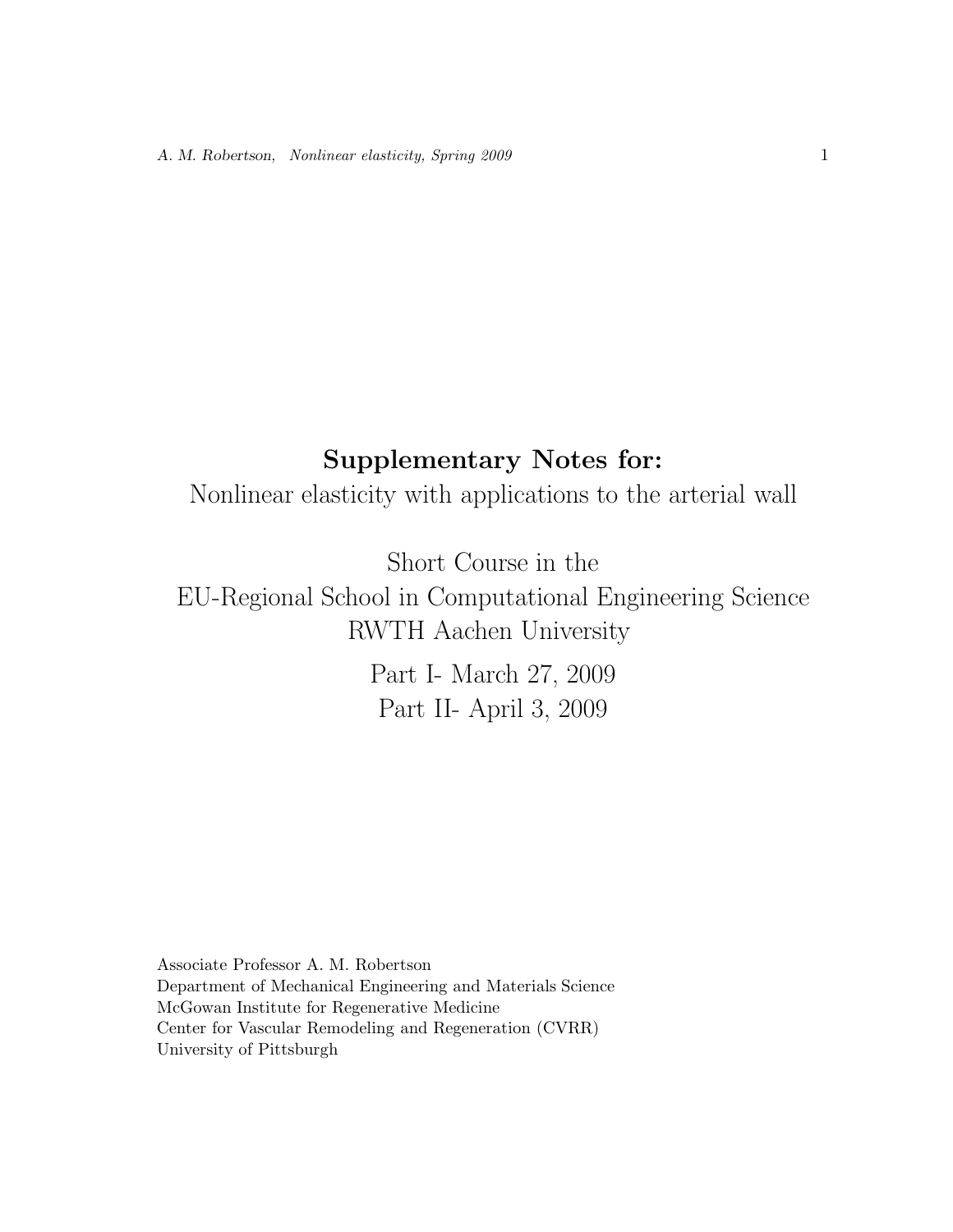## **Supplementary Notes for:**

Nonlinear elasticity with applications to the arterial wall

Short Course in the<br>EU-Regional School in Computational Engineering Science RWTH Aachen University

Part I- March 27, 2009  $Part II$   $April 3, 2000$ Part II- April 3, 2009

Associate Professor A. M. Robertson Department of Mechanical Engineering and Materials Science McGowan Institute for Regenerative Medicine Center for Vascular Remodeling and Regeneration (CVRR) University of Pittsburgh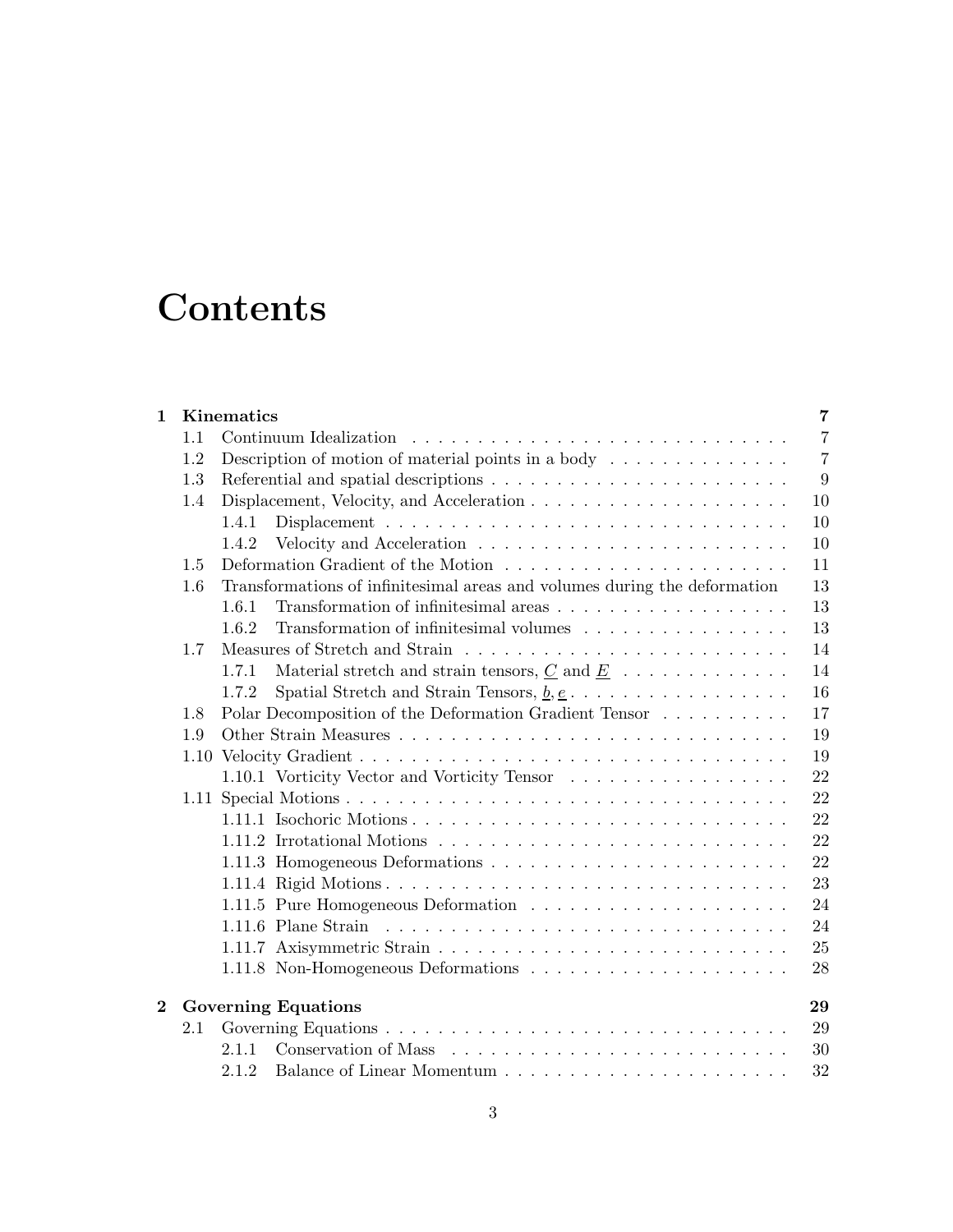# **Contents**

| $\mathbf{1}$ |                            | Kinematics                                                                                                  | 7              |  |  |  |
|--------------|----------------------------|-------------------------------------------------------------------------------------------------------------|----------------|--|--|--|
|              | 1.1                        | Continuum Idealization                                                                                      | $\overline{7}$ |  |  |  |
|              | 1.2                        | Description of motion of material points in a body $\dots \dots \dots \dots$                                | $\overline{7}$ |  |  |  |
|              | 1.3                        |                                                                                                             | 9              |  |  |  |
|              | 1.4                        |                                                                                                             | 10             |  |  |  |
|              |                            | 1.4.1                                                                                                       | 10             |  |  |  |
|              |                            | 1.4.2                                                                                                       | 10             |  |  |  |
|              | 1.5                        |                                                                                                             | 11             |  |  |  |
|              | 1.6                        | Transformations of infinitesimal areas and volumes during the deformation                                   | 13             |  |  |  |
|              |                            | 1.6.1                                                                                                       | 13             |  |  |  |
|              |                            | 1.6.2<br>Transformation of infinitesimal volumes                                                            | 13             |  |  |  |
|              | 1.7                        |                                                                                                             | 14             |  |  |  |
|              |                            | Material stretch and strain tensors, $\underline{C}$ and $\underline{E}$<br>1.7.1                           | 14             |  |  |  |
|              |                            | Spatial Stretch and Strain Tensors, $\underline{b}, \underline{e}, \ldots, \ldots, \ldots, \ldots$<br>1.7.2 | 16             |  |  |  |
|              | 1.8                        | Polar Decomposition of the Deformation Gradient Tensor                                                      | 17             |  |  |  |
|              | 1.9                        |                                                                                                             | 19             |  |  |  |
|              |                            |                                                                                                             | 19             |  |  |  |
|              |                            | 1.10.1 Vorticity Vector and Vorticity Tensor                                                                | 22             |  |  |  |
|              |                            |                                                                                                             | 22             |  |  |  |
|              |                            |                                                                                                             | 22             |  |  |  |
|              |                            |                                                                                                             | 22             |  |  |  |
|              |                            |                                                                                                             | 22             |  |  |  |
|              |                            |                                                                                                             | 23             |  |  |  |
|              |                            |                                                                                                             | 24             |  |  |  |
|              |                            |                                                                                                             | 24             |  |  |  |
|              |                            |                                                                                                             | 25             |  |  |  |
|              |                            |                                                                                                             | 28             |  |  |  |
| $\bf{2}$     | <b>Governing Equations</b> |                                                                                                             |                |  |  |  |
|              | 2.1                        |                                                                                                             | 29             |  |  |  |
|              |                            | 2.1.1                                                                                                       | 30             |  |  |  |
|              |                            | 2.1.2                                                                                                       | 32             |  |  |  |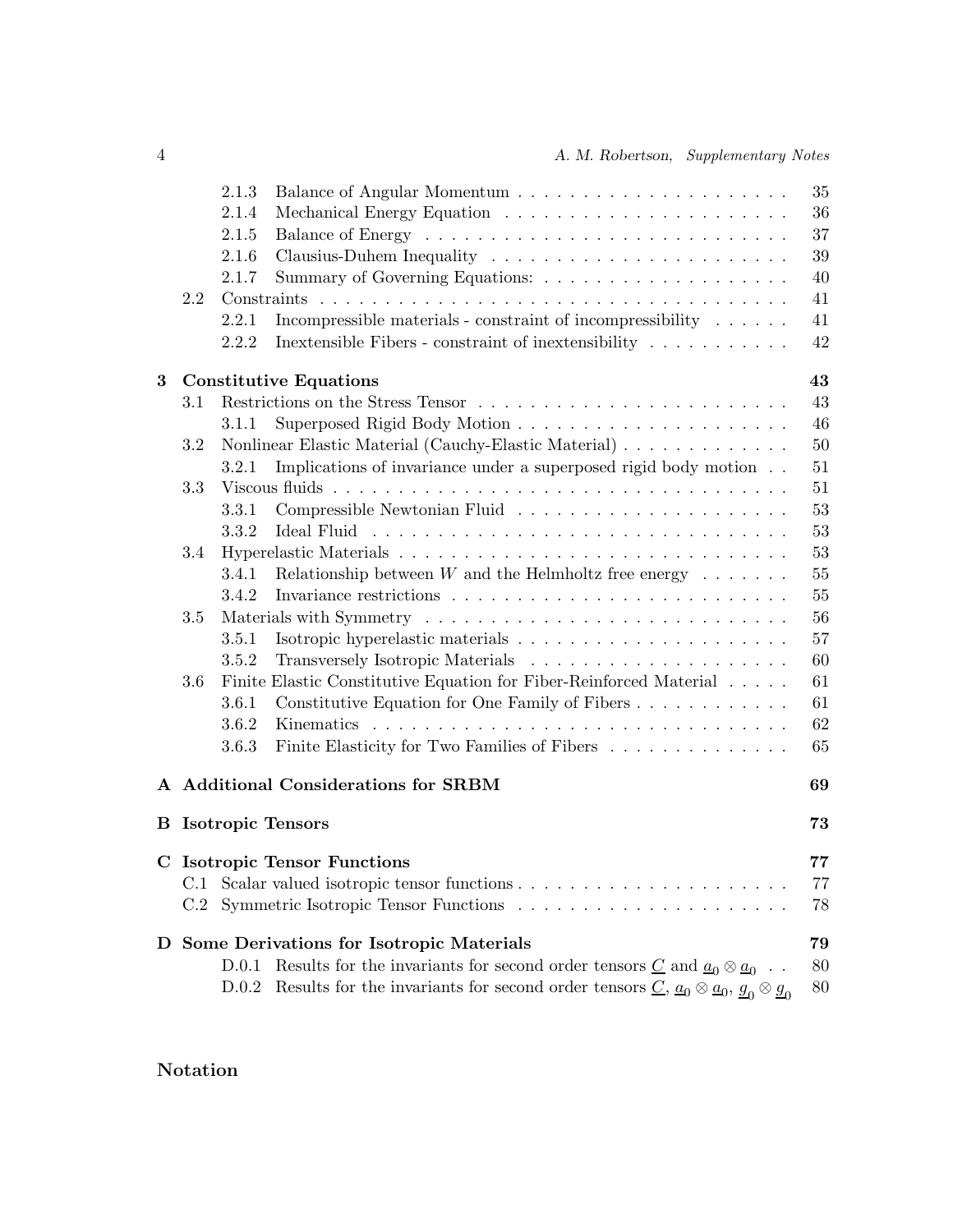|   |     | 2.1.3                                                                                                                                                                | 35 |
|---|-----|----------------------------------------------------------------------------------------------------------------------------------------------------------------------|----|
|   |     | 2.1.4                                                                                                                                                                | 36 |
|   |     | 2.1.5                                                                                                                                                                | 37 |
|   |     | 2.1.6                                                                                                                                                                | 39 |
|   |     | 2.1.7                                                                                                                                                                | 40 |
|   | 2.2 |                                                                                                                                                                      | 41 |
|   |     | Incompressible materials - constraint of incompressibility $\ldots \ldots$<br>2.2.1                                                                                  | 41 |
|   |     | Inextensible Fibers - constraint of inextensibility<br>2.2.2                                                                                                         | 42 |
| 3 |     | <b>Constitutive Equations</b>                                                                                                                                        | 43 |
|   | 3.1 |                                                                                                                                                                      | 43 |
|   |     | 3.1.1                                                                                                                                                                | 46 |
|   | 3.2 | Nonlinear Elastic Material (Cauchy-Elastic Material)                                                                                                                 | 50 |
|   |     | Implications of invariance under a superposed rigid body motion<br>3.2.1                                                                                             | 51 |
|   | 3.3 |                                                                                                                                                                      | 51 |
|   |     | 3.3.1                                                                                                                                                                | 53 |
|   |     | 3.3.2                                                                                                                                                                | 53 |
|   | 3.4 |                                                                                                                                                                      | 53 |
|   |     | Relationship between $W$ and the Helmholtz free energy $\dots \dots$<br>3.4.1                                                                                        | 55 |
|   |     | 3.4.2                                                                                                                                                                | 55 |
|   | 3.5 |                                                                                                                                                                      | 56 |
|   |     | 3.5.1                                                                                                                                                                | 57 |
|   |     | 3.5.2                                                                                                                                                                | 60 |
|   | 3.6 | Finite Elastic Constitutive Equation for Fiber-Reinforced Material                                                                                                   | 61 |
|   |     | Constitutive Equation for One Family of Fibers<br>3.6.1                                                                                                              | 61 |
|   |     | 3.6.2                                                                                                                                                                | 62 |
|   |     | Finite Elasticity for Two Families of Fibers<br>3.6.3                                                                                                                | 65 |
|   |     | A Additional Considerations for SRBM                                                                                                                                 | 69 |
|   |     | <b>B</b> Isotropic Tensors                                                                                                                                           | 73 |
|   |     |                                                                                                                                                                      |    |
|   |     | <b>C</b> Isotropic Tensor Functions                                                                                                                                  | 77 |
|   | C.1 |                                                                                                                                                                      | 77 |
|   | C.2 |                                                                                                                                                                      | 78 |
|   |     | D Some Derivations for Isotropic Materials                                                                                                                           | 79 |
|   |     | Results for the invariants for second order tensors $\underline{C}$ and $\underline{a}_0 \otimes \underline{a}_0$ .<br>D.0.1                                         | 80 |
|   |     | Results for the invariants for second order tensors $\underline{C}$ , $\underline{a}_0 \otimes \underline{a}_0$ , $\underline{g}_0 \otimes \underline{g}_0$<br>D.0.2 | 80 |

## **Notation**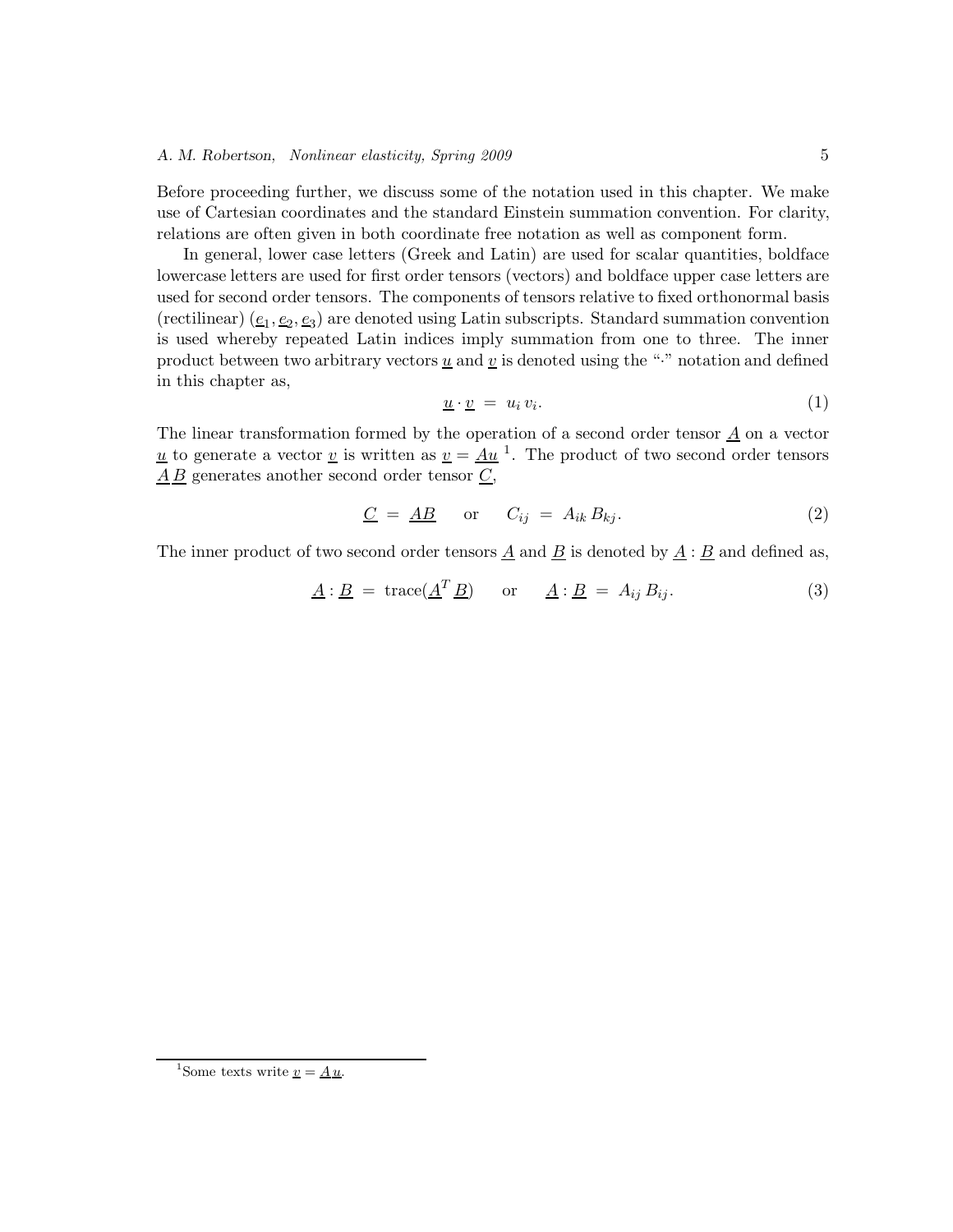Before proceeding further, we discuss some of the notation used in this chapter. We make use of Cartesian coordinates and the standard Einstein summation convention. For clarity, relations are often given in both coordinate free notation as well as component form.

In general, lower case letters (Greek and Latin) are used for scalar quantities, boldface lowercase letters are used for first order tensors (vectors) and boldface upper case letters are used for second order tensors. The components of tensors relative to fixed orthonormal basis (rectilinear)  $(\underline{e}_1, \underline{e}_2, \underline{e}_3)$  are denoted using Latin subscripts. Standard summation convention is used whereby repeated Latin indices imply summation from one to three. The inner product between two arbitrary vectors  $\underline{u}$  and  $\underline{v}$  is denoted using the "." notation and defined in this chapter as,

$$
\underline{u} \cdot \underline{v} = u_i v_i. \tag{1}
$$

The linear transformation formed by the operation of a second order tensor  $\underline{A}$  on a vector u to generate a vector v is written as  $v = Au<sup>1</sup>$ . The product of two second order tensors  $\underline{A}\,\underline{B}$  generates another second order tensor  $\underline{C}$ ,

$$
\underline{C} = \underline{AB} \quad \text{or} \quad C_{ij} = A_{ik} B_{kj}.
$$
 (2)

The inner product of two second order tensors  $\underline{A}$  and  $\underline{B}$  is denoted by  $\underline{A} : \underline{B}$  and defined as,

$$
\underline{A} : \underline{B} = \text{trace}(\underline{A}^T \underline{B}) \quad \text{or} \quad \underline{A} : \underline{B} = A_{ij} B_{ij}.
$$
 (3)

<sup>&</sup>lt;sup>1</sup>Some texts write  $\underline{v} = \underline{A} \underline{u}$ .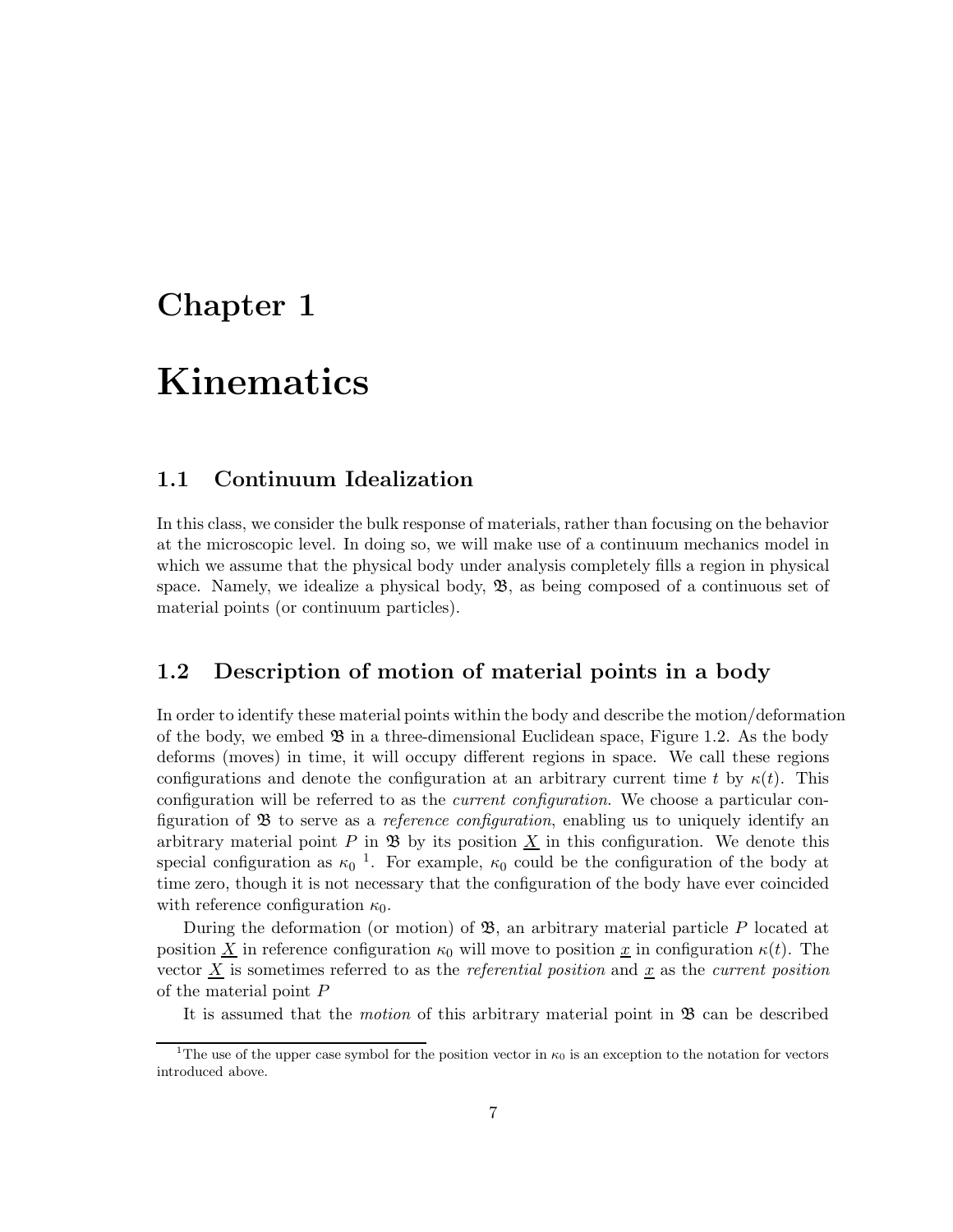## **Chapter 1**

# **Kinematics**

### **1.1 Continuum Idealization**

In this class, we consider the bulk response of materials, rather than focusing on the behavior at the microscopic level. In doing so, we will make use of a continuum mechanics model in which we assume that the physical body under analysis completely fills a region in physical space. Namely, we idealize a physical body,  $\mathfrak{B}$ , as being composed of a continuous set of material points (or continuum particles).

### **1.2 Description of motion of material points in a body**

In order to identify these material points within the body and describe the motion/deformation of the body, we embed  $\mathfrak{B}$  in a three-dimensional Euclidean space, Figure 1.2. As the body deforms (moves) in time, it will occupy different regions in space. We call these regions configurations and denote the configuration at an arbitrary current time t by  $\kappa(t)$ . This configuration will be referred to as the *current configuration*. We choose a particular configuration of B to serve as a *reference configuration*, enabling us to uniquely identify an arbitrary material point P in  $\mathfrak{B}$  by its position X in this configuration. We denote this special configuration as  $\kappa_0$ <sup>1</sup>. For example,  $\kappa_0$  could be the configuration of the body at time zero, though it is not necessary that the configuration of the body have ever coincided with reference configuration  $\kappa_0$ .

During the deformation (or motion) of  $\mathfrak{B}$ , an arbitrary material particle P located at position X in reference configuration  $\kappa_0$  will move to position x in configuration  $\kappa(t)$ . The vector  $\underline{X}$  is sometimes referred to as the *referential position* and  $\underline{x}$  as the *current position* of the material point P

It is assumed that the *motion* of this arbitrary material point in **B** can be described

<sup>&</sup>lt;sup>1</sup>The use of the upper case symbol for the position vector in  $\kappa_0$  is an exception to the notation for vectors introduced above.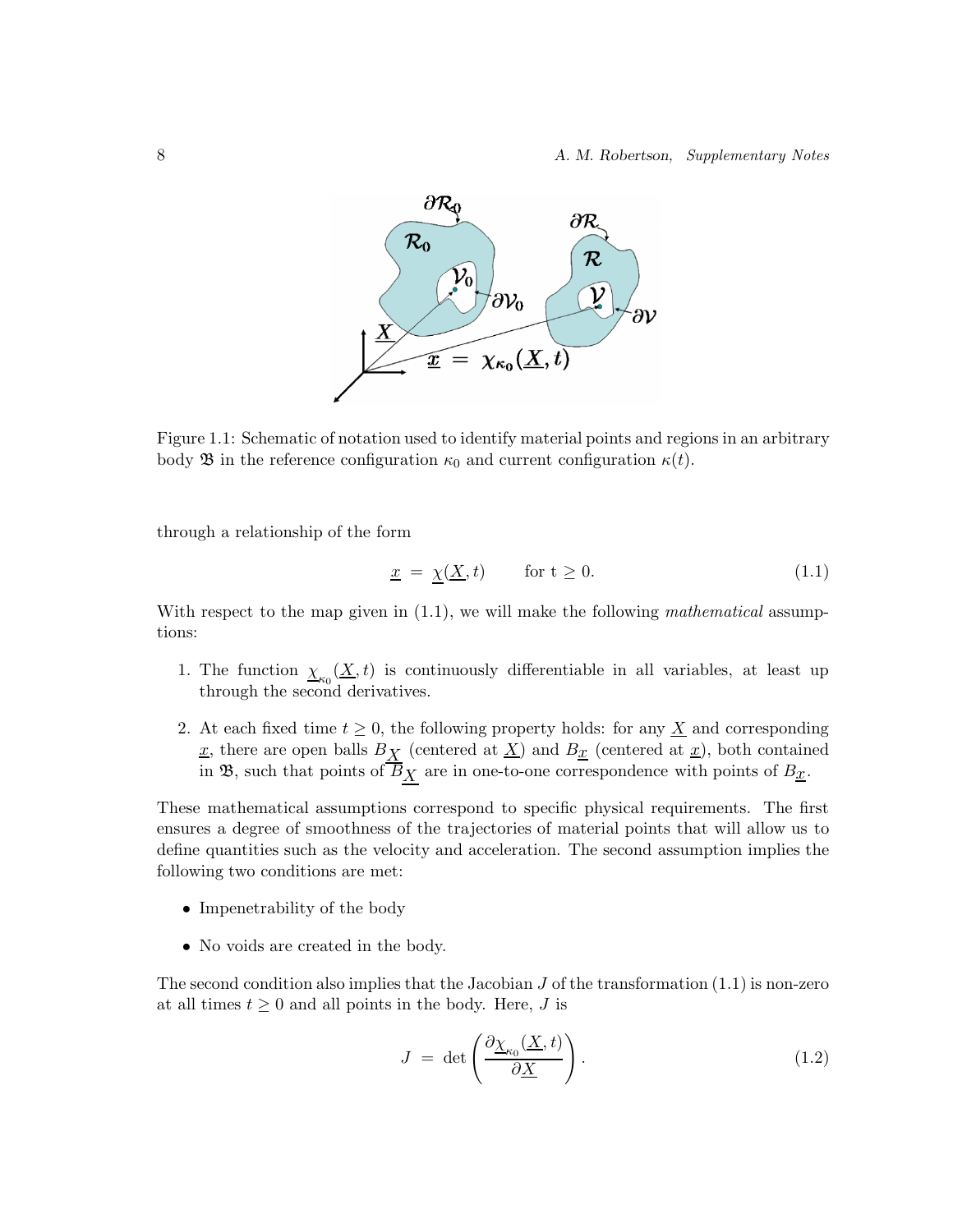

Figure 1.1: Schematic of notation used to identify material points and regions in an arbitrary body **B** in the reference configuration  $\kappa_0$  and current configuration  $\kappa(t)$ .

through a relationship of the form

$$
\underline{x} = \underline{\chi}(\underline{X}, t) \qquad \text{for } t \ge 0. \tag{1.1}
$$

With respect to the map given in (1.1), we will make the following *mathematical* assumptions:

- 1. The function  $\chi_{\alpha}(X, t)$  is continuously differentiable in all variables, at least up through the second derivatives.
- 2. At each fixed time  $t \geq 0$ , the following property holds: for any  $\underline{X}$  and corresponding  $\underline{x}$ , there are open balls  $B_{\underline{X}}$  (centered at  $\underline{X}$ ) and  $B_{\underline{x}}$  (centered at  $\underline{x}$ ), both contained in B, such that points of  $\overline{B}_{\underline{X}}$  are in one-to-one correspondence with points of  $B_{\underline{x}}$ .

These mathematical assumptions correspond to specific physical requirements. The first ensures a degree of smoothness of the trajectories of material points that will allow us to define quantities such as the velocity and acceleration. The second assumption implies the following two conditions are met:

- Impenetrability of the body
- No voids are created in the body.

The second condition also implies that the Jacobian  $J$  of the transformation (1.1) is non-zero at all times  $t \geq 0$  and all points in the body. Here, J is

$$
J = \det \left( \frac{\partial \underline{\chi}_{\kappa_0}(\underline{X}, t)}{\partial \underline{X}} \right). \tag{1.2}
$$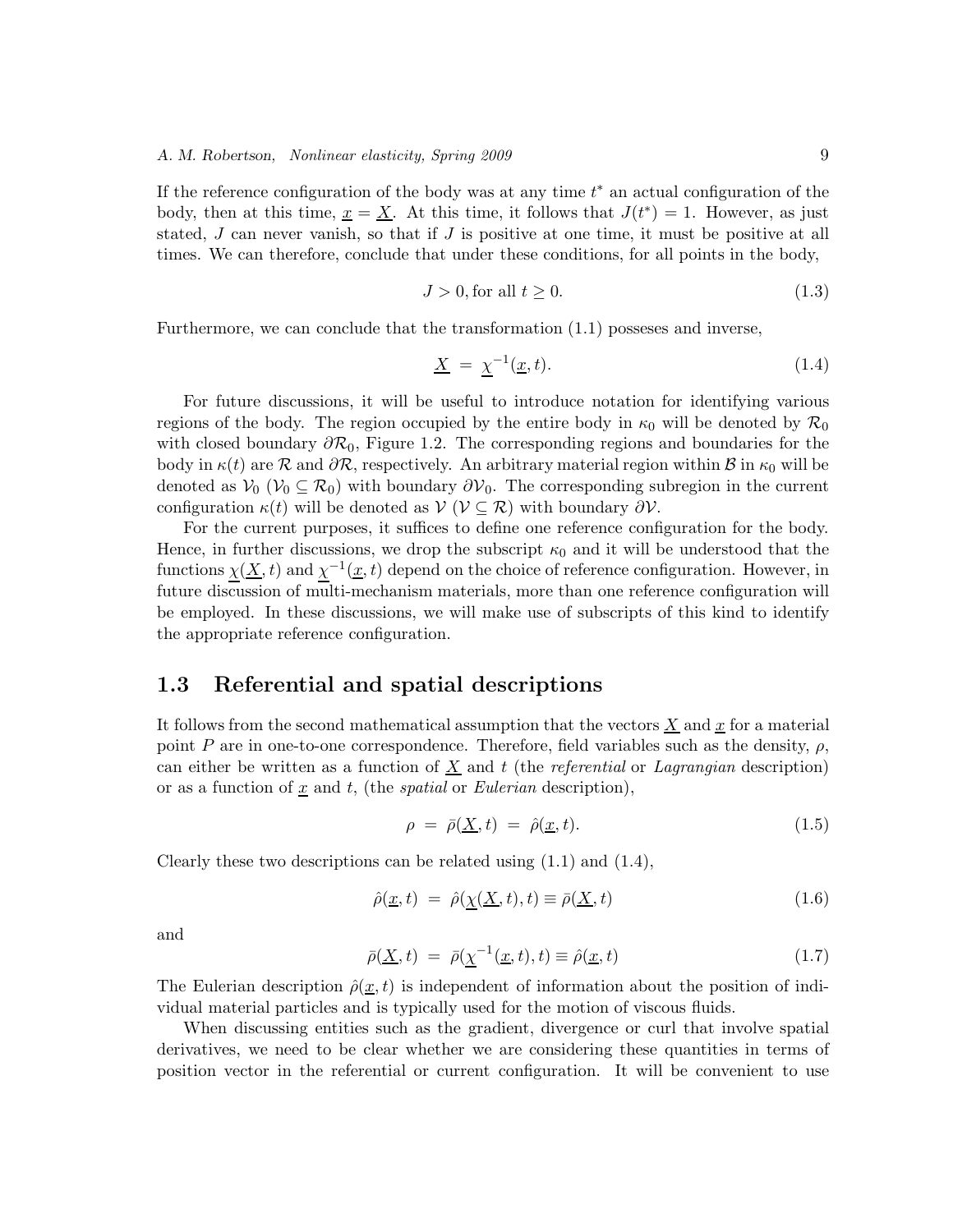If the reference configuration of the body was at any time  $t^*$  an actual configuration of the body, then at this time,  $x = \underline{X}$ . At this time, it follows that  $J(t^*) = 1$ . However, as just stated,  $J$  can never vanish, so that if  $J$  is positive at one time, it must be positive at all times. We can therefore, conclude that under these conditions, for all points in the body,

$$
J > 0, \text{for all } t \ge 0. \tag{1.3}
$$

Furthermore, we can conclude that the transformation (1.1) posseses and inverse,

$$
\underline{X} = \underline{\chi}^{-1}(\underline{x}, t). \tag{1.4}
$$

For future discussions, it will be useful to introduce notation for identifying various regions of the body. The region occupied by the entire body in  $\kappa_0$  will be denoted by  $\mathcal{R}_0$ with closed boundary  $\partial \mathcal{R}_0$ , Figure 1.2. The corresponding regions and boundaries for the body in  $\kappa(t)$  are  $\mathcal R$  and  $\partial \mathcal R$ , respectively. An arbitrary material region within  $\mathcal B$  in  $\kappa_0$  will be denoted as  $V_0$  ( $V_0 \subseteq \mathcal{R}_0$ ) with boundary  $\partial V_0$ . The corresponding subregion in the current configuration  $\kappa(t)$  will be denoted as  $\mathcal{V}$  ( $\mathcal{V} \subseteq \mathcal{R}$ ) with boundary  $\partial \mathcal{V}$ .

For the current purposes, it suffices to define one reference configuration for the body. Hence, in further discussions, we drop the subscript  $\kappa_0$  and it will be understood that the functions  $\chi(\underline{X}, t)$  and  $\chi^{-1}(\underline{x}, t)$  depend on the choice of reference configuration. However, in future discussion of multi-mechanism materials, more than one reference configuration will be employed. In these discussions, we will make use of subscripts of this kind to identify the appropriate reference configuration.

#### **1.3 Referential and spatial descriptions**

It follows from the second mathematical assumption that the vectors  $\underline{X}$  and  $\underline{x}$  for a material point P are in one-to-one correspondence. Therefore, field variables such as the density,  $\rho$ , can either be written as a function of X and t (the *referential* or *Lagrangian* description) or as a function of  $\underline{x}$  and  $t$ , (the *spatial* or *Eulerian* description),

$$
\rho = \bar{\rho}(\underline{X}, t) = \hat{\rho}(\underline{x}, t). \tag{1.5}
$$

Clearly these two descriptions can be related using  $(1.1)$  and  $(1.4)$ ,

$$
\hat{\rho}(\underline{x},t) = \hat{\rho}(\underline{\chi}(\underline{X},t),t) \equiv \bar{\rho}(\underline{X},t) \tag{1.6}
$$

and

$$
\bar{\rho}(\underline{X},t) = \bar{\rho}(\underline{\chi}^{-1}(\underline{x},t),t) \equiv \hat{\rho}(\underline{x},t)
$$
\n(1.7)

The Eulerian description  $\hat{\rho}(\underline{x}, t)$  is independent of information about the position of individual material particles and is typically used for the motion of viscous fluids.

When discussing entities such as the gradient, divergence or curl that involve spatial derivatives, we need to be clear whether we are considering these quantities in terms of position vector in the referential or current configuration. It will be convenient to use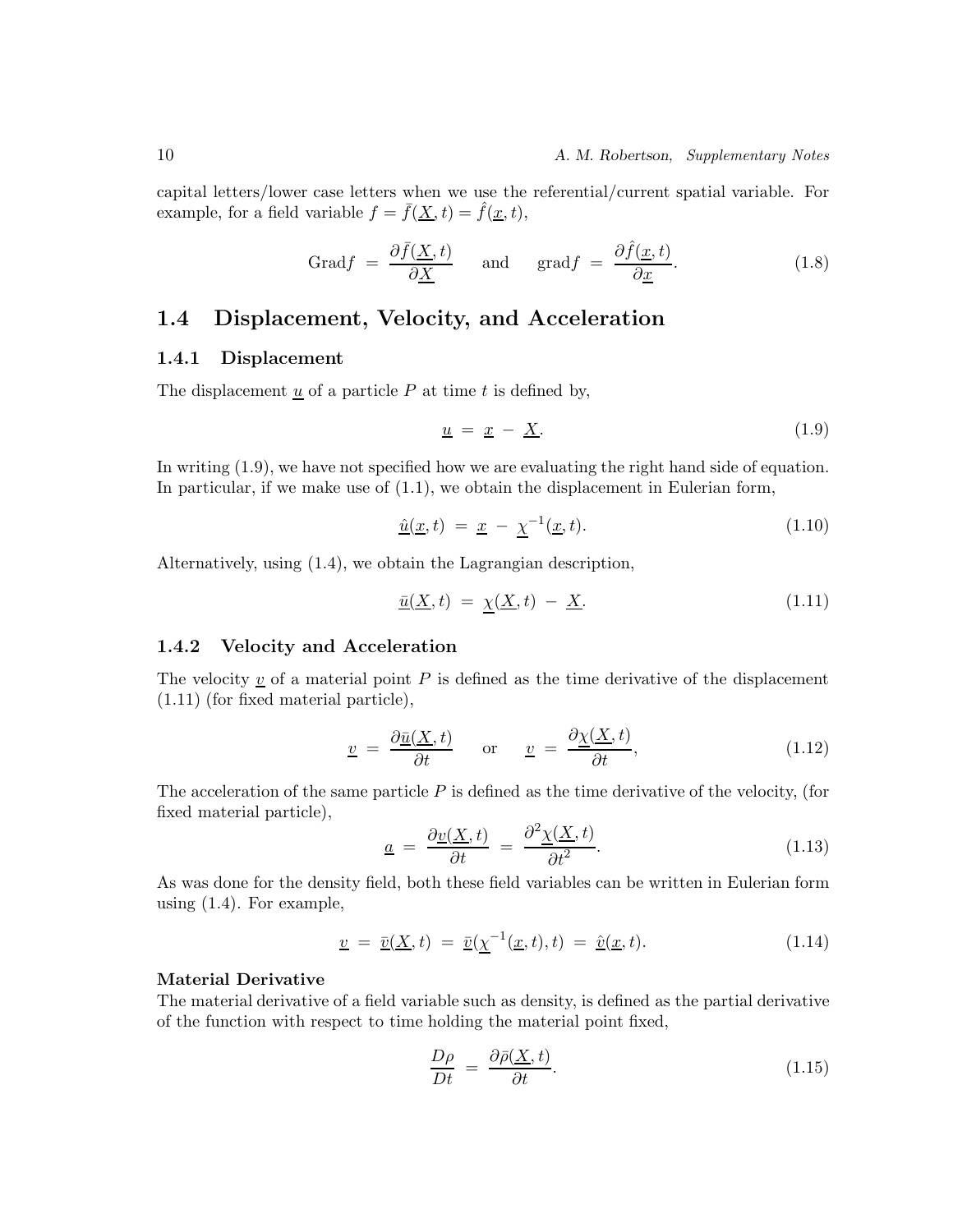capital letters/lower case letters when we use the referential/current spatial variable. For example, for a field variable  $f = \overline{f}(\underline{X}, t) = \hat{f}(\underline{x}, t)$ ,

$$
\text{Grad}f = \frac{\partial \bar{f}(\underline{X}, t)}{\partial \underline{X}} \quad \text{and} \quad \text{grad}f = \frac{\partial \hat{f}(\underline{x}, t)}{\partial \underline{x}}. \tag{1.8}
$$

## **1.4 Displacement, Velocity, and Acceleration**

#### **1.4.1 Displacement**

The displacement  $\underline{u}$  of a particle  $P$  at time  $t$  is defined by,

$$
\underline{u} = \underline{x} - \underline{X}.\tag{1.9}
$$

In writing (1.9), we have not specified how we are evaluating the right hand side of equation. In particular, if we make use of (1.1), we obtain the displacement in Eulerian form,

$$
\underline{\hat{u}}(\underline{x},t) = \underline{x} - \underline{\chi}^{-1}(\underline{x},t). \tag{1.10}
$$

Alternatively, using (1.4), we obtain the Lagrangian description,

$$
\underline{\bar{u}}(\underline{X},t) = \underline{\chi}(\underline{X},t) - \underline{X}.\tag{1.11}
$$

#### **1.4.2 Velocity and Acceleration**

The velocity  $\underline{v}$  of a material point P is defined as the time derivative of the displacement (1.11) (for fixed material particle),

$$
\underline{v} = \frac{\partial \underline{\bar{u}}(\underline{X}, t)}{\partial t} \quad \text{or} \quad \underline{v} = \frac{\partial \underline{\chi}(\underline{X}, t)}{\partial t}, \tag{1.12}
$$

The acceleration of the same particle  $P$  is defined as the time derivative of the velocity, (for fixed material particle),

$$
\underline{a} = \frac{\partial \underline{v}(\underline{X}, t)}{\partial t} = \frac{\partial^2 \underline{\chi}(\underline{X}, t)}{\partial t^2}.
$$
\n(1.13)

As was done for the density field, both these field variables can be written in Eulerian form using (1.4). For example,

$$
\underline{v} = \underline{\bar{v}}(\underline{X}, t) = \underline{\bar{v}}(\underline{\chi}^{-1}(\underline{x}, t), t) = \underline{\hat{v}}(\underline{x}, t). \tag{1.14}
$$

#### **Material Derivative**

The material derivative of a field variable such as density, is defined as the partial derivative of the function with respect to time holding the material point fixed,

$$
\frac{D\rho}{Dt} = \frac{\partial \bar{\rho}(\underline{X}, t)}{\partial t}.
$$
\n(1.15)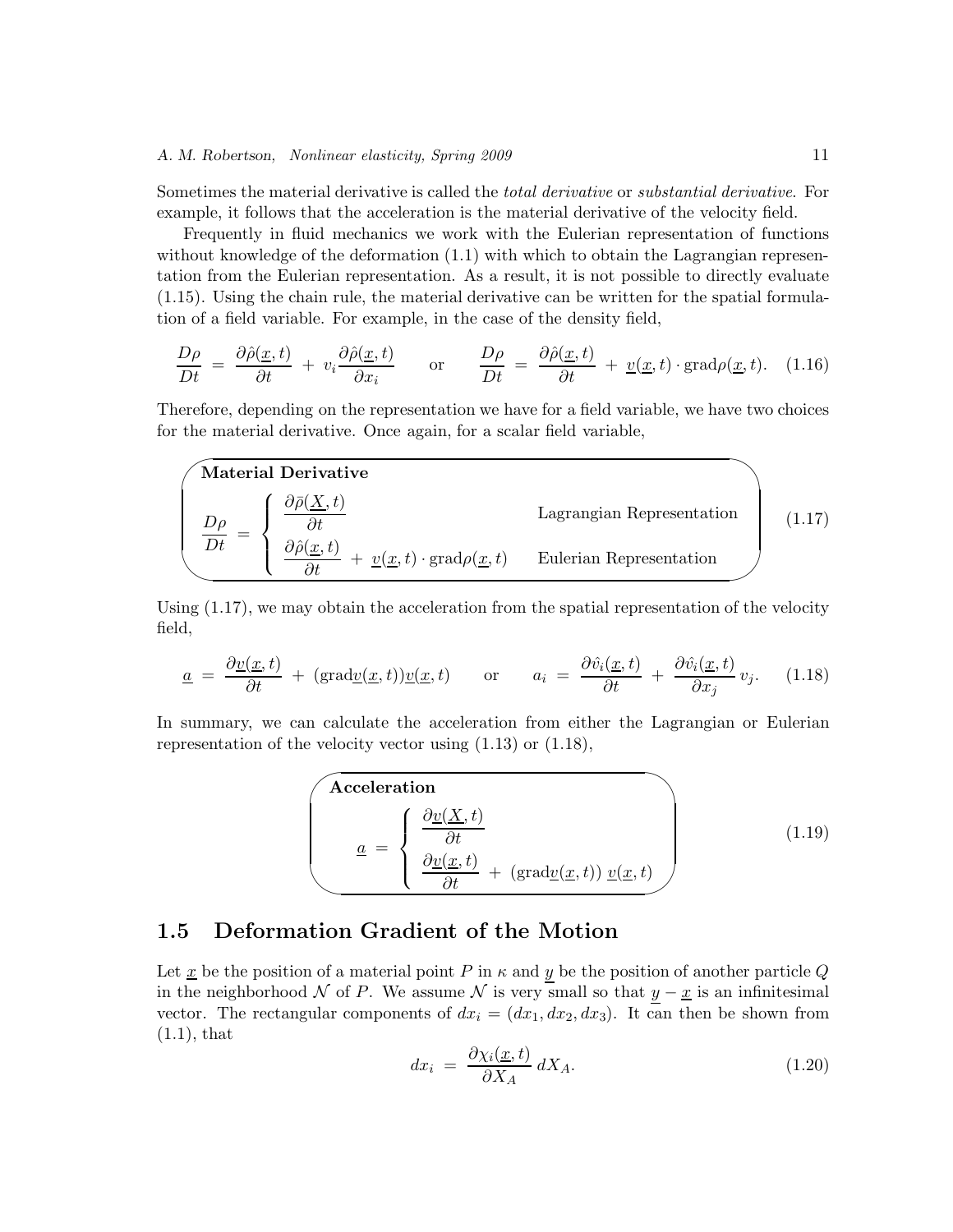Sometimes the material derivative is called the *total derivative* or *substantial derivative*. For example, it follows that the acceleration is the material derivative of the velocity field.

Frequently in fluid mechanics we work with the Eulerian representation of functions without knowledge of the deformation  $(1.1)$  with which to obtain the Lagrangian representation from the Eulerian representation. As a result, it is not possible to directly evaluate (1.15). Using the chain rule, the material derivative can be written for the spatial formulation of a field variable. For example, in the case of the density field,

$$
\frac{D\rho}{Dt} = \frac{\partial \hat{\rho}(\underline{x},t)}{\partial t} + v_i \frac{\partial \hat{\rho}(\underline{x},t)}{\partial x_i} \quad \text{or} \quad \frac{D\rho}{Dt} = \frac{\partial \hat{\rho}(\underline{x},t)}{\partial t} + \underline{v}(\underline{x},t) \cdot \text{grad}\rho(\underline{x},t). \quad (1.16)
$$

Therefore, depending on the representation we have for a field variable, we have two choices for the material derivative. Once again, for a scalar field variable,



Using  $(1.17)$ , we may obtain the acceleration from the spatial representation of the velocity field,

$$
\underline{a} = \frac{\partial \underline{v}(\underline{x}, t)}{\partial t} + (\text{grad}\underline{v}(\underline{x}, t))\underline{v}(\underline{x}, t) \quad \text{or} \quad a_i = \frac{\partial \hat{v}_i(\underline{x}, t)}{\partial t} + \frac{\partial \hat{v}_i(\underline{x}, t)}{\partial x_j} v_j. \quad (1.18)
$$

In summary, we can calculate the acceleration from either the Lagrangian or Eulerian representation of the velocity vector using (1.13) or (1.18),

**Acceleration**  
\n
$$
\underline{a} = \begin{cases}\n\frac{\partial \underline{v}(\underline{X}, t)}{\partial t} \\
\frac{\partial \underline{v}(\underline{x}, t)}{\partial t} + (\text{grad}\underline{v}(\underline{x}, t)) \underline{v}(\underline{x}, t)\n\end{cases}
$$
\n(1.19)

## **1.5 Deformation Gradient of the Motion**

Let  $\underline{x}$  be the position of a material point P in  $\kappa$  and y be the position of another particle Q in the neighborhood N of P. We assume N is very small so that  $y - x$  is an infinitesimal vector. The rectangular components of  $dx_i = (dx_1, dx_2, dx_3)$ . It can then be shown from  $(1.1)$ , that

$$
dx_i = \frac{\partial \chi_i(\underline{x}, t)}{\partial X_A} dX_A.
$$
 (1.20)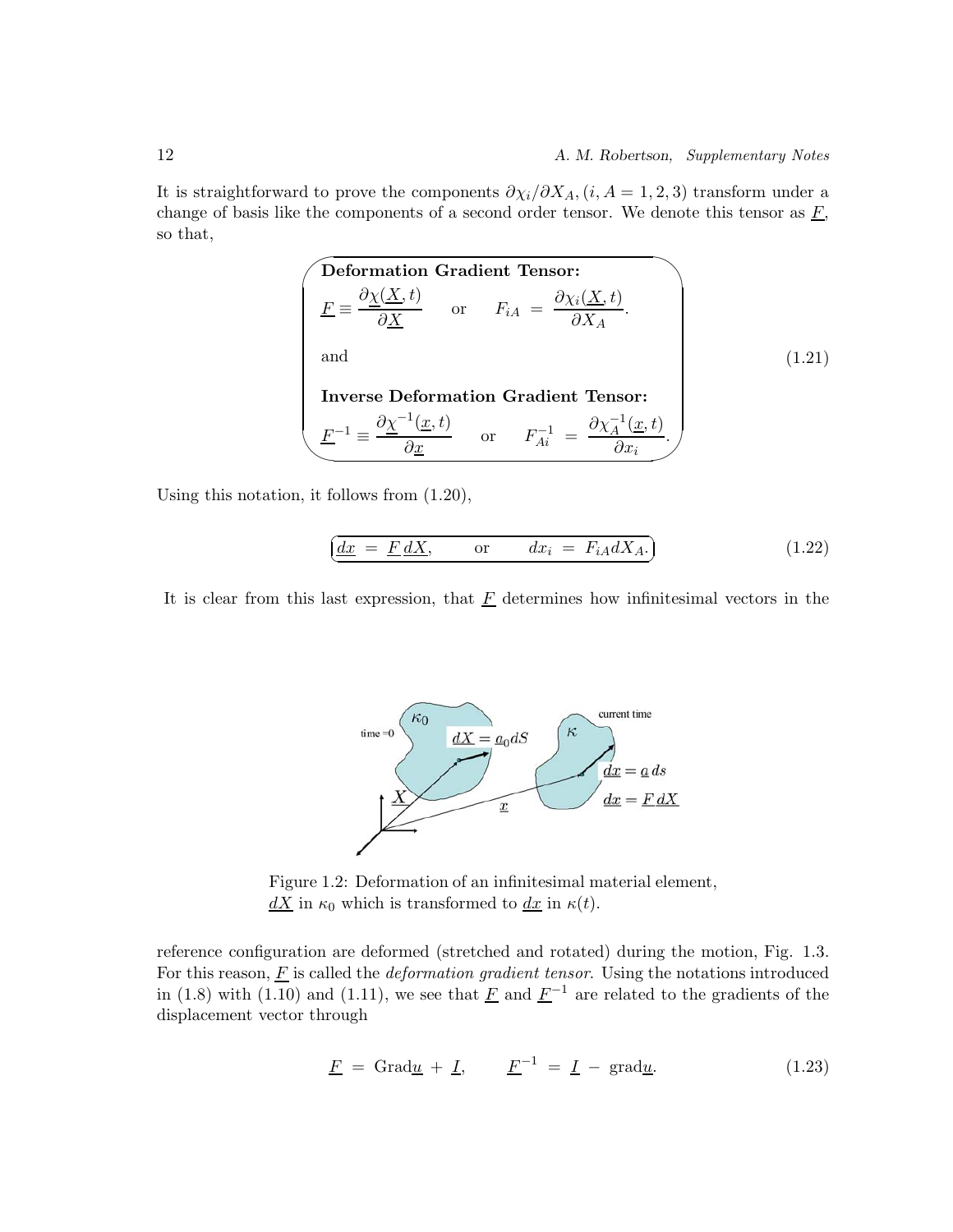It is straightforward to prove the components  $\partial \chi_i/\partial X_A$ ,  $(i, A = 1, 2, 3)$  transform under a change of basis like the components of a second order tensor. We denote this tensor as  $\underline{F}$ , so that,

**Definition Gradient Tensor:**  
\n
$$
\underline{F} \equiv \frac{\partial \underline{\chi}(\underline{X}, t)}{\partial \underline{X}} \quad \text{or} \quad F_{iA} = \frac{\partial \chi_{i}(\underline{X}, t)}{\partial X_{A}}.
$$
\nand\n  
\n**Inverse Deformation Gradient Tensor:**\n
$$
\underline{F}^{-1} \equiv \frac{\partial \underline{\chi}^{-1}(\underline{x}, t)}{\partial \underline{x}} \quad \text{or} \quad F_{Ai}^{-1} = \frac{\partial \chi_{A}^{-1}(\underline{x}, t)}{\partial x_{i}}.
$$
\n(1.21)

Using this notation, it follows from (1.20),

$$
\underbrace{dx} = \underline{F} \, \underline{dX}, \qquad \text{or} \qquad dx_i = F_{iA} \, \underline{dX_A}.\tag{1.22}
$$

It is clear from this last expression, that  $\underline{F}$  determines how infinitesimal vectors in the



Figure 1.2: Deformation of an infinitesimal material element,  $dX$  in  $\kappa_0$  which is transformed to  $dx$  in  $\kappa(t)$ .

reference configuration are deformed (stretched and rotated) during the motion, Fig. 1.3. For this reason,  $\underline{F}$  is called the *deformation gradient tensor*. Using the notations introduced in (1.8) with (1.10) and (1.11), we see that  $\underline{F}$  and  $\underline{F}^{-1}$  are related to the gradients of the displacement vector through

$$
\underline{F} = \text{Grad}\underline{u} + \underline{I}, \qquad \underline{F}^{-1} = \underline{I} - \text{grad}\underline{u}.
$$
 (1.23)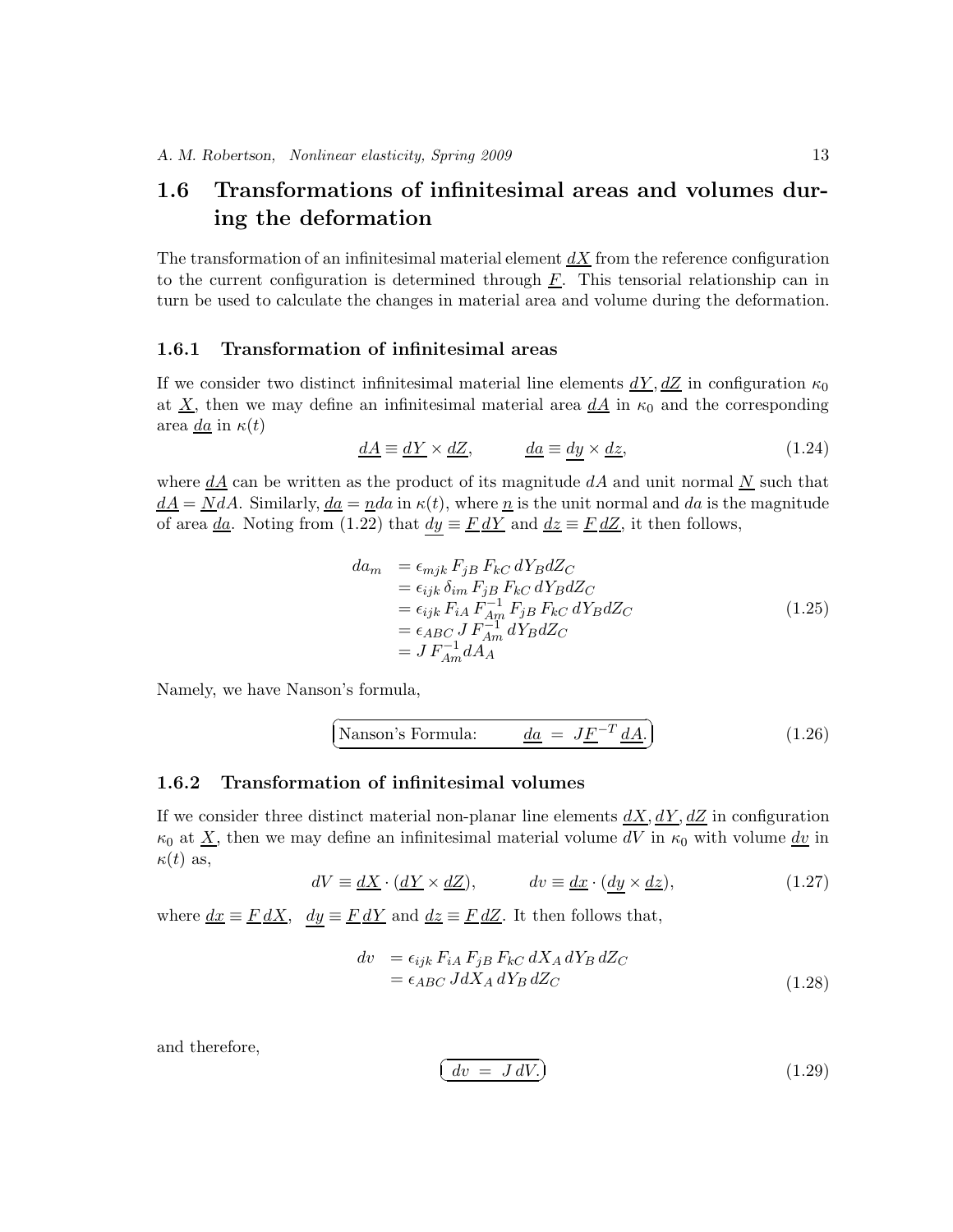## **1.6 Transformations of infinitesimal areas and volumes during the deformation**

The transformation of an infinitesimal material element  $dX$  from the reference configuration to the current configuration is determined through  $\underline{F}$ . This tensorial relationship can in turn be used to calculate the changes in material area and volume during the deformation.

#### **1.6.1 Transformation of infinitesimal areas**

If we consider two distinct infinitesimal material line elements  $dY, dZ$  in configuration  $\kappa_0$ at  $\underline{X}$ , then we may define an infinitesimal material area  $\underline{dA}$  in  $\kappa_0$  and the corresponding area  $\underline{da}$  in  $\kappa(t)$ 

$$
\underline{dA} \equiv \underline{dY} \times \underline{dZ}, \qquad \underline{da} \equiv \underline{dy} \times \underline{dz}, \qquad (1.24)
$$

where  $dA$  can be written as the product of its magnitude  $dA$  and unit normal N such that  $dA = N dA$ . Similarly,  $d\overline{a} = n d\overline{a}$  in  $\kappa(t)$ , where  $n$  is the unit normal and  $d\overline{a}$  is the magnitude of area <u>da</u>. Noting from (1.22) that  $dy \equiv \underline{F} d\underline{Y}$  and  $dz \equiv \underline{F} d\underline{Z}$ , it then follows,

$$
da_m = \epsilon_{mjk} F_{jB} F_{kC} dY_B dZ_C
$$
  
\n
$$
= \epsilon_{ijk} \delta_{im} F_{jB} F_{kC} dY_B dZ_C
$$
  
\n
$$
= \epsilon_{ijk} F_{iA} F_{nR}^{-1} F_{jB} F_{kC} dY_B dZ_C
$$
  
\n
$$
= \epsilon_{ABC} J F_{Am}^{-1} dY_B dZ_C
$$
  
\n
$$
= J F_{Am}^{-1} dA_A
$$
  
\n(1.25)

Namely, we have Nanson's formula,

$$
\left(\text{Nanson's Formula:} \qquad \underline{da} = J\underline{F}^{-T} \underline{d}\underline{A}.\right) \tag{1.26}
$$

#### **1.6.2 Transformation of infinitesimal volumes**

If we consider three distinct material non-planar line elements  $dX, dY, dZ$  in configuration  $\kappa_0$  at  $\underline{X}$ , then we may define an infinitesimal material volume dV in  $\kappa_0$  with volume dv in  $\kappa(t)$  as,

$$
dV \equiv \underline{dX} \cdot (\underline{dY} \times \underline{dZ}), \qquad dv \equiv \underline{dx} \cdot (\underline{dy} \times \underline{dz}), \qquad (1.27)
$$

where  $dx \equiv F dX$ ,  $dy \equiv F dY$  and  $dz \equiv F dZ$ . It then follows that,

$$
dv = \epsilon_{ijk} F_{iA} F_{jB} F_{kC} dX_A dY_B dZ_C
$$
  
=  $\epsilon_{ABC} JdX_A dY_B dZ_C$  (1.28)

and therefore,

$$
\boxed{dv = JdV.}
$$
\n(1.29)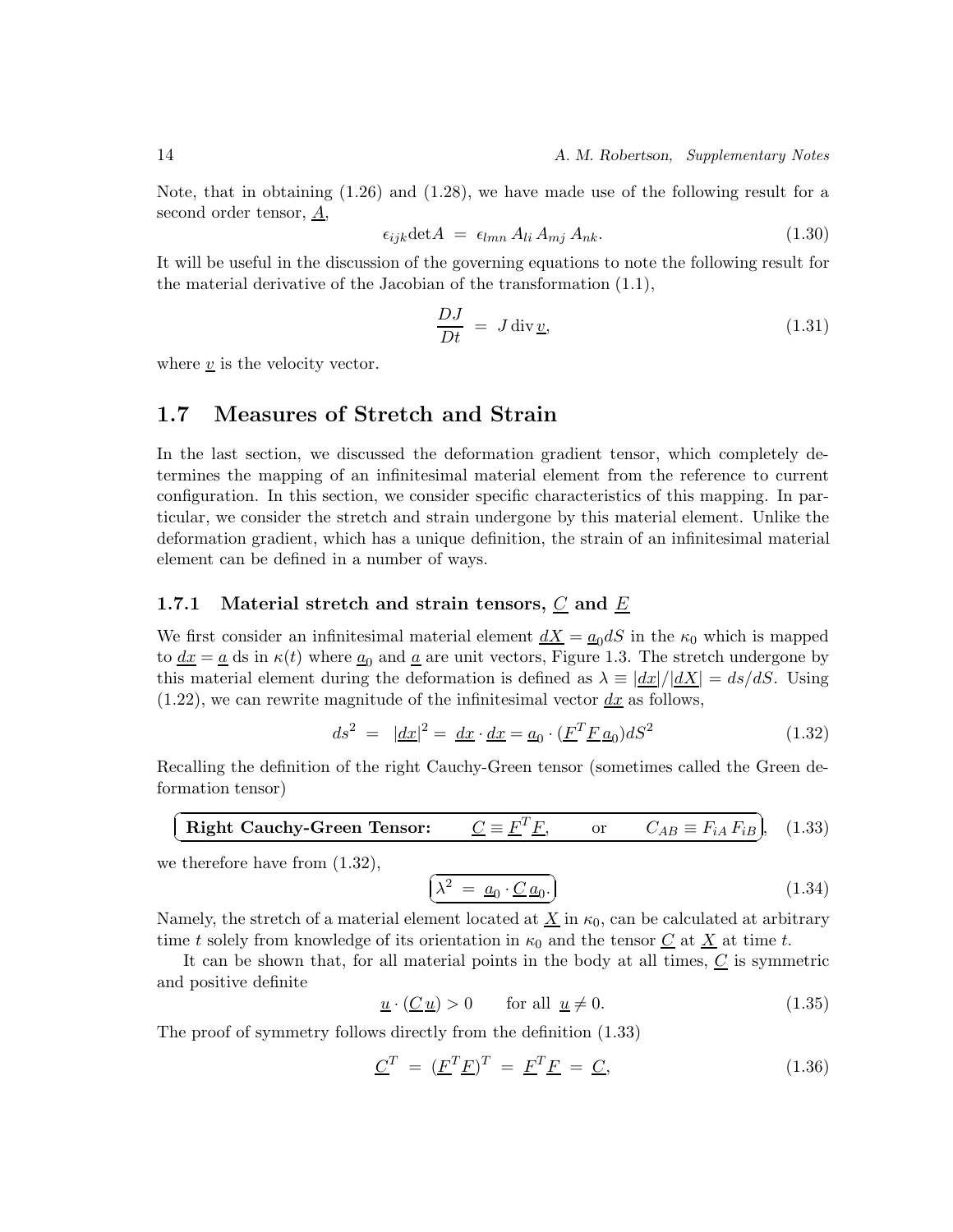Note, that in obtaining (1.26) and (1.28), we have made use of the following result for a second order tensor,  $\underline{A}$ ,

$$
\epsilon_{ijk}\det A = \epsilon_{lmn} A_{li} A_{mj} A_{nk}.
$$
\n(1.30)

It will be useful in the discussion of the governing equations to note the following result for the material derivative of the Jacobian of the transformation (1.1),

$$
\frac{DJ}{Dt} = J \operatorname{div} \underline{v},\tag{1.31}
$$

where  $\underline{v}$  is the velocity vector.

## **1.7 Measures of Stretch and Strain**

In the last section, we discussed the deformation gradient tensor, which completely determines the mapping of an infinitesimal material element from the reference to current configuration. In this section, we consider specific characteristics of this mapping. In particular, we consider the stretch and strain undergone by this material element. Unlike the deformation gradient, which has a unique definition, the strain of an infinitesimal material element can be defined in a number of ways.

#### **1.7.1 Material stretch and strain tensors,** *C* **and** *E*

We first consider an infinitesimal material element  $dX = a_0 dS$  in the  $\kappa_0$  which is mapped to  $\underline{dx} = \underline{a}$  ds in  $\kappa(t)$  where  $\underline{a}_0$  and  $\underline{a}$  are unit vectors, Figure 1.3. The stretch undergone by this material element during the deformation is defined as  $\lambda \equiv |dx|/|dX| = ds/dS$ . Using  $(1.22)$ , we can rewrite magnitude of the infinitesimal vector  $dx$  as follows,

$$
ds^{2} = |\underline{dx}|^{2} = \underline{dx} \cdot \underline{dx} = \underline{a}_{0} \cdot (\underline{F}^{T} \underline{F} \underline{a}_{0}) dS^{2}
$$
 (1.32)

Recalling the definition of the right Cauchy-Green tensor (sometimes called the Green deformation tensor)

**Right Cauchy-Green Tensor:** 
$$
\underline{C} \equiv \underline{F}^T \underline{F}
$$
, or  $C_{AB} \equiv F_{iA} F_{iB}$ , (1.33)

we therefore have from  $(1.32)$ ,

$$
\left(\lambda^2 = \underline{a}_0 \cdot \underline{C} \,\underline{a}_0.\right) \tag{1.34}
$$

Namely, the stretch of a material element located at  $\underline{X}$  in  $\kappa_0$ , can be calculated at arbitrary time t solely from knowledge of its orientation in  $\kappa_0$  and the tensor  $\underline{C}$  at  $\underline{X}$  at time t.

It can be shown that, for all material points in the body at all times,  $C$  is symmetric and positive definite

$$
\underline{u} \cdot (\underline{C}\,\underline{u}) > 0 \qquad \text{for all } \underline{u} \neq 0. \tag{1.35}
$$

The proof of symmetry follows directly from the definition (1.33)

$$
\underline{C}^T = (\underline{F}^T \underline{F})^T = \underline{F}^T \underline{F} = \underline{C}, \qquad (1.36)
$$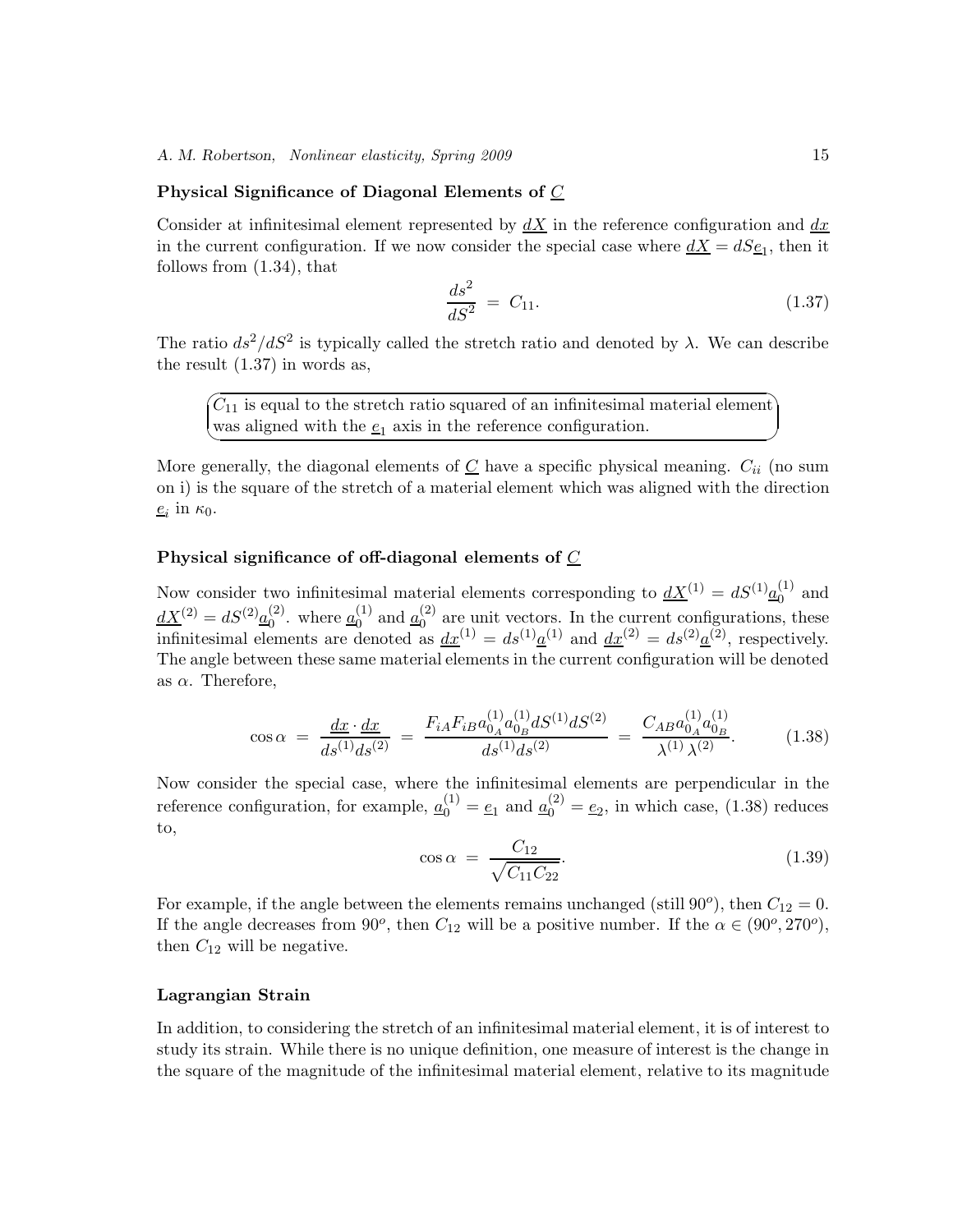#### **Physical Significance of Diagonal Elements of** C

Consider at infinitesimal element represented by  $dX$  in the reference configuration and  $dx$ in the current configuration. If we now consider the special case where  $dX = dS_{\frac{e}{2}}$ , then it follows from (1.34), that

$$
\frac{ds^2}{dS^2} = C_{11}.\tag{1.37}
$$

The ratio  $ds^2/dS^2$  is typically called the stretch ratio and denoted by  $\lambda$ . We can describe the result (1.37) in words as,

 $\sqrt{a}$ ✍  $C_{11}$  is equal to the stretch ratio squared of an infinitesimal material element was aligned with the  $e_1$  axis in the reference configuration.

More generally, the diagonal elements of  $C$  have a specific physical meaning.  $C_{ii}$  (no sum on i) is the square of the stretch of a material element which was aligned with the direction  $e_i$  in  $\kappa_0$ .

#### **Physical significance of off-diagonal elements of** C

Now consider two infinitesimal material elements corresponding to  $\underline{dX}^{(1)} = dS^{(1)}\underline{a}_0^{(1)}$  and  $\frac{dX^{(2)}}{dx^{(2)}} = dS^{(2)}\frac{a^{(2)}}{a_0}$ . where  $\frac{a_0^{(1)}}{a_0^{(1)}}$  and  $\frac{a_0^{(2)}}{a_0^{(2)}}$  are unit vectors. In the current configurations, these infinitesimal elements are denoted as  $dx^{(1)} = ds^{(1)} \underline{a}^{(1)}$  and  $dx^{(2)} = ds^{(2)} \underline{a}^{(2)}$ , respectively. The angle between these same material elements in the current configuration will be denoted as  $\alpha$ . Therefore,

$$
\cos \alpha = \frac{dx \cdot dx}{ds^{(1)}ds^{(2)}} = \frac{F_{iA}F_{iB}a_{0_A}^{(1)}a_{0_B}^{(1)}dS^{(1)}dS^{(2)}}{ds^{(1)}ds^{(2)}} = \frac{C_{AB}a_{0_A}^{(1)}a_{0_B}^{(1)}}{\lambda^{(1)}\lambda^{(2)}}.
$$
(1.38)

Now consider the special case, where the infinitesimal elements are perpendicular in the reference configuration, for example,  $\underline{a}_0^{(1)} = \underline{e}_1$  and  $\underline{a}_0^{(2)} = \underline{e}_2$ , in which case, (1.38) reduces to,

$$
\cos \alpha = \frac{C_{12}}{\sqrt{C_{11} C_{22}}}.
$$
\n(1.39)

For example, if the angle between the elements remains unchanged (still  $90^{\circ}$ ), then  $C_{12} = 0$ . If the angle decreases from 90<sup>o</sup>, then  $C_{12}$  will be a positive number. If the  $\alpha \in (90^{\circ}, 270^{\circ})$ , then  $C_{12}$  will be negative.

#### **Lagrangian Strain**

In addition, to considering the stretch of an infinitesimal material element, it is of interest to study its strain. While there is no unique definition, one measure of interest is the change in the square of the magnitude of the infinitesimal material element, relative to its magnitude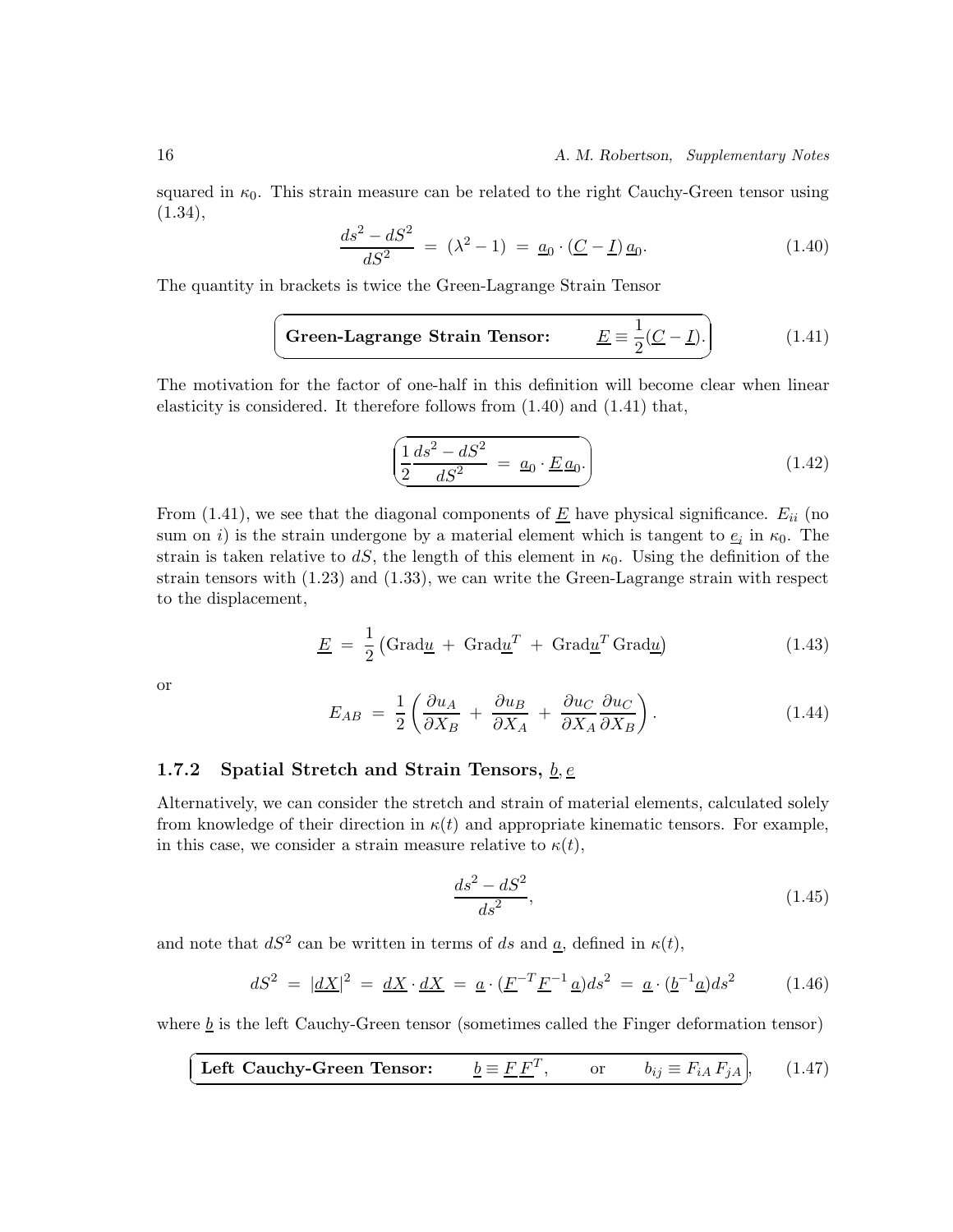squared in  $\kappa_0$ . This strain measure can be related to the right Cauchy-Green tensor using  $(1.34),$ 

$$
\frac{ds^2 - dS^2}{dS^2} = (\lambda^2 - 1) = \underline{a}_0 \cdot (\underline{C} - \underline{I}) \,\underline{a}_0. \tag{1.40}
$$

The quantity in brackets is twice the Green-Lagrange Strain Tensor

**Green-Lagrange Strain Tensor:** 
$$
\underline{E} \equiv \frac{1}{2}(\underline{C} - \underline{I}).
$$
 (1.41)

The motivation for the factor of one-half in this definition will become clear when linear elasticity is considered. It therefore follows from (1.40) and (1.41) that,

$$
\left(\frac{1}{2}\frac{ds^2 - dS^2}{dS^2} = \underline{a}_0 \cdot \underline{E} \underline{a}_0.\right) \tag{1.42}
$$

From (1.41), we see that the diagonal components of  $\underline{E}$  have physical significance.  $E_{ii}$  (no sum on i) is the strain undergone by a material element which is tangent to  $e_i$  in  $\kappa_0$ . The strain is taken relative to  $dS$ , the length of this element in  $\kappa_0$ . Using the definition of the strain is taken relative to dS, the length of this element in  $\kappa_0$ . Using the definition of the strain tensors with (1.23) and (1.33), we can write the Green-Lagrange strain with respect to the displacement,

$$
\underline{E} = \frac{1}{2} \left( \text{Grad}\underline{u} + \text{Grad}\underline{u}^T + \text{Grad}\underline{u}^T \text{Grad}\underline{u} \right) \tag{1.43}
$$

or

$$
E_{AB} = \frac{1}{2} \left( \frac{\partial u_A}{\partial X_B} + \frac{\partial u_B}{\partial X_A} + \frac{\partial u_C}{\partial X_A} \frac{\partial u_C}{\partial X_B} \right).
$$
 (1.44)

#### **1.7.2 Spatial Stretch and Strain Tensors,** *b, e*

Alternatively, we can consider the stretch and strain of material elements, calculated solely from knowledge of their direction in  $\kappa(t)$  and appropriate kinematic tensors. For example, in this case, we consider a strain measure relative to  $\kappa(t)$ ,

$$
\frac{ds^2 - dS^2}{ds^2},\tag{1.45}
$$

and note that  $dS^2$  can be written in terms of ds and  $\underline{a}$ , defined in  $\kappa(t)$ ,

$$
dS^2 = |\underline{dX}|^2 = \underline{dX} \cdot \underline{dX} = \underline{a} \cdot (\underline{F}^{-T} \underline{F}^{-1} \underline{a}) ds^2 = \underline{a} \cdot (\underline{b}^{-1} \underline{a}) ds^2 \tag{1.46}
$$

where  $\underline{b}$  is the left Cauchy-Green tensor (sometimes called the Finger deformation tensor)

**Left Cauchy-Green Tensor:** 
$$
\underline{b} \equiv \underline{F} \underline{F}^T, \quad \text{or} \quad b_{ij} \equiv F_{iA} F_{jA}, \quad (1.47)
$$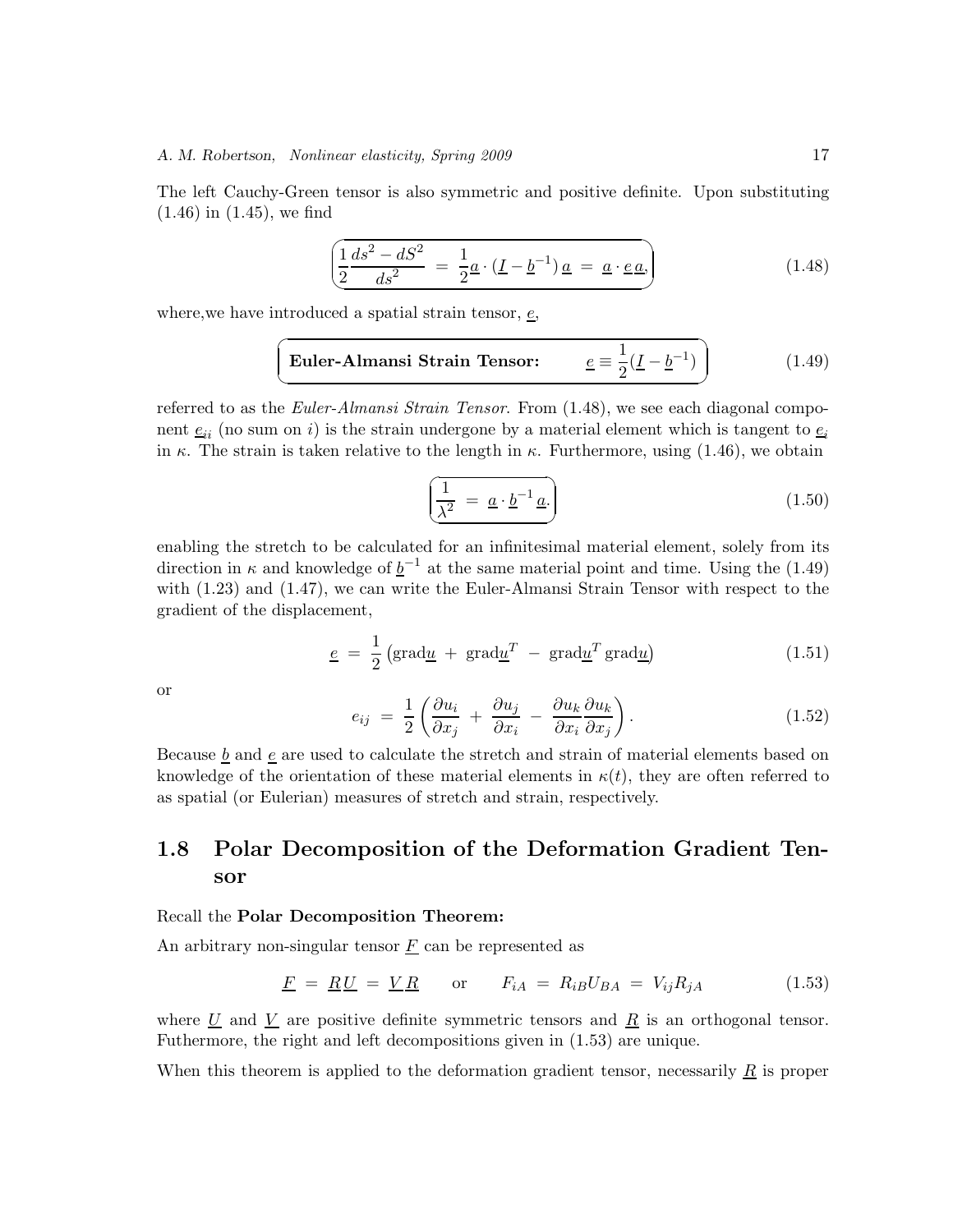The left Cauchy-Green tensor is also symmetric and positive definite. Upon substituting (1.46) in (1.45), we find

$$
\left(\frac{1}{2}\frac{ds^2 - dS^2}{ds^2} = \frac{1}{2}\underline{a} \cdot (\underline{I} - \underline{b}^{-1})\,\underline{a} = \underline{a} \cdot \underline{e}\,\underline{a},\right) \tag{1.48}
$$

where, we have introduced a spatial strain tensor,  $\epsilon$ ,

$$
\boxed{\text{Euler-Almansi Strain Tensor:} \qquad \underline{e} \equiv \frac{1}{2}(\underline{I} - \underline{b}^{-1})} \qquad (1.49)
$$

referred to as the *Euler-Almansi Strain Tensor*. From (1.48), we see each diagonal component  $\underline{e}_{ii}$  (no sum on *i*) is the strain undergone by a material element which is tangent to  $\underline{e}_i$ <br>in  $\varepsilon$ . The strain is taken relative to the length in  $\varepsilon$ . Eurthermore, using (1.46), we obtain in  $\kappa$ . The strain is taken relative to the length in  $\kappa$ . Furthermore, using (1.46), we obtain

$$
\left(\frac{1}{\lambda^2} = \underline{a} \cdot \underline{b}^{-1} \underline{a}\right) \tag{1.50}
$$

enabling the stretch to be calculated for an infinitesimal material element, solely from its direction in  $\kappa$  and knowledge of  $\underline{b}^{-1}$  at the same material point and time. Using the (1.49) with (1.23) and (1.47), we can write the Euler-Almansi Strain Tensor with respect to the gradient of the displacement,

$$
\underline{e} = \frac{1}{2} \left( \text{grad} \underline{u} + \text{grad} \underline{u}^T - \text{grad} \underline{u}^T \text{grad} \underline{u} \right) \tag{1.51}
$$

or

$$
e_{ij} = \frac{1}{2} \left( \frac{\partial u_i}{\partial x_j} + \frac{\partial u_j}{\partial x_i} - \frac{\partial u_k}{\partial x_i} \frac{\partial u_k}{\partial x_j} \right).
$$
 (1.52)

Because  $\underline{b}$  and  $\underline{e}$  are used to calculate the stretch and strain of material elements based on knowledge of the orientation of these material elements in  $\kappa(t)$ , they are often referred to as spatial (or Eulerian) measures of stretch and strain, respectively.

## **1.8 Polar Decomposition of the Deformation Gradient Tensor**

#### Recall the **Polar Decomposition Theorem:**

An arbitrary non-singular tensor  $\underline{F}$  can be represented as

$$
\underline{F} = \underline{R}\underline{U} = \underline{V}\underline{R} \qquad \text{or} \qquad F_{iA} = R_{iB}U_{BA} = V_{ij}R_{jA} \tag{1.53}
$$

where  $\underline{U}$  and  $\underline{V}$  are positive definite symmetric tensors and  $\underline{R}$  is an orthogonal tensor. Futhermore, the right and left decompositions given in (1.53) are unique.

When this theorem is applied to the deformation gradient tensor, necessarily  $\tilde{R}$  is proper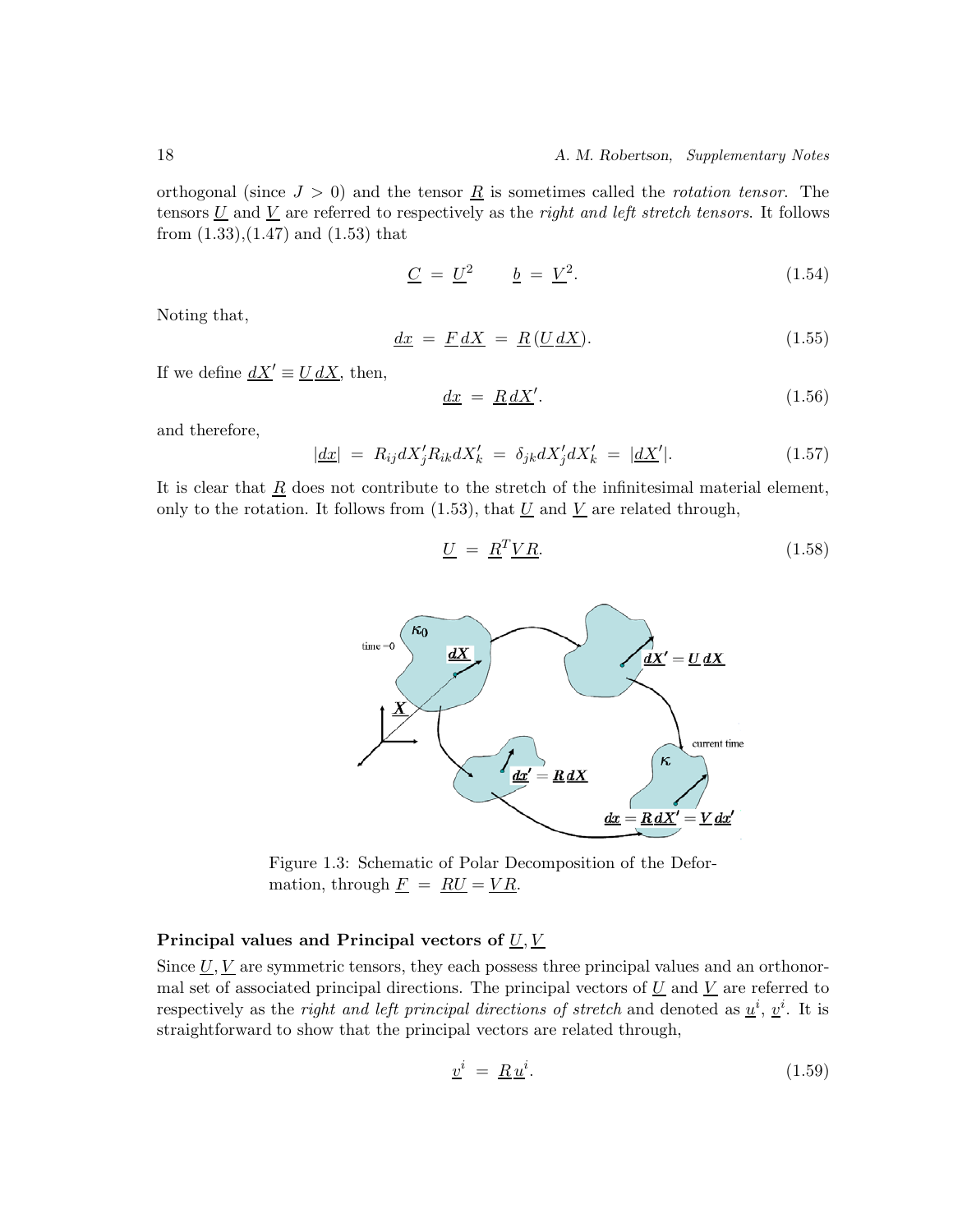orthogonal (since  $J > 0$ ) and the tensor  $\underline{R}$  is sometimes called the *rotation tensor*. The tensors  $\underline{U}$  and  $\underline{V}$  are referred to respectively as the *right and left stretch tensors*. It follows from  $(1.33)$ , $(1.47)$  and  $(1.53)$  that

$$
\underline{C} = \underline{U}^2 \qquad \underline{b} = \underline{V}^2. \tag{1.54}
$$

Noting that,

$$
\underline{dx} = \underline{F} \, \underline{dX} = \underline{R} \, (\underline{U} \, \underline{dX}). \tag{1.55}
$$

If we define  $\underline{dX}' \equiv \underline{U} \, \underline{dX}$ , then,

$$
\underline{dx} = \underline{R} \underline{d} \underline{X}'. \tag{1.56}
$$

and therefore,

$$
|\underline{dx}| = R_{ij}dX'_{j}R_{ik}dX'_{k} = \delta_{jk}dX'_{j}dX'_{k} = |\underline{dX}'|.
$$
\n(1.57)

It is clear that  $\underline{R}$  does not contribute to the stretch of the infinitesimal material element, only to the rotation. It follows from  $(1.53)$ , that  $\underline{U}$  and  $\underline{V}$  are related through,

$$
\underline{U} = \underline{R}^T \underline{V} \underline{R}.\tag{1.58}
$$



Figure 1.3: Schematic of Polar Decomposition of the Deformation, through  $\underline{F} = \underline{RU} = \underline{VR}$ .

#### Principal values and Principal vectors of  $\underline{U}, \underline{V}$

Since  $\underline{U}, \underline{V}$  are symmetric tensors, they each possess three principal values and an orthonormal set of associated principal directions. The principal vectors of  $\underline{U}$  and  $\underline{V}$  are referred to respectively as the *right and left principal directions of stretch* and denoted as  $\underline{u}^i$ ,  $\underline{v}^i$ . It is straightforward to show that the principal vectors are related through,

$$
\underline{v}^i = \underline{R}\,\underline{u}^i. \tag{1.59}
$$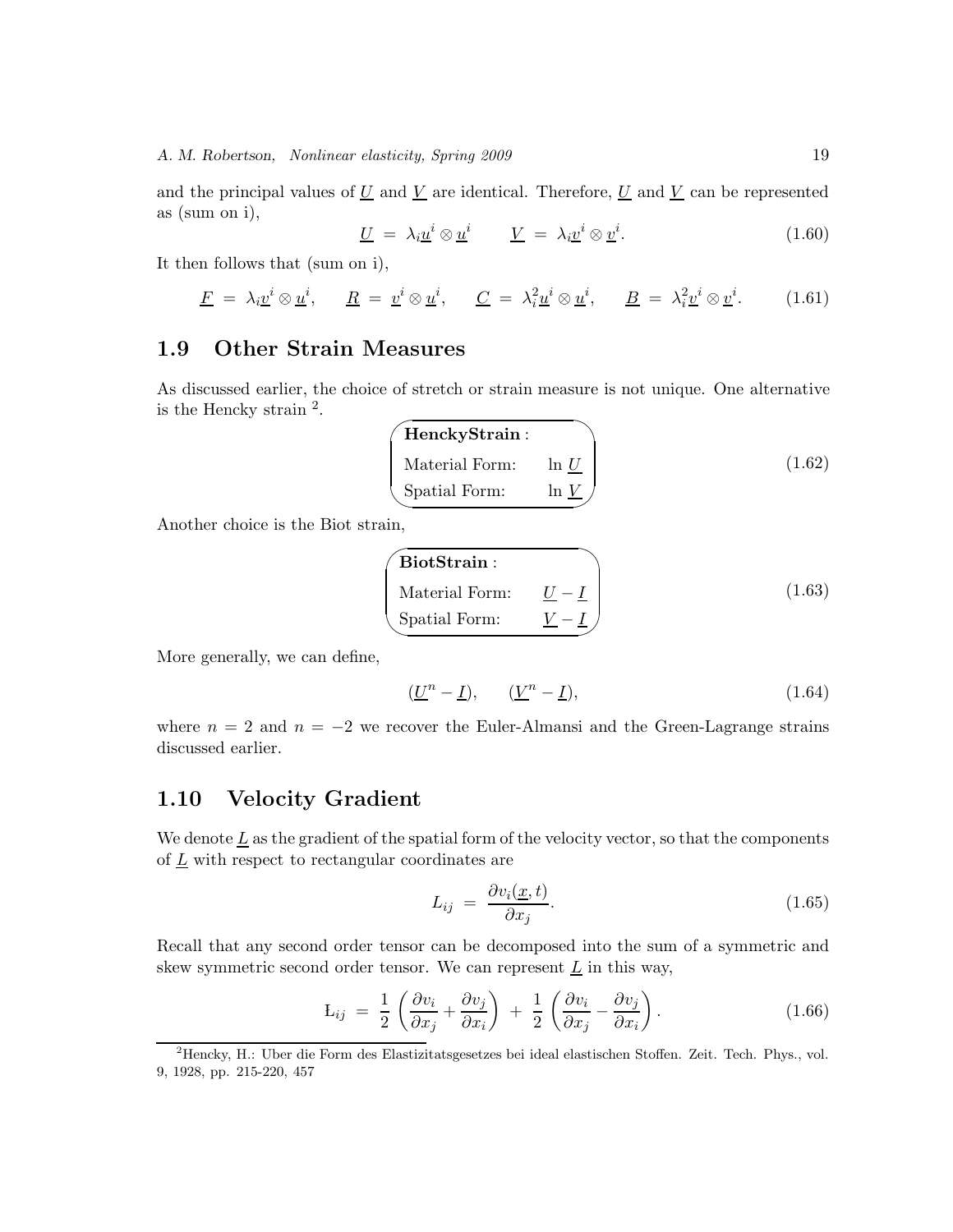and the principal values of  $\underline{U}$  and  $\underline{V}$  are identical. Therefore,  $\underline{U}$  and  $\underline{V}$  can be represented as (sum on i),

$$
\underline{U} = \lambda_i \underline{u}^i \otimes \underline{u}^i \qquad \underline{V} = \lambda_i \underline{v}^i \otimes \underline{v}^i. \tag{1.60}
$$

It then follows that (sum on i),

$$
\underline{F} = \lambda_i \underline{v}^i \otimes \underline{u}^i, \qquad \underline{R} = \underline{v}^i \otimes \underline{u}^i, \qquad \underline{C} = \lambda_i^2 \underline{u}^i \otimes \underline{u}^i, \qquad \underline{B} = \lambda_i^2 \underline{v}^i \otimes \underline{v}^i. \tag{1.61}
$$

## **1.9 Other Strain Measures**

As discussed earlier, the choice of stretch or strain measure is not unique. One alternative is the Hencky strain  $^2$ .

| HenckyStrain:  |         |        |
|----------------|---------|--------|
| Material Form: | $\ln U$ | (1.62) |
| Spatial Form:  | ln V    |        |

Another choice is the Biot strain,

| $\sqrt{\ }$ Biot $Strain$ : |       |        |
|-----------------------------|-------|--------|
| Material Form:              | $U-I$ | (1.63) |
| Spatial Form:               |       |        |

More generally, we can define,

$$
(\underline{U}^n - \underline{I}), \qquad (\underline{V}^n - \underline{I}), \tag{1.64}
$$

where  $n = 2$  and  $n = -2$  we recover the Euler-Almansi and the Green-Lagrange strains discussed earlier.

## **1.10 Velocity Gradient**

We denote  $\underline{L}$  as the gradient of the spatial form of the velocity vector, so that the components of  $L$  with respect to rectangular coordinates are

$$
L_{ij} = \frac{\partial v_i(\underline{x}, t)}{\partial x_j}.
$$
\n(1.65)

Recall that any second order tensor can be decomposed into the sum of a symmetric and skew symmetric second order tensor. We can represent  $\underline{L}$  in this way,

$$
L_{ij} = \frac{1}{2} \left( \frac{\partial v_i}{\partial x_j} + \frac{\partial v_j}{\partial x_i} \right) + \frac{1}{2} \left( \frac{\partial v_i}{\partial x_j} - \frac{\partial v_j}{\partial x_i} \right).
$$
 (1.66)

<sup>2</sup>Hencky, H.: Uber die Form des Elastizitatsgesetzes bei ideal elastischen Stoffen. Zeit. Tech. Phys., vol. 9, 1928, pp. 215-220, 457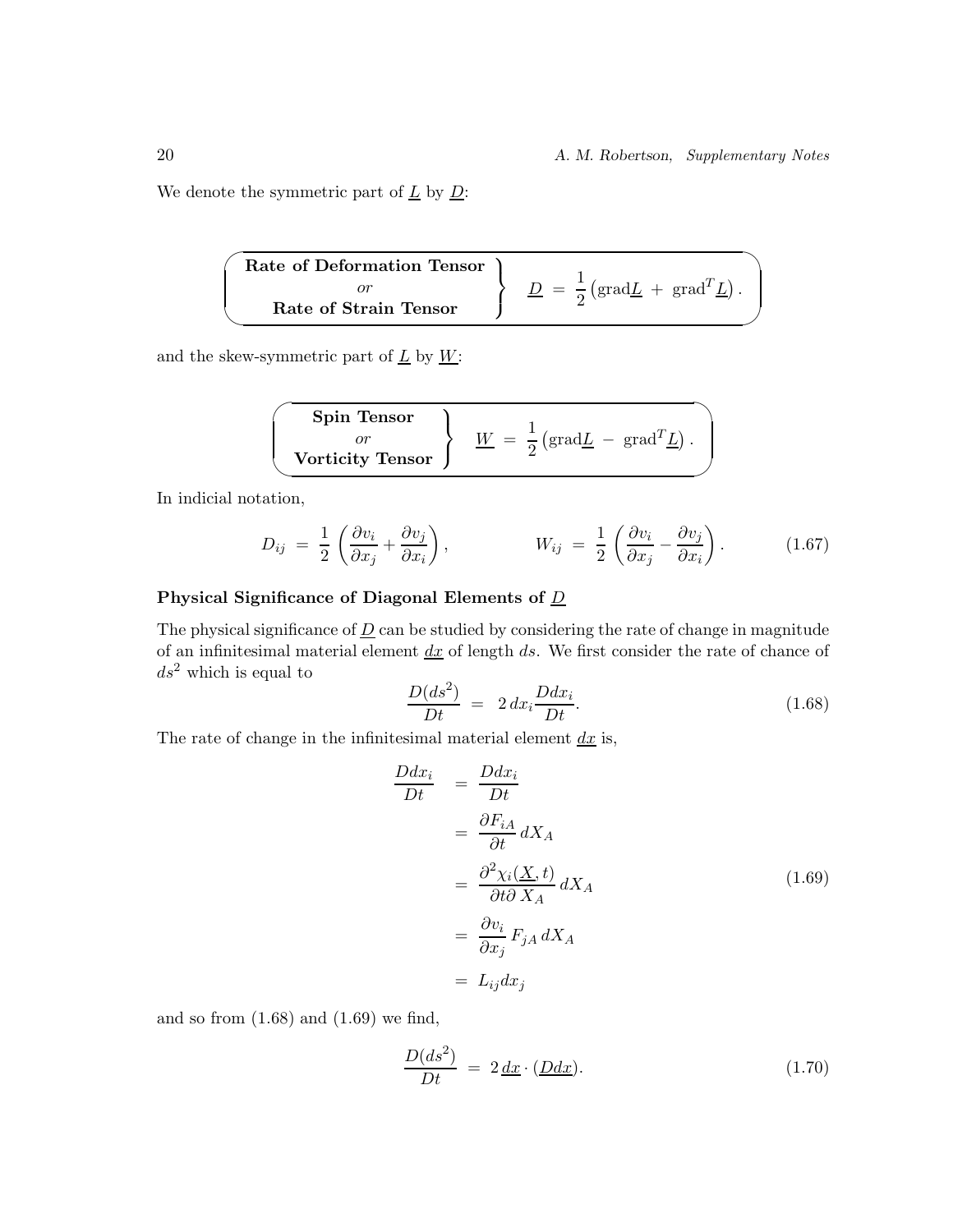We denote the symmetric part of  $\underline{L}$  by  $\underline{D}$ :

 $\overline{\phantom{0}}$ ✖ **Rate of Deformation Tensor** or **Rate of Strain Tensor**  $\mathcal{L}$  $\overline{\mathcal{L}}$  $\int$  $\overline{D} = \frac{1}{2}$  $\left(\text{grad}\underline{L} + \text{grad}^T \underline{L}\right).$ 

and the skew-symmetric part of  $\underline{L}$  by  $\underline{W}$ :

| Spin Tensor      | $W$ | $\frac{1}{2} \left( \text{grad} \underline{L} - \text{grad}^T \underline{L} \right)$ |
|------------------|-----|--------------------------------------------------------------------------------------|
| Vorticity Tensor | $W$ | $\frac{1}{2} \left( \text{grad} \underline{L} - \text{grad}^T \underline{L} \right)$ |

In indicial notation,

$$
D_{ij} = \frac{1}{2} \left( \frac{\partial v_i}{\partial x_j} + \frac{\partial v_j}{\partial x_i} \right), \qquad W_{ij} = \frac{1}{2} \left( \frac{\partial v_i}{\partial x_j} - \frac{\partial v_j}{\partial x_i} \right). \qquad (1.67)
$$

#### **Physical Significance of Diagonal Elements of** D

The physical significance of  $\underline{D}$  can be studied by considering the rate of change in magnitude of an infinitesimal material element  $\frac{dx}{dx}$  of length ds. We first consider the rate of chance of  $ds^2$  which is equal to

$$
\frac{D(ds^2)}{Dt} = 2 dx_i \frac{Ddx_i}{Dt}.
$$
\n(1.68)

The rate of change in the infinitesimal material element  $dx$  is,

$$
\frac{Ddx_i}{Dt} = \frac{Ddx_i}{Dt}
$$
\n
$$
= \frac{\partial F_{iA}}{\partial t} dX_A
$$
\n
$$
= \frac{\partial^2 \chi_i(\underline{X}, t)}{\partial t \partial X_A} dX_A
$$
\n
$$
= \frac{\partial v_i}{\partial x_j} F_{jA} dX_A
$$
\n
$$
= L_{ij} dx_j
$$
\n(1.69)

and so from (1.68) and (1.69) we find,

$$
\frac{D(ds^2)}{Dt} = 2\underline{dx} \cdot (\underline{Ddx}).\tag{1.70}
$$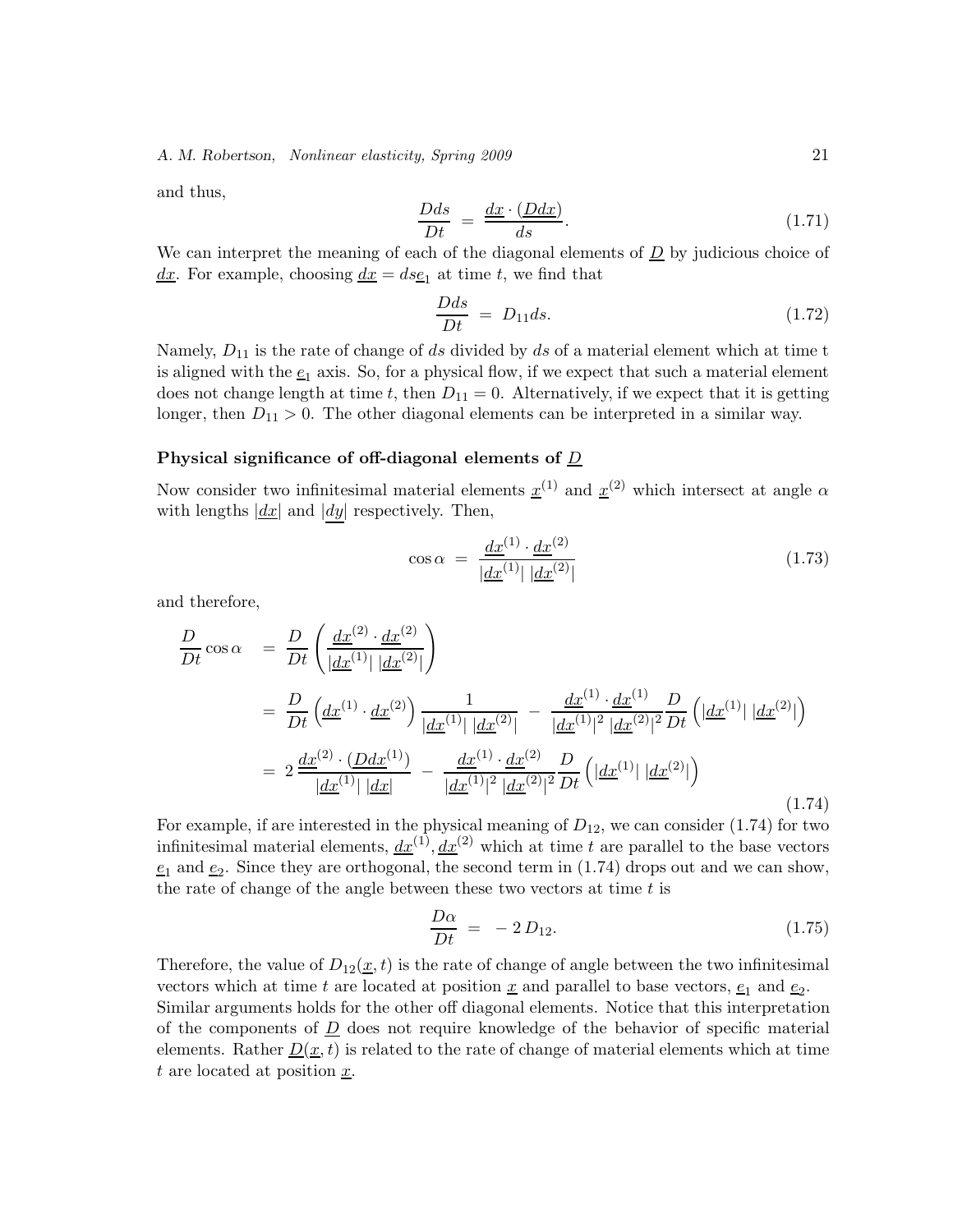and thus,

$$
\frac{Dds}{Dt} = \frac{dx \cdot (Ddx)}{ds}.
$$
\n(1.71)

We can interpret the meaning of each of the diagonal elements of  $D$  by judicious choice of  $dx$ . For example, choosing  $dx = ds_1$  at time t, we find that

$$
\frac{Dds}{Dt} = D_{11}ds. \tag{1.72}
$$

Namely,  $D_{11}$  is the rate of change of ds divided by ds of a material element which at time t is aligned with the  $\underline{e}_1$  axis. So, for a physical flow, if we expect that such a material element does not change length at time t, then  $D_{11} = 0$ . Alternatively, if we expect that it is getting longer, then  $D_{11} > 0$ . The other diagonal elements can be interpreted in a similar way.

#### **Physical significance of off-diagonal elements of** D

Now consider two infinitesimal material elements  $\underline{x}^{(1)}$  and  $\underline{x}^{(2)}$  which intersect at angle  $\alpha$ with lengths  $\left| \underline{dx} \right|$  and  $\left| dy \right|$  respectively. Then,

$$
\cos \alpha = \frac{dx^{(1)} \cdot dx^{(2)}}{|\underline{dx}^{(1)}| \, |\underline{dx}^{(2)}|} \tag{1.73}
$$

and therefore,

$$
\frac{D}{Dt}\cos\alpha = \frac{D}{Dt}\left(\frac{dx^{(2)} \cdot dx^{(2)}}{|dx^{(1)}| |dx^{(2)}|}\right)
$$
\n
$$
= \frac{D}{Dt}\left(\frac{dx^{(1)} \cdot dx^{(2)}}{|dx^{(1)}| |dx^{(2)}|} - \frac{dx^{(1)} \cdot dx^{(1)}}{|dx^{(1)}|^2 |dx^{(2)}|^2}\right)
$$
\n
$$
= 2\frac{dx^{(2)} \cdot (Ddx^{(1)})}{|dx^{(1)}| |dx|} - \frac{dx^{(1)} \cdot dx^{(2)}}{|dx^{(1)}|^2 |dx^{(2)}|^2}\frac{D}{Dt}\left(|dx^{(1)}| |dx^{(2)}|\right)
$$
\n
$$
(1.74)
$$

For example, if are interested in the physical meaning of  $D_{12}$ , we can consider (1.74) for two infinitesimal material elements,  $dx^{(1)}$ ,  $dx^{(2)}$  which at time t are parallel to the base vectors  $e_1$  and  $e_2$ . Since they are orthogonal, the second term in (1.74) drops out and we can show, the rate of change of the angle between these two vectors at time  $t$  is

$$
\frac{D\alpha}{Dt} = -2 D_{12}.\tag{1.75}
$$

Therefore, the value of  $D_{12}(x, t)$  is the rate of change of angle between the two infinitesimal vectors which at time t are located at position  $\underline{x}$  and parallel to base vectors,  $\underline{e}_1$  and  $\underline{e}_2$ . Similar arguments holds for the other off diagonal elements. Notice that this interpretation of the components of  $\overline{D}$  does not require knowledge of the behavior of specific material elements. Rather  $\underline{D}(\underline{x}, t)$  is related to the rate of change of material elements which at time t are located at position  $\underline{x}$ .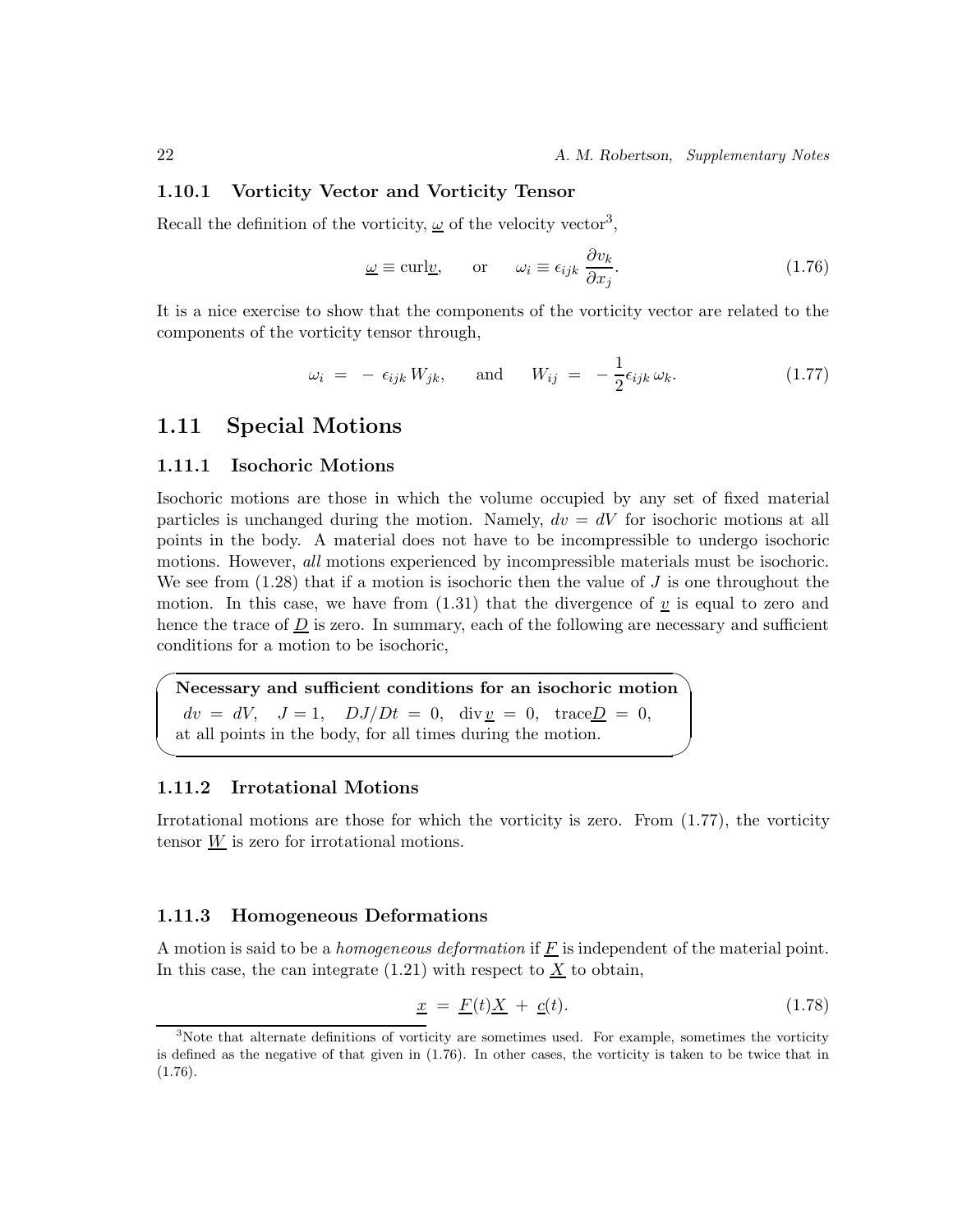#### **1.10.1 Vorticity Vector and Vorticity Tensor**

Recall the definition of the vorticity,  $\omega$  of the velocity vector<sup>3</sup>,

$$
\underline{\omega} \equiv \text{curl} \underline{v}, \qquad \text{or} \qquad \omega_i \equiv \epsilon_{ijk} \frac{\partial v_k}{\partial x_j}.
$$
 (1.76)

It is a nice exercise to show that the components of the vorticity vector are related to the components of the vorticity tensor through,

$$
\omega_i = -\epsilon_{ijk} W_{jk}, \quad \text{and} \quad W_{ij} = -\frac{1}{2}\epsilon_{ijk}\,\omega_k. \tag{1.77}
$$

### **1.11 Special Motions**

#### **1.11.1 Isochoric Motions**

Isochoric motions are those in which the volume occupied by any set of fixed material particles is unchanged during the motion. Namely,  $dv = dV$  for isochoric motions at all points in the body. A material does not have to be incompressible to undergo isochoric motions. However, *all* motions experienced by incompressible materials must be isochoric. We see from  $(1.28)$  that if a motion is isochoric then the value of J is one throughout the motion. In this case, we have from  $(1.31)$  that the divergence of v is equal to zero and hence the trace of  $\underline{D}$  is zero. In summary, each of the following are necessary and sufficient conditions for a motion to be isochoric,

 $\overline{\phantom{0}}$ **Necessary and sufficient conditions for an isochoric motion**  $dv = dV$ ,  $J = 1$ ,  $DJ/Dt = 0$ ,  $div v = 0$ ,  $trace D = 0$ , at all points in the body, for all times during the motion.

#### **1.11.2 Irrotational Motions**

✖

Irrotational motions are those for which the vorticity is zero. From  $(1.77)$ , the vorticity tensor W is zero for irrotational motions.

#### **1.11.3 Homogeneous Deformations**

A motion is said to be a *homogeneous deformation* if  $\underline{F}$  is independent of the material point. In this case, the can integrate  $(1.21)$  with respect to  $\underline{X}$  to obtain,

$$
\underline{x} = \underline{F}(t)\underline{X} + \underline{c}(t). \tag{1.78}
$$

<sup>3</sup>Note that alternate definitions of vorticity are sometimes used. For example, sometimes the vorticity is defined as the negative of that given in (1.76). In other cases, the vorticity is taken to be twice that in  $(1.76).$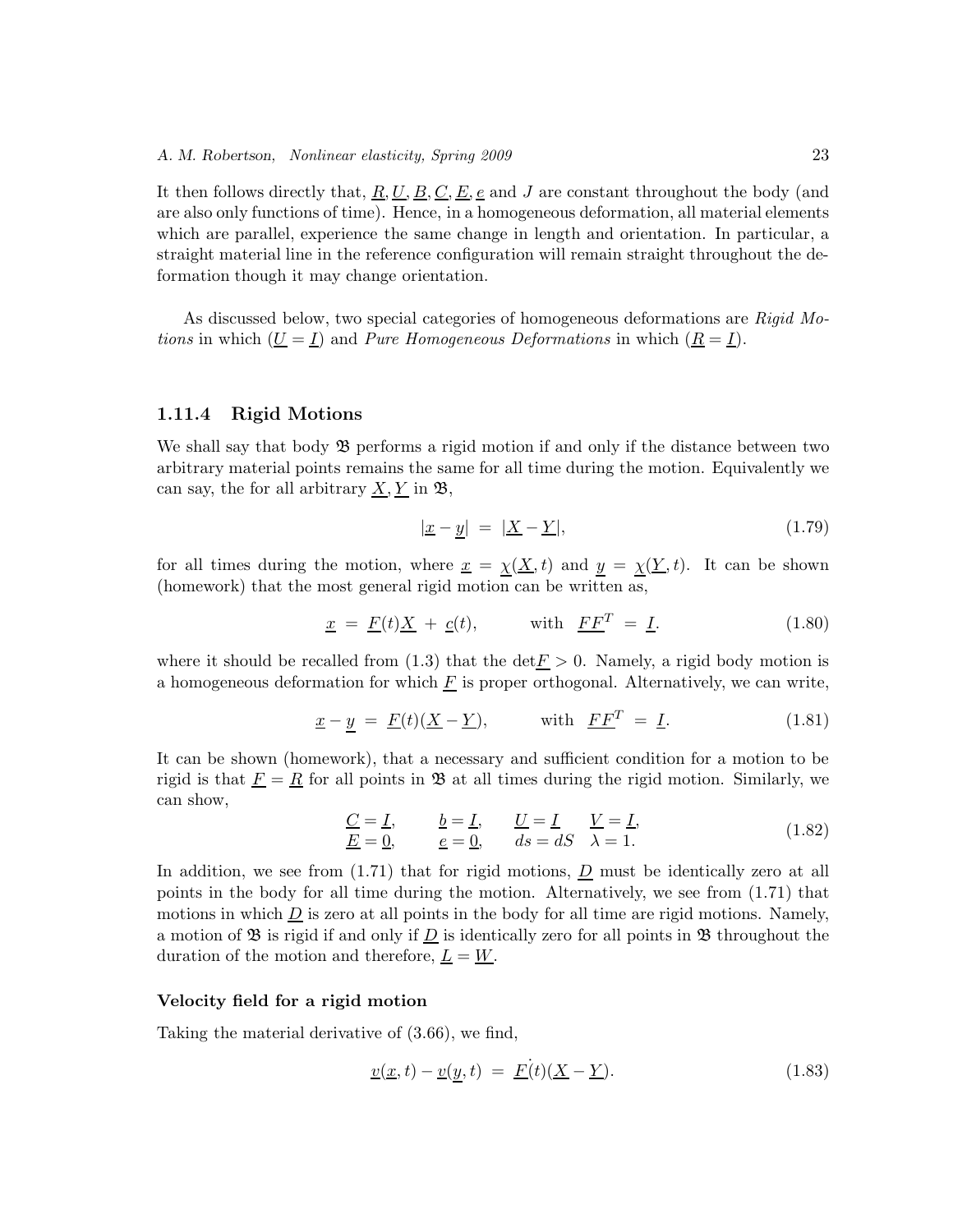It then follows directly that, <u>R, U, B, C, E, e</u> and J are constant throughout the body (and are also only functions of time). Hence, in a homogeneous deformation, all material elements which are parallel, experience the same change in length and orientation. In particular, a straight material line in the reference configuration will remain straight throughout the deformation though it may change orientation.

As discussed below, two special categories of homogeneous deformations are *Rigid Motions* in which  $(\underline{U} = \underline{I})$  and *Pure Homogeneous Deformations* in which  $(\underline{R} = \underline{I})$ .

#### **1.11.4 Rigid Motions**

We shall say that body  $\mathfrak{B}$  performs a rigid motion if and only if the distance between two arbitrary material points remains the same for all time during the motion. Equivalently we can say, the for all arbitrary  $\underline{X}, \underline{Y}$  in  $\mathfrak{B},$ 

$$
|\underline{x} - \underline{y}| = |\underline{X} - \underline{Y}|,\tag{1.79}
$$

for all times during the motion, where  $\underline{x} = \underline{\chi}(\underline{X}, t)$  and  $\underline{y} = \underline{\chi}(\underline{Y}, t)$ . It can be shown (homework) that the most general rigid motion can be written as,

$$
\underline{x} = \underline{F}(t)\underline{X} + \underline{c}(t), \qquad \text{with } \underline{FF}^T = \underline{I}. \tag{1.80}
$$

where it should be recalled from (1.3) that the  $\det E > 0$ . Namely, a rigid body motion is a homogeneous deformation for which  $F$  is proper orthogonal. Alternatively, we can write,

$$
\underline{x} - \underline{y} = \underline{F}(t)(\underline{X} - \underline{Y}), \quad \text{with } \underline{FF}^T = \underline{I}.
$$
 (1.81)

It can be shown (homework), that a necessary and sufficient condition for a motion to be rigid is that  $\underline{F} = \underline{R}$  for all points in  $\mathfrak{B}$  at all times during the rigid motion. Similarly, we can show,

$$
\underline{C} = \underline{I}, \qquad \underline{b} = \underline{I}, \qquad \underline{U} = \underline{I}, \qquad \underline{V} = \underline{I}, \underline{E} = \underline{0}, \qquad \underline{e} = \underline{0}, \qquad ds = dS \quad \lambda = 1.
$$
\n(1.82)

In addition, we see from  $(1.71)$  that for rigid motions,  $\underline{D}$  must be identically zero at all points in the body for all time during the motion. Alternatively, we see from (1.71) that motions in which  $\overline{D}$  is zero at all points in the body for all time are rigid motions. Namely, a motion of  $\mathfrak{B}$  is rigid if and only if  $D$  is identically zero for all points in  $\mathfrak{B}$  throughout the duration of the motion and therefore,  $\underline{L} = \underline{W}$ .

#### **Velocity field for a rigid motion**

Taking the material derivative of (3.66), we find,

$$
\underline{v}(\underline{x},t) - \underline{v}(\underline{y},t) = \underline{F}(t)(\underline{X} - \underline{Y}). \tag{1.83}
$$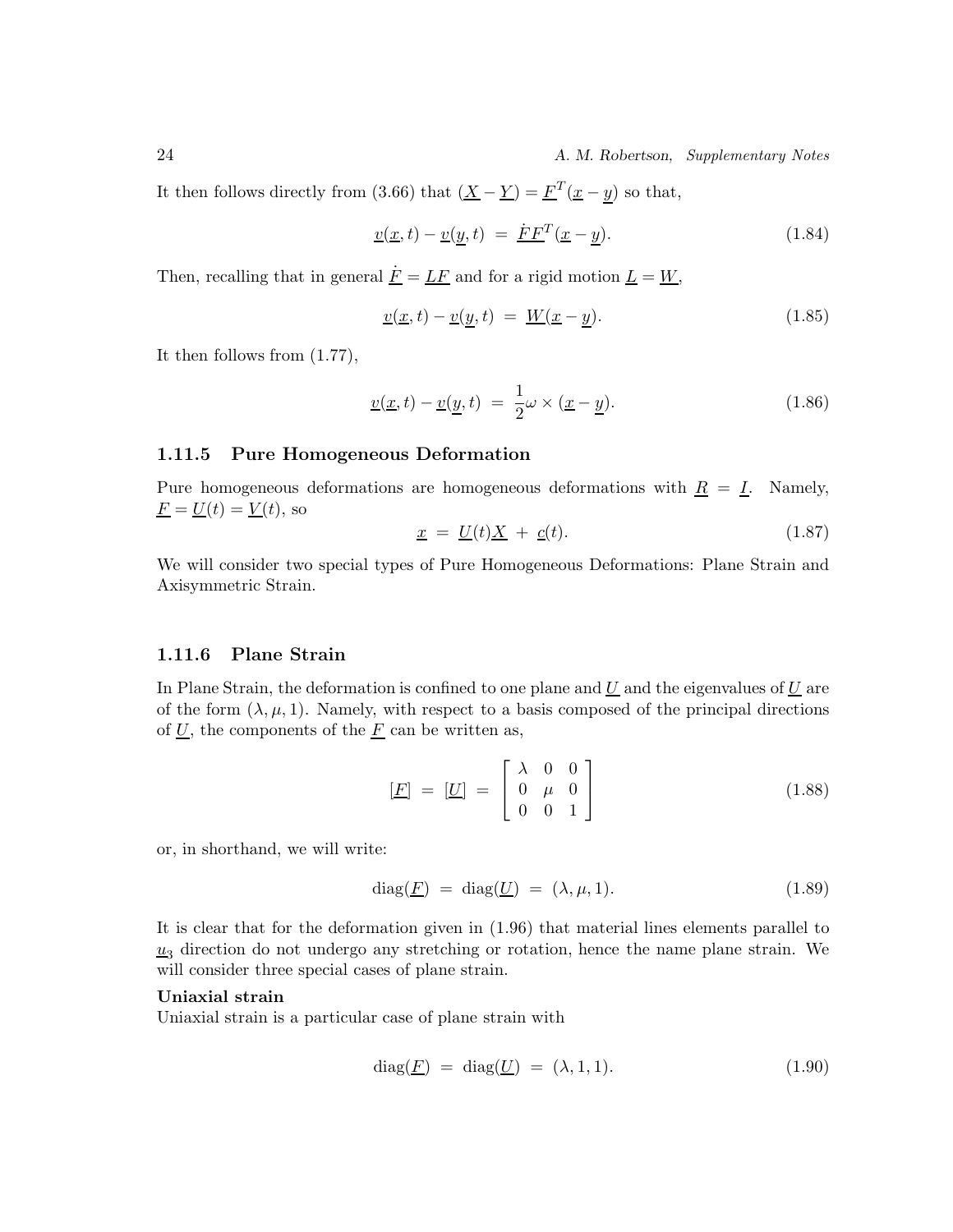24 *A. M. Robertson, Supplementary Notes*

It then follows directly from (3.66) that  $(\underline{X} - \underline{Y}) = \underline{F}^T(\underline{x} - \underline{y})$  so that,

$$
\underline{v}(\underline{x},t) - \underline{v}(\underline{y},t) = \underline{F}F^{T}(\underline{x}-\underline{y}). \qquad (1.84)
$$

Then, recalling that in general  $\underline{\dot{F}} = \underline{L}\underline{F}$  and for a rigid motion  $\underline{L} = \underline{W}$ ,

$$
\underline{v}(\underline{x},t) - \underline{v}(\underline{y},t) = \underline{W}(\underline{x}-\underline{y}). \tag{1.85}
$$

It then follows from (1.77),

$$
\underline{v}(\underline{x},t) - \underline{v}(\underline{y},t) = \frac{1}{2}\omega \times (\underline{x} - \underline{y}).
$$
\n(1.86)

#### **1.11.5 Pure Homogeneous Deformation**

Pure homogeneous deformations are homogeneous deformations with  $\underline{R} = \underline{I}$ . Namely,  $\underline{F} = \underline{U}(t) = \underline{V}(t)$ , so

$$
\underline{x} = \underline{U}(t)\underline{X} + \underline{c}(t). \tag{1.87}
$$

We will consider two special types of Pure Homogeneous Deformations: Plane Strain and Axisymmetric Strain.

#### **1.11.6 Plane Strain**

In Plane Strain, the deformation is confined to one plane and  $\underline{U}$  and the eigenvalues of  $\underline{U}$  are of the form  $(\lambda, \mu, 1)$ . Namely, with respect to a basis composed of the principal directions of  $U$ , the components of the  $\underline{F}$  can be written as,

$$
\begin{bmatrix} \underline{F} \end{bmatrix} = \begin{bmatrix} \underline{U} \end{bmatrix} = \begin{bmatrix} \lambda & 0 & 0 \\ 0 & \mu & 0 \\ 0 & 0 & 1 \end{bmatrix}
$$
 (1.88)

or, in shorthand, we will write:

$$
diag(\underline{F}) = diag(\underline{U}) = (\lambda, \mu, 1). \tag{1.89}
$$

It is clear that for the deformation given in (1.96) that material lines elements parallel to  $u_3$  direction do not undergo any stretching or rotation, hence the name plane strain. We will consider three special cases of plane strain.

#### **Uniaxial strain**

Uniaxial strain is a particular case of plane strain with

$$
diag(\underline{F}) = diag(\underline{U}) = (\lambda, 1, 1). \tag{1.90}
$$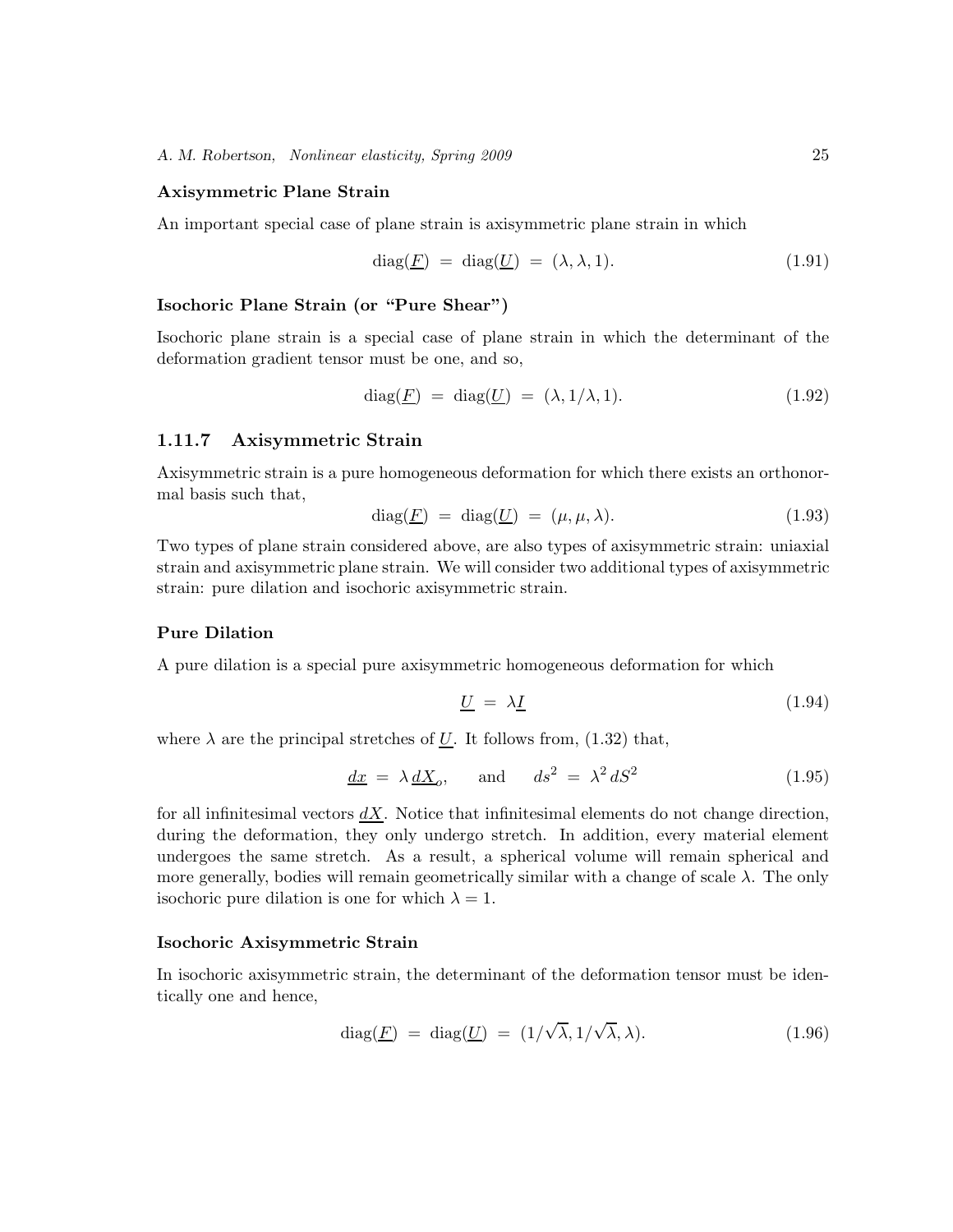#### **Axisymmetric Plane Strain**

An important special case of plane strain is axisymmetric plane strain in which

$$
diag(\underline{F}) = diag(\underline{U}) = (\lambda, \lambda, 1). \tag{1.91}
$$

#### **Isochoric Plane Strain (or "Pure Shear")**

Isochoric plane strain is a special case of plane strain in which the determinant of the deformation gradient tensor must be one, and so,

$$
diag(\underline{F}) = diag(\underline{U}) = (\lambda, 1/\lambda, 1). \tag{1.92}
$$

#### **1.11.7 Axisymmetric Strain**

Axisymmetric strain is a pure homogeneous deformation for which there exists an orthonormal basis such that,

$$
diag(\underline{F}) = diag(\underline{U}) = (\mu, \mu, \lambda). \tag{1.93}
$$

Two types of plane strain considered above, are also types of axisymmetric strain: uniaxial strain and axisymmetric plane strain. We will consider two additional types of axisymmetric strain: pure dilation and isochoric axisymmetric strain.

#### **Pure Dilation**

A pure dilation is a special pure axisymmetric homogeneous deformation for which

$$
\underline{U} = \lambda \underline{I} \tag{1.94}
$$

where  $\lambda$  are the principal stretches of U. It follows from, (1.32) that,

$$
\underline{dx} = \lambda \underline{dX}_o, \quad \text{and} \quad ds^2 = \lambda^2 dS^2 \tag{1.95}
$$

for all infinitesimal vectors  $dX$ . Notice that infinitesimal elements do not change direction, during the deformation, they only undergo stretch. In addition, every material element undergoes the same stretch. As a result, a spherical volume will remain spherical and more generally, bodies will remain geometrically similar with a change of scale  $\lambda$ . The only isochoric pure dilation is one for which  $\lambda = 1$ .

#### **Isochoric Axisymmetric Strain**

In isochoric axisymmetric strain, the determinant of the deformation tensor must be identically one and hence,

$$
diag(\underline{F}) = diag(\underline{U}) = (1/\sqrt{\lambda}, 1/\sqrt{\lambda}, \lambda). \qquad (1.96)
$$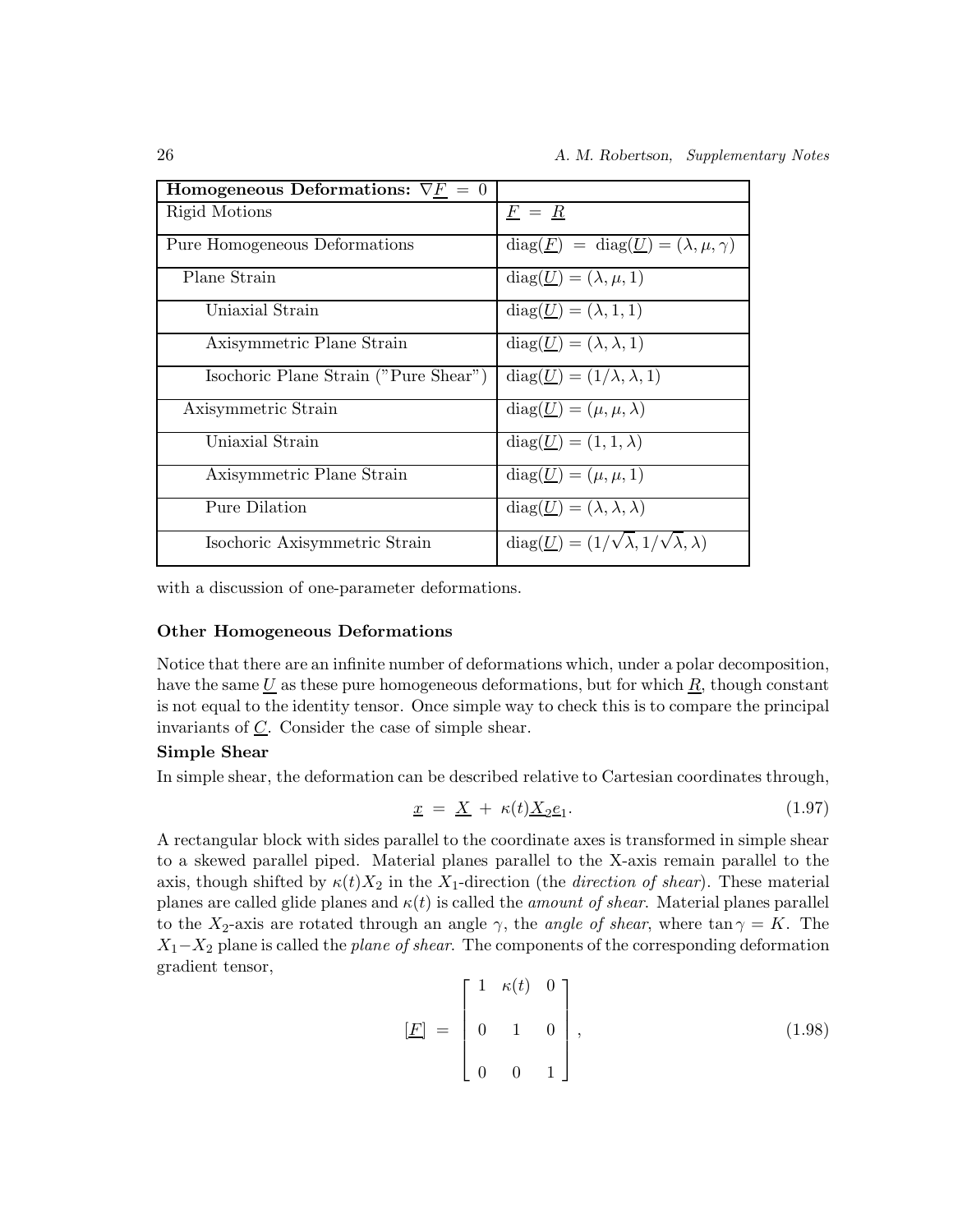| Homogeneous Deformations: $\nabla F = 0$ |                                                                       |
|------------------------------------------|-----------------------------------------------------------------------|
| Rigid Motions                            | $F = R$                                                               |
| Pure Homogeneous Deformations            | $diag(\underline{F}) = diag(\underline{U}) = (\lambda, \mu, \gamma)$  |
| Plane Strain                             | $diag(\underline{U}) = (\lambda, \mu, 1)$                             |
| Uniaxial Strain                          | $diag(\underline{U}) = (\lambda, 1, 1)$                               |
| Axisymmetric Plane Strain                | $diag(\underline{U}) = (\lambda, \lambda, 1)$                         |
| Isochoric Plane Strain ("Pure Shear")    | $diag(\underline{U})=(1/\lambda,\lambda,1)$                           |
| Axisymmetric Strain                      | $diag(\underline{U})=(\mu,\mu,\lambda)$                               |
| Uniaxial Strain                          | $diag(\underline{U})=(1,1,\lambda)$                                   |
| Axisymmetric Plane Strain                | $diag(\underline{U})=(\mu,\mu,1)$                                     |
| Pure Dilation                            | $diag(\underline{U}) = (\lambda, \lambda, \lambda)$                   |
| Isochoric Axisymmetric Strain            | $diag(\underline{U}) = (1/\sqrt{\lambda}, 1/\sqrt{\lambda}, \lambda)$ |

with a discussion of one-parameter deformations.

#### **Other Homogeneous Deformations**

Notice that there are an infinite number of deformations which, under a polar decomposition, have the same  $U$  as these pure homogeneous deformations, but for which  $R$ , though constant is not equal to the identity tensor. Once simple way to check this is to compare the principal invariants of  $C$ . Consider the case of simple shear.

#### **Simple Shear**

In simple shear, the deformation can be described relative to Cartesian coordinates through,

$$
\underline{x} = \underline{X} + \kappa(t) \underline{X}_2 \underline{e}_1. \tag{1.97}
$$

A rectangular block with sides parallel to the coordinate axes is transformed in simple shear to a skewed parallel piped. Material planes parallel to the X-axis remain parallel to the axis, though shifted by  $\kappa(t)X_2$  in the  $X_1$ -direction (the *direction of shear*). These material planes are called glide planes and  $\kappa(t)$  is called the *amount of shear*. Material planes parallel to the  $X_2$ -axis are rotated through an angle  $\gamma$ , the *angle of shear*, where tan  $\gamma = K$ . The X1−X<sup>2</sup> plane is called the *plane of shear*. The components of the corresponding deformation gradient tensor,

$$
\underline{[F]} = \begin{bmatrix} 1 & \kappa(t) & 0 \\ 0 & 1 & 0 \\ 0 & 0 & 1 \end{bmatrix},
$$
\n(1.98)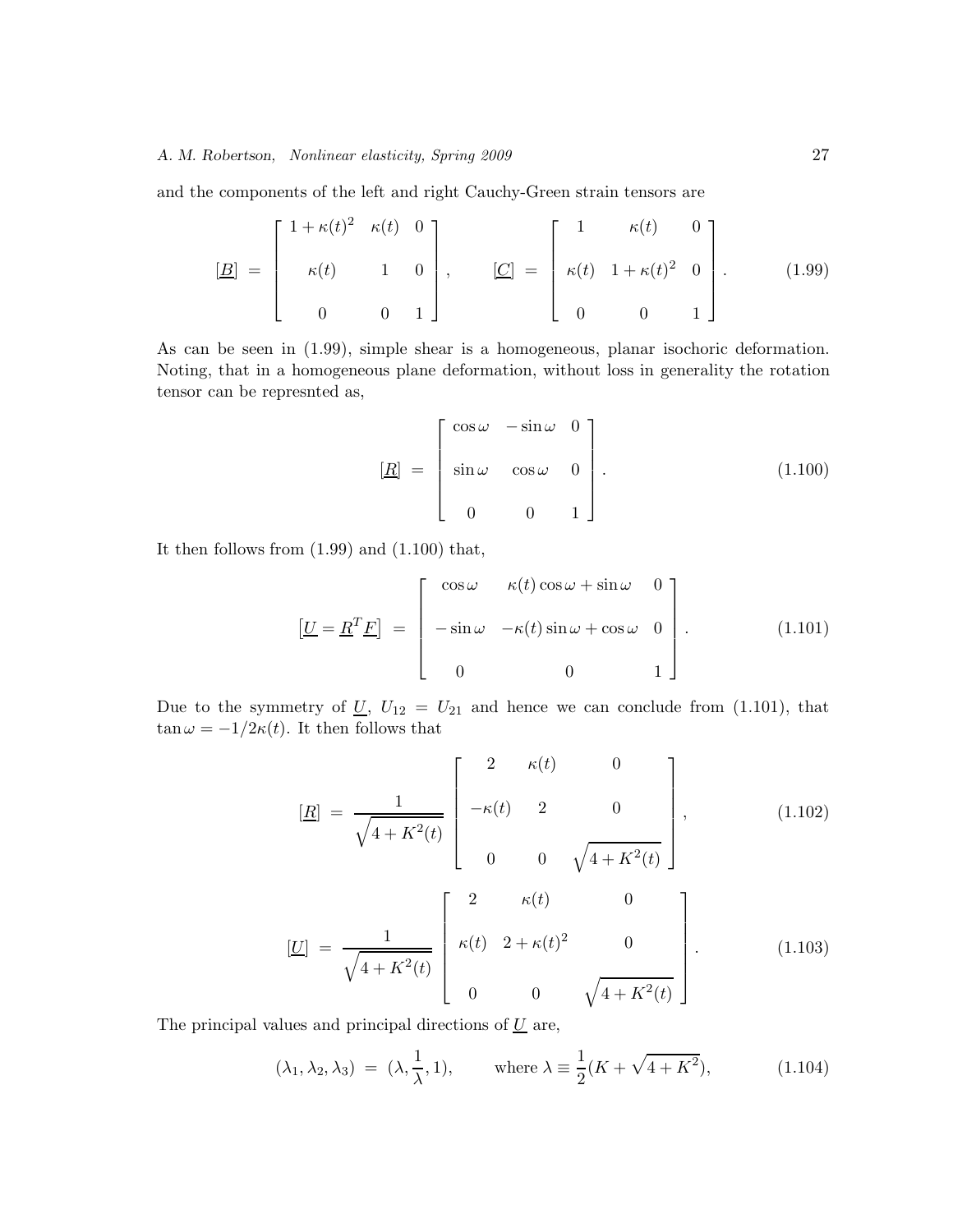and the components of the left and right Cauchy-Green strain tensors are

$$
\underline{[B]} = \begin{bmatrix} 1 + \kappa(t)^2 & \kappa(t) & 0 \\ \kappa(t) & 1 & 0 \\ 0 & 0 & 1 \end{bmatrix}, \qquad \underline{[C]} = \begin{bmatrix} 1 & \kappa(t) & 0 \\ \kappa(t) & 1 + \kappa(t)^2 & 0 \\ 0 & 0 & 1 \end{bmatrix}.
$$
 (1.99)

As can be seen in (1.99), simple shear is a homogeneous, planar isochoric deformation. Noting, that in a homogeneous plane deformation, without loss in generality the rotation tensor can be represnted as,

$$
\underline{[R]} = \begin{bmatrix} \cos \omega & -\sin \omega & 0 \\ \sin \omega & \cos \omega & 0 \\ 0 & 0 & 1 \end{bmatrix} . \tag{1.100}
$$

It then follows from (1.99) and (1.100) that,

$$
\left[\underline{U} = \underline{R}^T \underline{F}\right] = \begin{bmatrix} \cos \omega & \kappa(t) \cos \omega + \sin \omega & 0 \\ -\sin \omega & -\kappa(t) \sin \omega + \cos \omega & 0 \\ 0 & 0 & 1 \end{bmatrix} . \tag{1.101}
$$

Due to the symmetry of  $\underline{U}$ ,  $U_{12} = U_{21}$  and hence we can conclude from (1.101), that  $\tan \omega = -1/2\kappa(t)$ . It then follows that

$$
[\underline{R}] = \frac{1}{\sqrt{4 + K^2(t)}} \begin{bmatrix} 2 & \kappa(t) & 0 \\ -\kappa(t) & 2 & 0 \\ 0 & 0 & \sqrt{4 + K^2(t)} \end{bmatrix}, \qquad (1.102)
$$

$$
[\underline{U}] = \frac{1}{\sqrt{4 + K^2(t)}} \begin{bmatrix} 2 & \kappa(t) & 0 \\ \kappa(t) & 2 + \kappa(t)^2 & 0 \\ 0 & 0 & \sqrt{4 + K^2(t)} \end{bmatrix} . \qquad (1.103)
$$

The principal values and principal directions of  $U$  are,

$$
(\lambda_1, \lambda_2, \lambda_3) = (\lambda, \frac{1}{\lambda}, 1), \quad \text{where } \lambda \equiv \frac{1}{2}(K + \sqrt{4 + K^2}), \quad (1.104)
$$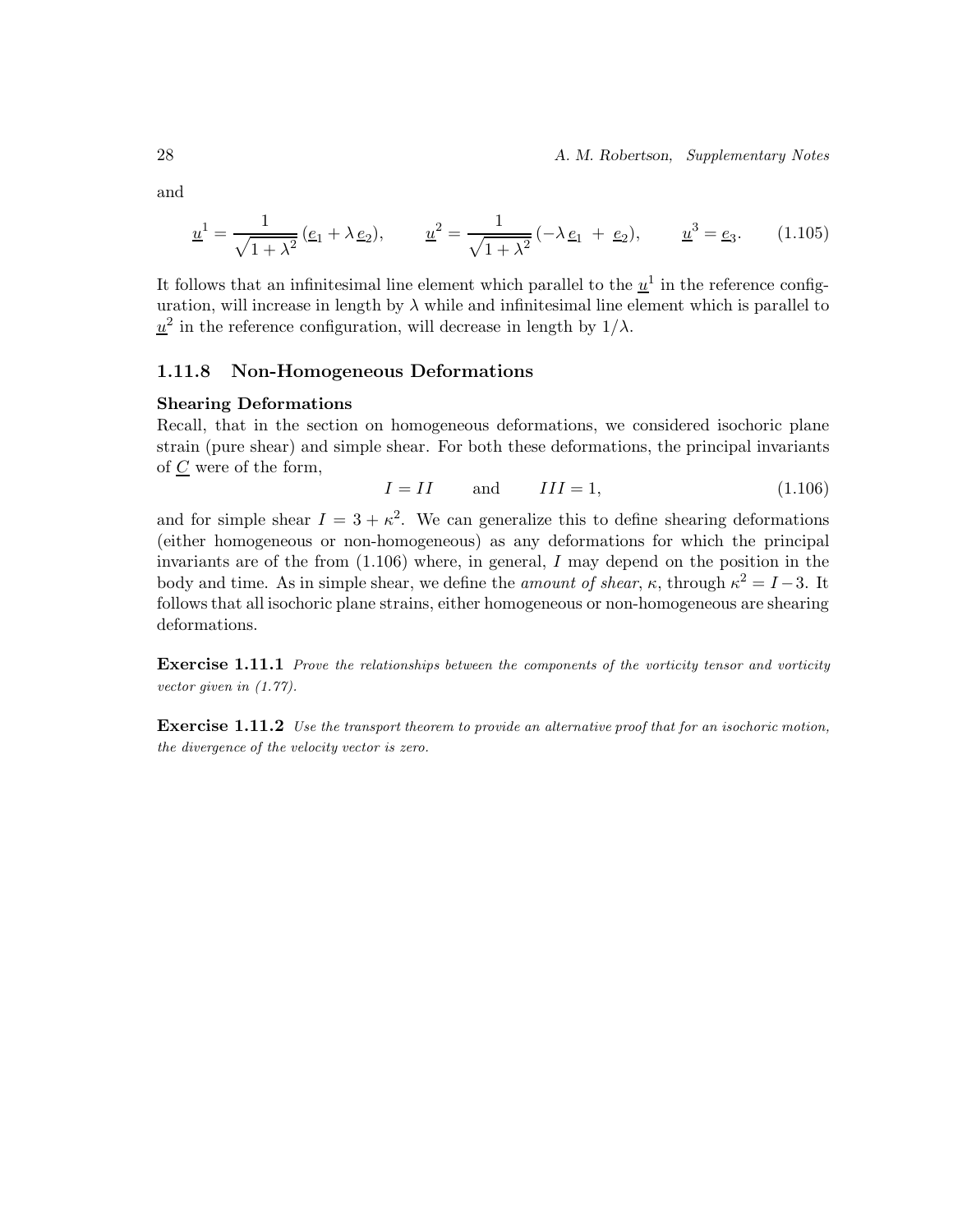28 *A. M. Robertson, Supplementary Notes*

and

$$
\underline{u}^{1} = \frac{1}{\sqrt{1 + \lambda^{2}}} (\underline{e}_{1} + \lambda \underline{e}_{2}), \qquad \underline{u}^{2} = \frac{1}{\sqrt{1 + \lambda^{2}}} (-\lambda \underline{e}_{1} + \underline{e}_{2}), \qquad \underline{u}^{3} = \underline{e}_{3}. \tag{1.105}
$$

It follows that an infinitesimal line element which parallel to the  $\underline{u}^1$  in the reference configuration, will increase in length by  $\lambda$  while and infinitesimal line element which is parallel to  $u^2$  in the reference configuration, will decrease in length by  $1/\lambda$ .

#### **1.11.8 Non-Homogeneous Deformations**

#### **Shearing Deformations**

Recall, that in the section on homogeneous deformations, we considered isochoric plane strain (pure shear) and simple shear. For both these deformations, the principal invariants of C were of the form,

$$
I = II \qquad \text{and} \qquad III = 1,\tag{1.106}
$$

and for simple shear  $I = 3 + \kappa^2$ . We can generalize this to define shearing deformations (either homogeneous or non-homogeneous) as any deformations for which the principal invariants are of the from  $(1.106)$  where, in general, I may depend on the position in the body and time. As in simple shear, we define the *amount of shear*,  $\kappa$ , through  $\kappa^2 = I - 3$ . It follows that all isochoric plane strains, either homogeneous or non-homogeneous are shearing deformations.

**Exercise 1.11.1** Prove the relationships between the components of the vorticity tensor and vorticity vector given in (1.77).

**Exercise 1.11.2** Use the transport theorem to provide an alternative proof that for an isochoric motion, the divergence of the velocity vector is zero.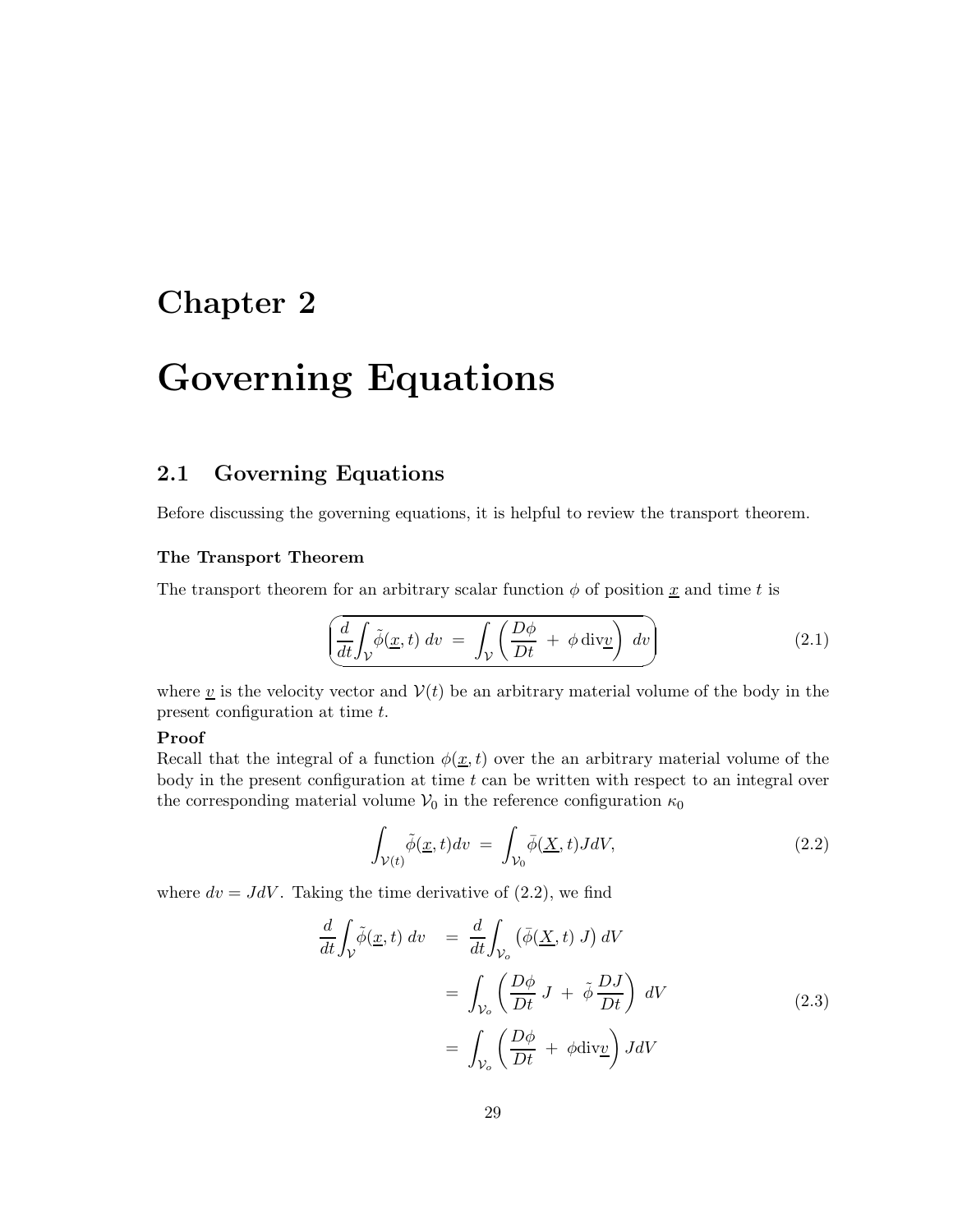## **Chapter 2**

# **Governing Equations**

## **2.1 Governing Equations**

Before discussing the governing equations, it is helpful to review the transport theorem.

#### **The Transport Theorem**

The transport theorem for an arbitrary scalar function  $\phi$  of position  $\underline{x}$  and time t is

$$
\left(\frac{d}{dt}\int_{\mathcal{V}}\tilde{\phi}(\underline{x},t)\,dv\ =\ \int_{\mathcal{V}}\left(\frac{D\phi}{Dt}\ +\ \phi\,\text{div}\underline{v}\right)\,dv\right)\tag{2.1}
$$

where  $\underline{v}$  is the velocity vector and  $V(t)$  be an arbitrary material volume of the body in the present configuration at time t.

#### **Proof**

Recall that the integral of a function  $\phi(\underline{x}, t)$  over the an arbitrary material volume of the body in the present configuration at time  $t$  can be written with respect to an integral over the corresponding material volume  $V_0$  in the reference configuration  $\kappa_0$ 

$$
\int_{\mathcal{V}(t)} \tilde{\phi}(\underline{x}, t) dv = \int_{\mathcal{V}_0} \bar{\phi}(\underline{X}, t) J dV, \tag{2.2}
$$

where  $dv = JdV$ . Taking the time derivative of (2.2), we find

$$
\frac{d}{dt} \int_{V} \tilde{\phi}(\underline{x}, t) dv = \frac{d}{dt} \int_{V_o} (\bar{\phi}(\underline{X}, t) J) dV
$$
\n
$$
= \int_{V_o} \left( \frac{D\phi}{Dt} J + \tilde{\phi} \frac{DJ}{Dt} \right) dV
$$
\n
$$
= \int_{V_o} \left( \frac{D\phi}{Dt} + \phi \text{div} \underline{v} \right) J dV
$$
\n(2.3)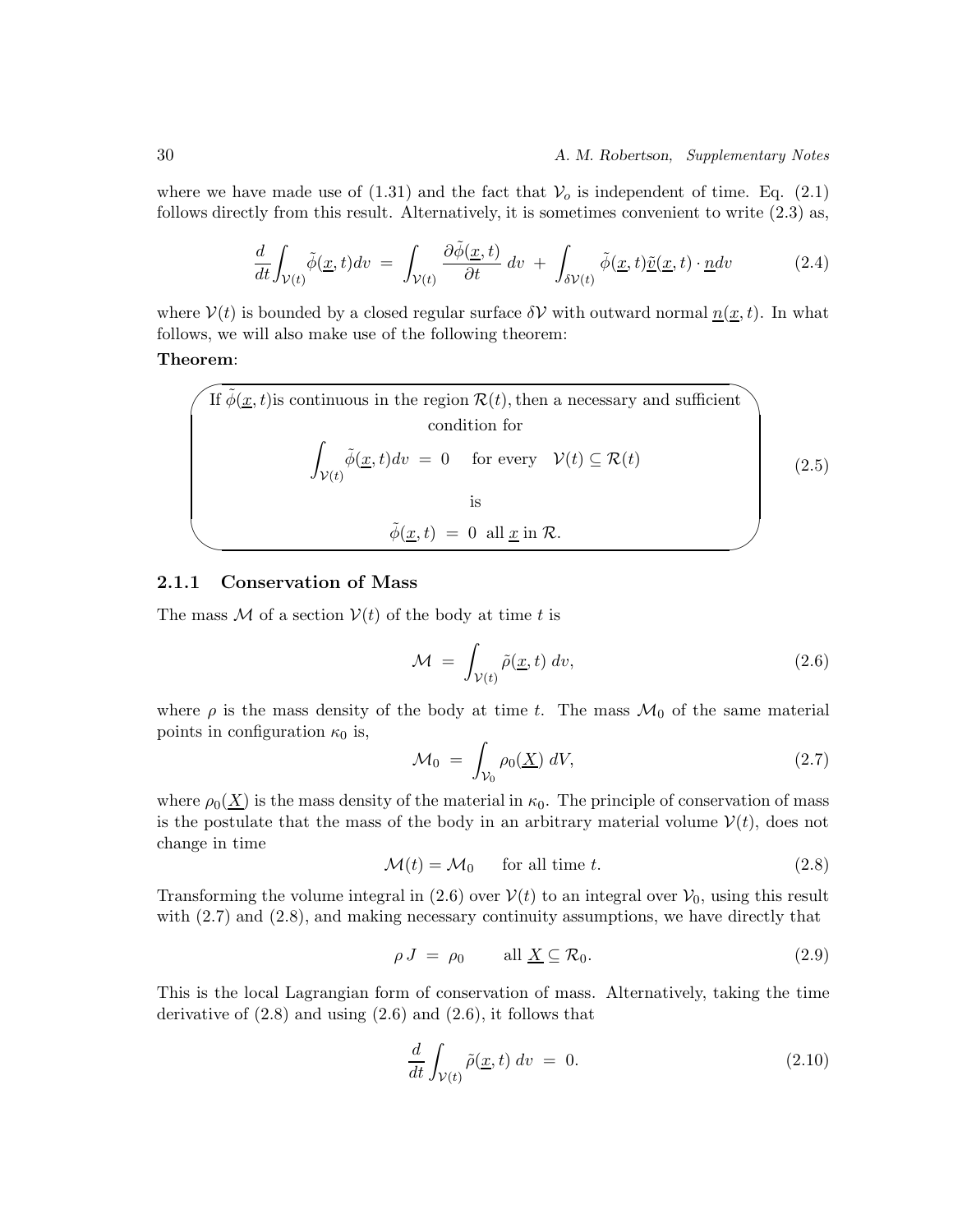where we have made use of  $(1.31)$  and the fact that  $V<sub>o</sub>$  is independent of time. Eq.  $(2.1)$ follows directly from this result. Alternatively, it is sometimes convenient to write (2.3) as,

$$
\frac{d}{dt} \int_{\mathcal{V}(t)} \tilde{\phi}(\underline{x}, t) dv = \int_{\mathcal{V}(t)} \frac{\partial \tilde{\phi}(\underline{x}, t)}{\partial t} dv + \int_{\delta \mathcal{V}(t)} \tilde{\phi}(\underline{x}, t) \tilde{\underline{v}}(\underline{x}, t) \cdot \underline{n} dv \qquad (2.4)
$$

where  $V(t)$  is bounded by a closed regular surface  $\delta V$  with outward normal  $\underline{n}(\underline{x}, t)$ . In what follows, we will also make use of the following theorem:

#### **Theorem** :

If 
$$
\tilde{\phi}(\underline{x}, t)
$$
 is continuous in the region  $\mathcal{R}(t)$ , then a necessary and sufficient  
condition for  

$$
\int_{\mathcal{V}(t)} \tilde{\phi}(\underline{x}, t) dv = 0 \text{ for every } \mathcal{V}(t) \subseteq \mathcal{R}(t)
$$
is  
is  

$$
\tilde{\phi}(\underline{x}, t) = 0 \text{ all } \underline{x} \text{ in } \mathcal{R}.
$$
 (2.5)

#### **2.1.1 Conservation of Mass**

The mass M of a section  $V(t)$  of the body at time t is

$$
\mathcal{M} = \int_{\mathcal{V}(t)} \tilde{\rho}(\underline{x}, t) \, dv,\tag{2.6}
$$

where  $\rho$  is the mass density of the body at time t. The mass  $\mathcal{M}_0$  of the same material points in configuration  $\kappa_0$  is,

$$
\mathcal{M}_0 = \int_{\mathcal{V}_0} \rho_0(\underline{X}) \, dV,\tag{2.7}
$$

where  $\rho_0(\underline{X})$  is the mass density of the material in  $\kappa_0$ . The principle of conservation of mass is the postulate that the mass of the body in an arbitrary material volume  $V(t)$ , does not change in time

$$
\mathcal{M}(t) = \mathcal{M}_0 \qquad \text{for all time } t. \tag{2.8}
$$

Transforming the volume integral in (2.6) over  $V(t)$  to an integral over  $V_0$ , using this result with  $(2.7)$  and  $(2.8)$ , and making necessary continuity assumptions, we have directly that

$$
\rho J = \rho_0 \qquad \text{all } \underline{X} \subseteq \mathcal{R}_0. \tag{2.9}
$$

This is the local Lagrangian form of conservation of mass. Alternatively, taking the time derivative of  $(2.8)$  and using  $(2.6)$  and  $(2.6)$ , it follows that

$$
\frac{d}{dt} \int_{\mathcal{V}(t)} \tilde{\rho}(\underline{x}, t) \, dv = 0. \tag{2.10}
$$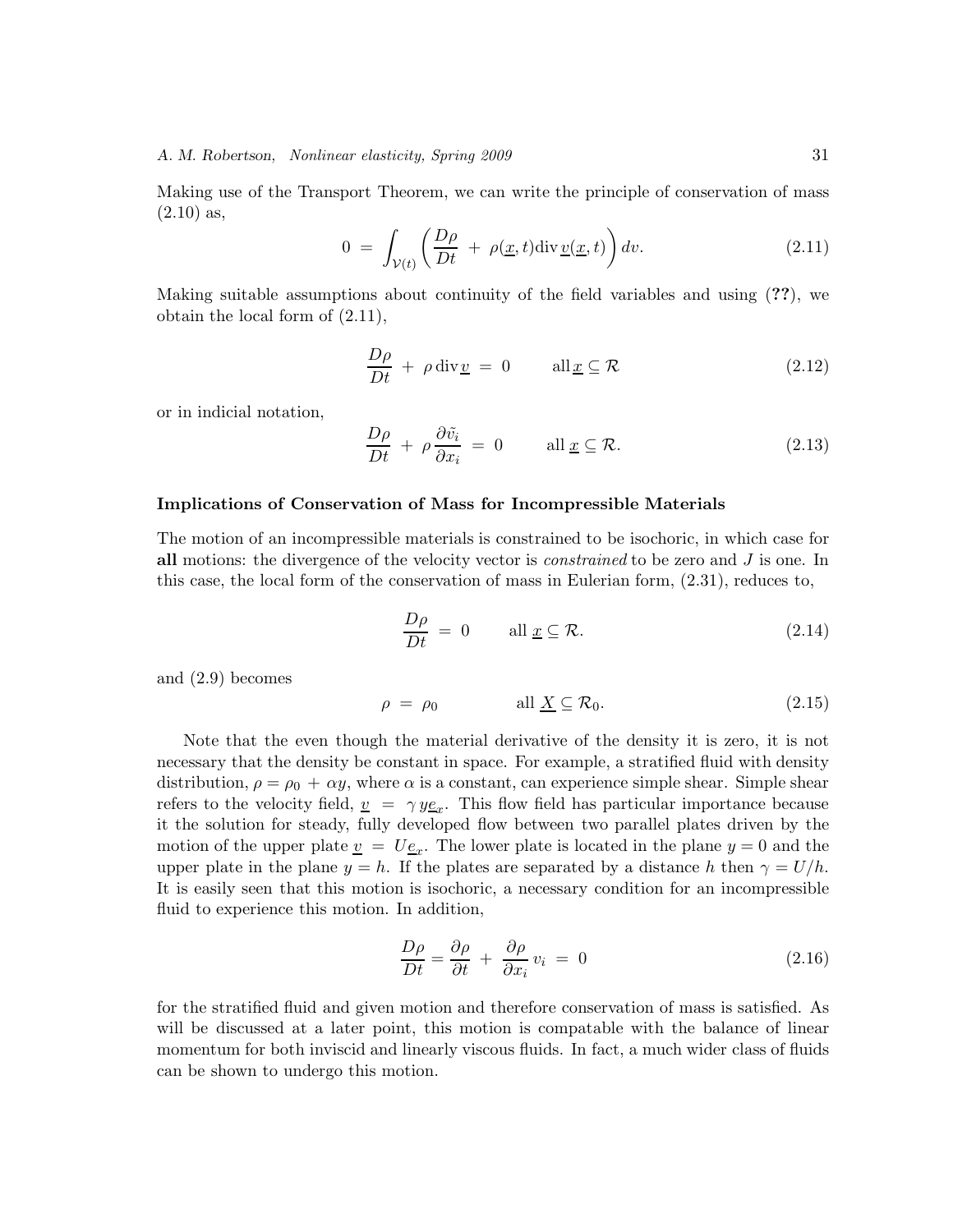Making use of the Transport Theorem, we can write the principle of conservation of mass  $(2.10)$  as,

$$
0 = \int_{\mathcal{V}(t)} \left( \frac{D\rho}{Dt} + \rho(\underline{x}, t) \text{div}\,\underline{v}(\underline{x}, t) \right) dv. \tag{2.11}
$$

Making suitable assumptions about continuity of the field variables and using (**??**), we obtain the local form of (2.11),

$$
\frac{D\rho}{Dt} + \rho \operatorname{div} \underline{v} = 0 \qquad \text{all}_{\underline{x}} \subseteq \mathcal{R} \tag{2.12}
$$

or in indicial notation,

$$
\frac{D\rho}{Dt} + \rho \frac{\partial \tilde{v}_i}{\partial x_i} = 0 \quad \text{all } \underline{x} \subseteq \mathcal{R}.
$$
 (2.13)

#### **Implications of Conservation of Mass for Incompressible Materials**

The motion of an incompressible materials is constrained to be isochoric, in which case for **all** motions: the divergence of the velocity vector is *constrained* to be zero and J is one. In this case, the local form of the conservation of mass in Eulerian form, (2.31), reduces to,

$$
\frac{D\rho}{Dt} = 0 \qquad \text{all } \underline{x} \subseteq \mathcal{R}.
$$
 (2.14)

and (2.9) becomes

$$
\rho = \rho_0 \qquad \text{all } \underline{X} \subseteq \mathcal{R}_0. \tag{2.15}
$$

Note that the even though the material derivative of the density it is zero, it is not necessary that the density be constant in space. For example, a stratified fluid with density distribution,  $\rho = \rho_0 + \alpha y$ , where  $\alpha$  is a constant, can experience simple shear. Simple shear refers to the velocity field,  $v = \gamma y \underline{e_x}$ . This flow field has particular importance because<br>it the solution for stoody, fully doveloped flow between two parallel plates driven by the it the solution for steady, fully developed flow between two parallel plates driven by the motion of the upper plate  $\underline{v} = U\underline{e}_x$ . The lower plate is located in the plane  $y = 0$  and the<br>upper plate in the plane  $u = b$ . If the plates are separated by a distance h then  $\alpha = U/b$ . upper plate in the plane  $y = h$ . If the plates are separated by a distance h then  $\gamma = U/h$ . It is easily seen that this motion is isochoric, a necessary condition for an incompressible fluid to experience this motion. In addition,

$$
\frac{D\rho}{Dt} = \frac{\partial \rho}{\partial t} + \frac{\partial \rho}{\partial x_i} v_i = 0 \tag{2.16}
$$

for the stratified fluid and given motion and therefore conservation of mass is satisfied. As will be discussed at a later point, this motion is compatable with the balance of linear momentum for both inviscid and linearly viscous fluids. In fact, a much wider class of fluids can be shown to undergo this motion.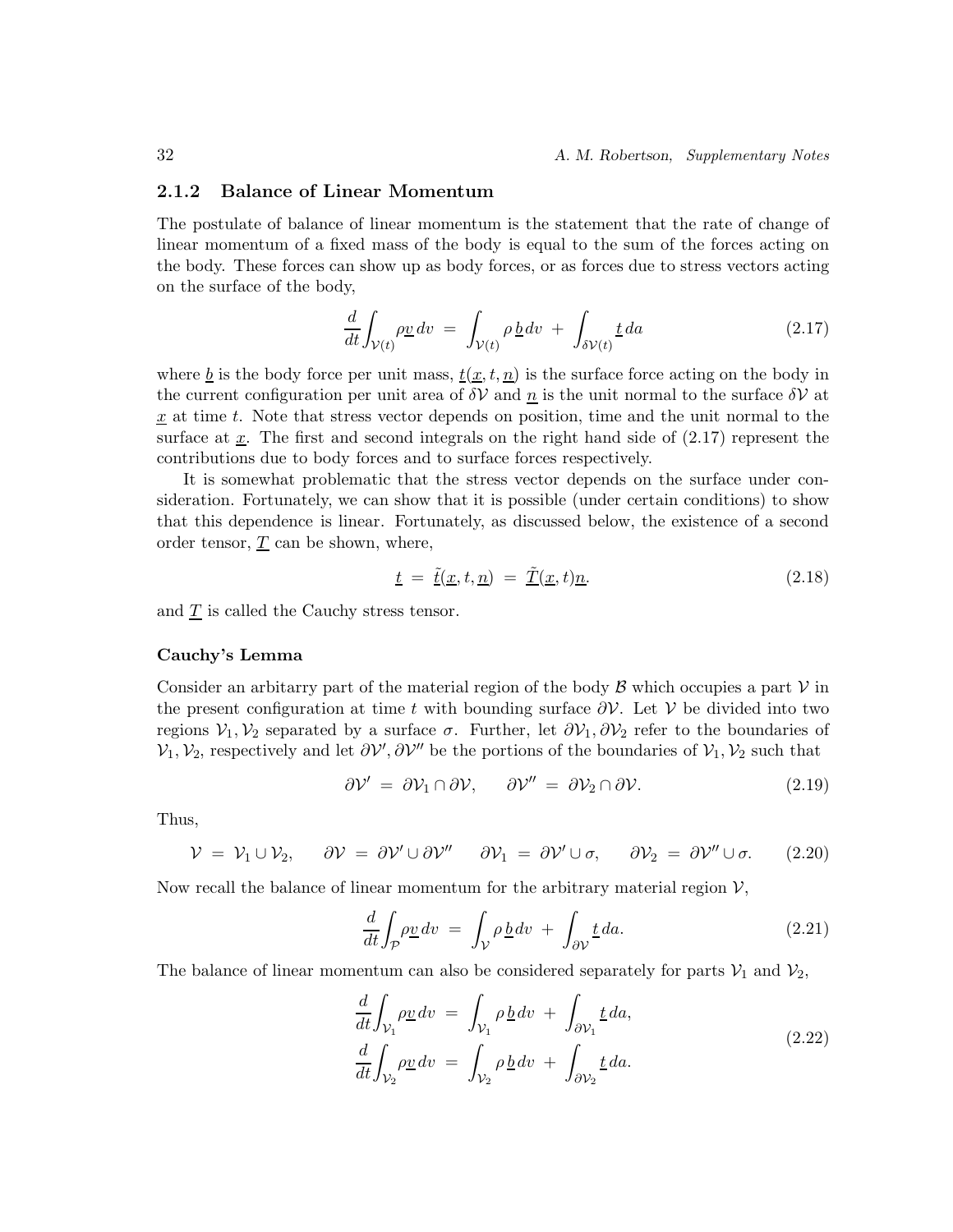#### **2.1.2 Balance of Linear Momentum**

The postulate of balance of linear momentum is the statement that the rate of change of linear momentum of a fixed mass of the body is equal to the sum of the forces acting on the body. These forces can show up as body forces, or as forces due to stress vectors acting on the surface of the body,

$$
\frac{d}{dt} \int_{\mathcal{V}(t)} \rho \underline{v} \, dv = \int_{\mathcal{V}(t)} \rho \, \underline{b} \, dv + \int_{\delta \mathcal{V}(t)} \underline{t} \, da \tag{2.17}
$$

where <u>b</u> is the body force per unit mass,  $\underline{t(x, t, n)}$  is the surface force acting on the body in the current configuration per unit area of  $\delta V$  and n is the unit normal to the surface  $\delta V$  at  $\underline{x}$  at time t. Note that stress vector depends on position, time and the unit normal to the surface at x. The first and second integrals on the right hand side of  $(2.17)$  represent the contributions due to body forces and to surface forces respectively.

It is somewhat problematic that the stress vector depends on the surface under consideration. Fortunately, we can show that it is possible (under certain conditions) to show that this dependence is linear. Fortunately, as discussed below, the existence of a second order tensor,  $\underline{T}$  can be shown, where,

$$
\underline{t} = \underline{\tilde{t}}(\underline{x}, t, \underline{n}) = \underline{\tilde{T}}(\underline{x}, t)\underline{n}.\tag{2.18}
$$

and  $\underline{T}$  is called the Cauchy stress tensor.

#### **Cauchy's Lemma**

Consider an arbitrary part of the material region of the body  $\beta$  which occupies a part  $\gamma$  in the present configuration at time t with bounding surface  $\partial \mathcal{V}$ . Let  $\mathcal{V}$  be divided into two regions  $\mathcal{V}_1, \mathcal{V}_2$  separated by a surface  $\sigma$ . Further, let  $\partial \mathcal{V}_1, \partial \mathcal{V}_2$  refer to the boundaries of  $\mathcal{V}_1, \mathcal{V}_2$ , respectively and let  $\partial \mathcal{V}', \partial \mathcal{V}''$  be the portions of the boundaries of  $\mathcal{V}_1, \mathcal{V}_2$  such that

$$
\partial \mathcal{V}' = \partial \mathcal{V}_1 \cap \partial \mathcal{V}, \qquad \partial \mathcal{V}'' = \partial \mathcal{V}_2 \cap \partial \mathcal{V}.
$$
 (2.19)

Thus,

$$
\mathcal{V} = \mathcal{V}_1 \cup \mathcal{V}_2, \quad \partial \mathcal{V} = \partial \mathcal{V}' \cup \partial \mathcal{V}'' \quad \partial \mathcal{V}_1 = \partial \mathcal{V}' \cup \sigma, \quad \partial \mathcal{V}_2 = \partial \mathcal{V}'' \cup \sigma. \quad (2.20)
$$

Now recall the balance of linear momentum for the arbitrary material region  $\mathcal{V}$ ,

$$
\frac{d}{dt} \int_{\mathcal{P}} \rho \underline{v} \, dv = \int_{\mathcal{V}} \rho \, \underline{b} \, dv + \int_{\partial \mathcal{V}} \underline{t} \, da. \tag{2.21}
$$

The balance of linear momentum can also be considered separately for parts  $V_1$  and  $V_2$ ,

$$
\frac{d}{dt} \int_{\mathcal{V}_1} \rho \underline{v} dv = \int_{\mathcal{V}_1} \rho \underline{b} dv + \int_{\partial \mathcal{V}_1} \underline{t} da,
$$
\n
$$
\frac{d}{dt} \int_{\mathcal{V}_2} \rho \underline{v} dv = \int_{\mathcal{V}_2} \rho \underline{b} dv + \int_{\partial \mathcal{V}_2} \underline{t} da.
$$
\n(2.22)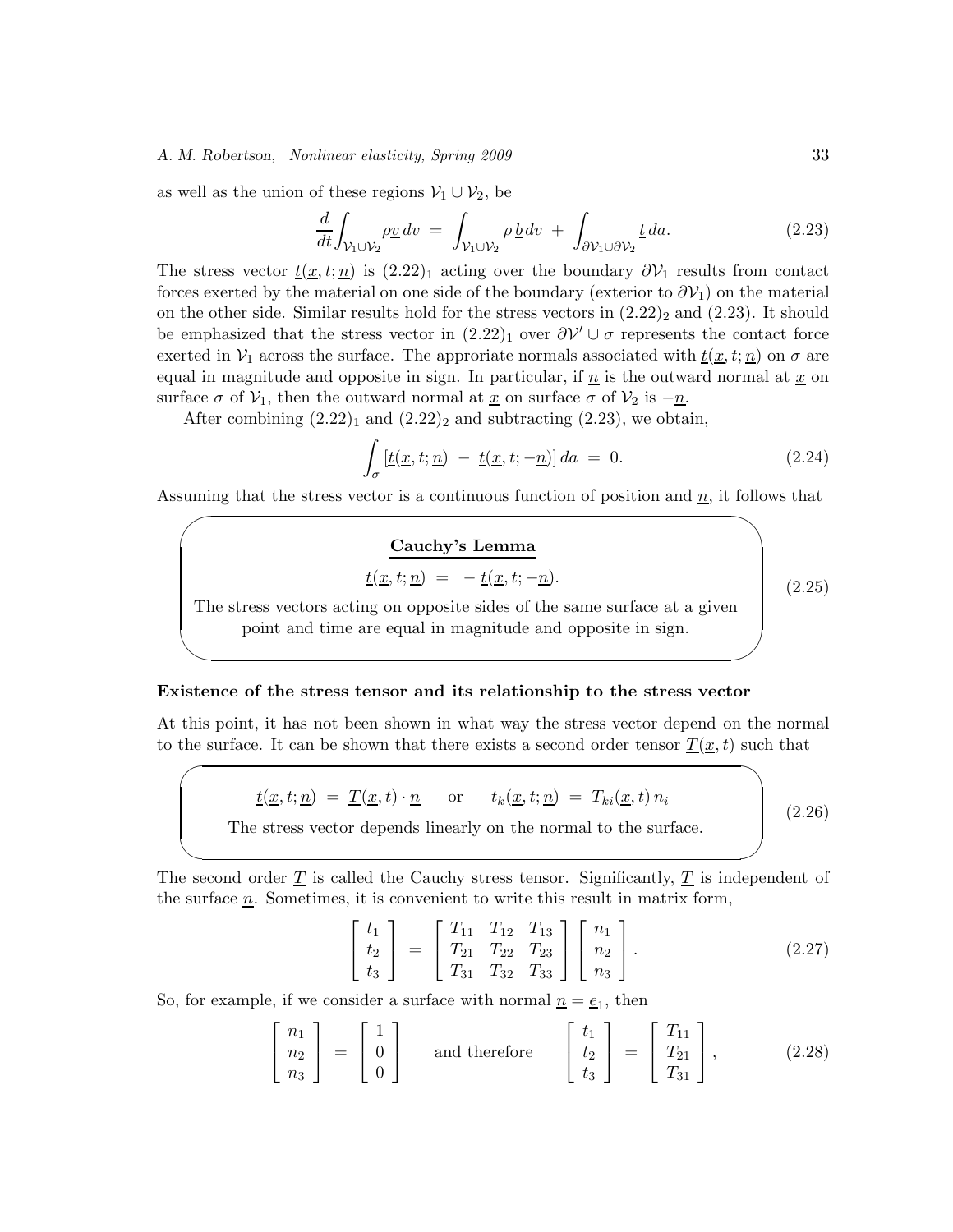as well as the union of these regions  $\mathcal{V}_1 \cup \mathcal{V}_2$ , be

 $\sim$ 

 $\sim$ 

 $\overline{\phantom{0}}$ 

 $\overline{\phantom{a}}$ 

$$
\frac{d}{dt} \int_{\mathcal{V}_1 \cup \mathcal{V}_2} \rho \underline{v} \, dv = \int_{\mathcal{V}_1 \cup \mathcal{V}_2} \rho \, \underline{b} \, dv + \int_{\partial \mathcal{V}_1 \cup \partial \mathcal{V}_2} \underline{t} \, da. \tag{2.23}
$$

The stress vector  $\underline{t}(\underline{x}, t; \underline{n})$  is  $(2.22)_1$  acting over the boundary  $\partial \mathcal{V}_1$  results from contact forces exerted by the material on one side of the boundary (exterior to  $\partial \mathcal{V}_1$ ) on the material on the other side. Similar results hold for the stress vectors in  $(2.22)_2$  and  $(2.23)$ . It should be emphasized that the stress vector in  $(2.22)_1$  over  $\partial \mathcal{V}' \cup \sigma$  represents the contact force exerted in  $V_1$  across the surface. The approriate normals associated with  $\underline{t}(\underline{x}, t; \underline{n})$  on  $\sigma$  are equal in magnitude and opposite in sign. In particular, if  $\underline{n}$  is the outward normal at  $\underline{x}$  on surface  $\sigma$  of  $\mathcal{V}_1$ , then the outward normal at <u>x</u> on surface  $\sigma$  of  $\mathcal{V}_2$  is  $-\underline{n}$ .

After combining  $(2.22)<sub>1</sub>$  and  $(2.22)<sub>2</sub>$  and subtracting  $(2.23)$ , we obtain,

$$
\int_{\sigma} \left[ \underline{t}(\underline{x}, t; \underline{n}) - \underline{t}(\underline{x}, t; -\underline{n}) \right] da = 0. \tag{2.24}
$$

Assuming that the stress vector is a continuous function of position and  $\underline{n}$ , it follows that

#### **Cauchy's Lemma**

$$
\underline{t}(\underline{x},t;\underline{n}) = -\underline{t}(\underline{x},t;-\underline{n}).
$$

(2.25)

The stress vectors acting on opposite sides of the same surface at a given point and time are equal in magnitude and opposite in sign.

#### **Existence of the stress tensor and its relationship to the stress vector**

At this point, it has not been shown in what way the stress vector depend on the normal to the surface. It can be shown that there exists a second order tensor  $\underline{T}(\underline{x}, t)$  such that

$$
\underline{t}(\underline{x}, t; \underline{n}) = \underline{T}(\underline{x}, t) \cdot \underline{n} \quad \text{or} \quad t_k(\underline{x}, t; \underline{n}) = T_{ki}(\underline{x}, t) n_i
$$
\nThe stress vector depends linearly on the normal to the surface. (2.26)

The second order  $\underline{T}$  is called the Cauchy stress tensor. Significantly,  $\underline{T}$  is independent of the surface  $n$ . Sometimes, it is convenient to write this result in matrix form,

$$
\begin{bmatrix} t_1 \\ t_2 \\ t_3 \end{bmatrix} = \begin{bmatrix} T_{11} & T_{12} & T_{13} \\ T_{21} & T_{22} & T_{23} \\ T_{31} & T_{32} & T_{33} \end{bmatrix} \begin{bmatrix} n_1 \\ n_2 \\ n_3 \end{bmatrix}.
$$
 (2.27)

So, for example, if we consider a surface with normal  $n = e_1$ , then

$$
\begin{bmatrix} n_1 \\ n_2 \\ n_3 \end{bmatrix} = \begin{bmatrix} 1 \\ 0 \\ 0 \end{bmatrix} \quad \text{and therefore} \quad \begin{bmatrix} t_1 \\ t_2 \\ t_3 \end{bmatrix} = \begin{bmatrix} T_{11} \\ T_{21} \\ T_{31} \end{bmatrix}, \tag{2.28}
$$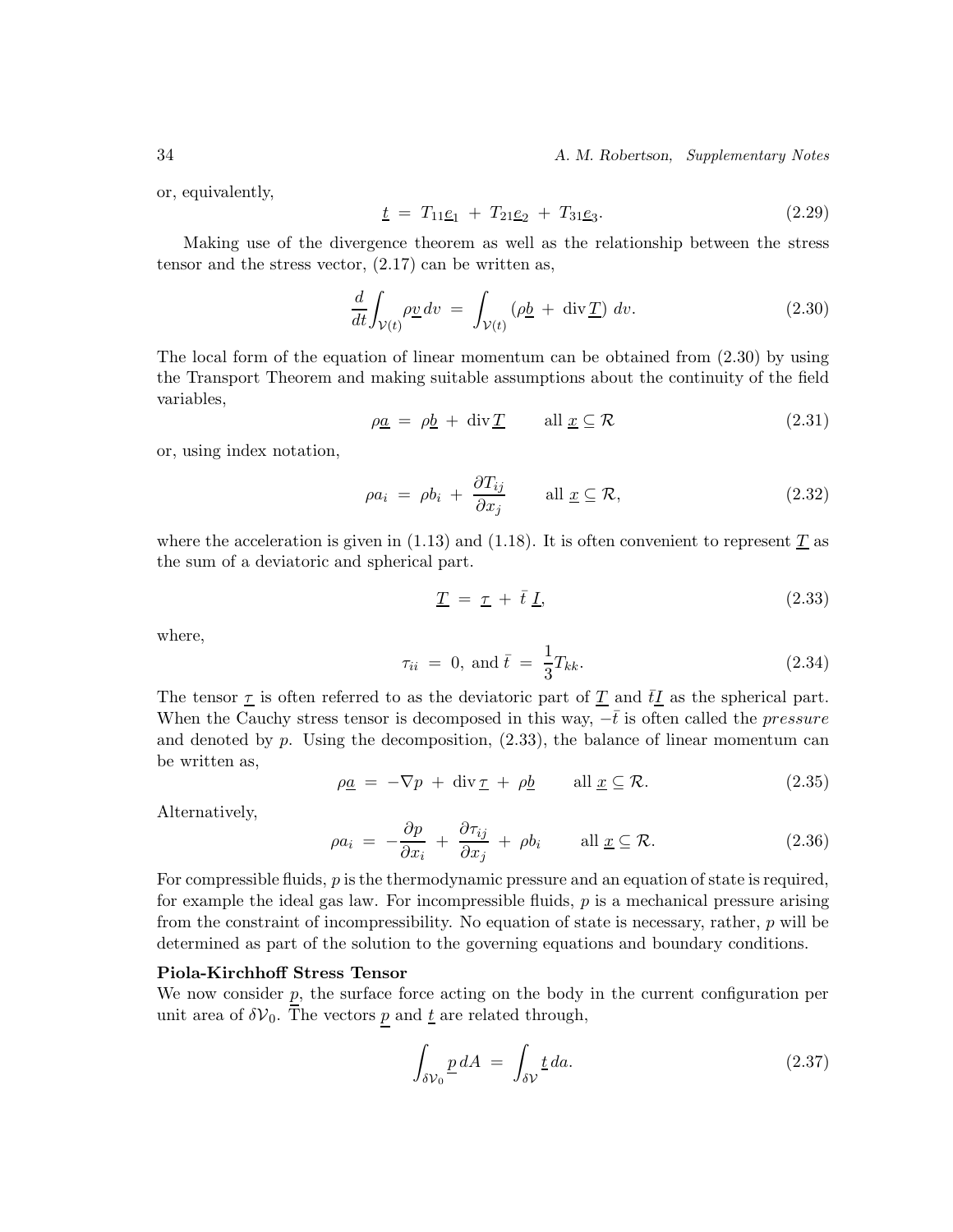34 *A. M. Robertson, Supplementary Notes*

or, equivalently,

$$
\underline{t} = T_{11}\underline{e}_1 + T_{21}\underline{e}_2 + T_{31}\underline{e}_3. \tag{2.29}
$$

Making use of the divergence theorem as well as the relationship between the stress tensor and the stress vector,  $(2.17)$  can be written as,

$$
\frac{d}{dt} \int_{\mathcal{V}(t)} \rho \underline{v} \, dv = \int_{\mathcal{V}(t)} (\rho \underline{b} + \text{div} \underline{T}) \, dv. \tag{2.30}
$$

The local form of the equation of linear momentum can be obtained from (2.30) by using the Transport Theorem and making suitable assumptions about the continuity of the field variables,

$$
\rho \underline{a} = \rho \underline{b} + \text{div} \underline{T} \quad \text{all } \underline{x} \subseteq \mathcal{R} \tag{2.31}
$$

or, using index notation,

$$
\rho a_i = \rho b_i + \frac{\partial T_{ij}}{\partial x_j} \quad \text{all } \underline{x} \subseteq \mathcal{R}, \tag{2.32}
$$

where the acceleration is given in  $(1.13)$  and  $(1.18)$ . It is often convenient to represent T as the sum of a deviatoric and spherical part.

$$
\underline{T} = \underline{\tau} + \bar{t} \underline{I}, \qquad (2.33)
$$

where,

$$
\tau_{ii} = 0, \text{ and } \bar{t} = \frac{1}{3} T_{kk}.
$$
\n(2.34)

The tensor  $\underline{\tau}$  is often referred to as the deviatoric part of  $\underline{T}$  and  $\underline{t}\underline{I}$  as the spherical part. When the Cauchy stress tensor is decomposed in this way,  $-\bar{t}$  is often called the *pressure* and denoted by  $p$ . Using the decomposition,  $(2.33)$ , the balance of linear momentum can be written as,

$$
\rho \underline{a} = -\nabla p + \text{div} \, \underline{\tau} + \rho \underline{b} \qquad \text{all } \underline{x} \subseteq \mathcal{R}.
$$
\n(2.35)

Alternatively,

$$
\rho a_i = -\frac{\partial p}{\partial x_i} + \frac{\partial \tau_{ij}}{\partial x_j} + \rho b_i \quad \text{all } \underline{x} \subseteq \mathcal{R}.
$$
 (2.36)

For compressible fluids,  $p$  is the thermodynamic pressure and an equation of state is required, for example the ideal gas law. For incompressible fluids,  $p$  is a mechanical pressure arising from the constraint of incompressibility. No equation of state is necessary, rather,  $p$  will be determined as part of the solution to the governing equations and boundary conditions.

#### **Piola-Kirchhoff Stress Tensor**

We now consider  $p$ , the surface force acting on the body in the current configuration per unit area of  $\delta V_0$ . The vectors p and <u>t</u> are related through,

$$
\int_{\delta \mathcal{V}_0} \underline{p} \, dA \ = \ \int_{\delta \mathcal{V}} \underline{t} \, da. \tag{2.37}
$$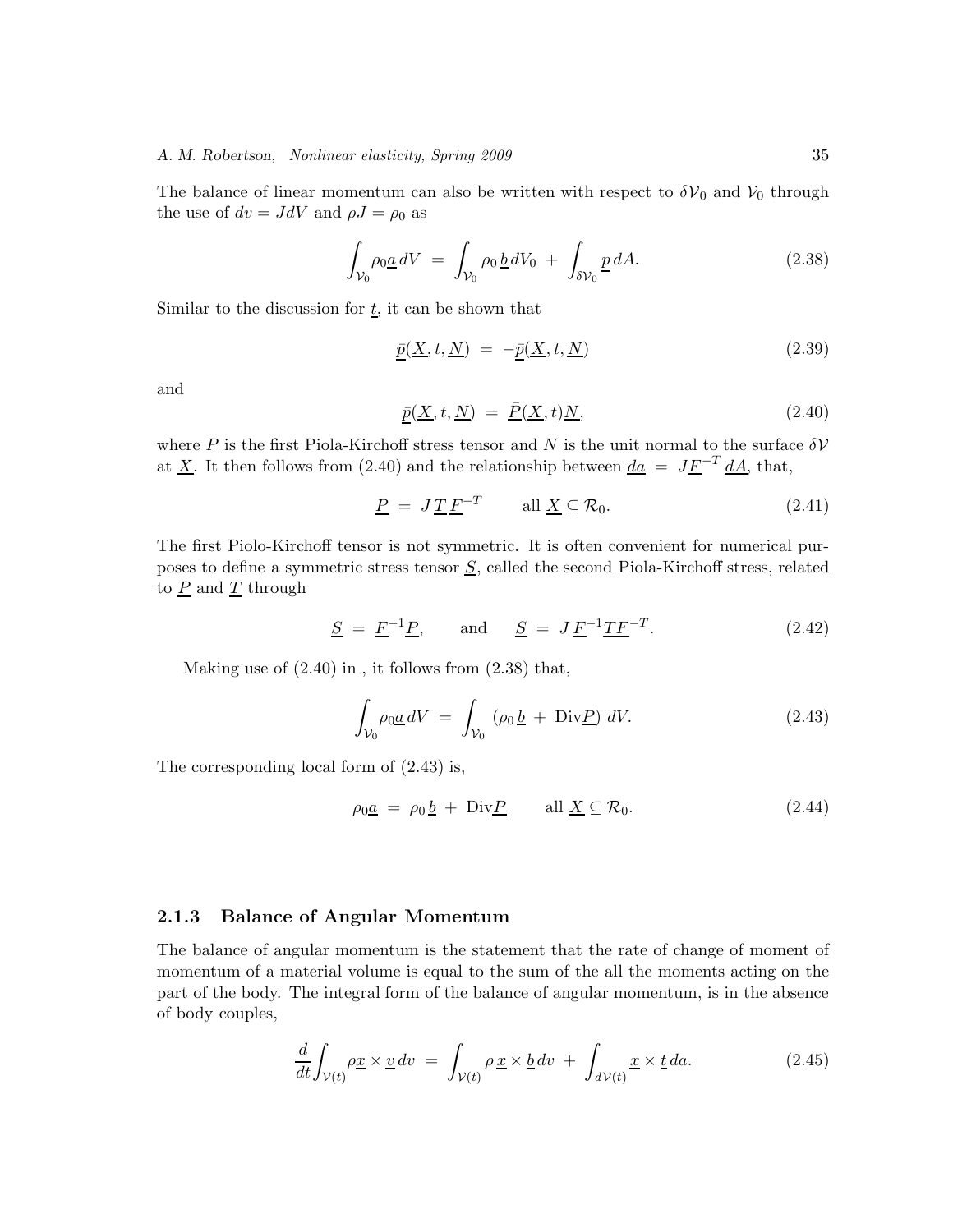The balance of linear momentum can also be written with respect to  $\delta V_0$  and  $V_0$  through the use of  $dv = JdV$  and  $\rho J = \rho_0$  as

$$
\int_{\mathcal{V}_0} \rho_0 \underline{a} \, dV = \int_{\mathcal{V}_0} \rho_0 \, \underline{b} \, dV_0 + \int_{\delta \mathcal{V}_0} \underline{p} \, dA. \tag{2.38}
$$

Similar to the discussion for  $\underline{t}$ , it can be shown that

$$
\underline{\bar{p}}(\underline{X}, t, \underline{N}) = -\underline{\bar{p}}(\underline{X}, t, \underline{N}) \tag{2.39}
$$

and

$$
\underline{\bar{p}}(\underline{X}, t, \underline{N}) = \underline{\bar{P}}(\underline{X}, t) \underline{N}, \tag{2.40}
$$

where  $\underline{P}$  is the first Piola-Kirchoff stress tensor and  $\underline{N}$  is the unit normal to the surface  $\delta V$ at <u>X</u>. It then follows from (2.40) and the relationship between  $\underline{da} = J\underline{F}^{-T} \underline{dA}$ , that,

$$
\underline{P} = J \underline{T} \underline{F}^{-T} \qquad \text{all } \underline{X} \subseteq \mathcal{R}_0. \tag{2.41}
$$

The first Piolo-Kirchoff tensor is not symmetric. It is often convenient for numerical purposes to define a symmetric stress tensor  $S$ , called the second Piola-Kirchoff stress, related to  $\underline{P}$  and  $\underline{T}$  through

$$
S = F-1P, and S = J F-1TF-T.
$$
\n(2.42)

Making use of  $(2.40)$  in, it follows from  $(2.38)$  that,

$$
\int_{\mathcal{V}_0} \rho_0 \underline{a} \, dV = \int_{\mathcal{V}_0} (\rho_0 \underline{b} + \text{Div} \underline{P}) \, dV. \tag{2.43}
$$

The corresponding local form of (2.43) is,

$$
\rho_0 \underline{a} = \rho_0 \underline{b} + \text{Div} \underline{P} \qquad \text{all } \underline{X} \subseteq \mathcal{R}_0. \tag{2.44}
$$

#### **2.1.3 Balance of Angular Momentum**

The balance of angular momentum is the statement that the rate of change of moment of momentum of a material volume is equal to the sum of the all the moments acting on the part of the body. The integral form of the balance of angular momentum, is in the absence of body couples,

$$
\frac{d}{dt} \int_{\mathcal{V}(t)} \rho \underline{x} \times \underline{v} \, dv = \int_{\mathcal{V}(t)} \rho \underline{x} \times \underline{b} \, dv + \int_{d\mathcal{V}(t)} \underline{x} \times \underline{t} \, da. \tag{2.45}
$$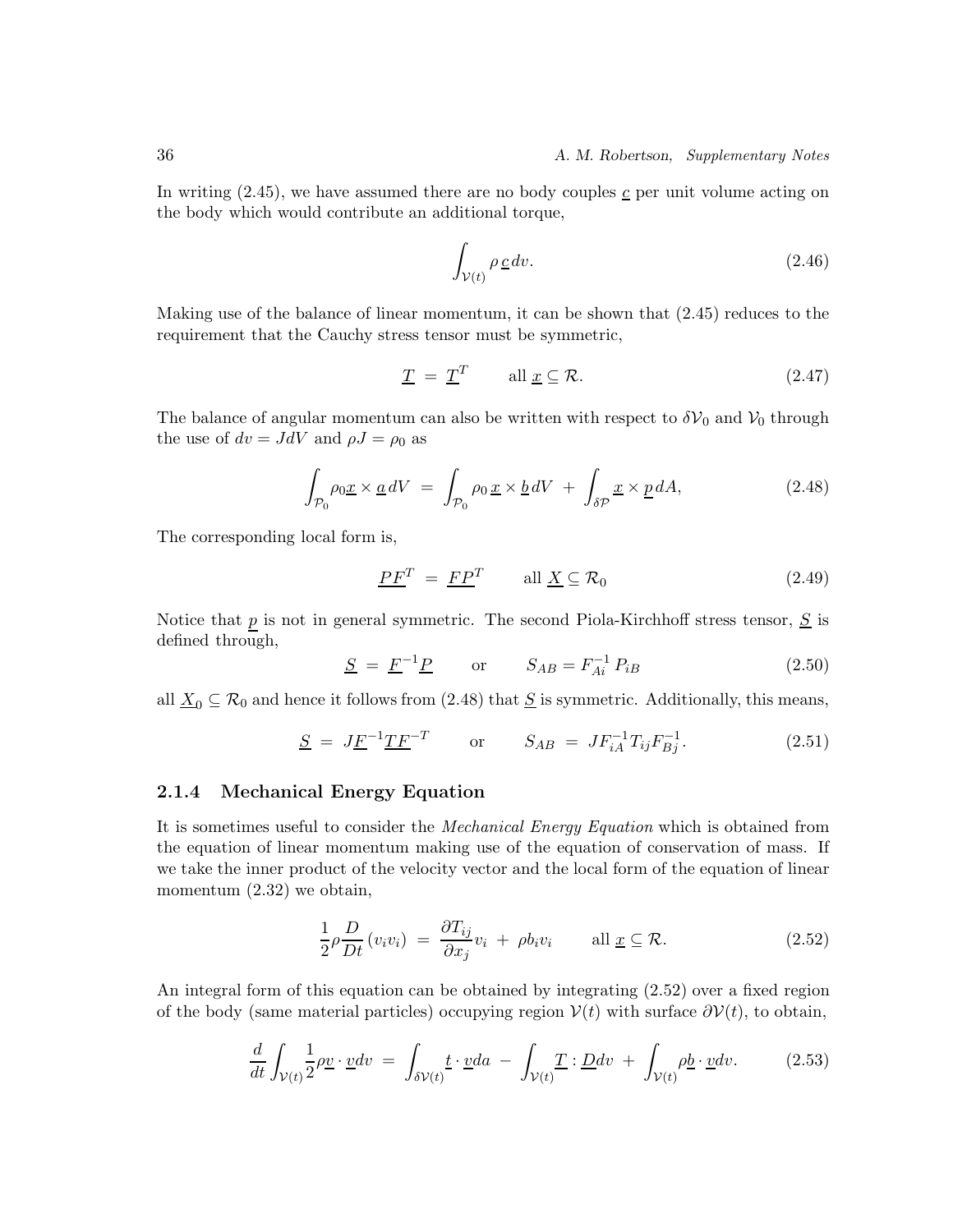In writing  $(2.45)$ , we have assumed there are no body couples  $\epsilon$  per unit volume acting on the body which would contribute an additional torque,

$$
\int_{\mathcal{V}(t)} \rho \underline{c} \, dv. \tag{2.46}
$$

Making use of the balance of linear momentum, it can be shown that (2.45) reduces to the requirement that the Cauchy stress tensor must be symmetric,

$$
\underline{T} = \underline{T}^T \qquad \text{all } \underline{x} \subseteq \mathcal{R}.
$$
 (2.47)

The balance of angular momentum can also be written with respect to  $\delta V_0$  and  $V_0$  through the use of  $dv = JdV$  and  $\rho J = \rho_0$  as

$$
\int_{\mathcal{P}_0} \rho_0 \underline{x} \times \underline{a} \, dV = \int_{\mathcal{P}_0} \rho_0 \, \underline{x} \times \underline{b} \, dV + \int_{\delta \mathcal{P}} \underline{x} \times \underline{p} \, dA,\tag{2.48}
$$

The corresponding local form is,

$$
\underline{PF}^T = \underline{FP}^T \qquad \text{all } \underline{X} \subseteq \mathcal{R}_0 \tag{2.49}
$$

Notice that  $p$  is not in general symmetric. The second Piola-Kirchhoff stress tensor,  $S$  is defined through,

$$
S = F-1P \t or \t  $S_{AB} = F_{Ai}^{-1} P_{iB}$  \t (2.50)
$$

all  $\underline{X}_0 \subseteq \mathcal{R}_0$  and hence it follows from (2.48) that  $\underline{S}$  is symmetric. Additionally, this means,

$$
\underline{S} = J\underline{F}^{-1}\underline{T}\underline{F}^{-T} \qquad \text{or} \qquad S_{AB} = JF_{iA}^{-1}T_{ij}F_{Bj}^{-1}.
$$
 (2.51)

#### **2.1.4 Mechanical Energy Equation**

It is sometimes useful to consider the *Mechanical Energy Equation* which is obtained from the equation of linear momentum making use of the equation of conservation of mass. If we take the inner product of the velocity vector and the local form of the equation of linear momentum  $(2.32)$  we obtain,

$$
\frac{1}{2}\rho \frac{D}{Dt}(v_i v_i) = \frac{\partial T_{ij}}{\partial x_j} v_i + \rho b_i v_i \quad \text{all } \underline{x} \subseteq \mathcal{R}.
$$
 (2.52)

An integral form of this equation can be obtained by integrating (2.52) over a fixed region of the body (same material particles) occupying region  $V(t)$  with surface  $\partial V(t)$ , to obtain,

$$
\frac{d}{dt} \int_{\mathcal{V}(t)} \frac{1}{2} \rho \underline{v} \cdot \underline{v} dv = \int_{\delta \mathcal{V}(t)} \underline{t} \cdot \underline{v} da - \int_{\mathcal{V}(t)} \underline{T} : \underline{D} dv + \int_{\mathcal{V}(t)} \rho \underline{b} \cdot \underline{v} dv. \tag{2.53}
$$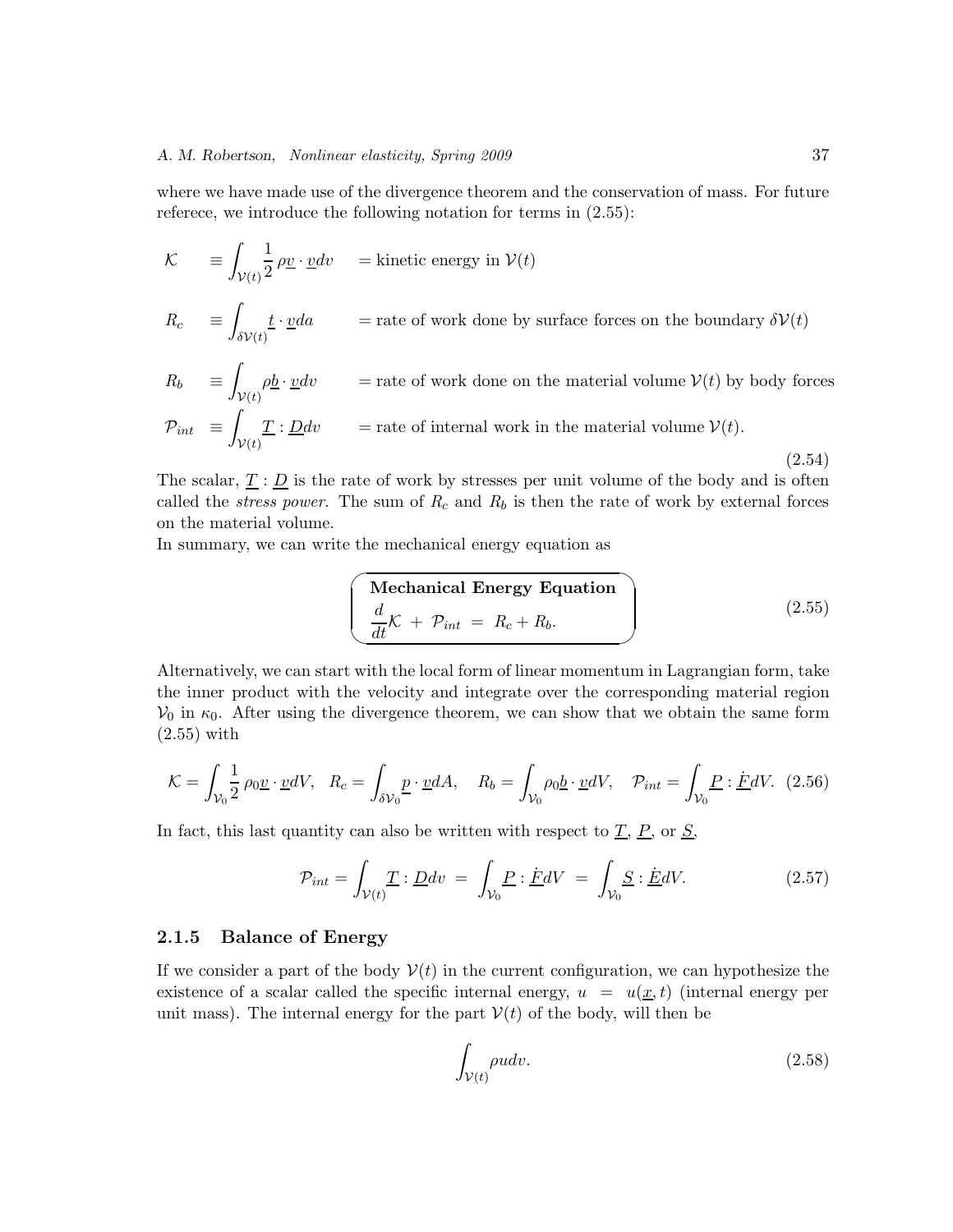where we have made use of the divergence theorem and the conservation of mass. For future referece, we introduce the following notation for terms in (2.55):

$$
\mathcal{K} = \int_{\mathcal{V}(t)} \frac{1}{2} \rho \underline{v} \cdot \underline{v} dv = \text{kinetic energy in } \mathcal{V}(t)
$$
  
\n
$$
R_c = \int_{\delta \mathcal{V}(t)} \underline{t} \cdot \underline{v} da = \text{rate of work done by surface forces on the boundary } \delta \mathcal{V}(t)
$$
  
\n
$$
R_b = \int_{\mathcal{V}(t)} \rho \underline{b} \cdot \underline{v} dv = \text{rate of work done on the material volume } \mathcal{V}(t) \text{ by body forces}
$$

$$
\mathcal{P}_{int} = \int_{\mathcal{V}(t)} \underline{T} : \underline{D} dv \qquad \text{ = rate of internal work in the material volume } \mathcal{V}(t). \tag{2.54}
$$

The scalar,  $\underline{T}$ :  $\underline{D}$  is the rate of work by stresses per unit volume of the body and is often called the *stress power*. The sum of  $R_c$  and  $R_b$  is then the rate of work by external forces on the material volume.

In summary, we can write the mechanical energy equation as

$$
\begin{pmatrix}\n\text{Mechanical Energy Equation} \\
\frac{d}{dt}\mathcal{K} + \mathcal{P}_{int} = R_c + R_b.\n\end{pmatrix}
$$
\n(2.55)

Alternatively, we can start with the local form of linear momentum in Lagrangian form, take the inner product with the velocity and integrate over the corresponding material region  $V_0$  in  $\kappa_0$ . After using the divergence theorem, we can show that we obtain the same form (2.55) with

$$
\mathcal{K} = \int_{\mathcal{V}_0} \frac{1}{2} \rho_0 \underline{v} \cdot \underline{v} dV, \quad R_c = \int_{\delta \mathcal{V}_0} \underline{p} \cdot \underline{v} dA, \quad R_b = \int_{\mathcal{V}_0} \rho_0 \underline{b} \cdot \underline{v} dV, \quad \mathcal{P}_{int} = \int_{\mathcal{V}_0} \underline{P} : \underline{F} dV. \tag{2.56}
$$

In fact, this last quantity can also be written with respect to  $\underline{T}$ ,  $\underline{P}$ , or  $\underline{S}$ ,

$$
\mathcal{P}_{int} = \int_{\mathcal{V}(t)} \underline{T} : \underline{D} dv = \int_{\mathcal{V}_0} \underline{P} : \underline{F} dV = \int_{\mathcal{V}_0} \underline{S} : \underline{E} dV. \tag{2.57}
$$

### **2.1.5 Balance of Energy**

If we consider a part of the body  $V(t)$  in the current configuration, we can hypothesize the existence of a scalar called the specific internal energy,  $u = u(x, t)$  (internal energy per unit mass). The internal energy for the part  $V(t)$  of the body, will then be

$$
\int_{\mathcal{V}(t)} \rho u dv. \tag{2.58}
$$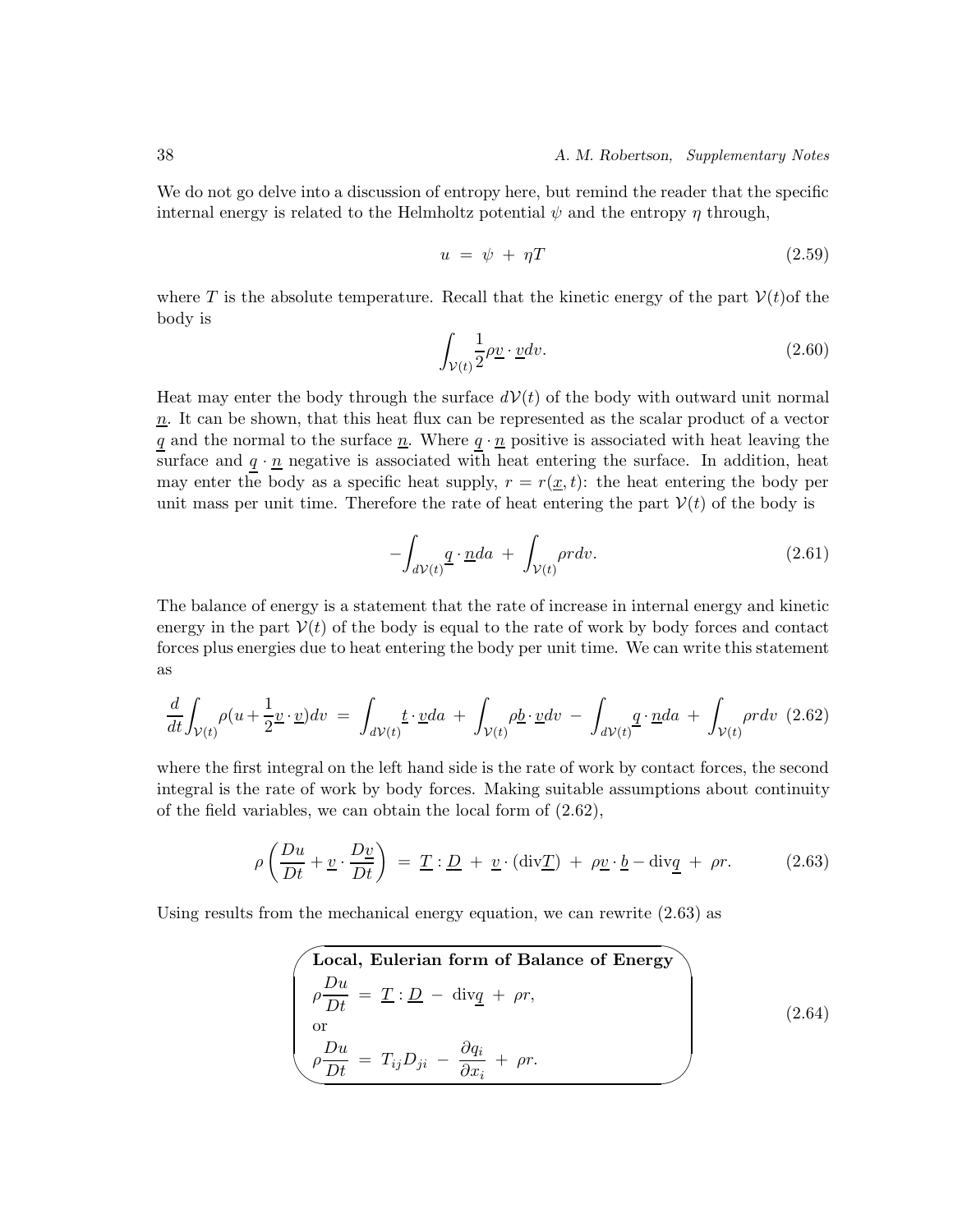We do not go delve into a discussion of entropy here, but remind the reader that the specific internal energy is related to the Helmholtz potential  $\psi$  and the entropy  $\eta$  through,

$$
u = \psi + \eta T \tag{2.59}
$$

where T is the absolute temperature. Recall that the kinetic energy of the part  $V(t)$  of the body is

$$
\int_{\mathcal{V}(t)} \frac{1}{2} \rho \underline{v} \cdot \underline{v} dv. \tag{2.60}
$$

Heat may enter the body through the surface  $dV(t)$  of the body with outward unit normal  $n<sub>n</sub>$ . It can be shown, that this heat flux can be represented as the scalar product of a vector q and the normal to the surface  $\underline{n}$ . Where  $q \cdot \underline{n}$  positive is associated with heat leaving the surface and  $q \cdot \underline{n}$  negative is associated with heat entering the surface. In addition, heat may enter the body as a specific heat supply,  $r = r(\underline{x}, t)$ : the heat entering the body per unit mass per unit time. Therefore the rate of heat entering the part  $V(t)$  of the body is

$$
-\int_{dV(t)} \underline{q} \cdot \underline{n} da + \int_{V(t)} \rho r dv. \tag{2.61}
$$

The balance of energy is a statement that the rate of increase in internal energy and kinetic energy in the part  $V(t)$  of the body is equal to the rate of work by body forces and contact forces plus energies due to heat entering the body per unit time. We can write this statement as

$$
\frac{d}{dt} \int_{\mathcal{V}(t)} \rho(u + \frac{1}{2} \underline{v} \cdot \underline{v}) dv = \int_{d\mathcal{V}(t)} \underline{t} \cdot \underline{v} da + \int_{\mathcal{V}(t)} \rho \underline{b} \cdot \underline{v} dv - \int_{d\mathcal{V}(t)} \underline{q} \cdot \underline{n} da + \int_{\mathcal{V}(t)} \rho r dv \tag{2.62}
$$

where the first integral on the left hand side is the rate of work by contact forces, the second integral is the rate of work by body forces. Making suitable assumptions about continuity of the field variables, we can obtain the local form of (2.62),

$$
\rho\left(\frac{Du}{Dt} + \underline{v} \cdot \frac{D\underline{v}}{Dt}\right) = \underline{T} : \underline{D} + \underline{v} \cdot (\text{div}\underline{T}) + \rho \underline{v} \cdot \underline{b} - \text{div}\underline{q} + \rho r. \tag{2.63}
$$

Using results from the mechanical energy equation, we can rewrite (2.63) as

$$
\begin{cases}\n\text{Local, Eulerian form of Balance of Energy} \\
\rho \frac{Du}{Dt} = \underline{T} : \underline{D} - \text{div}\underline{q} + \rho r, \\
\text{or} \\
\rho \frac{Du}{Dt} = T_{ij}D_{ji} - \frac{\partial q_i}{\partial x_i} + \rho r.\n\end{cases} \tag{2.64}
$$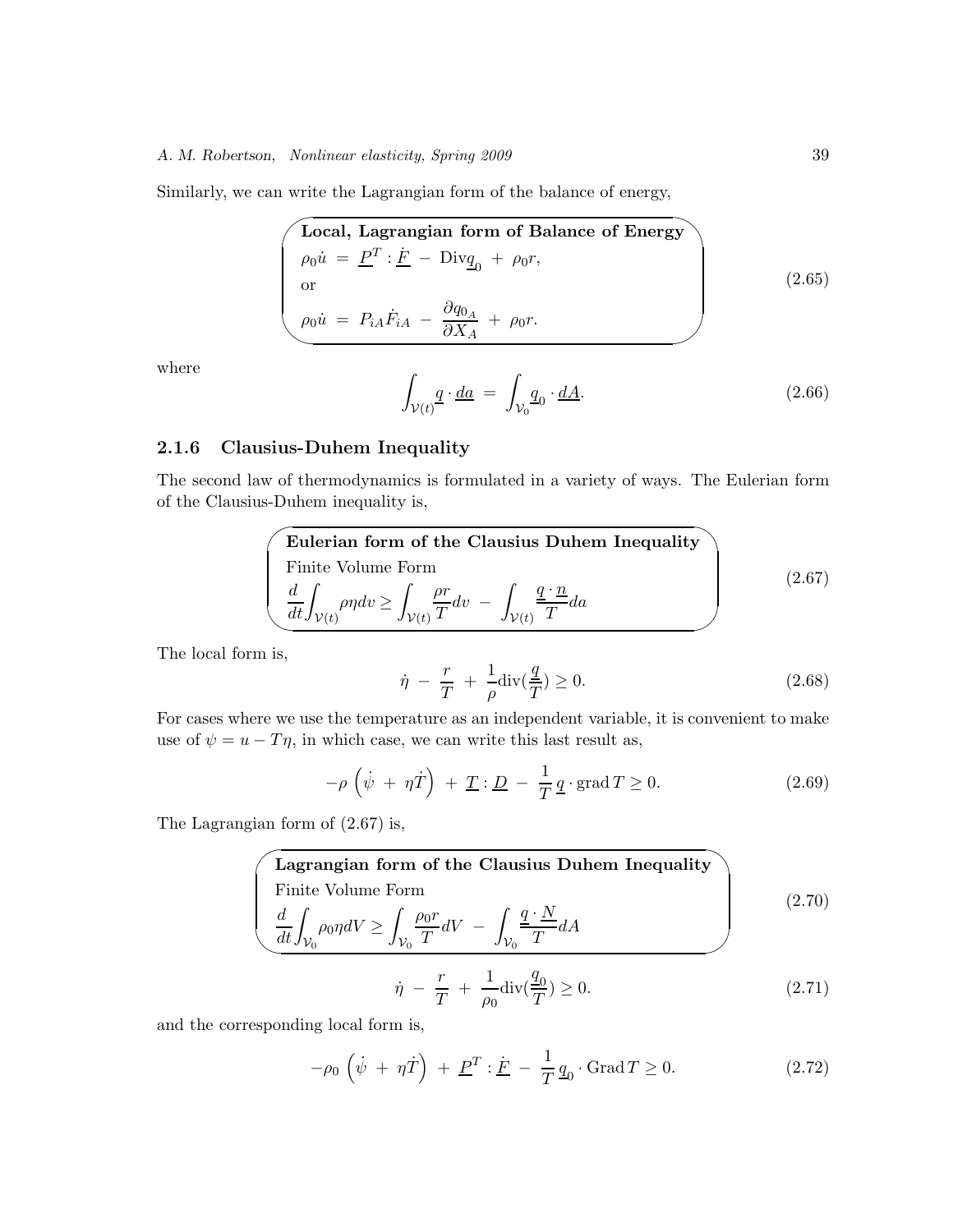Similarly, we can write the Lagrangian form of the balance of energy,

$$
\begin{pmatrix}\n\text{Local, Lagrangian form of Balance of Energy} \\
\rho_0 \dot{u} = \underline{P}^T : \underline{F} - \text{Div}_{\underline{q}_0} + \rho_0 r, \\
\text{or} \\
\rho_0 \dot{u} = P_{iA} \dot{F}_{iA} - \frac{\partial q_{0_A}}{\partial X_A} + \rho_0 r.\n\end{pmatrix}
$$
\n(2.65)

where

$$
\int_{\mathcal{V}(t)} \underline{q} \cdot \underline{da} = \int_{\mathcal{V}_0} \underline{q}_0 \cdot \underline{dA}.
$$
\n(2.66)

### **2.1.6 Clausius-Duhem Inequality**

The second law of thermodynamics is formulated in a variety of ways. The Eulerian form of the Clausius-Duhem inequality is,

**Eulerian form of the Clausius Duhem Inequality**  
Finite Volume Form  

$$
\frac{d}{dt} \int_{\mathcal{V}(t)} \rho \eta dv \ge \int_{\mathcal{V}(t)} \frac{\rho r}{T} dv - \int_{\mathcal{V}(t)} \frac{\underline{q} \cdot \underline{n}}{T} da
$$
 (2.67)

The local form is,

$$
\dot{\eta} - \frac{r}{T} + \frac{1}{\rho} \operatorname{div}(\frac{q}{T}) \ge 0. \tag{2.68}
$$

For cases where we use the temperature as an independent variable, it is convenient to make use of  $\psi = u - T\eta$ , in which case, we can write this last result as,

$$
-\rho \left(\dot{\psi} + \eta \dot{T}\right) + \underline{T} : \underline{D} - \frac{1}{T} \underline{q} \cdot \text{grad } T \ge 0. \tag{2.69}
$$

The Lagrangian form of (2.67) is,

**Lagrangian form of the Clausius Duhem Inequality**  
\nFinite Volume Form  
\n
$$
\frac{d}{dt} \int_{V_0} \rho_0 \eta dV \ge \int_{V_0} \frac{\rho_0 r}{T} dV - \int_{V_0} \frac{q \cdot N}{T} dA
$$
\n
$$
\dot{\eta} - \frac{r}{T} + \frac{1}{\rho_0} \text{div}(\frac{q_0}{T}) \ge 0.
$$
\n(2.71)

and the corresponding local form is,

$$
-\rho_0 \left(\dot{\psi} + \eta \dot{T}\right) + \underline{P}^T : \underline{\dot{F}} - \frac{1}{T} \underline{q}_0 \cdot \text{Grad}\,T \ge 0. \tag{2.72}
$$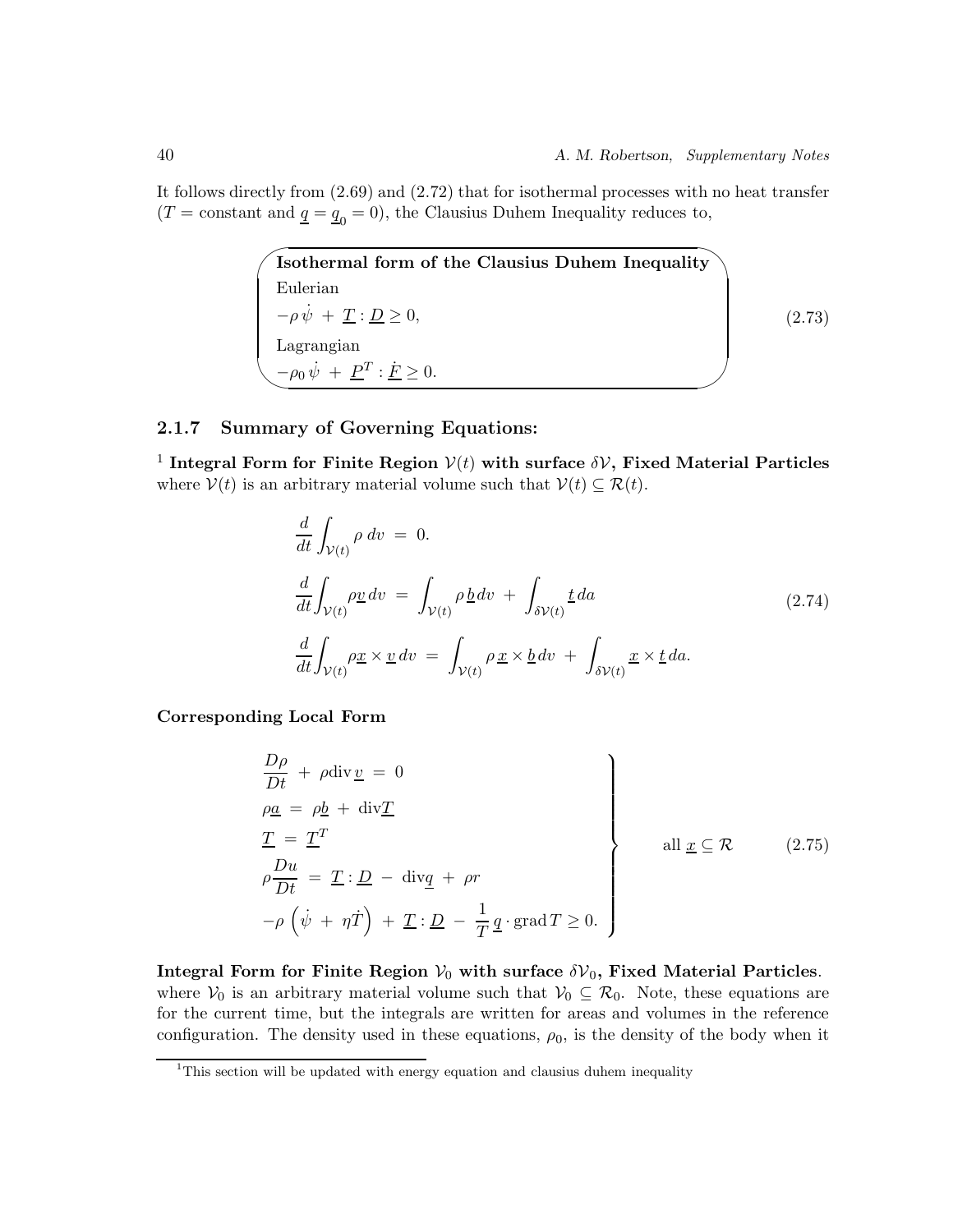It follows directly from (2.69) and (2.72) that for isothermal processes with no heat transfer  $(T = \text{constant} \text{ and } \underline{q} = \underline{q}_0 = 0)$ , the Clausius Duhem Inequality reduces to,

> $\sim$  $\sim$ **Isothermal form of the Clausius Duhem Inequality** Eulerian  $-\rho \dot{\psi} + \underline{T} : \underline{D} \ge 0,$ Lagrangian  $-\rho_0 \dot{\psi} + \underline{P}^T : \dot{F} \ge 0.$

(2.73)

### **2.1.7 Summary of Governing Equations:**

<sup>1</sup> Integral Form for Finite Region  $V(t)$  with surface  $\delta V$ , Fixed Material Particles where  $V(t)$  is an arbitrary material volume such that  $V(t) \subseteq \mathcal{R}(t)$ .

$$
\frac{d}{dt} \int_{\mathcal{V}(t)} \rho \, dv = 0.
$$
\n
$$
\frac{d}{dt} \int_{\mathcal{V}(t)} \rho \underline{v} \, dv = \int_{\mathcal{V}(t)} \rho \underline{b} \, dv + \int_{\delta \mathcal{V}(t)} \underline{t} \, da \tag{2.74}
$$
\n
$$
\frac{d}{dt} \int_{\mathcal{V}(t)} \rho \underline{x} \times \underline{v} \, dv = \int_{\mathcal{V}(t)} \rho \underline{x} \times \underline{b} \, dv + \int_{\delta \mathcal{V}(t)} \underline{x} \times \underline{t} \, da.
$$

**Corresponding Local Form**

$$
\frac{D\rho}{Dt} + \rho \operatorname{div} \underline{v} = 0
$$
\n
$$
\rho \underline{a} = \rho \underline{b} + \operatorname{div} \underline{T}
$$
\n
$$
\underline{T} = \underline{T}^T
$$
\n
$$
\rho \frac{Du}{Dt} = \underline{T} : \underline{D} - \operatorname{div} \underline{q} + \rho r
$$
\n
$$
-\rho \left( \dot{\psi} + \eta \dot{T} \right) + \underline{T} : \underline{D} - \frac{1}{T} \underline{q} \cdot \operatorname{grad} T \ge 0.
$$
\n(2.75)

**Integral Form for Finite Region**  $V_0$  with surface  $\delta V_0$ , Fixed Material Particles. where  $V_0$  is an arbitrary material volume such that  $V_0 \subseteq \mathcal{R}_0$ . Note, these equations are for the current time, but the integrals are written for areas and volumes in the reference configuration. The density used in these equations,  $\rho_0$ , is the density of the body when it

<sup>&</sup>lt;sup>1</sup>This section will be updated with energy equation and clausius duhem inequality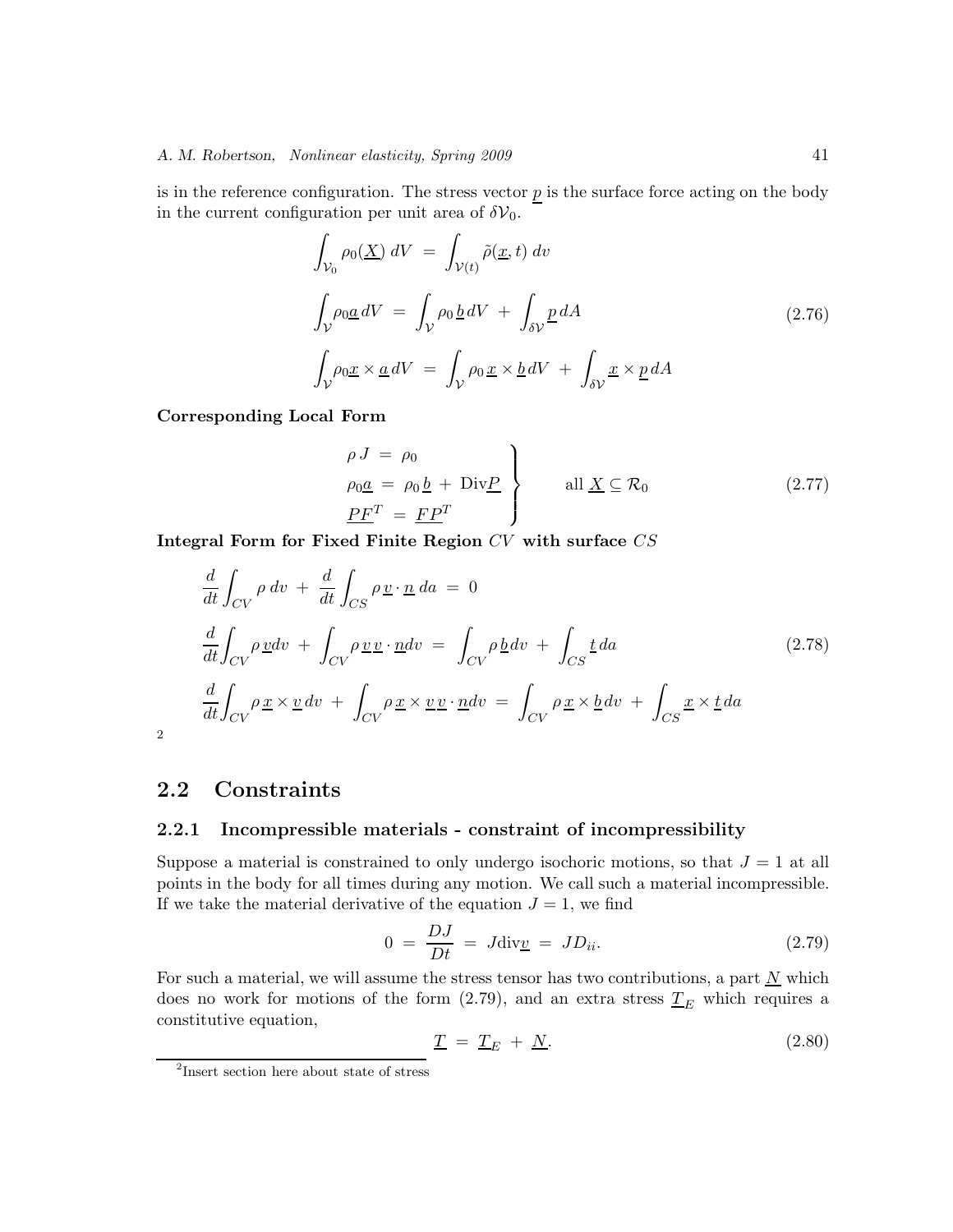is in the reference configuration. The stress vector  $p$  is the surface force acting on the body in the current configuration per unit area of  $\delta V_0$ .

$$
\int_{\mathcal{V}_0} \rho_0(\underline{X}) \, dV = \int_{\mathcal{V}(t)} \tilde{\rho}(\underline{x}, t) \, dv
$$
\n
$$
\int_{\mathcal{V}} \rho_0 \underline{a} \, dV = \int_{\mathcal{V}} \rho_0 \, \underline{b} \, dV + \int_{\delta \mathcal{V}} \underline{p} \, dA
$$
\n
$$
\int_{\mathcal{V}} \rho_0 \underline{x} \times \underline{a} \, dV = \int_{\mathcal{V}} \rho_0 \, \underline{x} \times \underline{b} \, dV + \int_{\delta \mathcal{V}} \underline{x} \times \underline{p} \, dA
$$
\n(2.76)

**Corresponding Local Form**

$$
\rho J = \rho_0
$$
\n
$$
\rho_0 \underline{a} = \rho_0 \underline{b} + \text{Div} \underline{P}
$$
\n
$$
\frac{P F^T}{\rho_0} = \frac{F P^T}{\rho_0} \qquad \text{all } \underline{X} \subseteq \mathcal{R}_0 \qquad (2.77)
$$

**Integral Form for Fixed Finite Region** CV **with surface** CS

$$
\frac{d}{dt} \int_{CV} \rho \, dv + \frac{d}{dt} \int_{CS} \rho \underline{v} \cdot \underline{n} \, da = 0
$$
\n
$$
\frac{d}{dt} \int_{CV} \rho \underline{v} dv + \int_{CV} \rho \underline{v} \underline{v} \cdot \underline{n} dv = \int_{CV} \rho \underline{b} \, dv + \int_{CS} \underline{t} \, da \tag{2.78}
$$
\n
$$
\frac{d}{dt} \int_{CV} \rho \underline{x} \times \underline{v} \, dv + \int_{CV} \rho \underline{x} \times \underline{v} \underline{v} \cdot \underline{n} dv = \int_{CV} \rho \underline{x} \times \underline{b} \, dv + \int_{CS} \underline{x} \times \underline{t} \, da
$$

2

### **2.2 Constraints**

### **2.2.1 Incompressible materials - constraint of incompressibility**

Suppose a material is constrained to only undergo isochoric motions, so that  $J = 1$  at all points in the body for all times during any motion. We call such a material incompressible. If we take the material derivative of the equation  $J = 1$ , we find

$$
0 = \frac{DJ}{Dt} = J \text{div} \underline{v} = JD_{ii}.
$$
 (2.79)

For such a material, we will assume the stress tensor has two contributions, a part  $\underline{N}$  which does no work for motions of the form  $(2.79)$ , and an extra stress  $T_E$  which requires a<br>constitutive equation constitutive equation,

$$
\underline{T} = \underline{T}_E + \underline{N}.\tag{2.80}
$$

<sup>2</sup>Insert section here about state of stress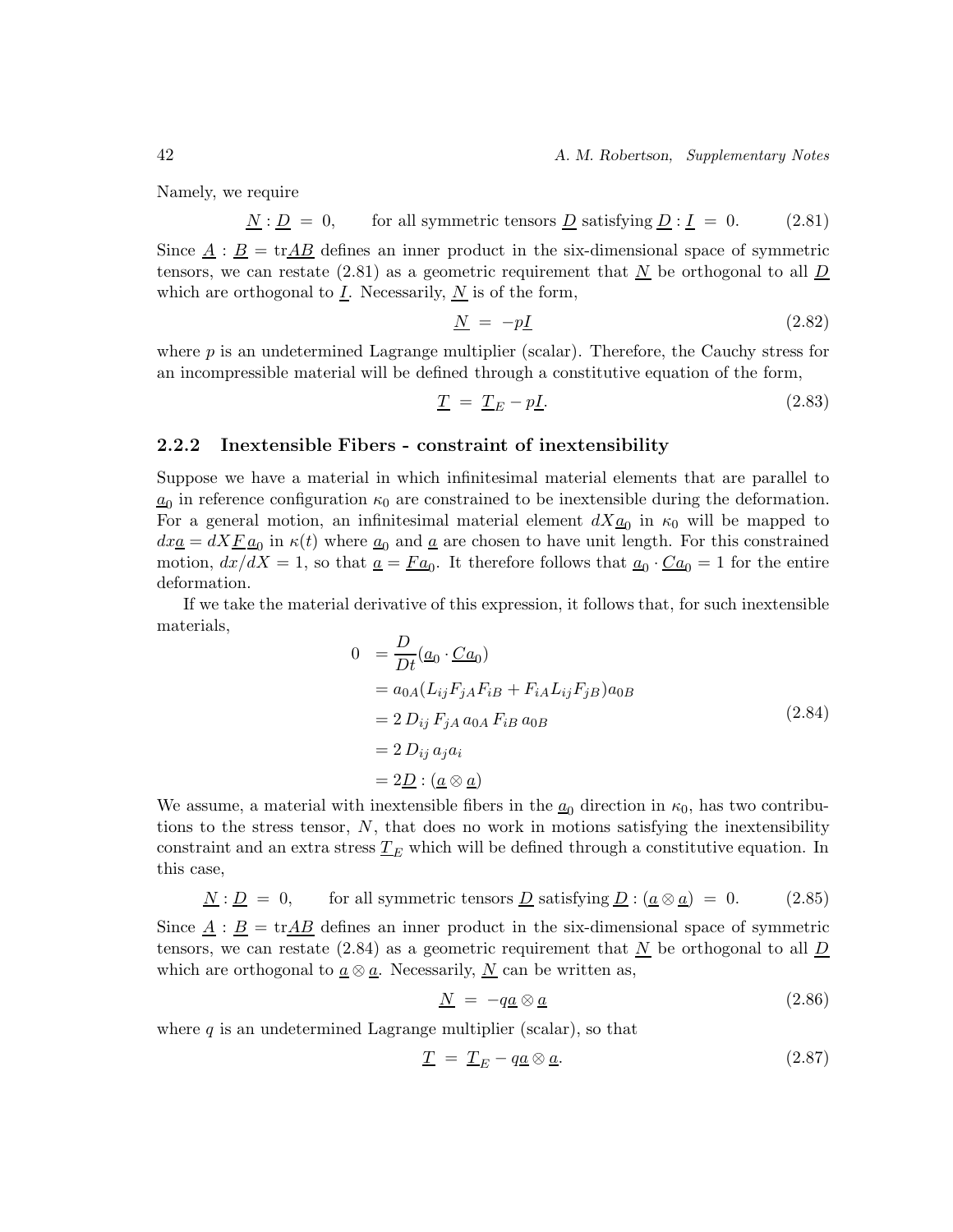42 *A. M. Robertson, Supplementary Notes*

Namely, we require

$$
N : D = 0, for all symmetric tensors D satisfying D : I = 0.
$$
 (2.81)

Since  $\underline{A}$  :  $\underline{B}$  = tr $\underline{AB}$  defines an inner product in the six-dimensional space of symmetric tensors, we can restate (2.81) as a geometric requirement that  $\underline{N}$  be orthogonal to all  $\underline{D}$ which are orthogonal to  $\underline{I}$ . Necessarily,  $\underline{N}$  is of the form,

$$
\underline{N} = -p\underline{I} \tag{2.82}
$$

where  $p$  is an undetermined Lagrange multiplier (scalar). Therefore, the Cauchy stress for an incompressible material will be defined through a constitutive equation of the form,

$$
\underline{T} = \underline{T}_E - p\underline{I}.\tag{2.83}
$$

### **2.2.2 Inextensible Fibers - constraint of inextensibility**

Suppose we have a material in which infinitesimal material elements that are parallel to  $a_0$  in reference configuration  $\kappa_0$  are constrained to be inextensible during the deformation. For a general motion, an infinitesimal material element  $dX_{\underline{a}_0}$  in  $\kappa_0$  will be mapped to  $dx_{\mathbf{a}} = dX \underline{F} \underline{a}_0$  in  $\kappa(t)$  where  $\underline{a}_0$  and  $\underline{a}$  are chosen to have unit length. For this constrained motion,  $dx/dX = 1$ , so that  $\underline{a} = \underline{Fa}_0$ . It therefore follows that  $\underline{a}_0 \cdot \underline{Ca}_0 = 1$  for the entire deformation.

If we take the material derivative of this expression, it follows that, for such inextensible materials,

$$
0 = \frac{D}{Dt}(\underline{a}_0 \cdot \underline{C} \underline{a}_0)
$$
  
=  $a_{0A}(L_{ij}F_{jA}F_{iB} + F_{iA}L_{ij}F_{jB})a_{0B}$   
=  $2 D_{ij} F_{jA} a_{0A} F_{iB} a_{0B}$   
=  $2 D_{ij} a_j a_i$   
=  $2\underline{D} : (\underline{a} \otimes \underline{a})$  (2.84)

We assume, a material with inextensible fibers in the  $a_0$  direction in  $\kappa_0$ , has two contributions to the stress tensor, N, that does no work in motions satisfying the inextensibility constraint and an extra stress  $T_E$  which will be defined through a constitutive equation. In this asso this case,

$$
N : D = 0, \tfor all symmetric tensors D satisfying D : (a \otimes a) = 0. \t(2.85)
$$

Since  $\underline{A}$  :  $\underline{B}$  = tr $\underline{AB}$  defines an inner product in the six-dimensional space of symmetric tensors, we can restate (2.84) as a geometric requirement that  $\underline{N}$  be orthogonal to all  $\underline{D}$ which are orthogonal to  $\underline{a} \otimes \underline{a}$ . Necessarily,  $\underline{N}$  can be written as,

$$
\underline{N} = -q\underline{a} \otimes \underline{a} \tag{2.86}
$$

where  $q$  is an undetermined Lagrange multiplier (scalar), so that

$$
\underline{T} = \underline{T}_E - q\underline{a} \otimes \underline{a}.\tag{2.87}
$$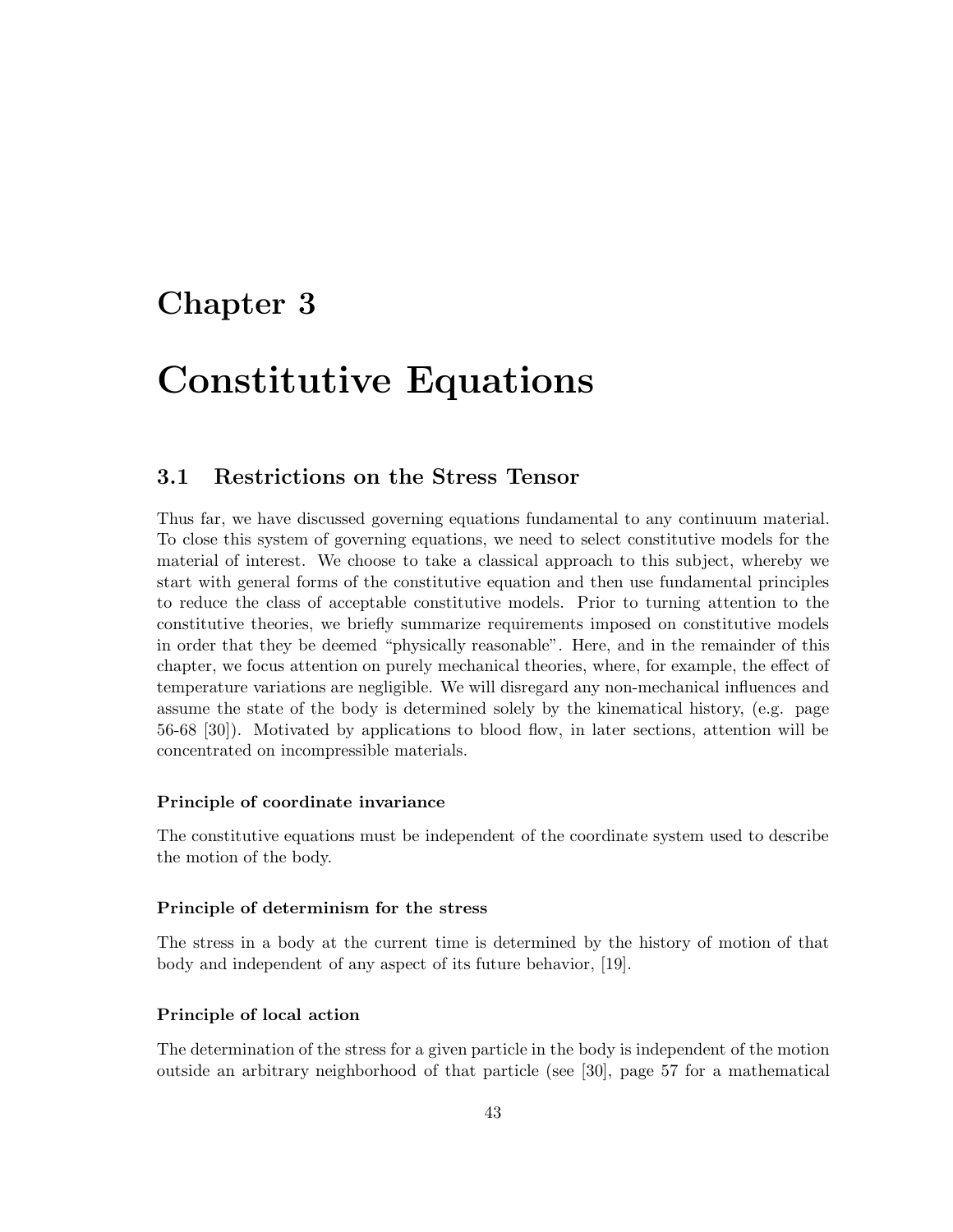## **Chapter 3**

## **Constitutive Equations**

### **3.1 Restrictions on the Stress Tensor**

Thus far, we have discussed governing equations fundamental to any continuum material. To close this system of governing equations, we need to select constitutive models for the material of interest. We choose to take a classical approach to this subject, whereby we start with general forms of the constitutive equation and then use fundamental principles to reduce the class of acceptable constitutive models. Prior to turning attention to the constitutive theories, we briefly summarize requirements imposed on constitutive models in order that they be deemed "physically reasonable". Here, and in the remainder of this chapter, we focus attention on purely mechanical theories, where, for example, the effect of temperature variations are negligible. We will disregard any non-mechanical influences and assume the state of the body is determined solely by the kinematical history, (e.g. page 56-68 [30]). Motivated by applications to blood flow, in later sections, attention will be concentrated on incompressible materials.

### **Principle of coordinate invariance**

The constitutive equations must be independent of the coordinate system used to describe the motion of the body.

### **Principle of determinism for the stress**

The stress in a body at the current time is determined by the history of motion of that body and independent of any aspect of its future behavior, [19].

### **Principle of local action**

The determination of the stress for a given particle in the body is independent of the motion outside an arbitrary neighborhood of that particle (see [30], page 57 for a mathematical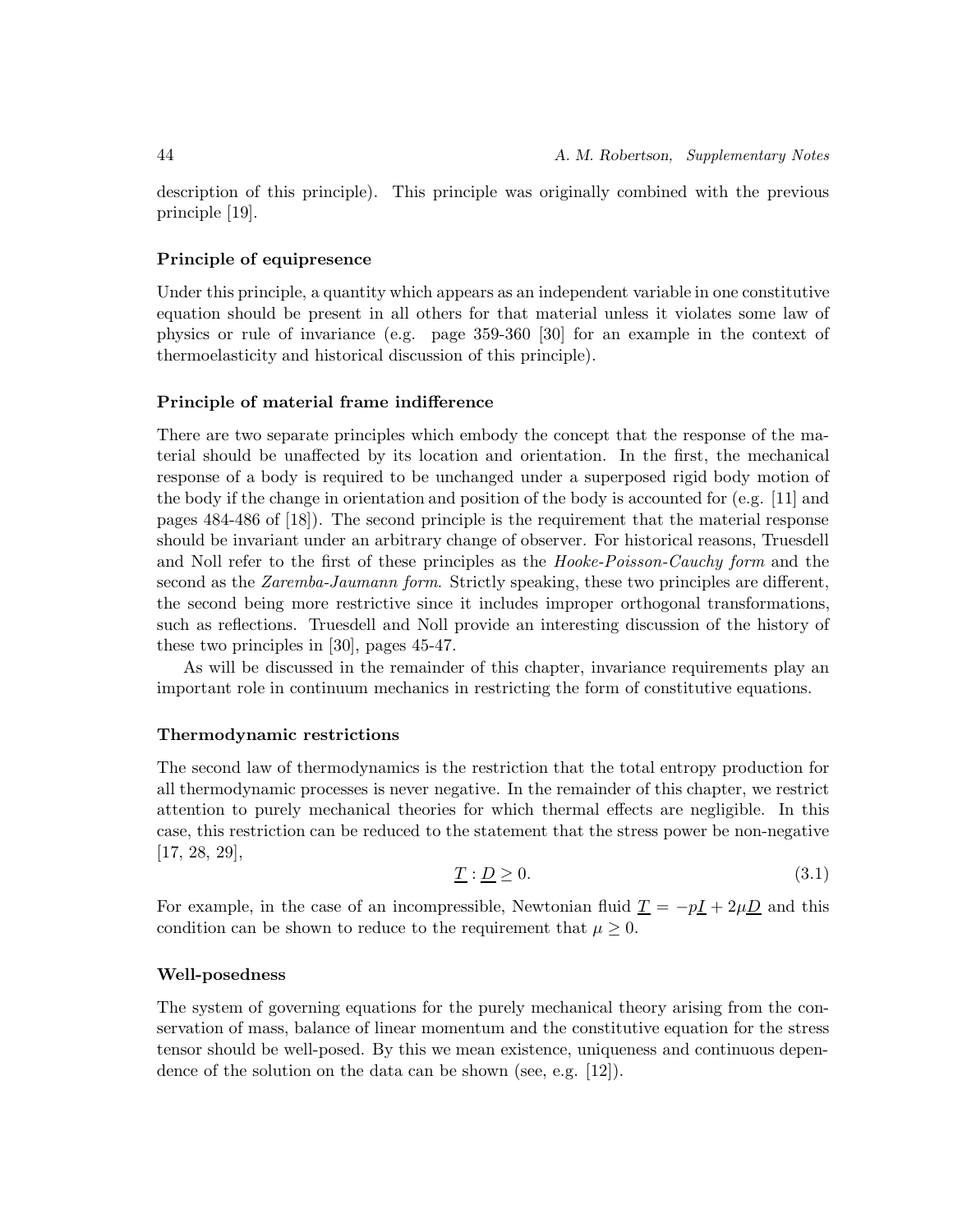description of this principle). This principle was originally combined with the previous principle [19].

### **Principle of equipresence**

Under this principle, a quantity which appears as an independent variable in one constitutive equation should be present in all others for that material unless it violates some law of physics or rule of invariance (e.g. page 359-360 [30] for an example in the context of thermoelasticity and historical discussion of this principle).

### **Principle of material frame indifference**

There are two separate principles which embody the concept that the response of the material should be unaffected by its location and orientation. In the first, the mechanical response of a body is required to be unchanged under a superposed rigid body motion of the body if the change in orientation and position of the body is accounted for (e.g. [11] and pages 484-486 of [18]). The second principle is the requirement that the material response should be invariant under an arbitrary change of observer. For historical reasons, Truesdell and Noll refer to the first of these principles as the *Hooke-Poisson-Cauchy form* and the second as the *Zaremba-Jaumann form*. Strictly speaking, these two principles are different, the second being more restrictive since it includes improper orthogonal transformations, such as reflections. Truesdell and Noll provide an interesting discussion of the history of these two principles in [30], pages 45-47.

As will be discussed in the remainder of this chapter, invariance requirements play an important role in continuum mechanics in restricting the form of constitutive equations.

### **Thermodynamic restrictions**

The second law of thermodynamics is the restriction that the total entropy production for all thermodynamic processes is never negative. In the remainder of this chapter, we restrict attention to purely mechanical theories for which thermal effects are negligible. In this case, this restriction can be reduced to the statement that the stress power be non-negative [17, 28, 29],

$$
\underline{T} : \underline{D} \ge 0. \tag{3.1}
$$

For example, in the case of an incompressible, Newtonian fluid  $\underline{T} = -p\underline{I} + 2\mu\underline{D}$  and this condition can be shown to reduce to the requirement that  $\mu \geq 0$ .

### **Well-posedness**

The system of governing equations for the purely mechanical theory arising from the conservation of mass, balance of linear momentum and the constitutive equation for the stress tensor should be well-posed. By this we mean existence, uniqueness and continuous dependence of the solution on the data can be shown (see, e.g. [12]).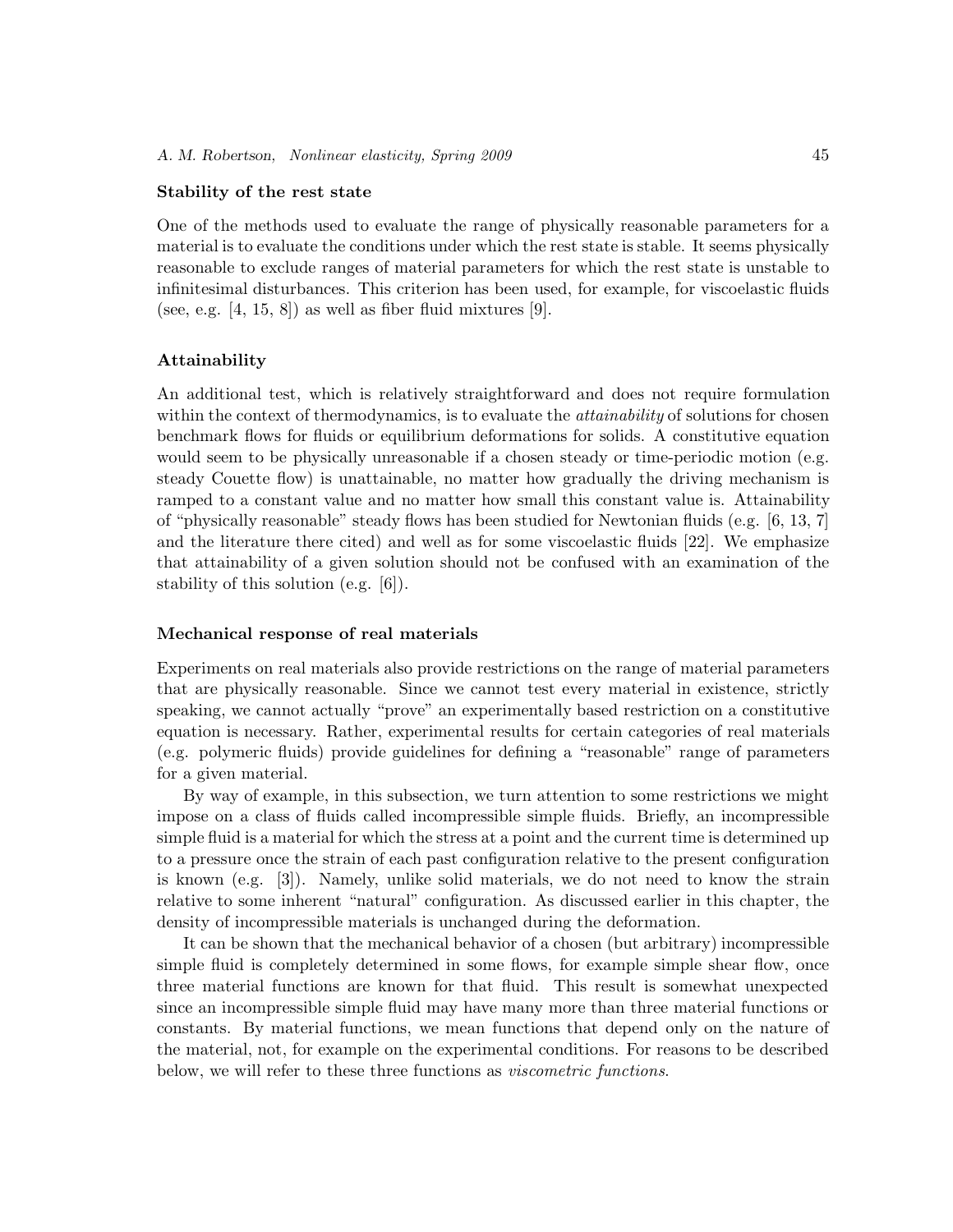### **Stability of the rest state**

One of the methods used to evaluate the range of physically reasonable parameters for a material is to evaluate the conditions under which the rest state is stable. It seems physically reasonable to exclude ranges of material parameters for which the rest state is unstable to infinitesimal disturbances. This criterion has been used, for example, for viscoelastic fluids (see, e.g.  $[4, 15, 8]$ ) as well as fiber fluid mixtures  $[9]$ .

### **Attainability**

An additional test, which is relatively straightforward and does not require formulation within the context of thermodynamics, is to evaluate the *attainability* of solutions for chosen benchmark flows for fluids or equilibrium deformations for solids. A constitutive equation would seem to be physically unreasonable if a chosen steady or time-periodic motion (e.g. steady Couette flow) is unattainable, no matter how gradually the driving mechanism is ramped to a constant value and no matter how small this constant value is. Attainability of "physically reasonable" steady flows has been studied for Newtonian fluids (e.g. [6, 13, 7] and the literature there cited) and well as for some viscoelastic fluids [22]. We emphasize that attainability of a given solution should not be confused with an examination of the stability of this solution (e.g. [6]).

### **Mechanical response of real materials**

Experiments on real materials also provide restrictions on the range of material parameters that are physically reasonable. Since we cannot test every material in existence, strictly speaking, we cannot actually "prove" an experimentally based restriction on a constitutive equation is necessary. Rather, experimental results for certain categories of real materials (e.g. polymeric fluids) provide guidelines for defining a "reasonable" range of parameters for a given material.

By way of example, in this subsection, we turn attention to some restrictions we might impose on a class of fluids called incompressible simple fluids. Briefly, an incompressible simple fluid is a material for which the stress at a point and the current time is determined up to a pressure once the strain of each past configuration relative to the present configuration is known (e.g. [3]). Namely, unlike solid materials, we do not need to know the strain relative to some inherent "natural" configuration. As discussed earlier in this chapter, the density of incompressible materials is unchanged during the deformation.

It can be shown that the mechanical behavior of a chosen (but arbitrary) incompressible simple fluid is completely determined in some flows, for example simple shear flow, once three material functions are known for that fluid. This result is somewhat unexpected since an incompressible simple fluid may have many more than three material functions or constants. By material functions, we mean functions that depend only on the nature of the material, not, for example on the experimental conditions. For reasons to be described below, we will refer to these three functions as *viscometric functions*.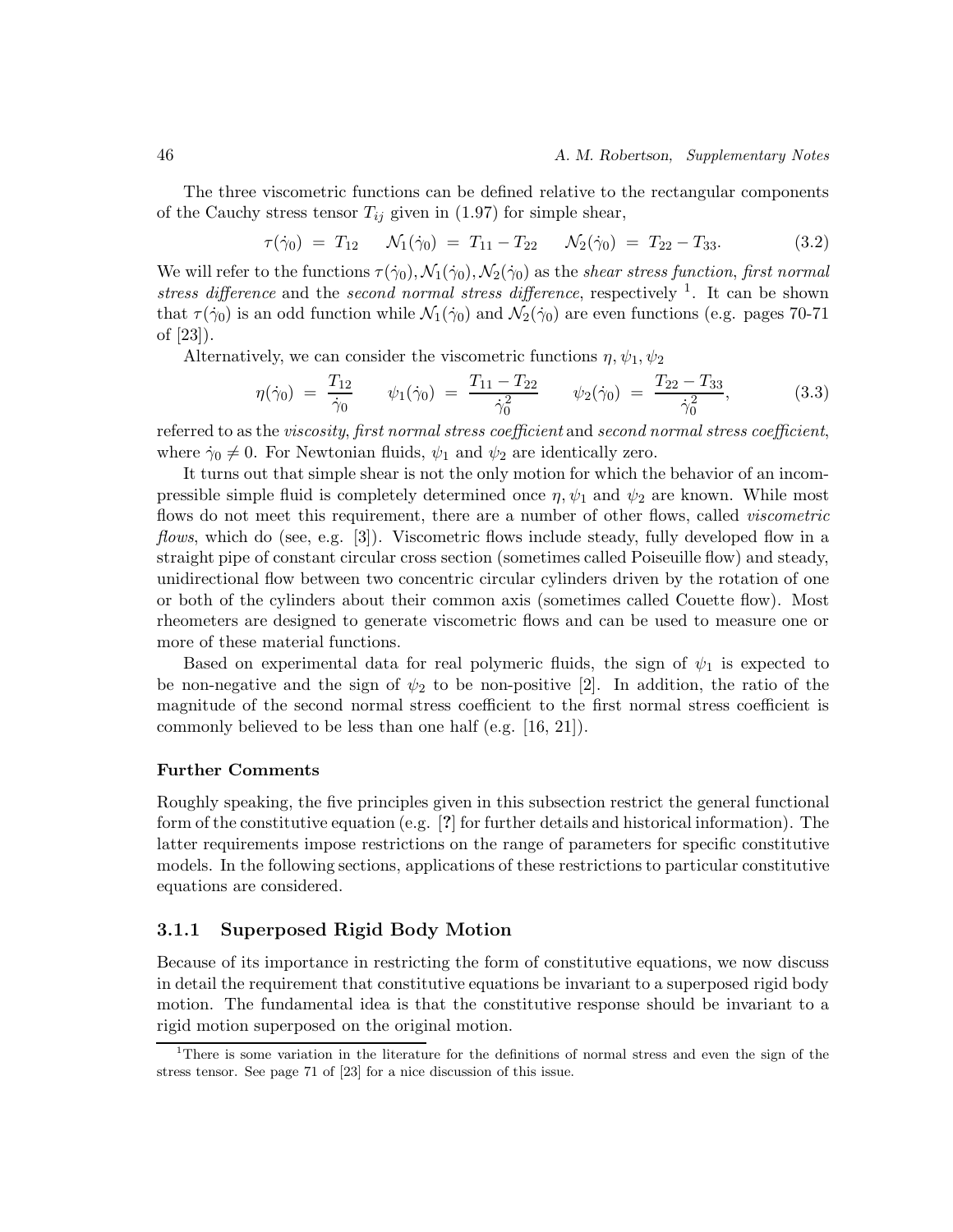The three viscometric functions can be defined relative to the rectangular components of the Cauchy stress tensor  $T_{ij}$  given in (1.97) for simple shear,

$$
\tau(\dot{\gamma}_0) = T_{12} \qquad \mathcal{N}_1(\dot{\gamma}_0) = T_{11} - T_{22} \qquad \mathcal{N}_2(\dot{\gamma}_0) = T_{22} - T_{33}.\tag{3.2}
$$

We will refer to the functions  $\tau(\dot{\gamma}_0), \mathcal{N}_1(\dot{\gamma}_0), \mathcal{N}_2(\dot{\gamma}_0)$  as the *shear stress function*, *first normal stress difference* and the *second normal stress difference*, respectively <sup>1</sup>. It can be shown that  $\tau(\dot{\gamma}_0)$  is an odd function while  $\mathcal{N}_1(\dot{\gamma}_0)$  and  $\mathcal{N}_2(\dot{\gamma}_0)$  are even functions (e.g. pages 70-71 of [23]).

Alternatively, we can consider the viscometric functions  $\eta$ ,  $\psi_1$ ,  $\psi_2$ 

$$
\eta(\dot{\gamma}_0) = \frac{T_{12}}{\dot{\gamma}_0} \qquad \psi_1(\dot{\gamma}_0) = \frac{T_{11} - T_{22}}{\dot{\gamma}_0^2} \qquad \psi_2(\dot{\gamma}_0) = \frac{T_{22} - T_{33}}{\dot{\gamma}_0^2},\tag{3.3}
$$

referred to as the *viscosity*, *first normal stress coefficient* and *second normal stress coefficient*, where  $\dot{\gamma}_0 \neq 0$ . For Newtonian fluids,  $\psi_1$  and  $\psi_2$  are identically zero.

It turns out that simple shear is not the only motion for which the behavior of an incompressible simple fluid is completely determined once  $\eta$ ,  $\psi_1$  and  $\psi_2$  are known. While most flows do not meet this requirement, there are a number of other flows, called *viscometric flows*, which do (see, e.g. [3]). Viscometric flows include steady, fully developed flow in a straight pipe of constant circular cross section (sometimes called Poiseuille flow) and steady, unidirectional flow between two concentric circular cylinders driven by the rotation of one or both of the cylinders about their common axis (sometimes called Couette flow). Most rheometers are designed to generate viscometric flows and can be used to measure one or more of these material functions.

Based on experimental data for real polymeric fluids, the sign of  $\psi_1$  is expected to be non-negative and the sign of  $\psi_2$  to be non-positive [2]. In addition, the ratio of the magnitude of the second normal stress coefficient to the first normal stress coefficient is commonly believed to be less than one half (e.g. [16, 21]).

### **Further Comments**

Roughly speaking, the five principles given in this subsection restrict the general functional form of the constitutive equation (e.g. [**?**] for further details and historical information). The latter requirements impose restrictions on the range of parameters for specific constitutive models. In the following sections, applications of these restrictions to particular constitutive equations are considered.

### **3.1.1 Superposed Rigid Body Motion**

Because of its importance in restricting the form of constitutive equations, we now discuss in detail the requirement that constitutive equations be invariant to a superposed rigid body motion. The fundamental idea is that the constitutive response should be invariant to a rigid motion superposed on the original motion.

<sup>1</sup>There is some variation in the literature for the definitions of normal stress and even the sign of the stress tensor. See page 71 of [23] for a nice discussion of this issue.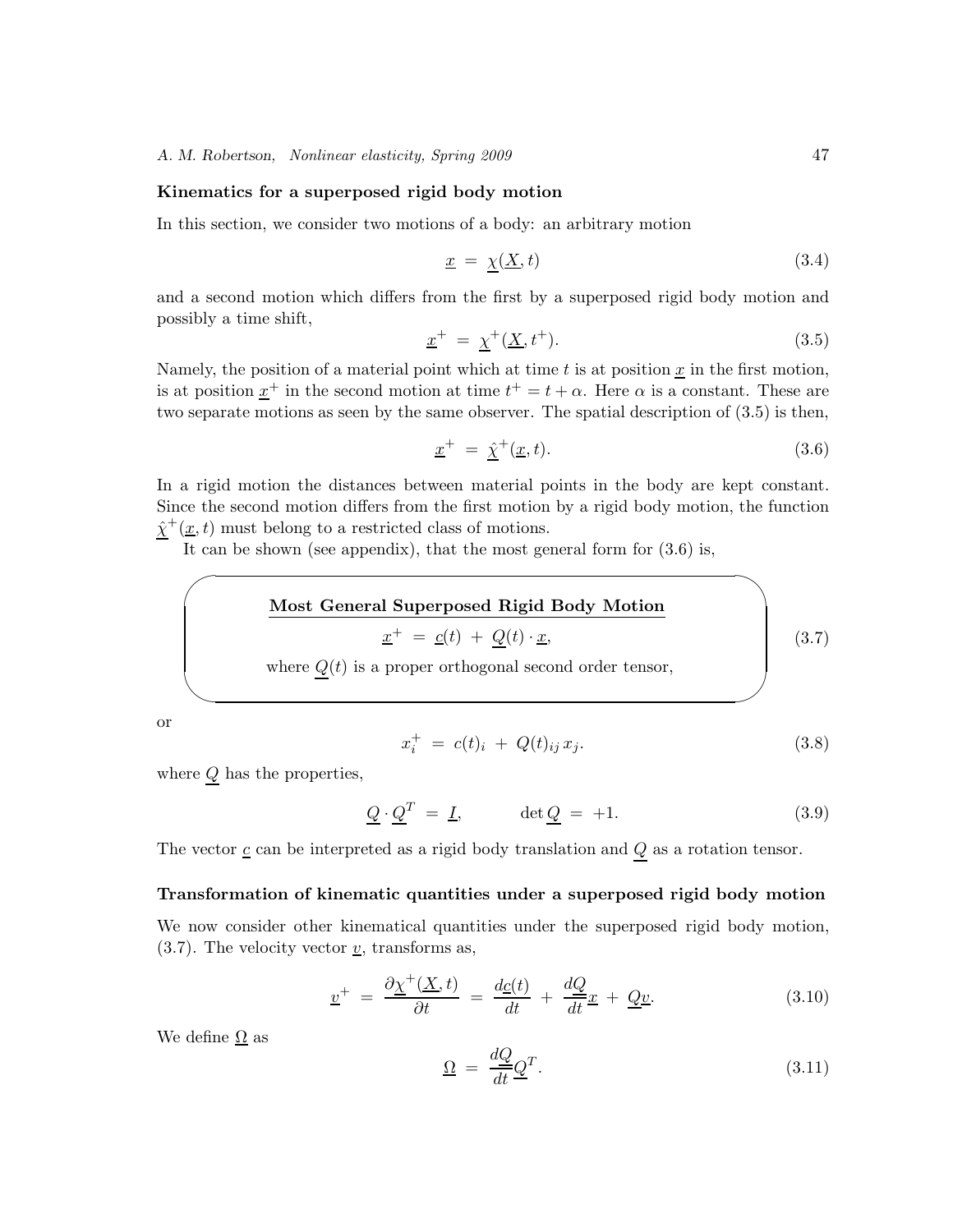#### **Kinematics for a superposed rigid body motion**

In this section, we consider two motions of a body: an arbitrary motion

$$
\underline{x} = \underline{\chi}(\underline{X}, t) \tag{3.4}
$$

and a second motion which differs from the first by a superposed rigid body motion and possibly a time shift,

$$
\underline{x}^+ = \underline{\chi}^+(\underline{X}, t^+). \tag{3.5}
$$

Namely, the position of a material point which at time  $t$  is at position  $\underline{x}$  in the first motion, is at position  $\underline{x}^+$  in the second motion at time  $t^+ = t + \alpha$ . Here  $\alpha$  is a constant. These are two separate motions as seen by the same observer. The spatial description of (3.5) is then,

$$
\underline{x}^+ = \hat{\chi}^+(\underline{x}, t). \tag{3.6}
$$

In a rigid motion the distances between material points in the body are kept constant. Since the second motion differs from the first motion by a rigid body motion, the function  $\hat{\chi}^+(\underline{x}, t)$  must belong to a restricted class of motions.

It can be shown (see appendix), that the most general form for  $(3.6)$  is,

Most General Superposed Rigid Body Motion  
\n
$$
\underline{x}^+ = \underline{c}(t) + \underline{Q}(t) \cdot \underline{x},
$$
\nwhere  $\underline{Q}(t)$  is a proper orthogonal second order tensor, (3.7)

or

 $\sim$ 

✫

$$
x_i^+ = c(t)_i + Q(t)_{ij} x_j. \tag{3.8}
$$

where  $Q$  has the properties,

$$
\underline{Q} \cdot \underline{Q}^T = \underline{I}, \qquad \det \underline{Q} = +1. \tag{3.9}
$$

The vector  $\underline{c}$  can be interpreted as a rigid body translation and  $\underline{Q}$  as a rotation tensor.

#### **Transformation of kinematic quantities under a superposed rigid body motion**

We now consider other kinematical quantities under the superposed rigid body motion,  $(3.7)$ . The velocity vector  $\underline{v}$ , transforms as,

$$
\underline{v}^{+} = \frac{\partial \underline{\chi}^{+}(\underline{X},t)}{\partial t} = \frac{d\underline{c}(t)}{dt} + \frac{d\underline{Q}}{dt}\underline{x} + \underline{Q}\underline{v}.
$$
 (3.10)

We define  $\Omega$  as

$$
\underline{\Omega} = \frac{dQ}{dt} \underline{Q}^T. \tag{3.11}
$$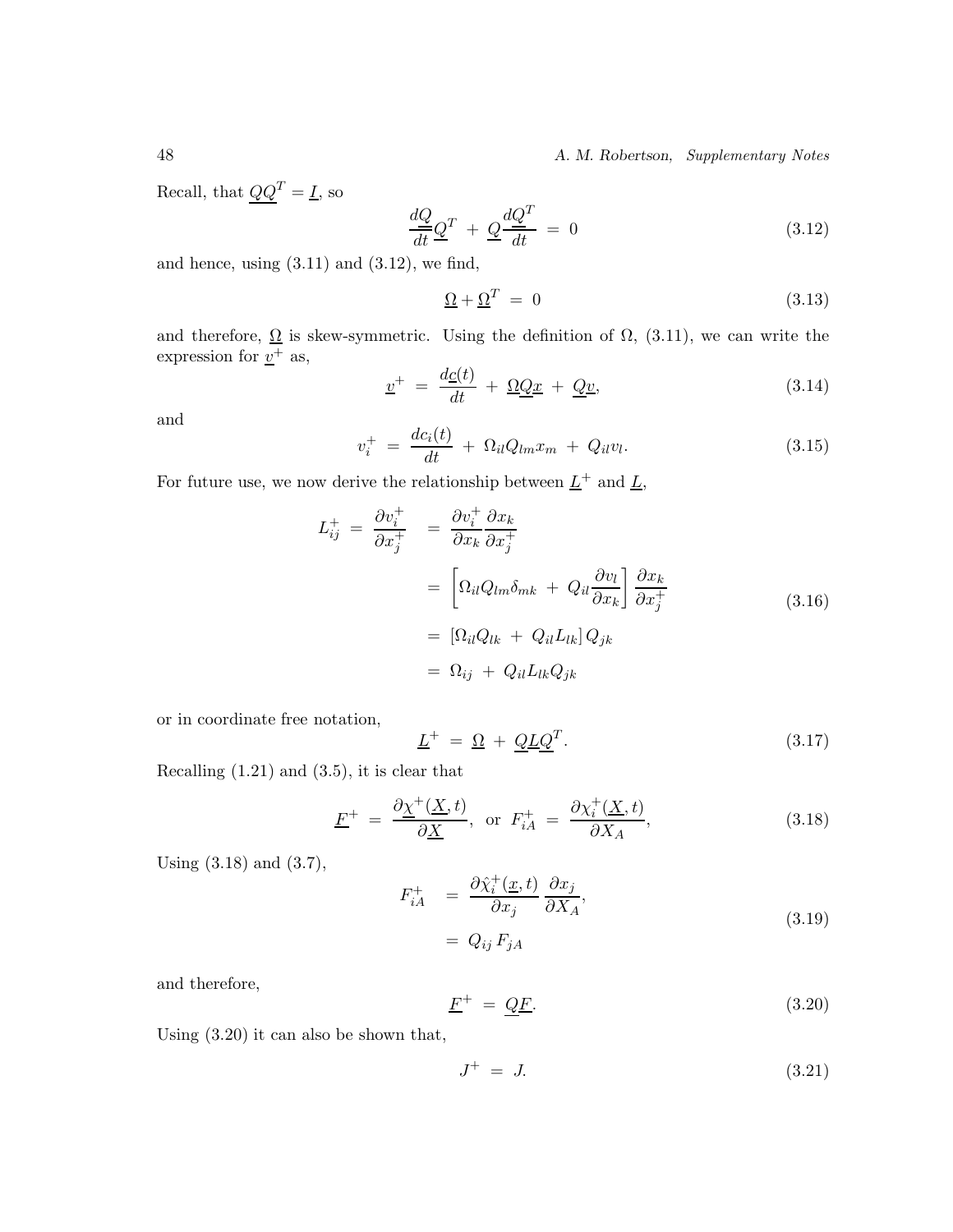48 *A. M. Robertson, Supplementary Notes*

Recall, that  $\underline{Q}\underline{Q}^T=\underline{I},$  so

$$
\frac{dQ}{dt}\underline{Q}^T + \underline{Q}\frac{dQ^T}{dt} = 0\tag{3.12}
$$

and hence, using  $(3.11)$  and  $(3.12)$ , we find,

$$
\underline{\Omega} + \underline{\Omega}^T = 0 \tag{3.13}
$$

and therefore,  $\Omega$  is skew-symmetric. Using the definition of  $\Omega$ , (3.11), we can write the expression for  $\underline{v}^+$  as,

$$
\underline{v}^{+} = \frac{d\underline{c}(t)}{dt} + \underline{\Omega}\underline{Q}\underline{x} + \underline{Q}\underline{v},\tag{3.14}
$$

and

$$
v_i^+ = \frac{dc_i(t)}{dt} + \Omega_{il}Q_{lm}x_m + Q_{il}v_l.
$$
 (3.15)

For future use, we now derive the relationship between  $\underline{L}^+$  and<br>  $\underline{L},$ 

$$
L_{ij}^{+} = \frac{\partial v_i^{+}}{\partial x_j^{+}} = \frac{\partial v_i^{+}}{\partial x_k} \frac{\partial x_k}{\partial x_j^{+}}
$$
  
\n
$$
= \left[ \Omega_{il} Q_{lm} \delta_{mk} + Q_{il} \frac{\partial v_l}{\partial x_k} \right] \frac{\partial x_k}{\partial x_j^{+}}
$$
  
\n
$$
= \left[ \Omega_{il} Q_{lk} + Q_{il} L_{lk} \right] Q_{jk}
$$
  
\n
$$
= \Omega_{ij} + Q_{il} L_{lk} Q_{jk}
$$
  
\n(3.16)

or in coordinate free notation,

$$
\underline{L}^+ = \underline{\Omega} + \underline{Q} \underline{L} \underline{Q}^T. \tag{3.17}
$$

Recalling (1.21) and (3.5), it is clear that

$$
\underline{F}^{+} = \frac{\partial \underline{\chi}^{+}(\underline{X},t)}{\partial \underline{X}}, \text{ or } F_{iA}^{+} = \frac{\partial \chi_{i}^{+}(\underline{X},t)}{\partial X_{A}}, \tag{3.18}
$$

Using (3.18) and (3.7),

$$
F_{iA}^{+} = \frac{\partial \hat{\chi}_i^{+}(\underline{x}, t)}{\partial x_j} \frac{\partial x_j}{\partial X_A},
$$
\n(3.19)

$$
= Q_{ij} F_{jA}
$$

and therefore,

$$
\underline{F}^+ = \underline{Q}\underline{F}.\tag{3.20}
$$

Using (3.20) it can also be shown that,

$$
J^+ = J. \tag{3.21}
$$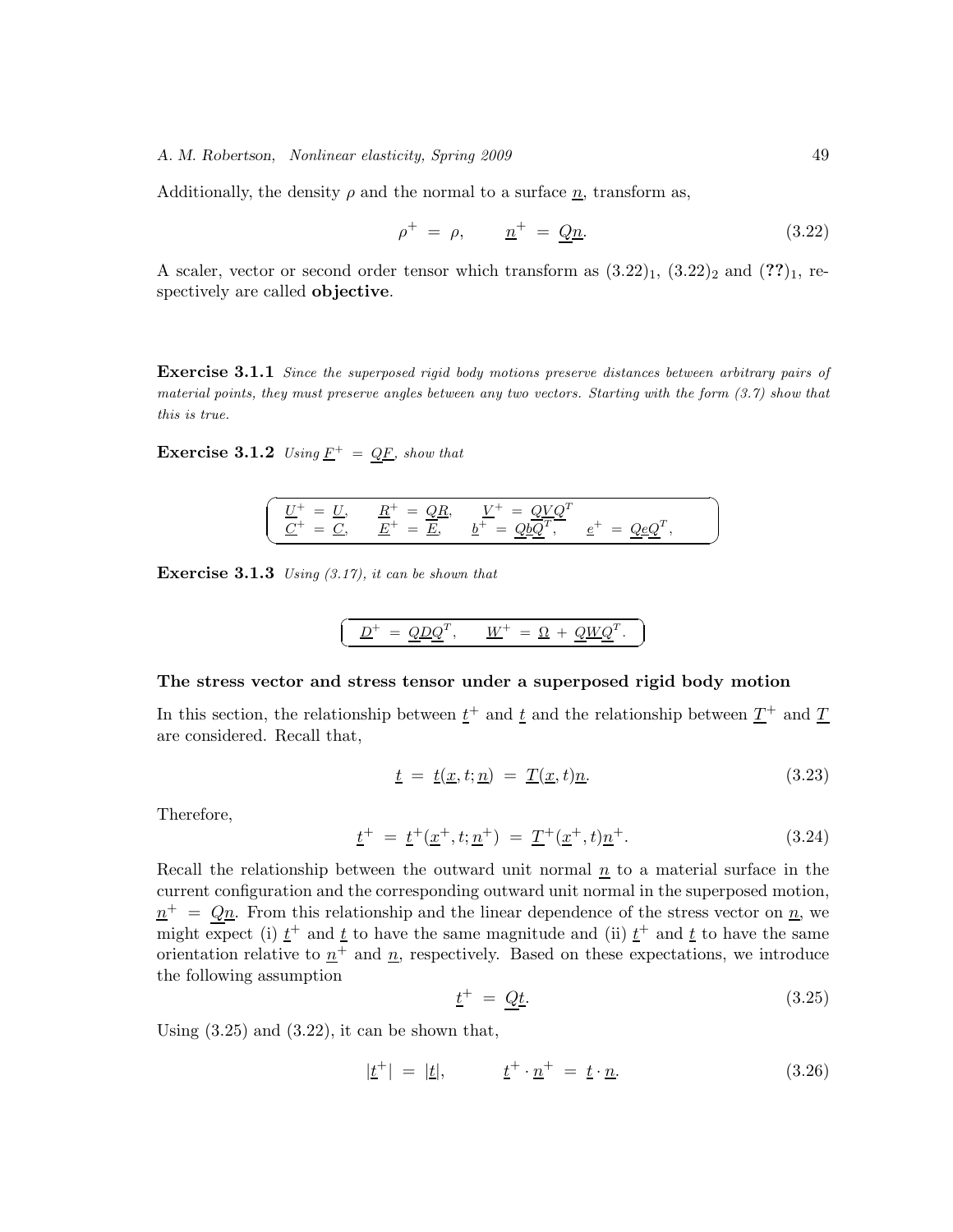Additionally, the density  $\rho$  and the normal to a surface  $\underline{n}$ , transform as,

$$
\rho^+ = \rho, \qquad \underline{n}^+ = \underline{Q}\underline{n}.\tag{3.22}
$$

A scaler, vector or second order tensor which transform as  $(3.22)_1$ ,  $(3.22)_2$  and  $(??)_1$ , respectively are called **objective**.

**Exercise 3.1.1** Since the superposed rigid body motions preserve distances between arbitrary pairs of material points, they must preserve angles between any two vectors. Starting with the form (3.7) show that this is true.

**Exercise 3.1.2** Using  $\underline{F}^+ = \underline{Q}\underline{F}$ , show that

$$
\begin{pmatrix}\n\underline{U}^+ & = \underline{U}, & \underline{R}^+ & = \underline{Q}\underline{R}, & \underline{V}^+ & = \underline{Q}\underline{V}\underline{Q}^T \\
\underline{C}^+ & = \underline{C}, & \underline{E}^+ & = \underline{\underline{E}}, & \underline{b}^+ = \underline{Q}\underline{b}\underline{\overline{Q}}^T, & \underline{e}^+ & = \underline{Q}\underline{e}\underline{Q}^T,\n\end{pmatrix}
$$

**Exercise 3.1.3** Using (3.17), it can be shown that

$$
\boxed{\underline{D}^+ = \underline{Q} \underline{D} \underline{Q}^T, \quad \underline{W}^+ = \underline{\Omega} + \underline{Q} \underline{W} \underline{Q}^T.}
$$

#### **The stress vector and stress tensor under a superposed rigid body motion**

In this section, the relationship between  $t^+$  and  $t$  and the relationship between  $T^+$  and  $T$ are considered. Recall that,

$$
\underline{t} = \underline{t}(\underline{x}, t; \underline{n}) = \underline{T}(\underline{x}, t)\underline{n}.\tag{3.23}
$$

☎

Therefore,

$$
\underline{t}^{+} = \underline{t}^{+}(\underline{x}^{+}, t; \underline{n}^{+}) = \underline{T}^{+}(\underline{x}^{+}, t)\underline{n}^{+}.
$$
\n(3.24)

Recall the relationship between the outward unit normal  $\underline{n}$  to a material surface in the current configuration and the corresponding outward unit normal in the superposed motion,  $n^+ = Qn$ . From this relationship and the linear dependence of the stress vector on n, we might expect (i)  $t^+$  and t to have the same magnitude and (ii)  $t^+$  and t to have the same orientation relative to  $n^+$  and  $n$ , respectively. Based on these expectations, we introduce the following assumption

$$
\underline{t}^+ = \underline{Qt}.\tag{3.25}
$$

Using  $(3.25)$  and  $(3.22)$ , it can be shown that,

$$
|\underline{t}^+| = |\underline{t}|, \qquad \underline{t}^+ \cdot \underline{n}^+ = \underline{t} \cdot \underline{n}. \tag{3.26}
$$

✟

✠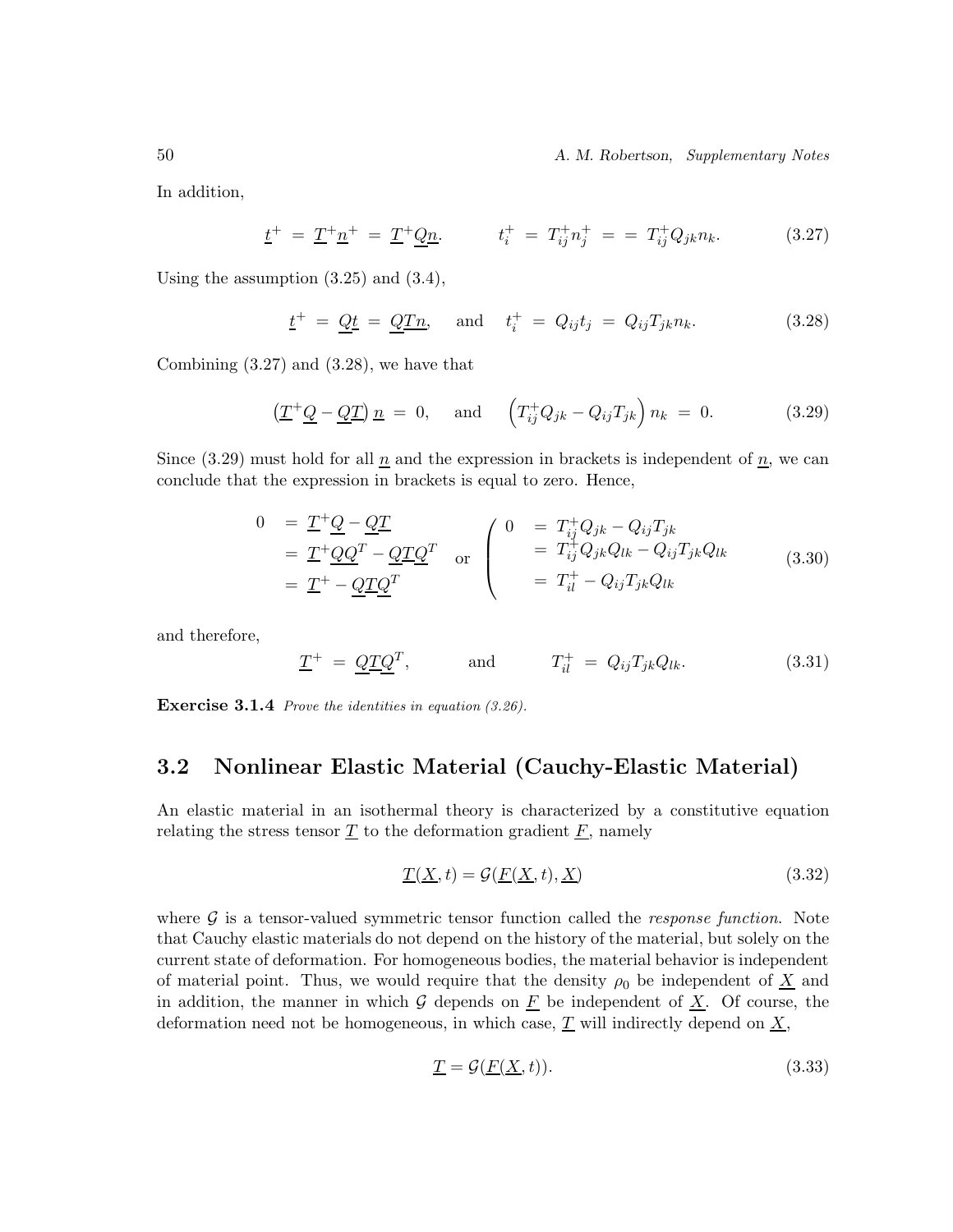50 *A. M. Robertson, Supplementary Notes*

In addition,

$$
\underline{t}^{+} = \underline{T}^{+} \underline{n}^{+} = \underline{T}^{+} \underline{Q} \underline{n}. \qquad t_{i}^{+} = T_{ij}^{+} n_{j}^{+} = T_{ij}^{+} Q_{jk} n_{k}. \qquad (3.27)
$$

Using the assumption (3.25) and (3.4),

$$
\underline{t}^+ = \underline{Qt} = \underline{QTn}, \quad \text{and} \quad t_i^+ = Q_{ij}t_j = Q_{ij}T_{jk}n_k. \tag{3.28}
$$

Combining (3.27) and (3.28), we have that

$$
\left(\underline{T}^+\underline{Q} - \underline{Q}\underline{T}\right)\underline{n} = 0, \quad \text{and} \quad \left(T^+_{ij}Q_{jk} - Q_{ij}T_{jk}\right)n_k = 0. \tag{3.29}
$$

Since (3.29) must hold for all  $\underline{n}$  and the expression in brackets is independent of  $\underline{n}$ , we can conclude that the expression in brackets is equal to zero. Hence,

$$
0 = \underline{T}^+ \underline{Q} - \underline{Q} \underline{T}
$$
  
\n
$$
= \underline{T}^+ \underline{Q} \underline{Q}^T - \underline{Q} \underline{T} \underline{Q}^T
$$
 or 
$$
\begin{pmatrix} 0 & = T_{ij}^+ Q_{jk} - Q_{ij} T_{jk} \\ = T_{ij}^+ Q_{jk} Q_{lk} - Q_{ij} T_{jk} Q_{lk} \\ = T_{il}^+ - Q_{ij} T_{jk} Q_{lk} \end{pmatrix}
$$
(3.30)

and therefore,

$$
\underline{T}^{+} = \underline{Q}\underline{T}\underline{Q}^{T}, \quad \text{and} \quad T_{il}^{+} = Q_{ij}T_{jk}Q_{lk}. \quad (3.31)
$$

**Exercise 3.1.4** Prove the identities in equation (3.26).

### **3.2 Nonlinear Elastic Material (Cauchy-Elastic Material)**

An elastic material in an isothermal theory is characterized by a constitutive equation relating the stress tensor  $\underline{T}$  to the deformation gradient  $\underline{F}$ , namely

$$
\underline{T}(\underline{X},t) = \mathcal{G}(\underline{F}(\underline{X},t),\underline{X})\tag{3.32}
$$

where G is a tensor-valued symmetric tensor function called the *response function*. Note that Cauchy elastic materials do not depend on the history of the material, but solely on the current state of deformation. For homogeneous bodies, the material behavior is independent of material point. Thus, we would require that the density  $\rho_0$  be independent of  $\underline{X}$  and in addition, the manner in which  $G$  depends on  $\underline{F}$  be independent of  $\underline{X}$ . Of course, the deformation need not be homogeneous, in which case,  $\underline{T}$  will indirectly depend on  $\underline{X}$ ,

$$
\underline{T} = \mathcal{G}(\underline{F}(\underline{X}, t)). \tag{3.33}
$$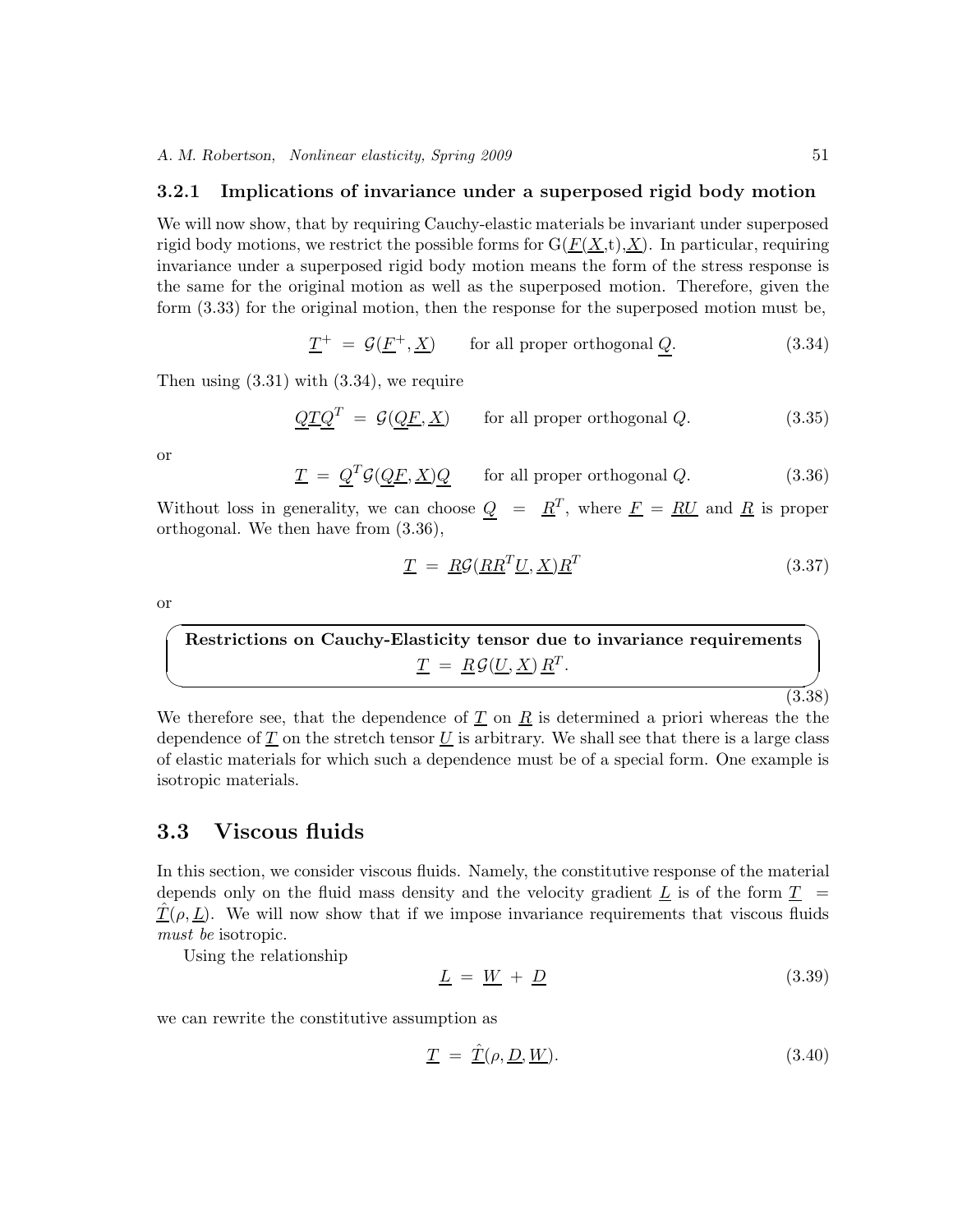### **3.2.1 Implications of invariance under a superposed rigid body motion**

We will now show, that by requiring Cauchy-elastic materials be invariant under superposed rigid body motions, we restrict the possible forms for  $G(\underline{F(X,t)},X)$ . In particular, requiring invariance under a superposed rigid body motion means the form of the stress response is the same for the original motion as well as the superposed motion. Therefore, given the form (3.33) for the original motion, then the response for the superposed motion must be,

$$
\underline{T}^{+} = \mathcal{G}(\underline{F}^{+}, \underline{X}) \qquad \text{for all proper orthogonal } \underline{Q}.
$$
 (3.34)

Then using  $(3.31)$  with  $(3.34)$ , we require

$$
\underline{QTQ}^T = \mathcal{G}(\underline{QF}, \underline{X}) \qquad \text{for all proper orthogonal } Q. \tag{3.35}
$$

or

$$
\underline{T} = \underline{Q}^T \mathcal{G}(\underline{QF}, \underline{X}) \underline{Q} \qquad \text{for all proper orthogonal } Q. \tag{3.36}
$$

Without loss in generality, we can choose  $Q = R^T$ , where  $\underline{F} = R\underline{U}$  and  $\underline{R}$  is proper orthogonal. We then have from (3.36),

$$
\underline{T} = \underline{R}\mathcal{G}(\underline{R}\underline{R}^T\underline{U}, \underline{X})\underline{R}^T
$$
\n(3.37)

or

 $\sqrt{2}$ ✒ **Restrictions on Cauchy-Elasticity tensor due to invariance requirements**  $\underline{T} = \underline{R} \mathcal{G}(\underline{U}, \underline{X}) \underline{R}^T.$ 

 $(3.38)$ 

We therefore see, that the dependence of  $\underline{T}$  on  $\underline{R}$  is determined a priori whereas the the dependence of  $T$  on the stretch tensor  $U$  is arbitrary. We shall see that there is a large class of elastic materials for which such a dependence must be of a special form. One example is isotropic materials.

### **3.3 Viscous fluids**

In this section, we consider viscous fluids. Namely, the constitutive response of the material depends only on the fluid mass density and the velocity gradient  $\bar{L}$  is of the form  $\bar{T}$  =  $\underline{T}(\rho, \underline{L})$ . We will now show that if we impose invariance requirements that viscous fluids *must be* isotropic.

Using the relationship

$$
\underline{L} = \underline{W} + \underline{D} \tag{3.39}
$$

we can rewrite the constitutive assumption as

$$
\underline{T} = \underline{\hat{T}}(\rho, \underline{D}, \underline{W}). \tag{3.40}
$$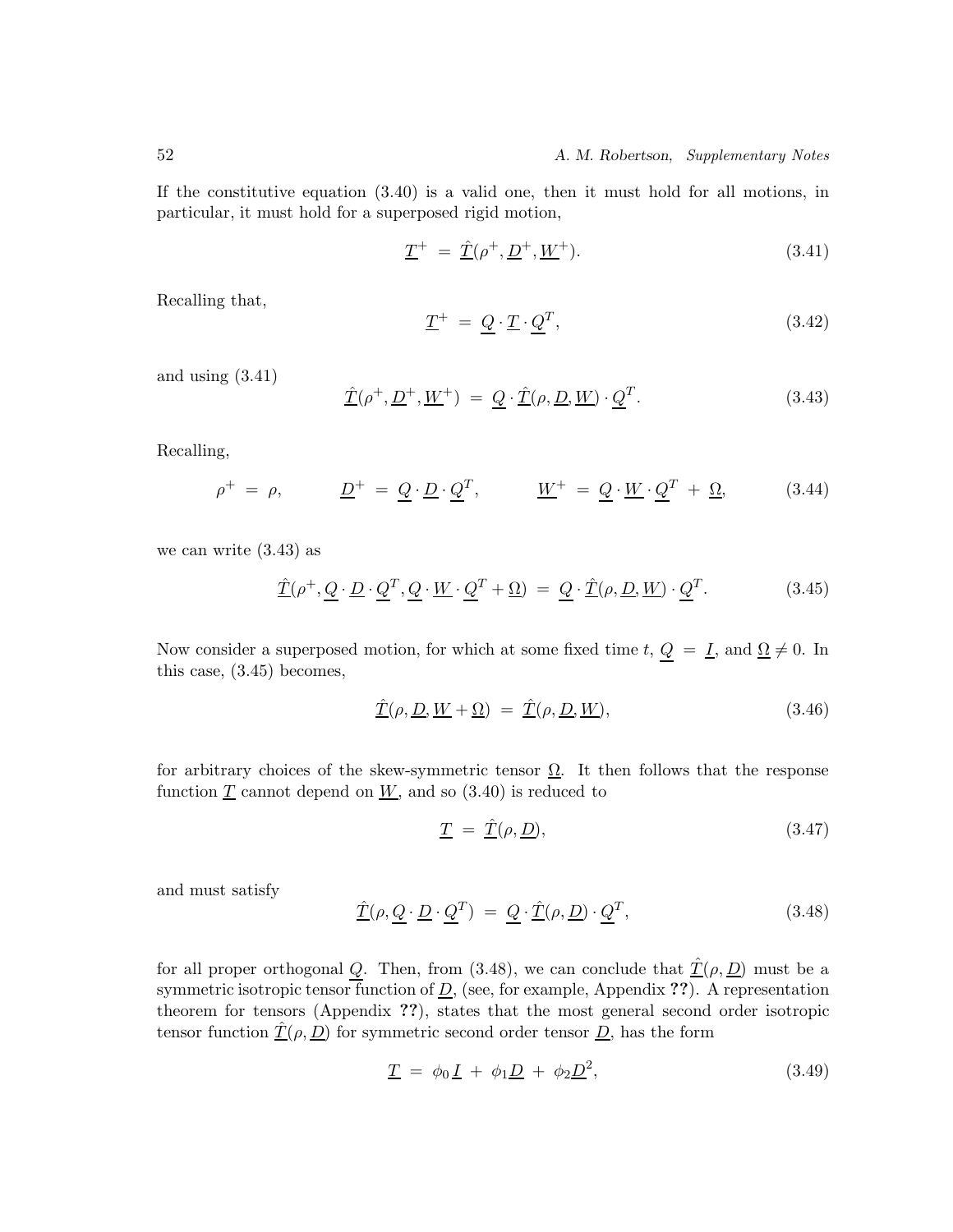If the constitutive equation (3.40) is a valid one, then it must hold for all motions, in particular, it must hold for a superposed rigid motion,

$$
\underline{T}^{+} = \underline{\hat{T}}(\rho^{+}, \underline{D}^{+}, \underline{W}^{+}). \tag{3.41}
$$

Recalling that,

$$
\underline{T}^{+} = \underline{Q} \cdot \underline{T} \cdot \underline{Q}^{T},\tag{3.42}
$$

and using (3.41)

$$
\underline{\hat{T}}(\rho^+, \underline{D}^+, \underline{W}^+) = \underline{Q} \cdot \underline{\hat{T}}(\rho, \underline{D}, \underline{W}) \cdot \underline{Q}^T.
$$
\n(3.43)

Recalling,

$$
\rho^+ = \rho, \qquad \underline{D}^+ = \underline{Q} \cdot \underline{D} \cdot \underline{Q}^T, \qquad \underline{W}^+ = \underline{Q} \cdot \underline{W} \cdot \underline{Q}^T + \underline{\Omega}, \qquad (3.44)
$$

we can write (3.43) as

$$
\underline{\hat{T}}(\rho^+, \underline{Q} \cdot \underline{D} \cdot \underline{Q}^T, \underline{Q} \cdot \underline{W} \cdot \underline{Q}^T + \underline{\Omega}) = \underline{Q} \cdot \underline{\hat{T}}(\rho, \underline{D}, \underline{W}) \cdot \underline{Q}^T.
$$
\n(3.45)

Now consider a superposed motion, for which at some fixed time t,  $Q = I$ , and  $\Omega \neq 0$ . In this case, (3.45) becomes,

$$
\underline{\hat{T}}(\rho, \underline{D}, \underline{W} + \underline{\Omega}) = \underline{\hat{T}}(\rho, \underline{D}, \underline{W}), \tag{3.46}
$$

for arbitrary choices of the skew-symmetric tensor  $\Omega$ . It then follows that the response function  $\underline{T}$  cannot depend on  $\underline{W}$ , and so (3.40) is reduced to

$$
\underline{T} = \hat{\underline{T}}(\rho, \underline{D}), \qquad (3.47)
$$

and must satisfy

$$
\underline{\hat{T}}(\rho, \underline{Q} \cdot \underline{D} \cdot \underline{Q}^T) = \underline{Q} \cdot \underline{\hat{T}}(\rho, \underline{D}) \cdot \underline{Q}^T,\tag{3.48}
$$

for all proper orthogonal Q. Then, from (3.48), we can conclude that  $\hat{T}(\rho, D)$  must be a symmetric isotropic tensor function of  $\underline{D}$ , (see, for example, Appendix ??). A representation theorem for tensors (Appendix **??**), states that the most general second order isotropic tensor function  $\underline{\hat{T}}(\rho, \underline{D})$  for symmetric second order tensor  $\underline{D}$ , has the form

$$
\underline{T} = \phi_0 \underline{I} + \phi_1 \underline{D} + \phi_2 \underline{D}^2, \qquad (3.49)
$$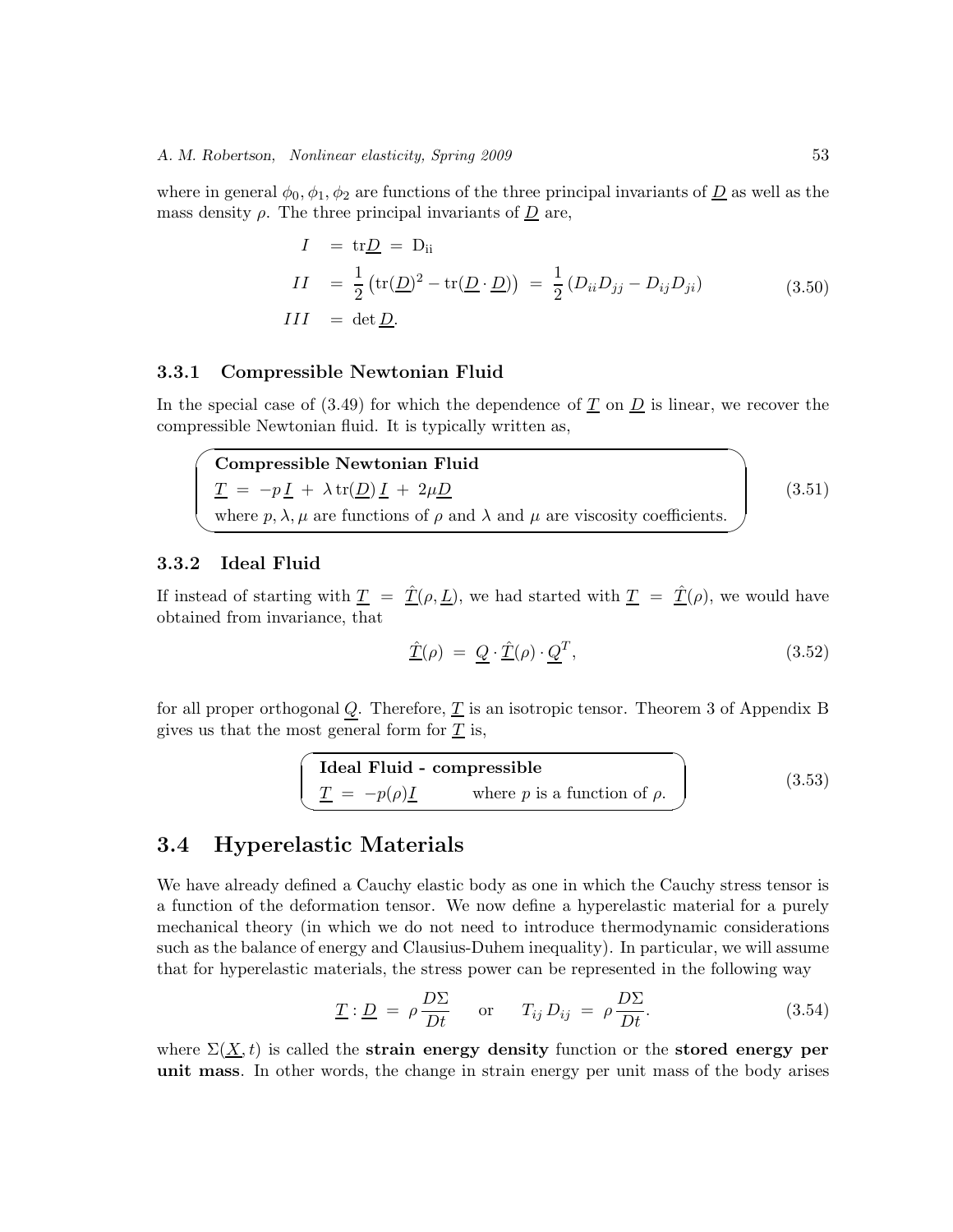where in general  $\phi_0, \phi_1, \phi_2$  are functions of the three principal invariants of  $\underline{D}$  as well as the mass density  $\rho$ . The three principal invariants of  $\underline{D}$  are,

$$
I = \text{tr}\underline{D} = D_{\text{ii}}
$$
  
\n
$$
II = \frac{1}{2} \left( \text{tr}(\underline{D})^2 - \text{tr}(\underline{D} \cdot \underline{D}) \right) = \frac{1}{2} \left( D_{ii} D_{jj} - D_{ij} D_{ji} \right)
$$
  
\n
$$
III = \det \underline{D}.
$$
\n(3.50)

### **3.3.1 Compressible Newtonian Fluid**

In the special case of  $(3.49)$  for which the dependence of T on D is linear, we recover the compressible Newtonian fluid. It is typically written as,

 $\overline{\phantom{0}}$ ✖ **Compressible Newtonian Fluid**  $\underline{T} = -p \underline{I} + \lambda \operatorname{tr}(\underline{D}) \underline{I} + 2\mu \underline{D}$ where  $p, \lambda, \mu$  are functions of  $\rho$  and  $\lambda$  and  $\mu$  are viscosity coefficients. (3.51)

### **3.3.2 Ideal Fluid**

If instead of starting with  $\underline{T} = \hat{\underline{T}}(\rho, \underline{L})$ , we had started with  $\underline{T} = \hat{\underline{T}}(\rho)$ , we would have obtained from invariance, that

$$
\underline{\hat{T}}(\rho) = \underline{Q} \cdot \underline{\hat{T}}(\rho) \cdot \underline{Q}^T,\tag{3.52}
$$

for all proper orthogonal  $Q$ . Therefore,  $T$  is an isotropic tensor. Theorem 3 of Appendix B gives us that the most general form for  $\underline{T}$  is,

**Ideal Fluid - compressible**  
\n
$$
\underline{T} = -p(\rho)\underline{I} \qquad \text{where } p \text{ is a function of } \rho.
$$
\n(3.53)

### **3.4 Hyperelastic Materials**

We have already defined a Cauchy elastic body as one in which the Cauchy stress tensor is a function of the deformation tensor. We now define a hyperelastic material for a purely mechanical theory (in which we do not need to introduce thermodynamic considerations such as the balance of energy and Clausius-Duhem inequality). In particular, we will assume that for hyperelastic materials, the stress power can be represented in the following way

$$
\underline{T} : \underline{D} = \rho \frac{D\Sigma}{Dt} \quad \text{or} \quad T_{ij} D_{ij} = \rho \frac{D\Sigma}{Dt}.
$$
 (3.54)

where  $\Sigma(\underline{X},t)$  is called the **strain energy density** function or the **stored energy per unit mass**. In other words, the change in strain energy per unit mass of the body arises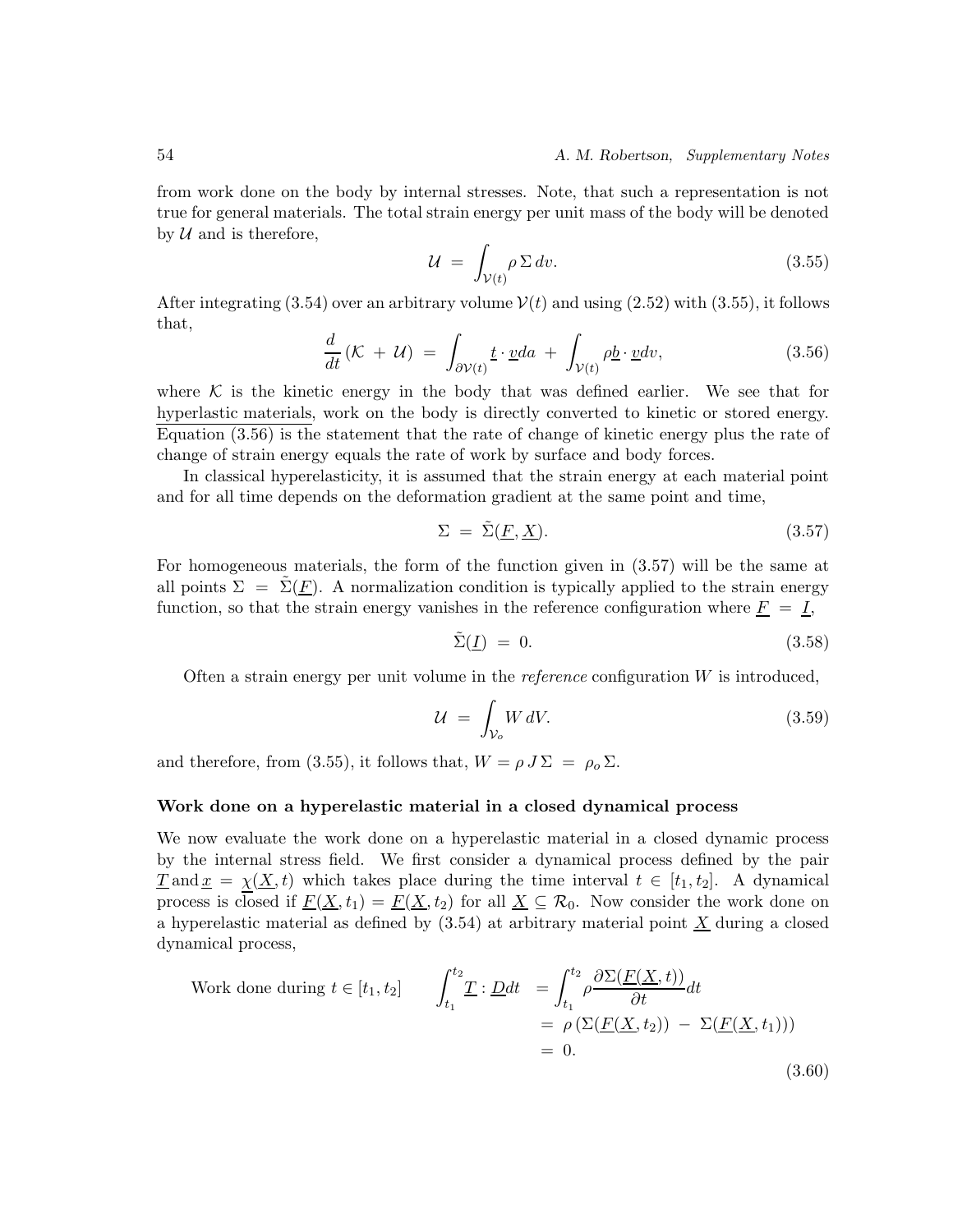from work done on the body by internal stresses. Note, that such a representation is not true for general materials. The total strain energy per unit mass of the body will be denoted by  $U$  and is therefore,

$$
\mathcal{U} = \int_{\mathcal{V}(t)} \rho \, \Sigma \, dv. \tag{3.55}
$$

After integrating (3.54) over an arbitrary volume  $V(t)$  and using (2.52) with (3.55), it follows that,

$$
\frac{d}{dt}\left(\mathcal{K} + \mathcal{U}\right) = \int_{\partial \mathcal{V}(t)} \underline{t} \cdot \underline{v} da + \int_{\mathcal{V}(t)} \rho \underline{b} \cdot \underline{v} dv,\tag{3.56}
$$

where  $K$  is the kinetic energy in the body that was defined earlier. We see that for hyperlastic materials, work on the body is directly converted to kinetic or stored energy. Equation (3.56) is the statement that the rate of change of kinetic energy plus the rate of change of strain energy equals the rate of work by surface and body forces.

In classical hyperelasticity, it is assumed that the strain energy at each material point and for all time depends on the deformation gradient at the same point and time,

$$
\Sigma = \tilde{\Sigma}(\underline{F}, \underline{X}). \tag{3.57}
$$

For homogeneous materials, the form of the function given in (3.57) will be the same at all points  $\Sigma = \Sigma(\underline{F})$ . A normalization condition is typically applied to the strain energy function, so that the strain energy vanishes in the reference configuration where  $\overline{F} = I$ ,

$$
\tilde{\Sigma}(\underline{I}) = 0. \tag{3.58}
$$

Often a strain energy per unit volume in the *reference* configuration W is introduced,

$$
\mathcal{U} = \int_{\mathcal{V}_o} W \, dV. \tag{3.59}
$$

and therefore, from (3.55), it follows that,  $W = \rho J \Sigma = \rho_0 \Sigma$ .

#### **Work done on a hyperelastic material in a closed dynamical process**

We now evaluate the work done on a hyperelastic material in a closed dynamic process by the internal stress field. We first consider a dynamical process defined by the pair  $\underline{T}$  and  $\underline{x} = \underline{\chi}(\underline{X}, t)$  which takes place during the time interval  $t \in [t_1, t_2]$ . A dynamical process is closed if  $\underline{F(X, t_1)} = \underline{F(X, t_2)}$  for all  $\underline{X} \subseteq \mathcal{R}_0$ . Now consider the work done on a hyperelastic material as defined by  $(3.54)$  at arbitrary material point  $\underline{X}$  during a closed dynamical process,

Work done during 
$$
t \in [t_1, t_2]
$$
 
$$
\int_{t_1}^{t_2} \underline{T} : \underline{D} dt = \int_{t_1}^{t_2} \rho \frac{\partial \Sigma(\underline{F}(\underline{X}, t))}{\partial t} dt
$$

$$
= \rho \left( \Sigma(\underline{F}(\underline{X}, t_2)) - \Sigma(\underline{F}(\underline{X}, t_1)) \right)
$$

$$
= 0.
$$
(3.60)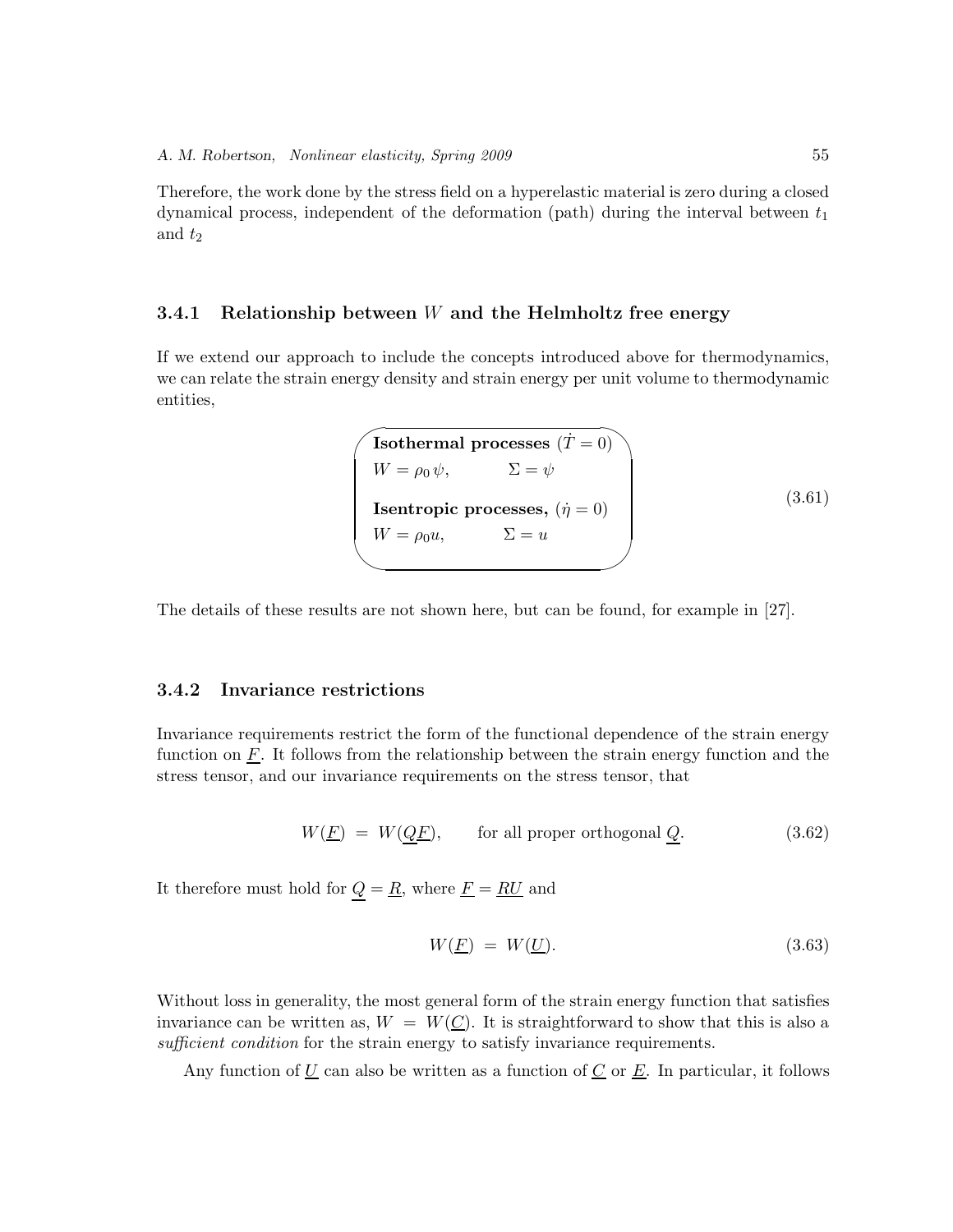Therefore, the work done by the stress field on a hyperelastic material is zero during a closed dynamical process, independent of the deformation (path) during the interval between  $t_1$ and  $t_2$ 

### **3.4.1 Relationship between** *W* **and the Helmholtz free energy**

If we extend our approach to include the concepts introduced above for thermodynamics, we can relate the strain energy density and strain energy per unit volume to thermodynamic entities,

```
\sqrt{\text{Isothermal processes}(\dot{T}=0)}✫
   W = \rho_0 \psi, \qquad \qquad \Sigma = \psiIsentropic processes, (\dot{\eta} = 0)W = \rho_0 u, \qquad \Sigma = u(3.61)
```
The details of these results are not shown here, but can be found, for example in [27].

### **3.4.2 Invariance restrictions**

Invariance requirements restrict the form of the functional dependence of the strain energy function on  $\overline{F}$ . It follows from the relationship between the strain energy function and the stress tensor, and our invariance requirements on the stress tensor, that

$$
W(\underline{F}) = W(Q\underline{F}), \qquad \text{for all proper orthogonal } Q. \tag{3.62}
$$

It therefore must hold for  $Q = R$ , where  $F = RU$  and

$$
W(\underline{F}) = W(\underline{U}). \tag{3.63}
$$

Without loss in generality, the most general form of the strain energy function that satisfies invariance can be written as,  $W = W(C)$ . It is straightforward to show that this is also a *sufficient condition* for the strain energy to satisfy invariance requirements.

Any function of  $U$  can also be written as a function of  $C$  or  $E$ . In particular, it follows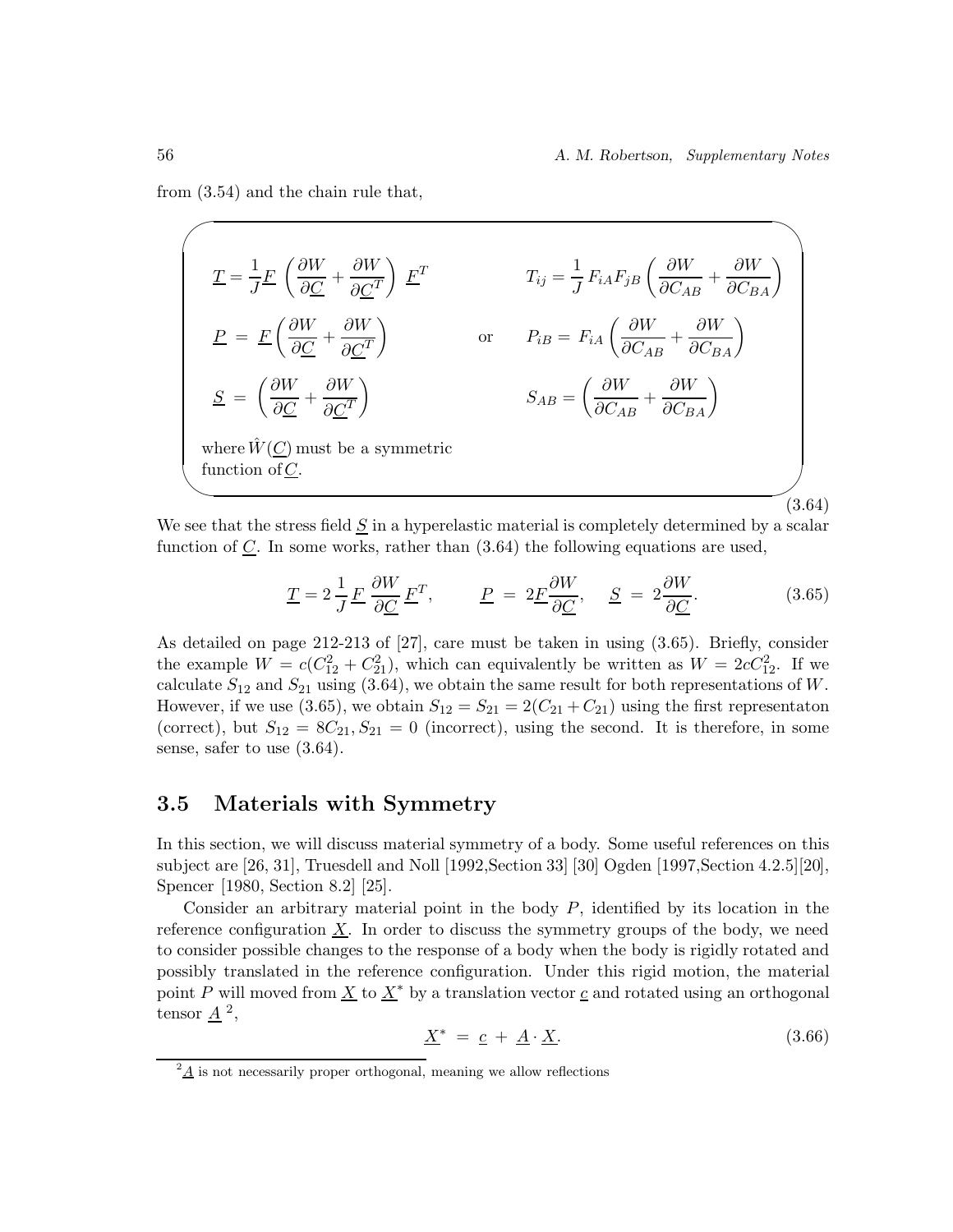from (3.54) and the chain rule that,

$$
\underline{T} = \frac{1}{J} \underline{F} \left( \frac{\partial W}{\partial \underline{C}} + \frac{\partial W}{\partial \underline{C}^T} \right) \underline{F}^T
$$
\n
$$
T_{ij} = \frac{1}{J} F_{iA} F_{jB} \left( \frac{\partial W}{\partial C_{AB}} + \frac{\partial W}{\partial C_{BA}} \right)
$$
\n
$$
\underline{P} = \underline{F} \left( \frac{\partial W}{\partial \underline{C}} + \frac{\partial W}{\partial \underline{C}^T} \right)
$$
\nor\n
$$
P_{iB} = F_{iA} \left( \frac{\partial W}{\partial C_{AB}} + \frac{\partial W}{\partial C_{BA}} \right)
$$
\n
$$
\underline{S} = \left( \frac{\partial W}{\partial \underline{C}} + \frac{\partial W}{\partial \underline{C}^T} \right)
$$
\n
$$
S_{AB} = \left( \frac{\partial W}{\partial C_{AB}} + \frac{\partial W}{\partial C_{BA}} \right)
$$
\nwhere  $\hat{W}(\underline{C})$  must be a symmetric function of  $\underline{C}$ . (3.64)

We see that the stress field  $S$  in a hyperelastic material is completely determined by a scalar function of  $C$ . In some works, rather than  $(3.64)$  the following equations are used,

$$
\underline{T} = 2\frac{1}{J}\underline{F}\frac{\partial W}{\partial \underline{C}}\underline{F}^T, \qquad \underline{P} = 2\underline{F}\frac{\partial W}{\partial \underline{C}}, \quad \underline{S} = 2\frac{\partial W}{\partial \underline{C}}.
$$
 (3.65)

As detailed on page 212-213 of [27], care must be taken in using (3.65). Briefly, consider the example  $W = c(C_{12}^2 + C_{21}^2)$ , which can equivalently be written as  $W = 2cC_{12}^2$ . If we calculate  $S_{12}$  and  $S_{21}$  using (3.64), we obtain the same result for both representations of W. However, if we use (3.65), we obtain  $S_{12} = S_{21} = 2(C_{21} + C_{21})$  using the first representaton (correct), but  $S_{12} = 8C_{21}$ ,  $S_{21} = 0$  (incorrect), using the second. It is therefore, in some sense, safer to use (3.64).

### **3.5 Materials with Symmetry**

In this section, we will discuss material symmetry of a body. Some useful references on this subject are [26, 31], Truesdell and Noll [1992,Section 33] [30] Ogden [1997,Section 4.2.5][20], Spencer [1980, Section 8.2] [25].

Consider an arbitrary material point in the body  $P$ , identified by its location in the reference configuration  $X$ . In order to discuss the symmetry groups of the body, we need to consider possible changes to the response of a body when the body is rigidly rotated and possibly translated in the reference configuration. Under this rigid motion, the material point P will moved from  $\underline{X}$  to  $\underline{X}^*$  by a translation vector c and rotated using an orthogonal tensor  $\underline{A}^2$ ,

$$
\underline{X}^* = \underline{c} + \underline{A} \cdot \underline{X}.\tag{3.66}
$$

 $^{2}$ A is not necessarily proper orthogonal, meaning we allow reflections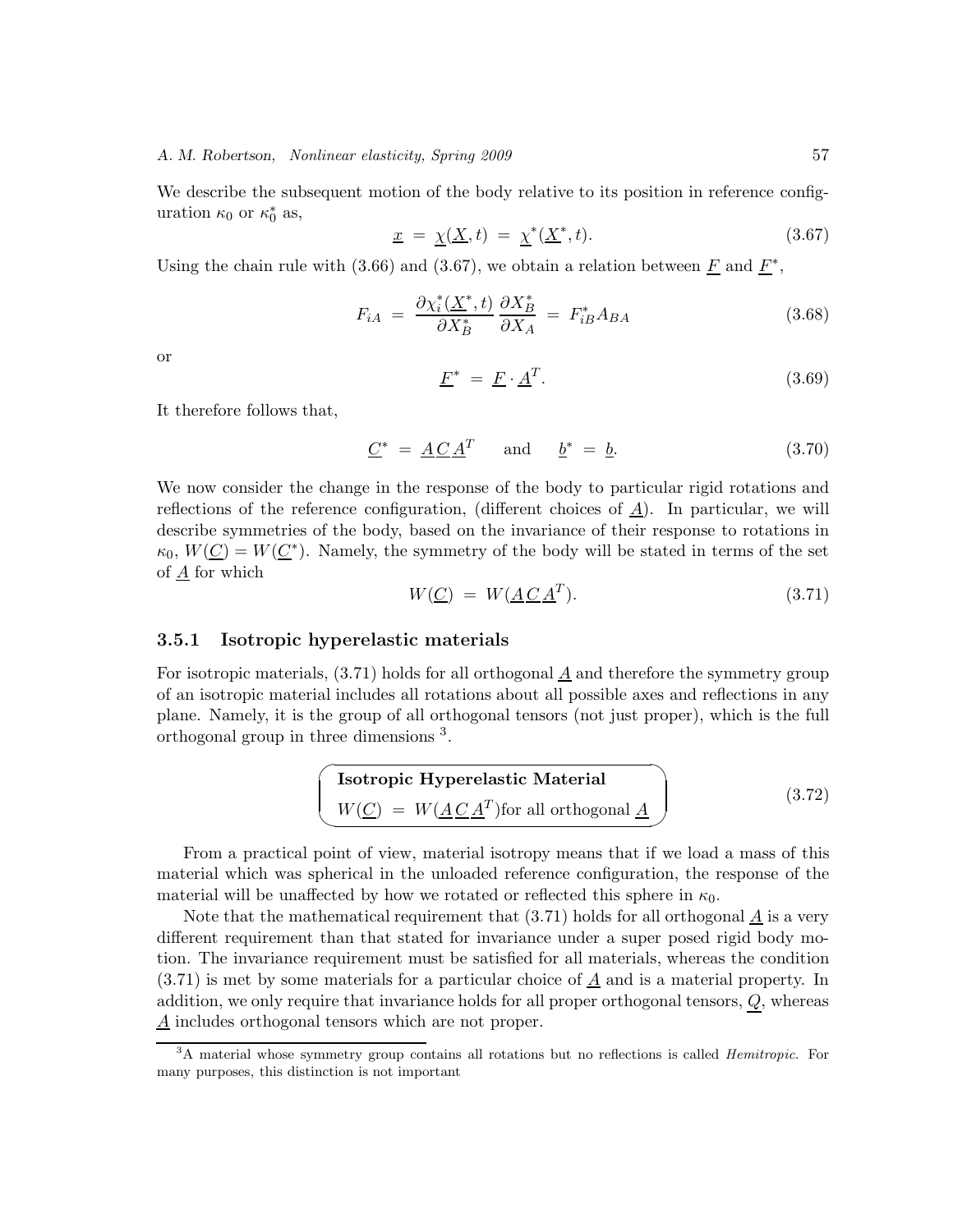### *A. M. Robertson, Nonlinear elasticity, Spring 2009* 57

We describe the subsequent motion of the body relative to its position in reference configuration  $\kappa_0$  or  $\kappa_0^*$  as,

$$
\underline{x} = \underline{\chi}(\underline{X}, t) = \underline{\chi}^*(\underline{X}^*, t). \tag{3.67}
$$

Using the chain rule with (3.66) and (3.67), we obtain a relation between  $\underline{F}$  and  $\underline{F}^*$ ,

$$
F_{iA} = \frac{\partial \chi_i^*(\underline{X}^*, t)}{\partial X_B^*} \frac{\partial X_B^*}{\partial X_A} = F_{iB}^* A_{BA}
$$
\n(3.68)

or

$$
\underline{F}^* = \underline{F} \cdot \underline{A}^T. \tag{3.69}
$$

It therefore follows that,

$$
\underline{C}^* = \underline{A}\underline{C}\underline{A}^T \quad \text{and} \quad \underline{b}^* = \underline{b}.\tag{3.70}
$$

We now consider the change in the response of the body to particular rigid rotations and reflections of the reference configuration, (different choices of  $\underline{A}$ ). In particular, we will describe symmetries of the body, based on the invariance of their response to rotations in  $\kappa_0, W(\underline{C}) = W(\underline{C^*})$ . Namely, the symmetry of the body will be stated in terms of the set of  $\underline{A}$  for which

$$
W(\underline{C}) = W(\underline{A}\underline{C}\underline{A}^T). \tag{3.71}
$$

### **3.5.1 Isotropic hyperelastic materials**

For isotropic materials,  $(3.71)$  holds for all orthogonal  $\underline{A}$  and therefore the symmetry group of an isotropic material includes all rotations about all possible axes and reflections in any plane. Namely, it is the group of all orthogonal tensors (not just proper), which is the full orthogonal group in three dimensions <sup>3</sup>.

**Isotropic Hyperelastic Material**  
\n
$$
W(\underline{C}) = W(\underline{A} \underline{C} \underline{A}^T)
$$
 for all orthogonal  (3.72)

From a practical point of view, material isotropy means that if we load a mass of this material which was spherical in the unloaded reference configuration, the response of the material will be unaffected by how we rotated or reflected this sphere in  $\kappa_0$ .

Note that the mathematical requirement that  $(3.71)$  holds for all orthogonal  $\underline{A}$  is a very different requirement than that stated for invariance under a super posed rigid body motion. The invariance requirement must be satisfied for all materials, whereas the condition  $(3.71)$  is met by some materials for a particular choice of  $\underline{A}$  and is a material property. In addition, we only require that invariance holds for all proper orthogonal tensors, Q, whereas A includes orthogonal tensors which are not proper.

<sup>&</sup>lt;sup>3</sup>A material whose symmetry group contains all rotations but no reflections is called *Hemitropic*. For many purposes, this distinction is not important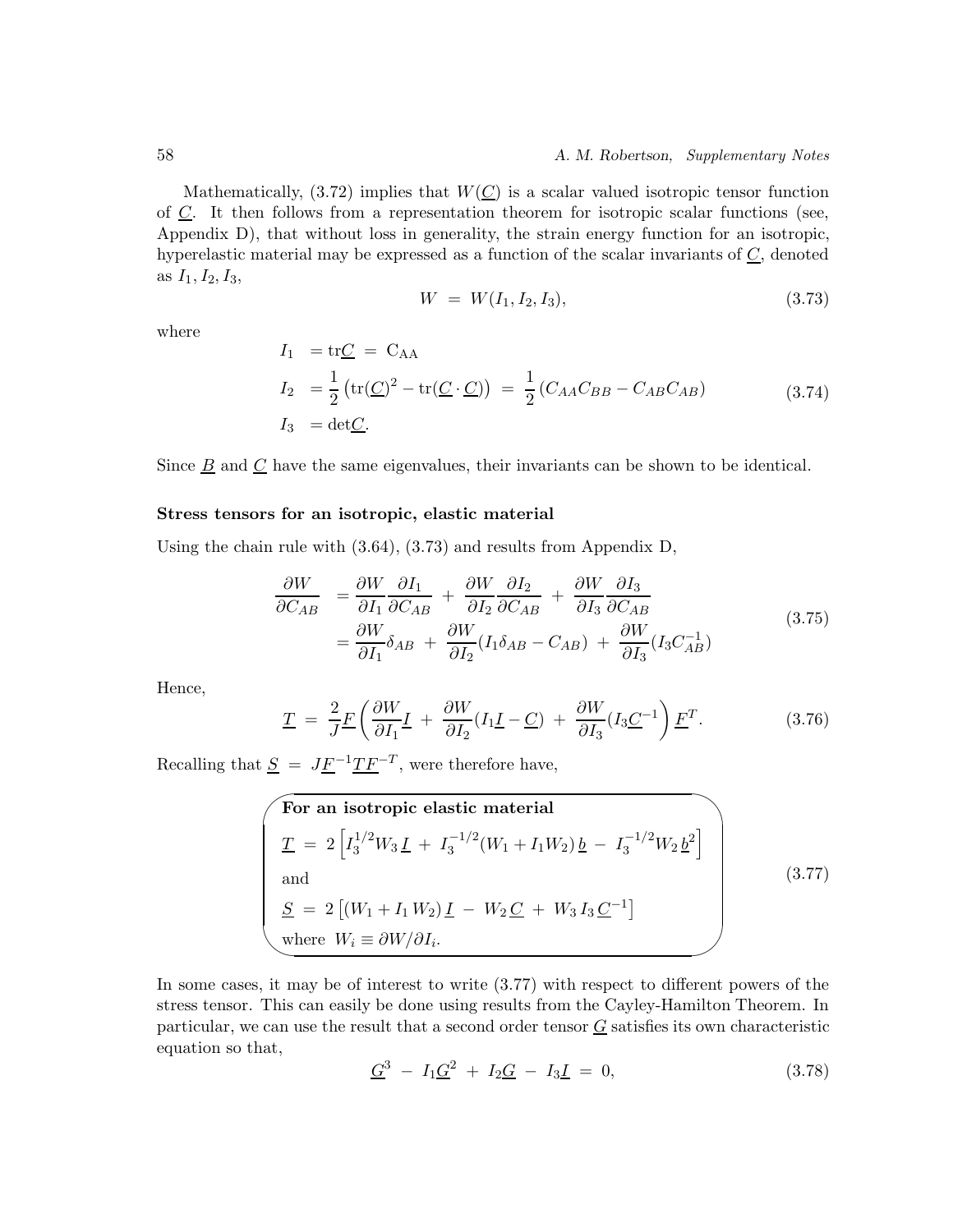Mathematically,  $(3.72)$  implies that  $W(C)$  is a scalar valued isotropic tensor function of  $C$ . It then follows from a representation theorem for isotropic scalar functions (see, Appendix D), that without loss in generality, the strain energy function for an isotropic, hyperelastic material may be expressed as a function of the scalar invariants of  $\underline{C}$ , denoted as  $I_1, I_2, I_3$ ,

$$
W = W(I_1, I_2, I_3), \t\t(3.73)
$$

where

$$
I_1 = \text{tr}\underline{C} = C_{AA}
$$
  
\n
$$
I_2 = \frac{1}{2} \left( \text{tr}(\underline{C})^2 - \text{tr}(\underline{C} \cdot \underline{C}) \right) = \frac{1}{2} \left( C_{AA} C_{BB} - C_{AB} C_{AB} \right)
$$
(3.74)  
\n
$$
I_3 = \text{det}\underline{C}.
$$

Since  $\underline{B}$  and  $\underline{C}$  have the same eigenvalues, their invariants can be shown to be identical.

### **Stress tensors for an isotropic, elastic material**

Using the chain rule with (3.64), (3.73) and results from Appendix D,

$$
\frac{\partial W}{\partial C_{AB}} = \frac{\partial W}{\partial I_1} \frac{\partial I_1}{\partial C_{AB}} + \frac{\partial W}{\partial I_2} \frac{\partial I_2}{\partial C_{AB}} + \frac{\partial W}{\partial I_3} \frac{\partial I_3}{\partial C_{AB}} \n= \frac{\partial W}{\partial I_1} \delta_{AB} + \frac{\partial W}{\partial I_2} (I_1 \delta_{AB} - C_{AB}) + \frac{\partial W}{\partial I_3} (I_3 C_{AB}^{-1})
$$
\n(3.75)

Hence,

$$
\underline{T} = \frac{2}{J} \underline{F} \left( \frac{\partial W}{\partial I_1} \underline{I} + \frac{\partial W}{\partial I_2} (I_1 \underline{I} - \underline{C}) + \frac{\partial W}{\partial I_3} (I_3 \underline{C}^{-1}) \underline{F}^T. \tag{3.76}
$$

Recalling that  $S = J\underline{F}^{-1}\underline{T}\underline{F}^{-T}$ , were therefore have,

For an isotropic elastic material  
\n
$$
\underline{T} = 2 \left[ I_3^{1/2} W_3 \underline{I} + I_3^{-1/2} (W_1 + I_1 W_2) \underline{b} - I_3^{-1/2} W_2 \underline{b}^2 \right]
$$
\nand  
\n
$$
\underline{S} = 2 \left[ (W_1 + I_1 W_2) \underline{I} - W_2 \underline{C} + W_3 I_3 \underline{C}^{-1} \right]
$$
\nwhere  $W_i \equiv \partial W / \partial I_i$ . (3.77)

In some cases, it may be of interest to write (3.77) with respect to different powers of the stress tensor. This can easily be done using results from the Cayley-Hamilton Theorem. In particular, we can use the result that a second order tensor  $G$  satisfies its own characteristic equation so that,

$$
\underline{G}^3 - I_1 \underline{G}^2 + I_2 \underline{G} - I_3 \underline{I} = 0, \qquad (3.78)
$$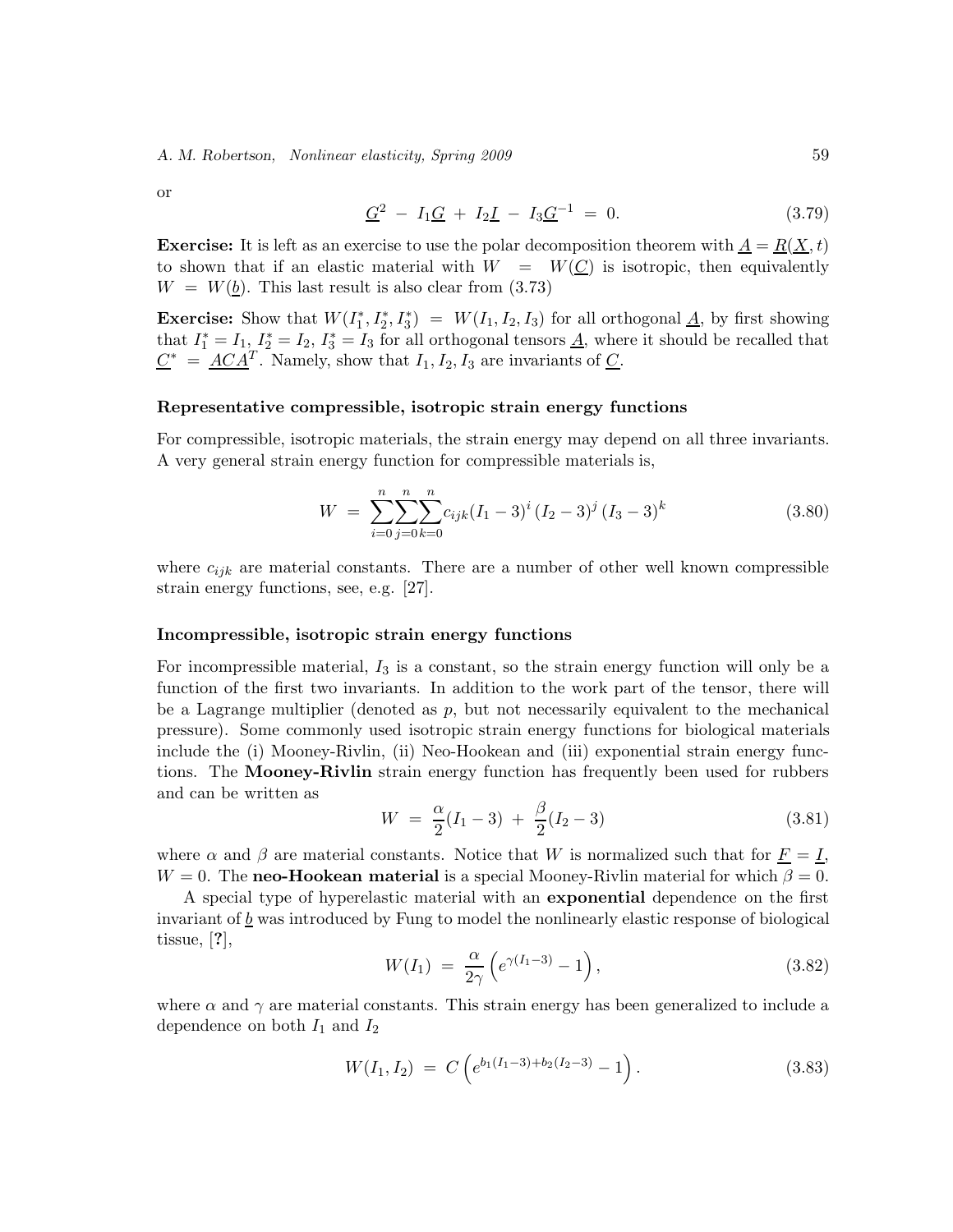*A. M. Robertson, Nonlinear elasticity, Spring 2009* 59

or

$$
\underline{G}^2 - I_1 \underline{G} + I_2 \underline{I} - I_3 \underline{G}^{-1} = 0. \tag{3.79}
$$

**Exercise:** It is left as an exercise to use the polar decomposition theorem with  $A = R(X, t)$ to shown that if an elastic material with  $W = W(C)$  is isotropic, then equivalently  $W = W(b)$ . This last result is also clear from (3.73)

**Exercise:** Show that  $W(I_1^*, I_2^*, I_3^*) = W(I_1, I_2, I_3)$  for all orthogonal  $\underline{A}$ , by first showing that  $I_1^* = I_1$ ,  $I_2^* = I_2$ ,  $I_3^* = I_3$  for all orthogonal tensors  $\underline{A}$ , where it should be recalled that  $C^* = \underline{ACA^T}$ . Namely, show that  $I_1, I_2, I_3$  are invariants of  $C$ .

#### **Representative compressible, isotropic strain energy functions**

For compressible, isotropic materials, the strain energy may depend on all three invariants. A very general strain energy function for compressible materials is,

$$
W = \sum_{i=0}^{n} \sum_{j=0}^{n} \sum_{k=0}^{n} c_{ijk} (I_1 - 3)^i (I_2 - 3)^j (I_3 - 3)^k
$$
 (3.80)

where  $c_{ijk}$  are material constants. There are a number of other well known compressible strain energy functions, see, e.g. [27].

#### **Incompressible, isotropic strain energy functions**

For incompressible material,  $I_3$  is a constant, so the strain energy function will only be a function of the first two invariants. In addition to the work part of the tensor, there will be a Lagrange multiplier (denoted as  $p$ , but not necessarily equivalent to the mechanical pressure). Some commonly used isotropic strain energy functions for biological materials include the (i) Mooney-Rivlin, (ii) Neo-Hookean and (iii) exponential strain energy functions. The **Mooney-Rivlin** strain energy function has frequently been used for rubbers and can be written as

$$
W = \frac{\alpha}{2}(I_1 - 3) + \frac{\beta}{2}(I_2 - 3) \tag{3.81}
$$

where  $\alpha$  and  $\beta$  are material constants. Notice that W is normalized such that for  $\underline{F} = \underline{I}$ ,  $W = 0$ . The **neo-Hookean material** is a special Mooney-Rivlin material for which  $\beta = 0$ .

A special type of hyperelastic material with an **exponential** dependence on the first invariant of  $\underline{b}$  was introduced by Fung to model the nonlinearly elastic response of biological tissue, [**?**],

$$
W(I_1) = \frac{\alpha}{2\gamma} \left( e^{\gamma(I_1 - 3)} - 1 \right), \tag{3.82}
$$

where  $\alpha$  and  $\gamma$  are material constants. This strain energy has been generalized to include a dependence on both  $I_1$  and  $I_2$ 

$$
W(I_1, I_2) = C\left(e^{b_1(I_1 - 3) + b_2(I_2 - 3)} - 1\right).
$$
\n(3.83)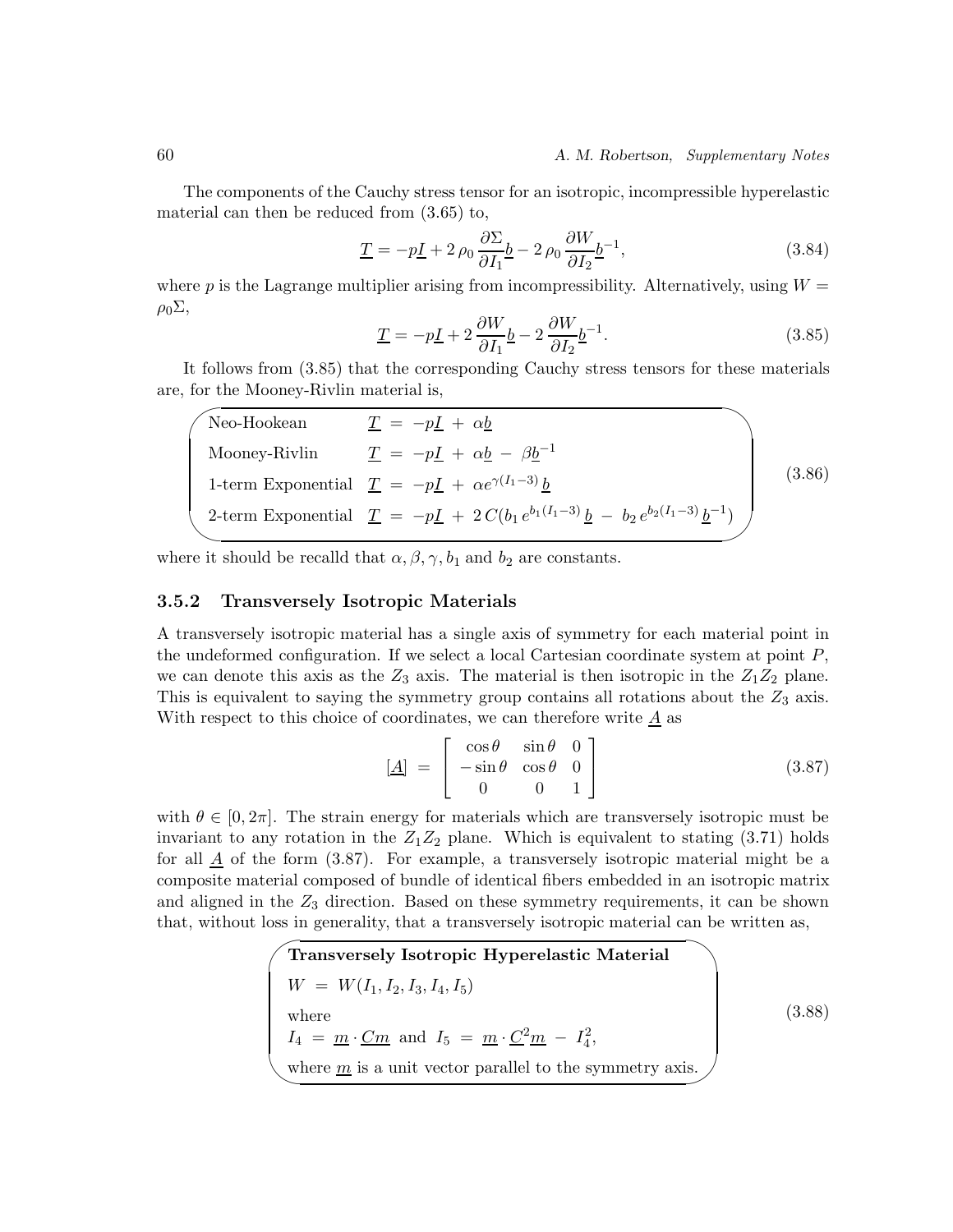The components of the Cauchy stress tensor for an isotropic, incompressible hyperelastic material can then be reduced from (3.65) to,

$$
\underline{T} = -p\underline{I} + 2\rho_0 \frac{\partial \Sigma}{\partial I_1} \underline{b} - 2\rho_0 \frac{\partial W}{\partial I_2} \underline{b}^{-1},\tag{3.84}
$$

where p is the Lagrange multiplier arising from incompressibility. Alternatively, using  $W =$  $ρ_0\Sigma$ ,

$$
\underline{T} = -p\underline{I} + 2\frac{\partial W}{\partial I_1}\underline{b} - 2\frac{\partial W}{\partial I_2}\underline{b}^{-1}.\tag{3.85}
$$

It follows from (3.85) that the corresponding Cauchy stress tensors for these materials are, for the Mooney-Rivlin material is,

| Neo-Hookean   | $T = -pI + \alpha b$                                                                                                            |        |
|---------------|---------------------------------------------------------------------------------------------------------------------------------|--------|
| Mooney-Rivlin | $\underline{T} = -p\underline{I} + \alpha \underline{b} - \beta \underline{b}^{-1}$                                             |        |
|               | 1-term Exponential $\underline{T} = -p\underline{I} + \alpha e^{\gamma(I_1-3)} b$                                               | (3.86) |
|               | 2-term Exponential $\underline{T} = -p\underline{I} + 2C(b_1e^{b_1(I_1-3)}\underline{b} - b_2e^{b_2(I_1-3)}\underline{b}^{-1})$ |        |
|               |                                                                                                                                 |        |

where it should be recalld that  $\alpha, \beta, \gamma, b_1$  and  $b_2$  are constants.

### **3.5.2 Transversely Isotropic Materials**

A transversely isotropic material has a single axis of symmetry for each material point in the undeformed configuration. If we select a local Cartesian coordinate system at point  $P$ , we can denote this axis as the  $Z_3$  axis. The material is then isotropic in the  $Z_1Z_2$  plane. This is equivalent to saying the symmetry group contains all rotations about the  $Z_3$  axis. With respect to this choice of coordinates, we can therefore write  $\underline{A}$  as

$$
\begin{bmatrix} \underline{A} \end{bmatrix} = \begin{bmatrix} \cos \theta & \sin \theta & 0 \\ -\sin \theta & \cos \theta & 0 \\ 0 & 0 & 1 \end{bmatrix} \tag{3.87}
$$

with  $\theta \in [0, 2\pi]$ . The strain energy for materials which are transversely isotropic must be invariant to any rotation in the  $Z_1Z_2$  plane. Which is equivalent to stating (3.71) holds for all  $\underline{A}$  of the form (3.87). For example, a transversely isotropic material might be a composite material composed of bundle of identical fibers embedded in an isotropic matrix and aligned in the  $Z_3$  direction. Based on these symmetry requirements, it can be shown that, without loss in generality, that a transversely isotropic material can be written as,

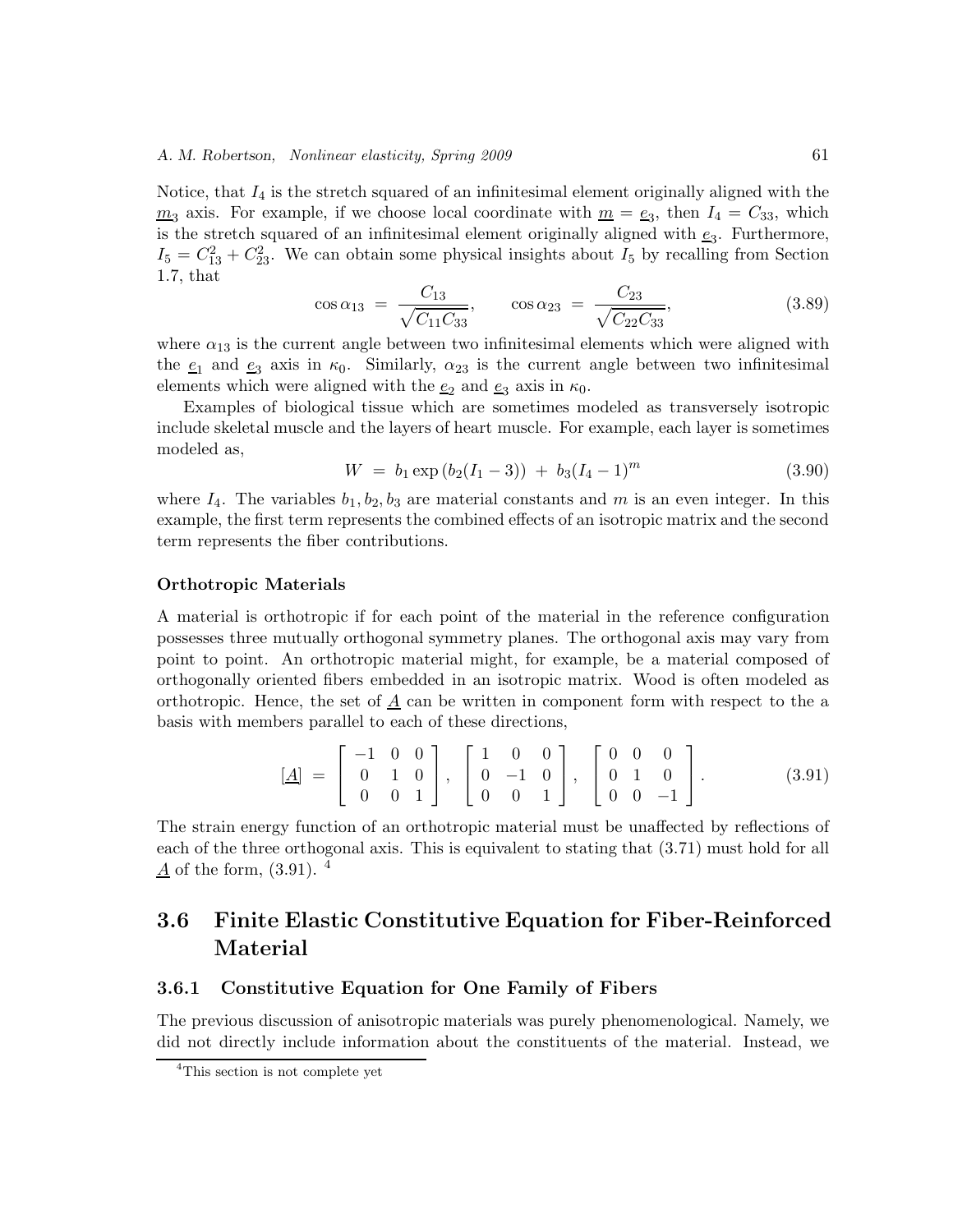### *A. M. Robertson, Nonlinear elasticity, Spring 2009* 61

Notice, that  $I_4$  is the stretch squared of an infinitesimal element originally aligned with the  $m_3$  axis. For example, if we choose local coordinate with  $m = e_3$ , then  $I_4 = C_{33}$ , which is the stretch squared of an infinitesimal element originally aligned with  $e_3$ . Furthermore,  $I_5 = C_{13}^2 + C_{23}^2$ . We can obtain some physical insights about  $I_5$  by recalling from Section 1.7, that

$$
\cos \alpha_{13} = \frac{C_{13}}{\sqrt{C_{11} C_{33}}}, \qquad \cos \alpha_{23} = \frac{C_{23}}{\sqrt{C_{22} C_{33}}}, \qquad (3.89)
$$

where  $\alpha_{13}$  is the current angle between two infinitesimal elements which were aligned with the  $e_1$  and  $e_3$  axis in  $\kappa_0$ . Similarly,  $\alpha_{23}$  is the current angle between two infinitesimal elements which were aligned with the  $e_2$  and  $e_3$  axis in  $\kappa_0$ .

Examples of biological tissue which are sometimes modeled as transversely isotropic include skeletal muscle and the layers of heart muscle. For example, each layer is sometimes modeled as,

$$
W = b_1 \exp(b_2(I_1 - 3)) + b_3(I_4 - 1)^m \tag{3.90}
$$

where  $I_4$ . The variables  $b_1, b_2, b_3$  are material constants and m is an even integer. In this example, the first term represents the combined effects of an isotropic matrix and the second term represents the fiber contributions.

#### **Orthotropic Materials**

A material is orthotropic if for each point of the material in the reference configuration possesses three mutually orthogonal symmetry planes. The orthogonal axis may vary from point to point. An orthotropic material might, for example, be a material composed of orthogonally oriented fibers embedded in an isotropic matrix. Wood is often modeled as orthotropic. Hence, the set of  $\underline{A}$  can be written in component form with respect to the a basis with members parallel to each of these directions,

$$
[\underline{A}] = \begin{bmatrix} -1 & 0 & 0 \\ 0 & 1 & 0 \\ 0 & 0 & 1 \end{bmatrix}, \begin{bmatrix} 1 & 0 & 0 \\ 0 & -1 & 0 \\ 0 & 0 & 1 \end{bmatrix}, \begin{bmatrix} 0 & 0 & 0 \\ 0 & 1 & 0 \\ 0 & 0 & -1 \end{bmatrix}.
$$
 (3.91)

The strain energy function of an orthotropic material must be unaffected by reflections of each of the three orthogonal axis. This is equivalent to stating that (3.71) must hold for all  $\underline{A}$  of the form, (3.91). <sup>4</sup>

### **3.6 Finite Elastic Constitutive Equation for Fiber-Reinforced Material**

### **3.6.1 Constitutive Equation for One Family of Fibers**

The previous discussion of anisotropic materials was purely phenomenological. Namely, we did not directly include information about the constituents of the material. Instead, we

<sup>4</sup>This section is not complete yet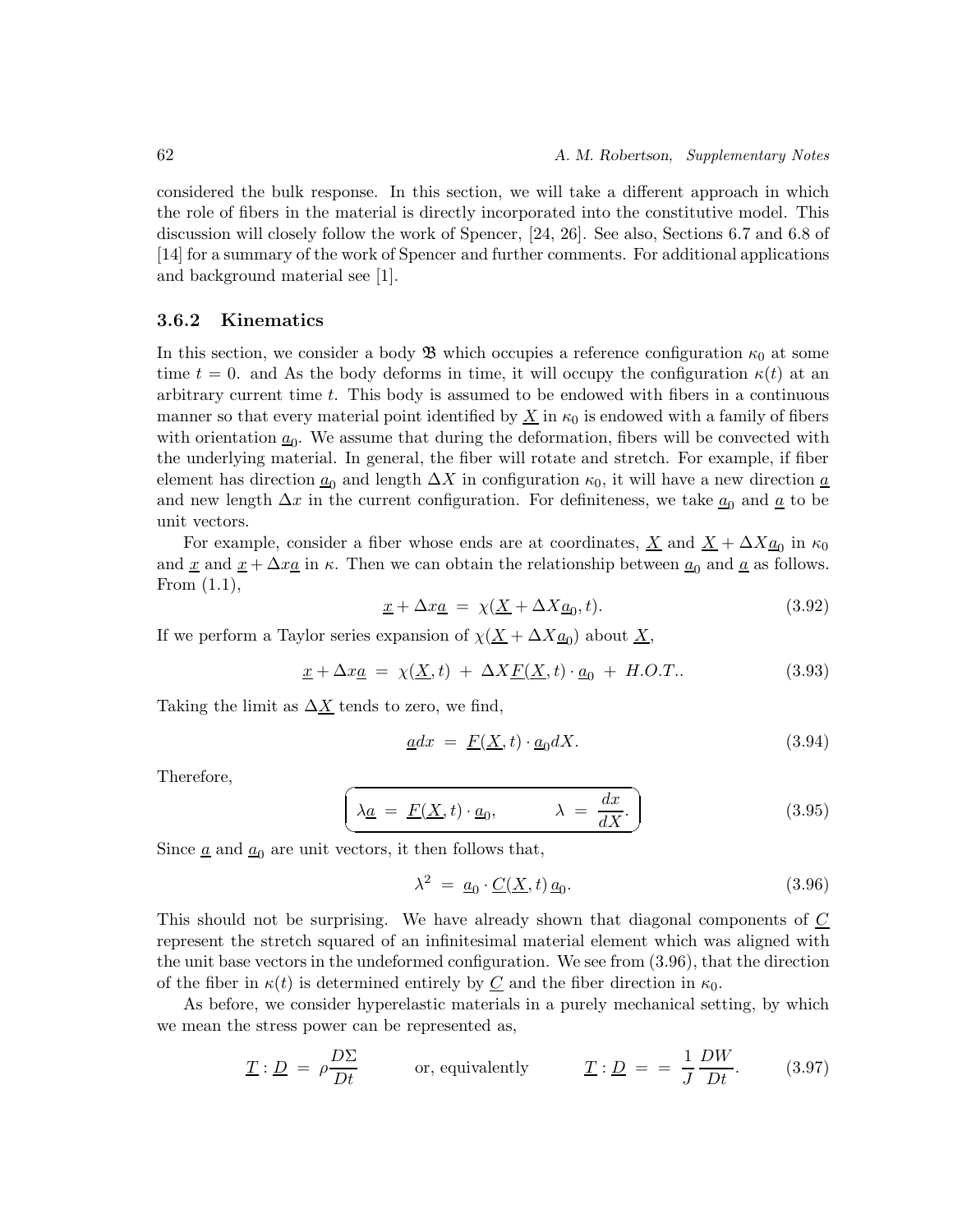considered the bulk response. In this section, we will take a different approach in which the role of fibers in the material is directly incorporated into the constitutive model. This discussion will closely follow the work of Spencer, [24, 26]. See also, Sections 6.7 and 6.8 of [14] for a summary of the work of Spencer and further comments. For additional applications and background material see [1].

### **3.6.2 Kinematics**

In this section, we consider a body  $\mathfrak{B}$  which occupies a reference configuration  $\kappa_0$  at some time  $t = 0$ . and As the body deforms in time, it will occupy the configuration  $\kappa(t)$  at an arbitrary current time t. This body is assumed to be endowed with fibers in a continuous manner so that every material point identified by  $\underline{X}$  in  $\kappa_0$  is endowed with a family of fibers with orientation  $\underline{a}_0$ . We assume that during the deformation, fibers will be convected with the underlying material. In general, the fiber will rotate and stretch. For example, if fiber element has direction  $\underline{a}_0$  and length  $\Delta X$  in configuration  $\kappa_0$ , it will have a new direction  $\underline{a}$ and new length  $\Delta x$  in the current configuration. For definiteness, we take  $\underline{a}_0$  and  $\underline{a}$  to be unit vectors.

For example, consider a fiber whose ends are at coordinates,  $\underline{X}$  and  $\underline{X} + \Delta X \underline{a_0}$  in  $\kappa_0$ and <u>x</u> and  $x + \Delta x a$  in  $\kappa$ . Then we can obtain the relationship between  $a_0$  and  $\alpha$  as follows. From (1.1),

$$
\underline{x} + \Delta x \underline{a} = \chi(\underline{X} + \Delta X \underline{a}_0, t). \tag{3.92}
$$

If we perform a Taylor series expansion of  $\chi(\underline{X} + \Delta X \underline{a}_0)$  about  $\underline{X}$ ,

$$
\underline{x} + \Delta x \underline{a} = \chi(\underline{X}, t) + \Delta X \underline{F}(\underline{X}, t) \cdot \underline{a}_0 + H.O.T.. \tag{3.93}
$$

Taking the limit as  $\Delta X$  tends to zero, we find,

$$
\underline{a}dx = \underline{F}(\underline{X}, t) \cdot \underline{a}_0 dX. \tag{3.94}
$$

Therefore,

$$
\left(\lambda \underline{a} = \underline{F}(\underline{X}, t) \cdot \underline{a}_0, \lambda = \frac{dx}{dX}.\right) \tag{3.95}
$$

Since  $\underline{a}$  and  $\underline{a}_0$  are unit vectors, it then follows that,

$$
\lambda^2 = \underline{a}_0 \cdot \underline{C}(\underline{X}, t) \underline{a}_0. \tag{3.96}
$$

This should not be surprising. We have already shown that diagonal components of C represent the stretch squared of an infinitesimal material element which was aligned with the unit base vectors in the undeformed configuration. We see from (3.96), that the direction of the fiber in  $\kappa(t)$  is determined entirely by  $C$  and the fiber direction in  $\kappa_0$ .

As before, we consider hyperelastic materials in a purely mechanical setting, by which we mean the stress power can be represented as,

$$
\underline{T} : \underline{D} = \rho \frac{D\Sigma}{Dt} \qquad \text{or, equivalently} \qquad \underline{T} : \underline{D} = \frac{1}{J} \frac{DW}{Dt}. \qquad (3.97)
$$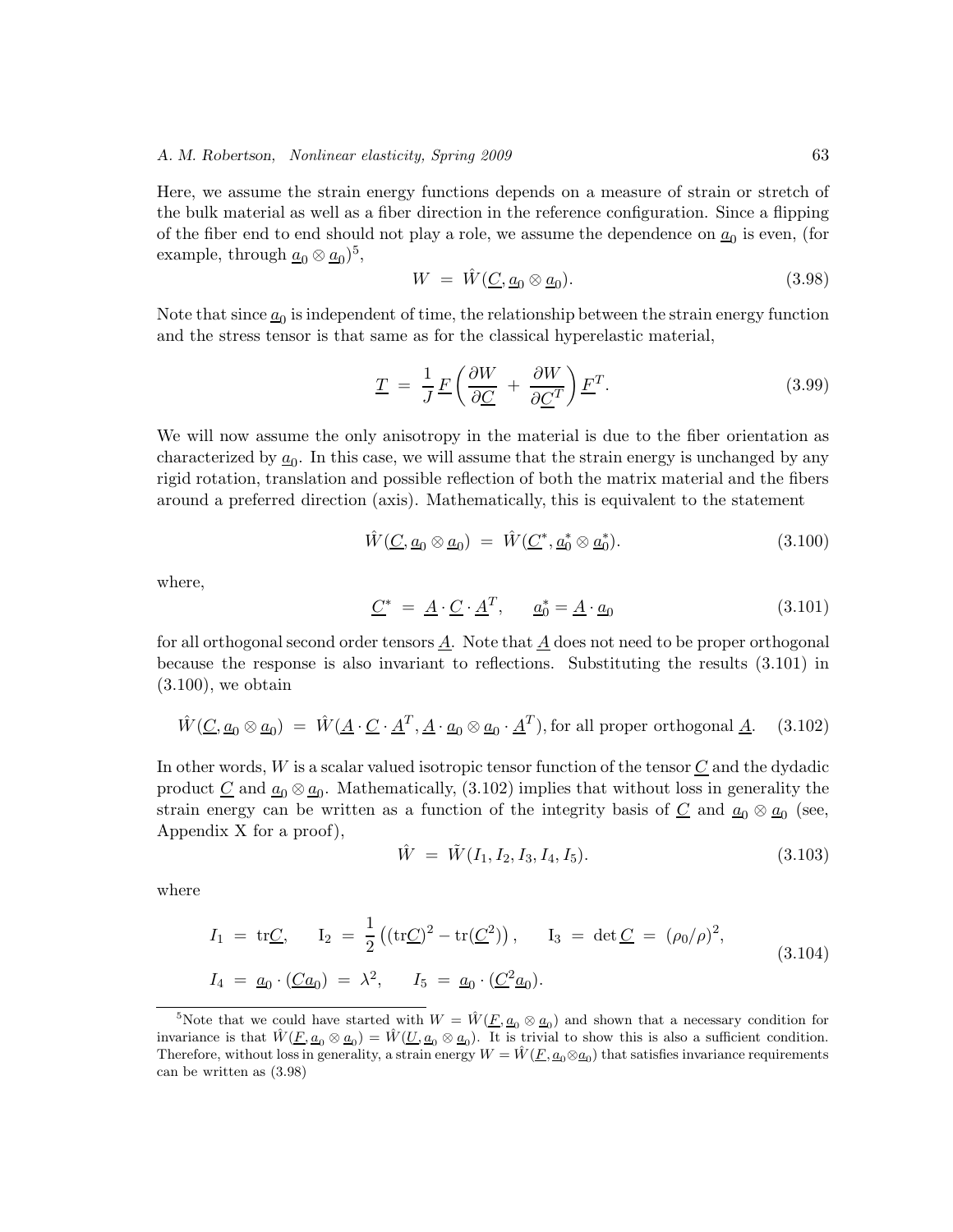Here, we assume the strain energy functions depends on a measure of strain or stretch of the bulk material as well as a fiber direction in the reference configuration. Since a flipping of the fiber end to end should not play a role, we assume the dependence on  $\underline{a}_0$  is even, (for example, through  $\underline{a}_0 \otimes \underline{a}_0$ <sup>5</sup>,

$$
W = \hat{W}(\underline{C}, \underline{a}_0 \otimes \underline{a}_0). \tag{3.98}
$$

Note that since  $\underline{a}_0$  is independent of time, the relationship between the strain energy function and the stress tensor is that same as for the classical hyperelastic material,

$$
\underline{T} = \frac{1}{J} \underline{F} \left( \frac{\partial W}{\partial \underline{C}} + \frac{\partial W}{\partial \underline{C}^T} \right) \underline{F}^T.
$$
\n(3.99)

We will now assume the only anisotropy in the material is due to the fiber orientation as characterized by  $\underline{a}_0$ . In this case, we will assume that the strain energy is unchanged by any rigid rotation, translation and possible reflection of both the matrix material and the fibers around a preferred direction (axis). Mathematically, this is equivalent to the statement

$$
\hat{W}(\underline{C}, \underline{a}_0 \otimes \underline{a}_0) = \hat{W}(\underline{C}^*, \underline{a}_0^* \otimes \underline{a}_0^*). \tag{3.100}
$$

where,

$$
\underline{C}^* = \underline{A} \cdot \underline{C} \cdot \underline{A}^T, \qquad \underline{a}_0^* = \underline{A} \cdot \underline{a}_0 \tag{3.101}
$$

for all orthogonal second order tensors  $\underline{A}$ . Note that  $\underline{A}$  does not need to be proper orthogonal because the response is also invariant to reflections. Substituting the results (3.101) in  $(3.100)$ , we obtain

$$
\hat{W}(\underline{C}, \underline{a}_0 \otimes \underline{a}_0) = \hat{W}(\underline{A} \cdot \underline{C} \cdot \underline{A}^T, \underline{A} \cdot \underline{a}_0 \otimes \underline{a}_0 \cdot \underline{A}^T), \text{for all proper orthogonal } \underline{A}.
$$
 (3.102)

In other words,  $W$  is a scalar valued isotropic tensor function of the tensor  $C$  and the dydadic product <u>C</u> and  $\underline{a}_0 \otimes \underline{a}_0$ . Mathematically, (3.102) implies that without loss in generality the strain energy can be written as a function of the integrity basis of  $\underline{C}$  and  $\underline{a}_0 \otimes \underline{a}_0$  (see, Appendix X for a proof),

$$
\hat{W} = \tilde{W}(I_1, I_2, I_3, I_4, I_5). \tag{3.103}
$$

where

$$
I_1 = \text{tr}\underline{C}, \qquad I_2 = \frac{1}{2} \left( (\text{tr}\underline{C})^2 - \text{tr}(\underline{C}^2) \right), \qquad I_3 = \text{det}\,\underline{C} = (\rho_0/\rho)^2,
$$
  
\n
$$
I_4 = \underline{a}_0 \cdot (\underline{C} \underline{a}_0) = \lambda^2, \qquad I_5 = \underline{a}_0 \cdot (\underline{C}^2 \underline{a}_0).
$$
\n(3.104)

<sup>&</sup>lt;sup>5</sup>Note that we could have started with  $W = \hat{W}(E, a_0 \otimes a_0)$  and shown that a necessary condition for invariance is that  $\hat{W}(E, a_0 \otimes a_0) = \hat{W}(U, a_0 \otimes a_0)$ . It is trivial to show this is also a sufficient condition. Therefore, without loss in generality, a strain energy  $W = \hat{W}(\underline{F}, \underline{a}_0 \otimes \underline{a}_0)$  that satisfies invariance requirements can be written as (3.98)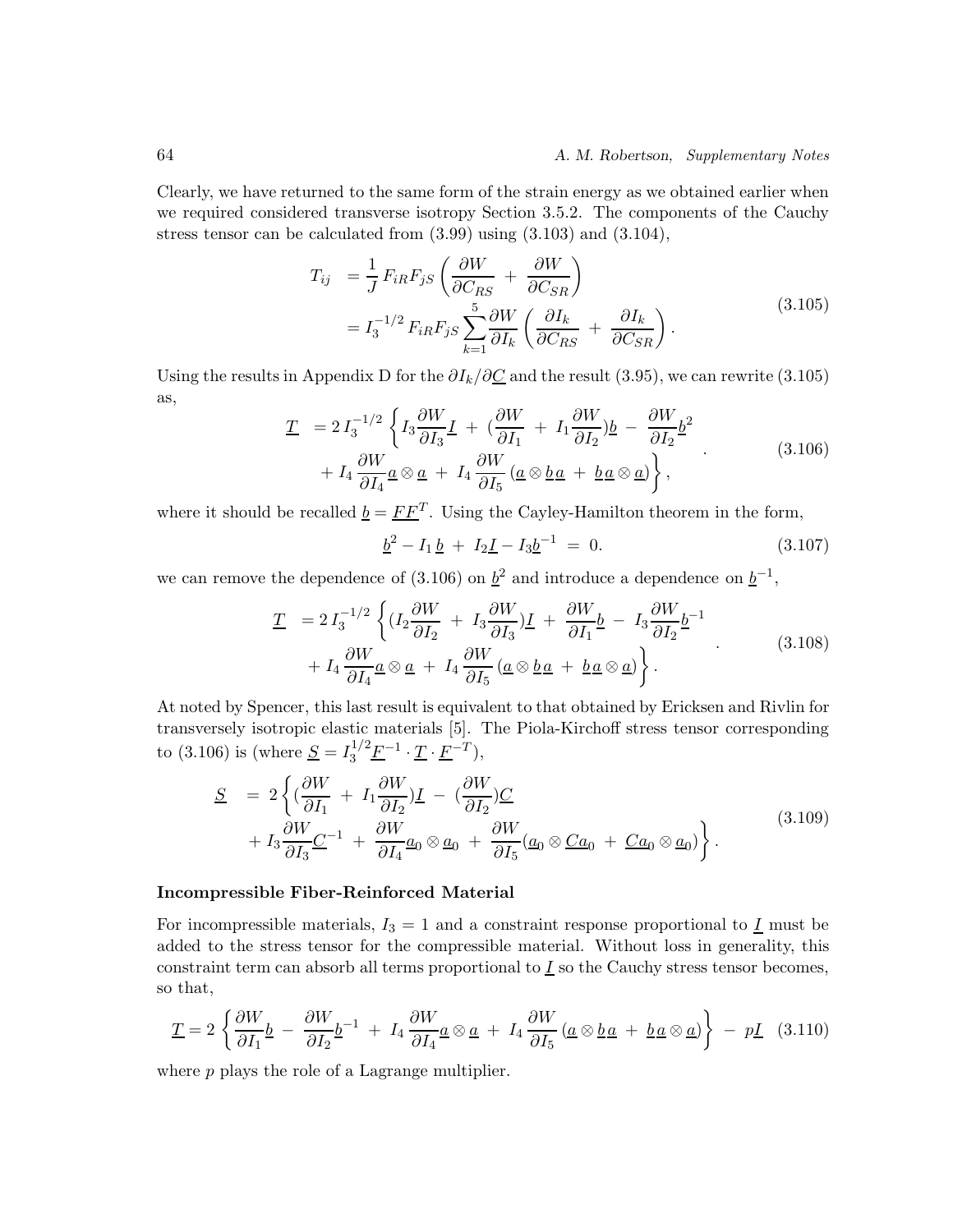Clearly, we have returned to the same form of the strain energy as we obtained earlier when we required considered transverse isotropy Section 3.5.2. The components of the Cauchy stress tensor can be calculated from (3.99) using (3.103) and (3.104),

$$
T_{ij} = \frac{1}{J} F_{iR} F_{jS} \left( \frac{\partial W}{\partial C_{RS}} + \frac{\partial W}{\partial C_{SR}} \right)
$$
  
=  $I_3^{-1/2} F_{iR} F_{jS} \sum_{k=1}^{5} \frac{\partial W}{\partial I_k} \left( \frac{\partial I_k}{\partial C_{RS}} + \frac{\partial I_k}{\partial C_{SR}} \right).$  (3.105)

Using the results in Appendix D for the  $\partial I_k/\partial C$  and the result (3.95), we can rewrite (3.105) as,

$$
\underline{T} = 2 I_3^{-1/2} \left\{ I_3 \frac{\partial W}{\partial I_3} \underline{I} + (\frac{\partial W}{\partial I_1} + I_1 \frac{\partial W}{\partial I_2}) \underline{b} - \frac{\partial W}{\partial I_2} \underline{b}^2 + I_4 \frac{\partial W}{\partial I_4} \underline{a} \otimes \underline{a} + I_4 \frac{\partial W}{\partial I_5} (\underline{a} \otimes \underline{b} \underline{a} + \underline{b} \underline{a} \otimes \underline{a}) \right\},
$$
\n(3.106)

where it should be recalled  $\underline{b} = \underline{FF}^T$ . Using the Cayley-Hamilton theorem in the form,

$$
\underline{b}^2 - I_1 \underline{b} + I_2 \underline{I} - I_3 \underline{b}^{-1} = 0. \tag{3.107}
$$

we can remove the dependence of (3.106) on  $\underline{b}^2$  and introduce a dependence on  $\underline{b}^{-1}$ ,

$$
\underline{T} = 2 I_3^{-1/2} \left\{ (I_2 \frac{\partial W}{\partial I_2} + I_3 \frac{\partial W}{\partial I_3}) \underline{I} + \frac{\partial W}{\partial I_1} \underline{b} - I_3 \frac{\partial W}{\partial I_2} \underline{b}^{-1} + I_4 \frac{\partial W}{\partial I_4} \underline{a} \otimes \underline{a} + I_4 \frac{\partial W}{\partial I_5} (\underline{a} \otimes \underline{b} \underline{a} + \underline{b} \underline{a} \otimes \underline{a}) \right\}.
$$
\n(3.108)

At noted by Spencer, this last result is equivalent to that obtained by Ericksen and Rivlin for transversely isotropic elastic materials [5]. The Piola-Kirchoff stress tensor corresponding to (3.106) is (where  $\underline{S} = I_3^{1/2} \underline{F}^{-1} \cdot \underline{T} \cdot \underline{F}^{-T}$ ),

$$
\underline{S} = 2\left\{ \left( \frac{\partial W}{\partial I_1} + I_1 \frac{\partial W}{\partial I_2} \right) \underline{I} - \left( \frac{\partial W}{\partial I_2} \right) \underline{C} + I_3 \frac{\partial W}{\partial I_3} \underline{C}^{-1} + \frac{\partial W}{\partial I_4} \underline{a}_0 \otimes \underline{a}_0 + \frac{\partial W}{\partial I_5} (\underline{a}_0 \otimes \underline{C} \underline{a}_0 + \underline{C} \underline{a}_0 \otimes \underline{a}_0) \right\}.
$$
\n(3.109)

#### **Incompressible Fiber-Reinforced Material**

For incompressible materials,  $I_3 = 1$  and a constraint response proportional to  $I$  must be added to the stress tensor for the compressible material. Without loss in generality, this constraint term can absorb all terms proportional to  $\underline{I}$  so the Cauchy stress tensor becomes, so that,

$$
\underline{T} = 2 \left\{ \frac{\partial W}{\partial I_1} \underline{b} - \frac{\partial W}{\partial I_2} \underline{b}^{-1} + I_4 \frac{\partial W}{\partial I_4} \underline{a} \otimes \underline{a} + I_4 \frac{\partial W}{\partial I_5} \left( \underline{a} \otimes \underline{b} \underline{a} + \underline{b} \underline{a} \otimes \underline{a} \right) \right\} - p \underline{I} \quad (3.110)
$$

where p plays the role of a Lagrange multiplier.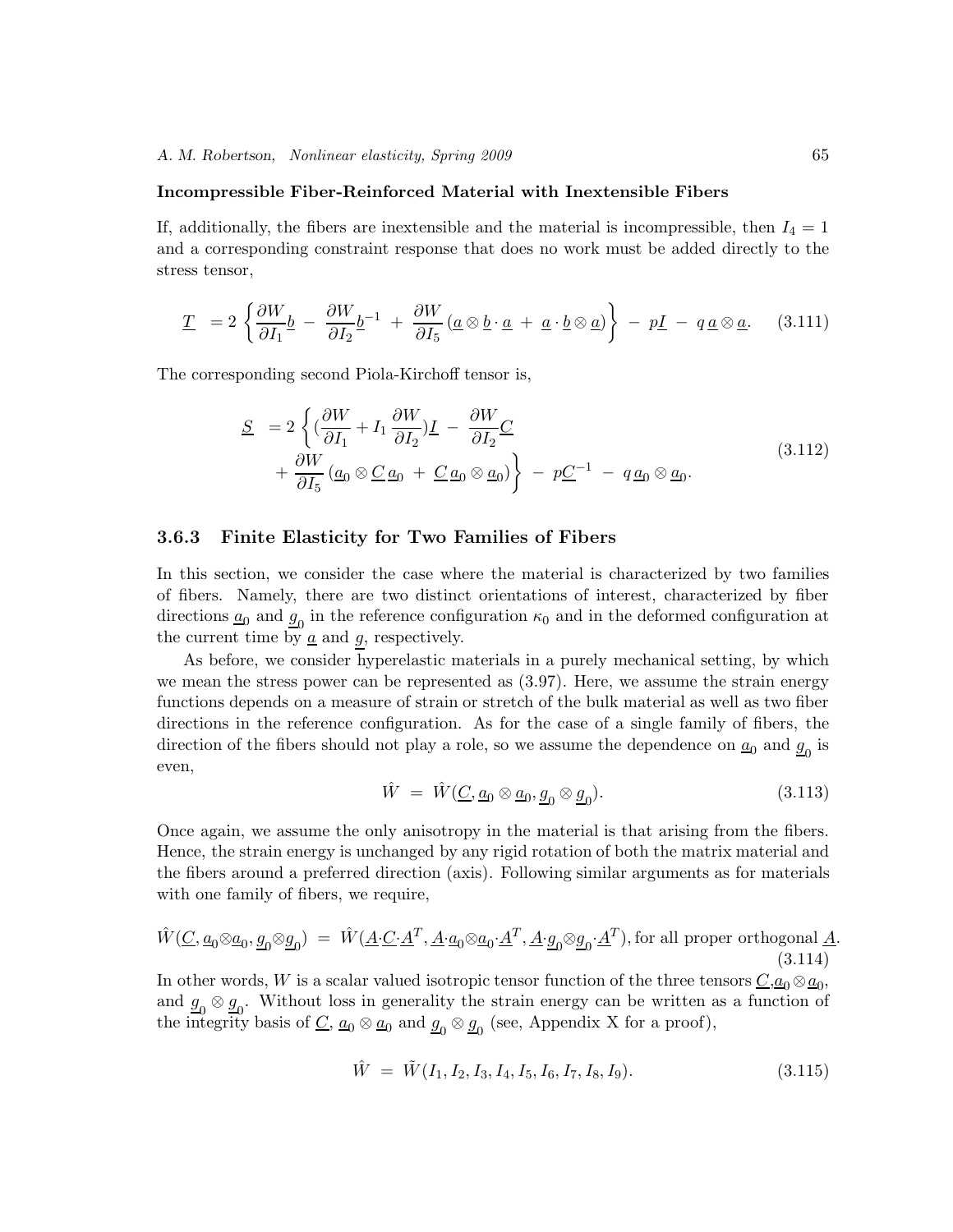### **Incompressible Fiber-Reinforced Material with Inextensible Fibers**

If, additionally, the fibers are inextensible and the material is incompressible, then  $I_4 = 1$ and a corresponding constraint response that does no work must be added directly to the stress tensor,

$$
\underline{T} = 2 \left\{ \frac{\partial W}{\partial I_1} \underline{b} - \frac{\partial W}{\partial I_2} \underline{b}^{-1} + \frac{\partial W}{\partial I_5} (\underline{a} \otimes \underline{b} \cdot \underline{a} + \underline{a} \cdot \underline{b} \otimes \underline{a}) \right\} - p\underline{I} - q \underline{a} \otimes \underline{a}. \quad (3.111)
$$

The corresponding second Piola-Kirchoff tensor is,

$$
\underline{S} = 2 \left\{ \left( \frac{\partial W}{\partial I_1} + I_1 \frac{\partial W}{\partial I_2} \right) \underline{I} - \frac{\partial W}{\partial I_2} \underline{C} + \frac{\partial W}{\partial I_5} \left( \underline{a}_0 \otimes \underline{C} \underline{a}_0 + \underline{C} \underline{a}_0 \otimes \underline{a}_0 \right) \right\} - p \underline{C}^{-1} - q \underline{a}_0 \otimes \underline{a}_0.
$$
\n(3.112)

### **3.6.3 Finite Elasticity for Two Families of Fibers**

In this section, we consider the case where the material is characterized by two families of fibers. Namely, there are two distinct orientations of interest, characterized by fiber directions  $\underline{a}_0$  and  $\underline{g}_0$  in the reference configuration  $\kappa_0$  and in the deformed configuration at the current time by  $\underline{a}$  and  $g$ , respectively.

As before, we consider hyperelastic materials in a purely mechanical setting, by which we mean the stress power can be represented as (3.97). Here, we assume the strain energy functions depends on a measure of strain or stretch of the bulk material as well as two fiber directions in the reference configuration. As for the case of a single family of fibers, the direction of the fibers should not play a role, so we assume the dependence on  $\underline{a}_0$  and  $g_0$  is even,

$$
\hat{W} = \hat{W}(\underline{C}, \underline{a}_0 \otimes \underline{a}_0, \underline{g}_0 \otimes \underline{g}_0). \tag{3.113}
$$

Once again, we assume the only anisotropy in the material is that arising from the fibers. Hence, the strain energy is unchanged by any rigid rotation of both the matrix material and the fibers around a preferred direction (axis). Following similar arguments as for materials with one family of fibers, we require,

$$
\hat{W}(\underline{C}, \underline{a}_0 \otimes \underline{a}_0, \underline{g}_0 \otimes \underline{g}_0) = \hat{W}(\underline{A} \cdot \underline{C} \cdot \underline{A}^T, \underline{A} \cdot \underline{a}_0 \otimes \underline{a}_0 \cdot \underline{A}^T, \underline{A} \cdot \underline{g}_0 \otimes \underline{g}_0 \cdot \underline{A}^T),
$$
 for all proper orthogonal **A**. (3.114)

In other words, W is a scalar valued isotropic tensor function of the three tensors  $C, a_0 \otimes a_0$ , and  $\underline{g}_0 \otimes \underline{g}_0$ . Without loss in generality the strain energy can be written as a function of the integrity basis of  $\underline{C}$ ,  $\underline{a_0} \otimes \underline{a_0}$  and  $\underline{g_0} \otimes \underline{g_0}$  (see, Appendix X for a proof),

$$
\hat{W} = \tilde{W}(I_1, I_2, I_3, I_4, I_5, I_6, I_7, I_8, I_9). \tag{3.115}
$$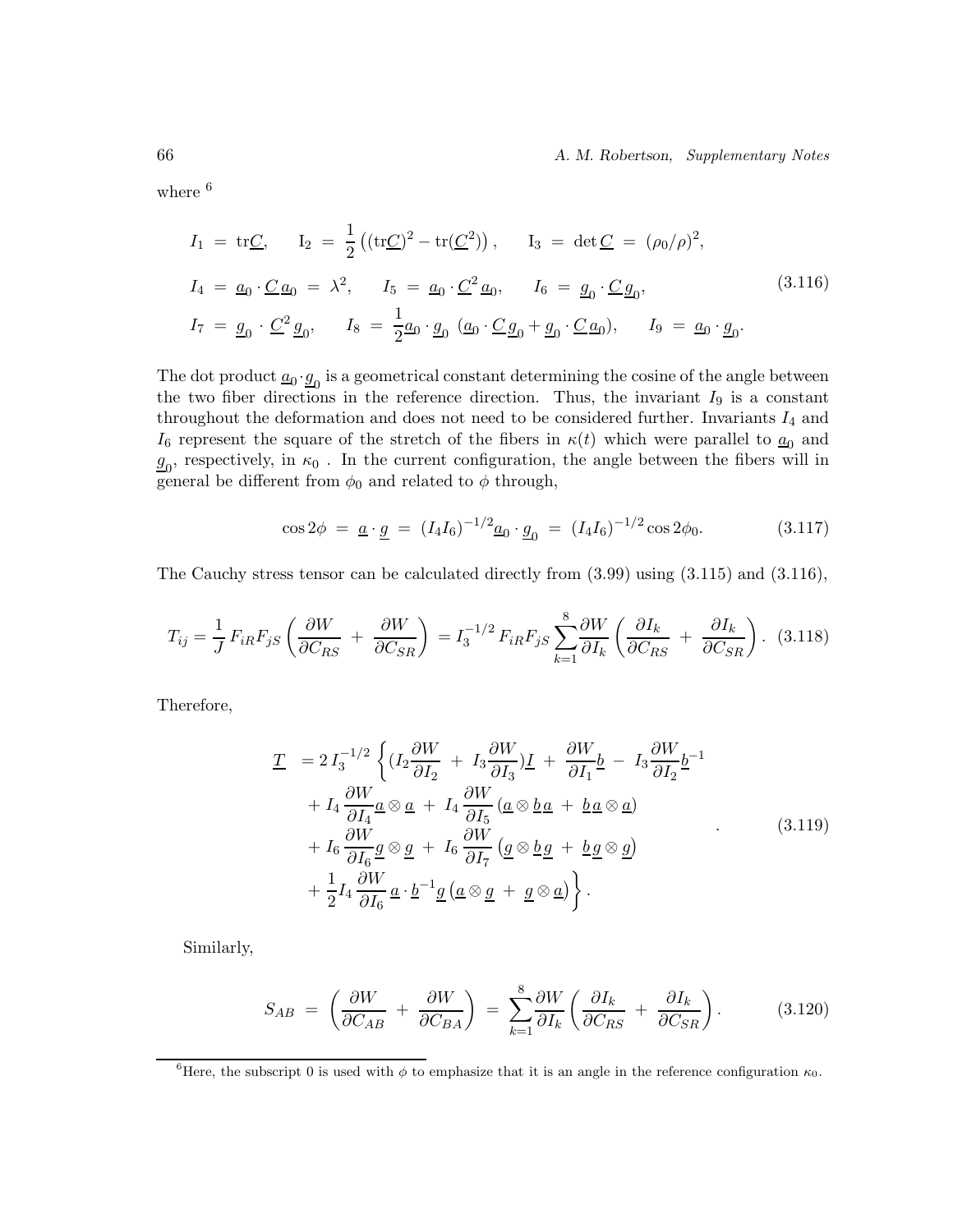66 *A. M. Robertson, Supplementary Notes*

where  $6$ 

$$
I_1 = \text{tr}\underline{C}, \qquad I_2 = \frac{1}{2} \left( (\text{tr}\underline{C})^2 - \text{tr}(\underline{C}^2) \right), \qquad I_3 = \text{det}\,\underline{C} = (\rho_0/\rho)^2,
$$
  
\n
$$
I_4 = \underline{a}_0 \cdot \underline{C} \,\underline{a}_0 = \lambda^2, \qquad I_5 = \underline{a}_0 \cdot \underline{C}^2 \,\underline{a}_0, \qquad I_6 = \underline{g}_0 \cdot \underline{C} \,\underline{g}_0,
$$
  
\n
$$
I_7 = \underline{g}_0 \cdot \underline{C}^2 \,\underline{g}_0, \qquad I_8 = \frac{1}{2} \underline{a}_0 \cdot \underline{g}_0 \, \left( \underline{a}_0 \cdot \underline{C} \,\underline{g}_0 + \underline{g}_0 \cdot \underline{C} \,\underline{a}_0 \right), \qquad I_9 = \underline{a}_0 \cdot \underline{g}_0.
$$
  
\n(3.116)

The dot product  $\underline{a}_0 \cdot \underline{g}_0$  is a geometrical constant determining the cosine of the angle between the two fiber directions in the reference direction. Thus, the invariant  $I_9$  is a constant throughout the deformation and does not need to be considered further. Invariants  $I_4$  and  $I_6$  represent the square of the stretch of the fibers in  $\kappa(t)$  which were parallel to  $\underline{a}_0$  and  $g_0$ , respectively, in  $\kappa_0$ . In the current configuration, the angle between the fibers will in general be different from  $\phi_0$  and related to  $\phi$  through,

$$
\cos 2\phi = \underline{a} \cdot \underline{g} = (I_4 I_6)^{-1/2} \underline{a}_0 \cdot \underline{g}_0 = (I_4 I_6)^{-1/2} \cos 2\phi_0. \tag{3.117}
$$

The Cauchy stress tensor can be calculated directly from (3.99) using (3.115) and (3.116),

$$
T_{ij} = \frac{1}{J} F_{iR} F_{jS} \left( \frac{\partial W}{\partial C_{RS}} + \frac{\partial W}{\partial C_{SR}} \right) = I_3^{-1/2} F_{iR} F_{jS} \sum_{k=1}^8 \frac{\partial W}{\partial I_k} \left( \frac{\partial I_k}{\partial C_{RS}} + \frac{\partial I_k}{\partial C_{SR}} \right). \tag{3.118}
$$

Therefore,

$$
\underline{T} = 2 I_3^{-1/2} \left\{ (I_2 \frac{\partial W}{\partial I_2} + I_3 \frac{\partial W}{\partial I_3}) \underline{I} + \frac{\partial W}{\partial I_1} \underline{b} - I_3 \frac{\partial W}{\partial I_2} \underline{b}^{-1} + I_4 \frac{\partial W}{\partial I_4} \underline{a} \otimes \underline{a} + I_4 \frac{\partial W}{\partial I_5} (\underline{a} \otimes \underline{b} \underline{a} + \underline{b} \underline{a} \otimes \underline{a}) + I_6 \frac{\partial W}{\partial I_6} \underline{g} \otimes \underline{g} + I_6 \frac{\partial W}{\partial I_7} (\underline{g} \otimes \underline{b} \underline{g} + \underline{b} \underline{g} \otimes \underline{g}) + \frac{1}{2} I_4 \frac{\partial W}{\partial I_6} \underline{a} \cdot \underline{b}^{-1} \underline{g} (\underline{a} \otimes \underline{g} + \underline{g} \otimes \underline{a}) \right\}.
$$
\n(3.119)

Similarly,

$$
S_{AB} = \left(\frac{\partial W}{\partial C_{AB}} + \frac{\partial W}{\partial C_{BA}}\right) = \sum_{k=1}^{8} \frac{\partial W}{\partial I_k} \left(\frac{\partial I_k}{\partial C_{RS}} + \frac{\partial I_k}{\partial C_{SR}}\right). \tag{3.120}
$$

<sup>&</sup>lt;sup>6</sup>Here, the subscript 0 is used with  $\phi$  to emphasize that it is an angle in the reference configuration  $\kappa_0$ .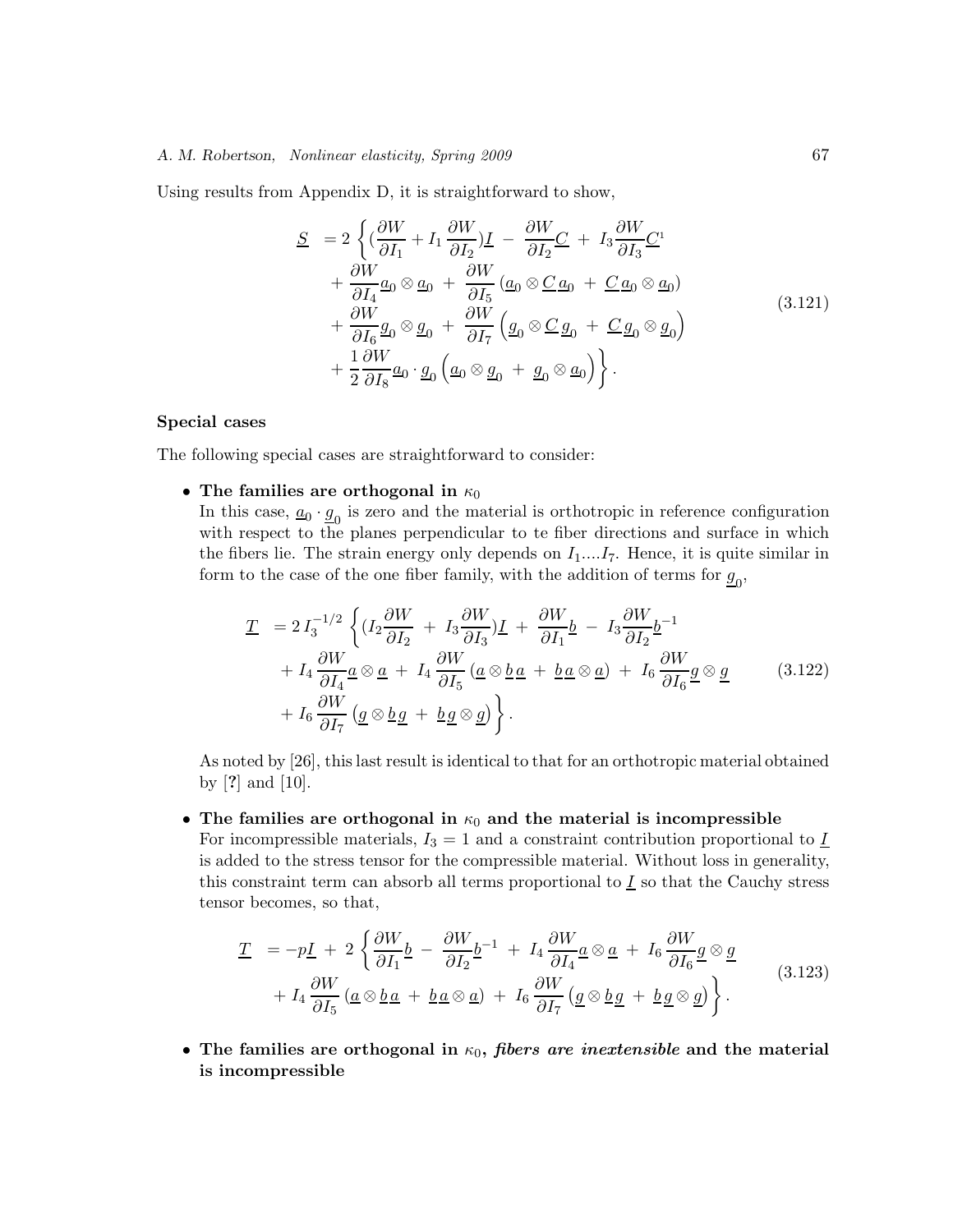### *A. M. Robertson, Nonlinear elasticity, Spring 2009* 67

Using results from Appendix D, it is straightforward to show,

$$
\underline{S} = 2 \left\{ \left( \frac{\partial W}{\partial I_1} + I_1 \frac{\partial W}{\partial I_2} \right) \underline{I} - \frac{\partial W}{\partial I_2} \underline{C} + I_3 \frac{\partial W}{\partial I_3} \underline{C}^1 + \frac{\partial W}{\partial I_4} \underline{a}_0 \otimes \underline{a}_0 + \frac{\partial W}{\partial I_5} \left( \underline{a}_0 \otimes \underline{C} \, \underline{a}_0 + \underline{C} \, \underline{a}_0 \otimes \underline{a}_0 \right) + \frac{\partial W}{\partial I_6} \underline{g}_0 \otimes \underline{g}_0 + \frac{\partial W}{\partial I_7} \left( \underline{g}_0 \otimes \underline{C} \, \underline{g}_0 + \underline{C} \, \underline{g}_0 \otimes \underline{g}_0 \right) + \frac{1}{2} \frac{\partial W}{\partial I_8} \underline{a}_0 \cdot \underline{g}_0 \left( \underline{a}_0 \otimes \underline{g}_0 + \underline{g}_0 \otimes \underline{a}_0 \right) \right\}.
$$
\n(3.121)

### **Special cases**

The following special cases are straightforward to consider:

• The families are orthogonal in  $\kappa_0$ 

In this case,  $\underline{a}_0 \cdot \underline{g}_0$  is zero and the material is orthotropic in reference configuration with respect to the planes perpendicular to te fiber directions and surface in which the fibers lie. The strain energy only depends on  $I_1$ .... $I_7$ . Hence, it is quite similar in form to the case of the one fiber family, with the addition of terms for  $\underline{g}_0$ ,

$$
\underline{T} = 2 I_3^{-1/2} \left\{ (I_2 \frac{\partial W}{\partial I_2} + I_3 \frac{\partial W}{\partial I_3}) \underline{I} + \frac{\partial W}{\partial I_1} \underline{b} - I_3 \frac{\partial W}{\partial I_2} \underline{b}^{-1} + I_4 \frac{\partial W}{\partial I_4} \underline{a} \otimes \underline{a} + I_4 \frac{\partial W}{\partial I_5} (\underline{a} \otimes \underline{b} \underline{a} + \underline{b} \underline{a} \otimes \underline{a}) + I_6 \frac{\partial W}{\partial I_6} \underline{g} \otimes \underline{g} \right\}.
$$
\n(3.122)\n
$$
+ I_6 \frac{\partial W}{\partial I_7} (\underline{g} \otimes \underline{b} \underline{g} + \underline{b} \underline{g} \otimes \underline{g}) \right\}.
$$

As noted by [26], this last result is identical to that for an orthotropic material obtained by [**?**] and [10].

### • The families are orthogonal in  $\kappa_0$  and the material is incompressible

For incompressible materials,  $I_3 = 1$  and a constraint contribution proportional to  $I$ is added to the stress tensor for the compressible material. Without loss in generality, this constraint term can absorb all terms proportional to  $I$  so that the Cauchy stress tensor becomes, so that,

$$
\underline{T} = -p\underline{I} + 2\left\{\frac{\partial W}{\partial I_1}\underline{b} - \frac{\partial W}{\partial I_2}\underline{b}^{-1} + I_4 \frac{\partial W}{\partial I_4}\underline{a}\otimes \underline{a} + I_6 \frac{\partial W}{\partial I_6}\underline{g}\otimes \underline{g} + I_4 \frac{\partial W}{\partial I_5} (\underline{a}\otimes \underline{b}\underline{a} + \underline{b}\underline{a}\otimes \underline{a}) + I_6 \frac{\partial W}{\partial I_7} (\underline{g}\otimes \underline{b}\underline{g} + \underline{b}\underline{g}\otimes \underline{g})\right\}.
$$
\n(3.123)

• The families are orthogonal in  $\kappa_0$ , *fibers are inextensible* and the material **is incompressible**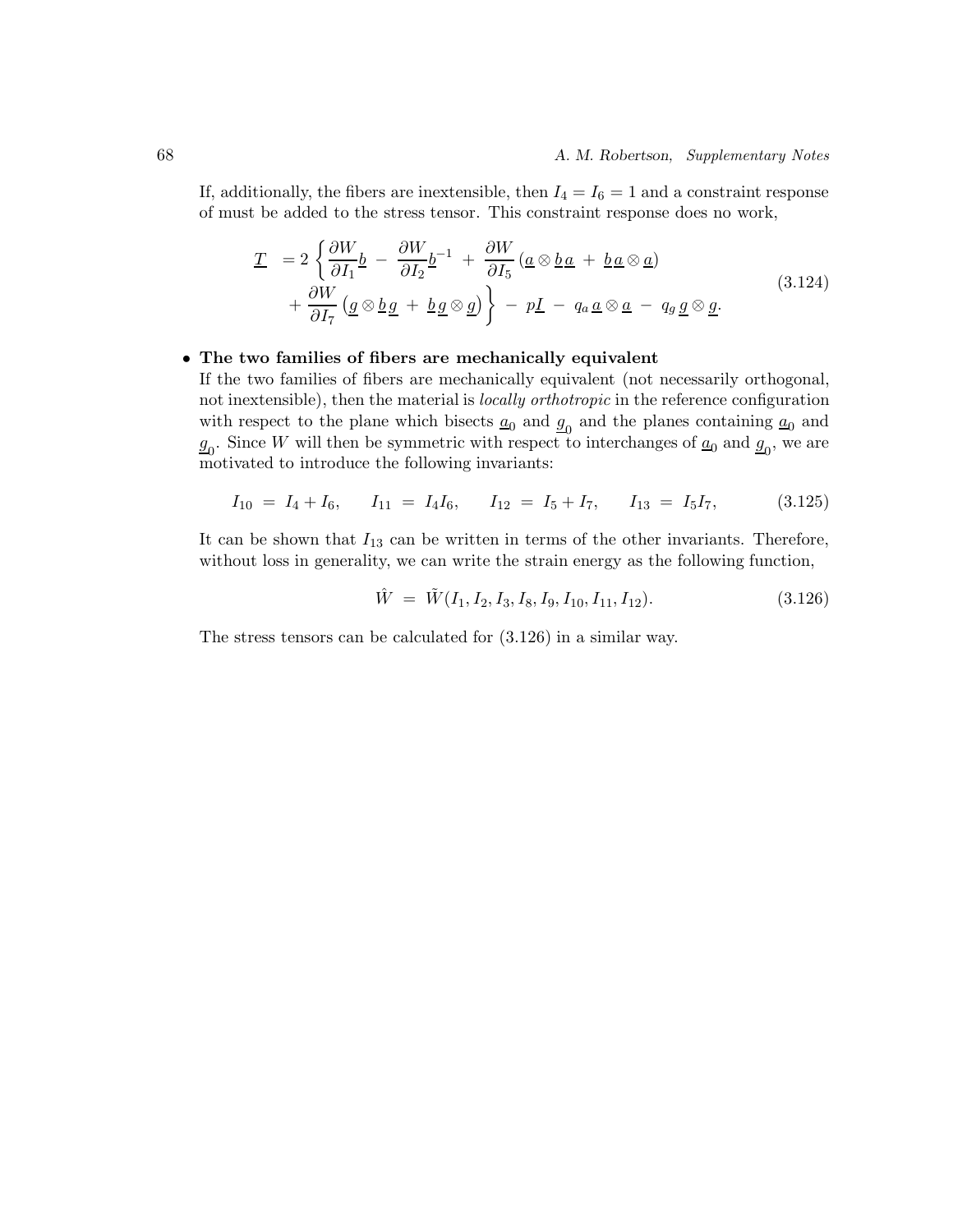If, additionally, the fibers are inextensible, then  $I_4 = I_6 = 1$  and a constraint response of must be added to the stress tensor. This constraint response does no work,

$$
\underline{T} = 2 \left\{ \frac{\partial W}{\partial I_1} \underline{b} - \frac{\partial W}{\partial I_2} \underline{b}^{-1} + \frac{\partial W}{\partial I_5} \left( \underline{a} \otimes \underline{b} \underline{a} + \underline{b} \underline{a} \otimes \underline{a} \right) \right. \left. + \frac{\partial W}{\partial I_7} \left( \underline{g} \otimes \underline{b} \underline{g} + \underline{b} \underline{g} \otimes \underline{g} \right) \right\} - p \underline{I} - q_a \underline{a} \otimes \underline{a} - q_g \underline{g} \otimes \underline{g}.
$$
\n(3.124)

### • **The two families of fibers are mechanically equivalent**

If the two families of fibers are mechanically equivalent (not necessarily orthogonal, not inextensible), then the material is *locally orthotropic* in the reference configuration with respect to the plane which bisects  $\underline{a}_0$  and  $\underline{g}_0$  and the planes containing  $\underline{a}_0$  and  $g_0$ . Since W will then be symmetric with respect to interchanges of  $\underline{a}_0$  and  $\underline{g}_0$ , we are motivated to introduce the following invariants:

$$
I_{10} = I_4 + I_6, \tI_{11} = I_4 I_6, \tI_{12} = I_5 + I_7, \tI_{13} = I_5 I_7,
$$
(3.125)

It can be shown that  $I_{13}$  can be written in terms of the other invariants. Therefore, without loss in generality, we can write the strain energy as the following function,

$$
\hat{W} = \tilde{W}(I_1, I_2, I_3, I_8, I_9, I_{10}, I_{11}, I_{12}).
$$
\n(3.126)

The stress tensors can be calculated for (3.126) in a similar way.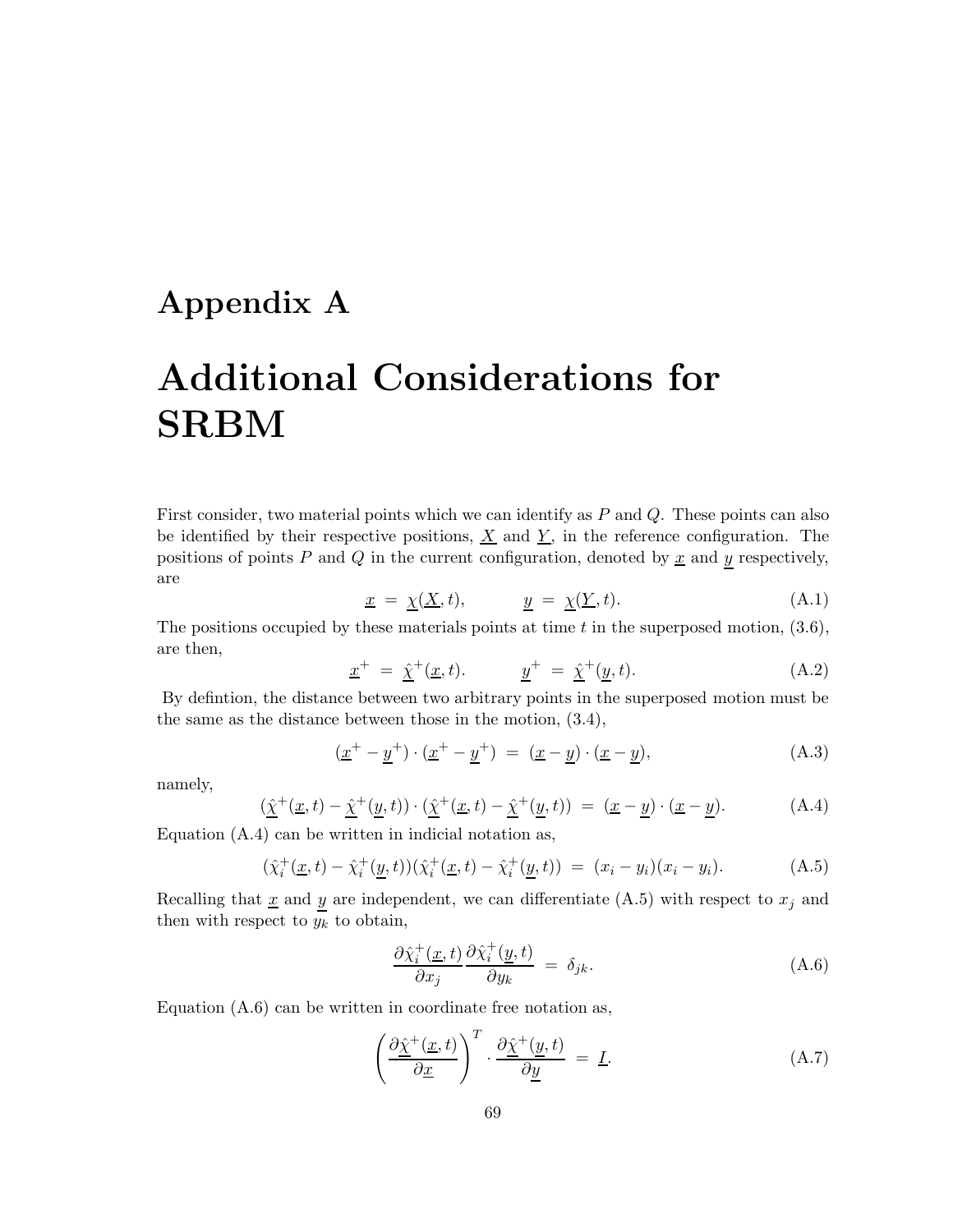## **Appendix A**

# **Additional Considerations for SRBM**

First consider, two material points which we can identify as P and Q. These points can also be identified by their respective positions,  $\underline{X}$  and  $\underline{Y}$ , in the reference configuration. The positions of points  $P$  and  $Q$  in the current configuration, denoted by  $\underline{x}$  and  $\underline{y}$  respectively, are

$$
\underline{x} = \underline{\chi}(\underline{X}, t), \qquad \underline{y} = \underline{\chi}(\underline{Y}, t). \tag{A.1}
$$

The positions occupied by these materials points at time  $t$  in the superposed motion,  $(3.6)$ , are then,

$$
\underline{x}^{+} = \hat{\underline{\chi}}^{+}(\underline{x}, t). \qquad \underline{y}^{+} = \hat{\underline{\chi}}^{+}(\underline{y}, t). \qquad (A.2)
$$

By defintion, the distance between two arbitrary points in the superposed motion must be the same as the distance between those in the motion, (3.4),

$$
(\underline{x}^+ - \underline{y}^+) \cdot (\underline{x}^+ - \underline{y}^+) = (\underline{x} - \underline{y}) \cdot (\underline{x} - \underline{y}), \tag{A.3}
$$

namely,

$$
(\underline{\hat{\chi}}^+(\underline{x},t) - \underline{\hat{\chi}}^+(\underline{y},t)) \cdot (\underline{\hat{\chi}}^+(\underline{x},t) - \underline{\hat{\chi}}^+(\underline{y},t)) = (\underline{x} - \underline{y}) \cdot (\underline{x} - \underline{y}).
$$
 (A.4)

Equation (A.4) can be written in indicial notation as,

$$
(\hat{\chi}_i^+(\underline{x},t) - \hat{\chi}_i^+(\underline{y},t))(\hat{\chi}_i^+(\underline{x},t) - \hat{\chi}_i^+(\underline{y},t)) = (x_i - y_i)(x_i - y_i). \tag{A.5}
$$

Recalling that  $\underline{x}$  and  $y$  are independent, we can differentiate (A.5) with respect to  $x_j$  and then with respect to  $y_k$  to obtain,

$$
\frac{\partial \hat{\chi}_i^+(x,t)}{\partial x_j} \frac{\partial \hat{\chi}_i^+(y,t)}{\partial y_k} = \delta_{jk}.
$$
\n(A.6)

Equation (A.6) can be written in coordinate free notation as,

$$
\left(\frac{\partial \hat{\chi}^+(x,t)}{\partial x}\right)^T \cdot \frac{\partial \hat{\chi}^+(y,t)}{\partial y} = \underline{I}.
$$
\n(A.7)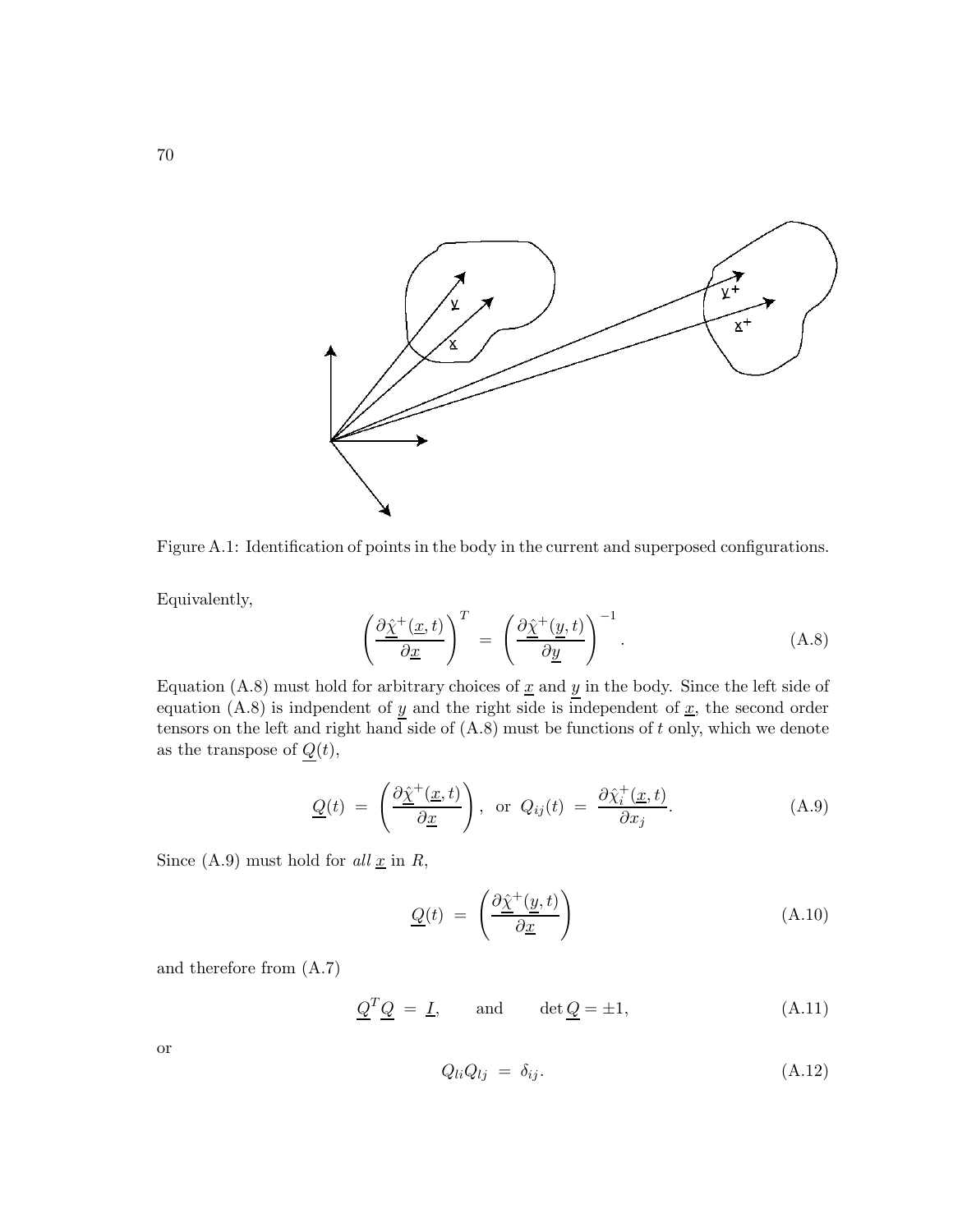

Figure A.1: Identification of points in the body in the current and superposed configurations.

Equivalently,

$$
\left(\frac{\partial \hat{\chi}^+(x,t)}{\partial x}\right)^T = \left(\frac{\partial \hat{\chi}^+(y,t)}{\partial y}\right)^{-1}.\tag{A.8}
$$

Equation (A.8) must hold for arbitrary choices of  $\underline{x}$  and  $\underline{y}$  in the body. Since the left side of equation (A.8) is indpendent of  $\underline{y}$  and the right side is independent of  $\underline{x}$ , the second order tensors on the left and right hand side of  $(A.8)$  must be functions of t only, which we denote as the transpose of  $Q(t)$ ,

$$
\underline{Q}(t) = \left(\frac{\partial \hat{\chi}^+(x,t)}{\partial x}\right), \text{ or } Q_{ij}(t) = \frac{\partial \hat{\chi}^+_i(x,t)}{\partial x_j}.
$$
 (A.9)

Since  $(A.9)$  must hold for  $all \underline{x}$  in  $R$ ,

$$
\underline{Q}(t) = \left(\frac{\partial \hat{\underline{\chi}}^+(y, t)}{\partial \underline{x}}\right) \tag{A.10}
$$

and therefore from (A.7)

$$
\underline{Q}^T \underline{Q} = \underline{I}, \quad \text{and} \quad \det \underline{Q} = \pm 1,
$$
\n(A.11)

or

$$
Q_{li}Q_{lj} = \delta_{ij}.\tag{A.12}
$$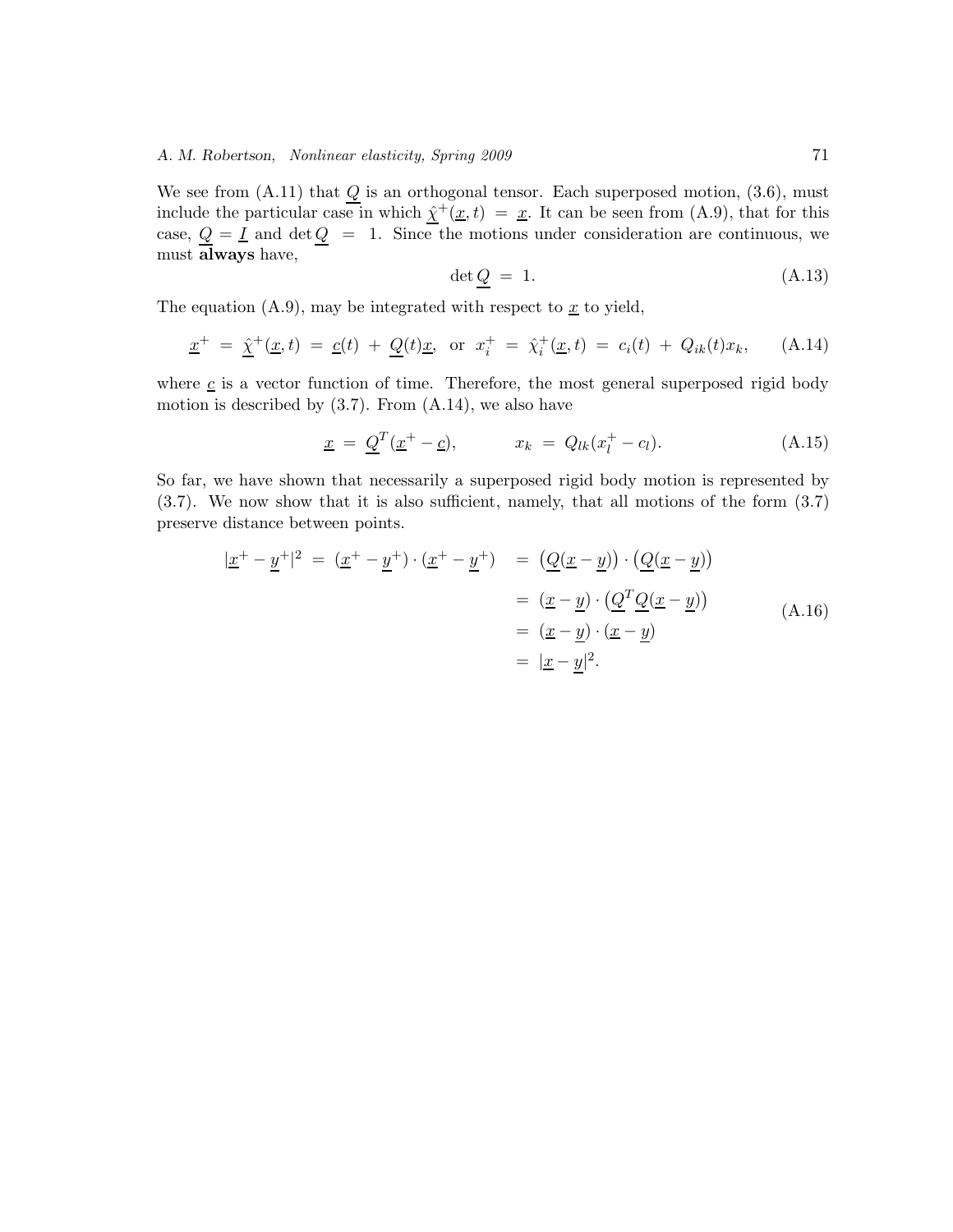We see from  $(A.11)$  that  $Q$  is an orthogonal tensor. Each superposed motion,  $(3.6)$ , must include the particular case in which  $\hat{\chi}^+(\underline{x}, t) = \underline{x}$ . It can be seen from (A.9), that for this case,  $Q = I$  and  $\det Q = 1$ . Since the motions under consideration are continuous, we must **always** have,

$$
\det Q = 1. \tag{A.13}
$$

The equation  $(A.9)$ , may be integrated with respect to  $\underline{x}$  to yield,

$$
\underline{x}^{+} = \hat{\underline{\chi}}^{+}(\underline{x}, t) = \underline{c}(t) + \underline{Q}(t)\underline{x}, \text{ or } x_{i}^{+} = \hat{\chi}_{i}^{+}(\underline{x}, t) = c_{i}(t) + Q_{ik}(t)x_{k}, \quad (A.14)
$$

where  $\underline{c}$  is a vector function of time. Therefore, the most general superposed rigid body motion is described by  $(3.7)$ . From  $(A.14)$ , we also have

$$
\underline{x} = \underline{Q}^T(\underline{x}^+ - \underline{c}), \qquad x_k = Q_{lk}(x_l^+ - c_l). \tag{A.15}
$$

So far, we have shown that necessarily a superposed rigid body motion is represented by (3.7). We now show that it is also sufficient, namely, that all motions of the form (3.7) preserve distance between points.

$$
|\underline{x}^{+} - \underline{y}^{+}|^{2} = (\underline{x}^{+} - \underline{y}^{+}) \cdot (\underline{x}^{+} - \underline{y}^{+}) = (\underline{Q}(\underline{x} - \underline{y})) \cdot (\underline{Q}(\underline{x} - \underline{y}))
$$

$$
= (\underline{x} - \underline{y}) \cdot (\underline{Q}^{T} \underline{Q}(\underline{x} - \underline{y}))
$$

$$
= (\underline{x} - \underline{y}) \cdot (\underline{x} - \underline{y})
$$

$$
= |\underline{x} - \underline{y}|^{2}.
$$
(A.16)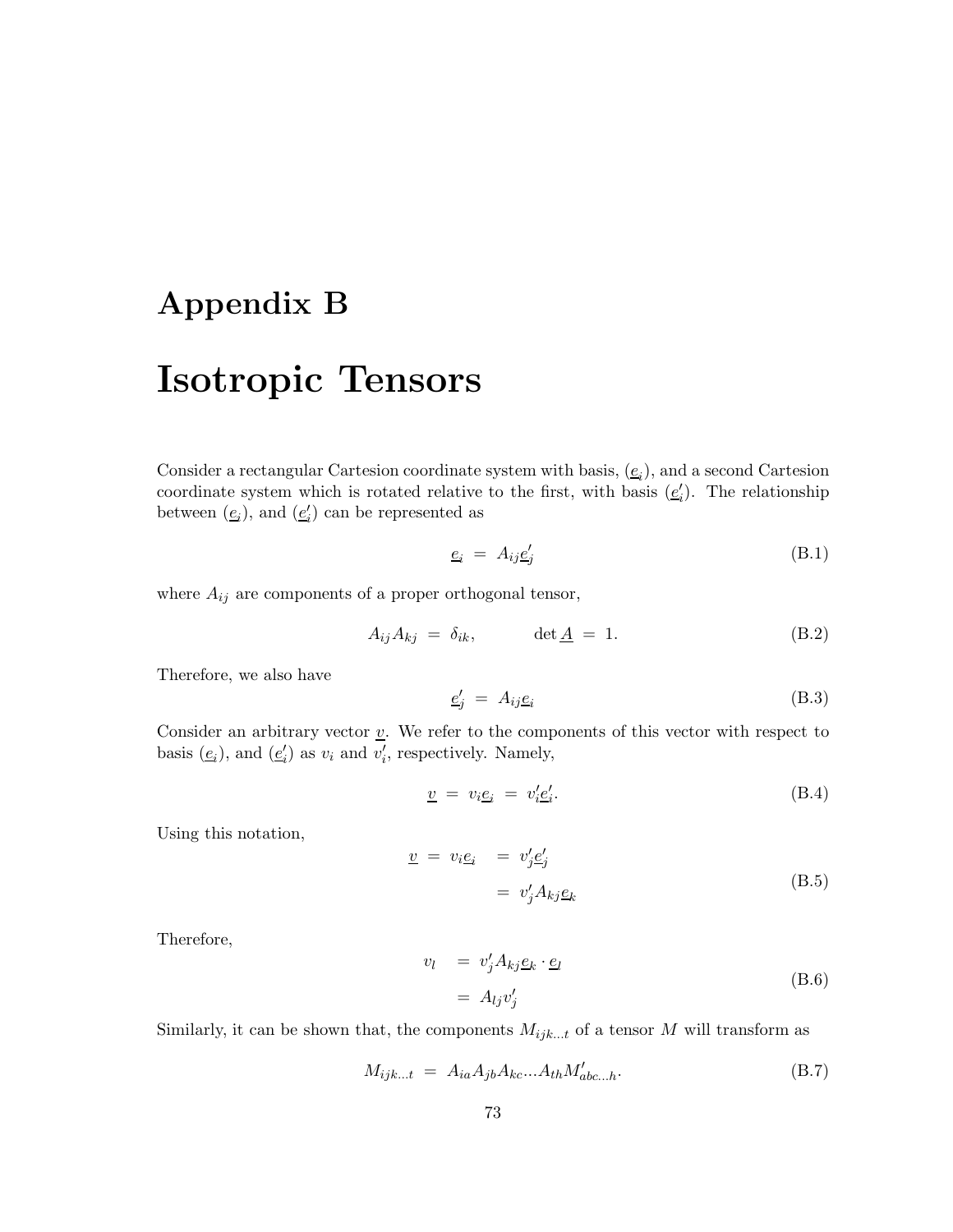### **Appendix B**

## **Isotropic Tensors**

Consider a rectangular Cartesion coordinate system with basis,  $(e_i)$ , and a second Cartesion<br>coordinate system which is retated relative to the first, with basis  $(e')$ . The relationship coordinate system which is rotated relative to the first, with basis  $(\underline{e}'_i)$ . The relationship<br>between  $(e_i)$  and  $(e')$  can be represented as between  $(\underline{e}_i)$ , and  $(\underline{e}'_i)$  can be represented as

$$
\underline{e}_i = A_{ij} \underline{e}'_j \tag{B.1}
$$

where  $A_{ij}$  are components of a proper orthogonal tensor,

$$
A_{ij}A_{kj} = \delta_{ik}, \qquad \det \underline{A} = 1. \tag{B.2}
$$

Therefore, we also have

$$
\underline{e}'_j = A_{ij}\underline{e}_i \tag{B.3}
$$

Consider an arbitrary vector  $\underline{v}$ . We refer to the components of this vector with respect to basis  $(\underline{e}_i)$ , and  $(\underline{e}'_i)$  as  $v_i$  and  $v'_i$ , respectively. Namely,

$$
\underline{v} = v_i \underline{e}_i = v'_i \underline{e}'_i. \tag{B.4}
$$

Using this notation,

$$
\underline{v} = v_i \underline{e}_i = v'_j \underline{e}'_j
$$
  
=  $v'_j A_{kj} \underline{e}_k$  (B.5)

Therefore,

$$
v_l = v'_j A_{kj} \underline{e}_k \cdot \underline{e}_l
$$
  
=  $A_{lj} v'_j$  (B.6)

Similarly, it can be shown that, the components  $M_{ijk...t}$  of a tensor M will transform as

$$
M_{ijk...t} = A_{ia}A_{jb}A_{kc}...A_{th}M'_{abc...h}.
$$
 (B.7)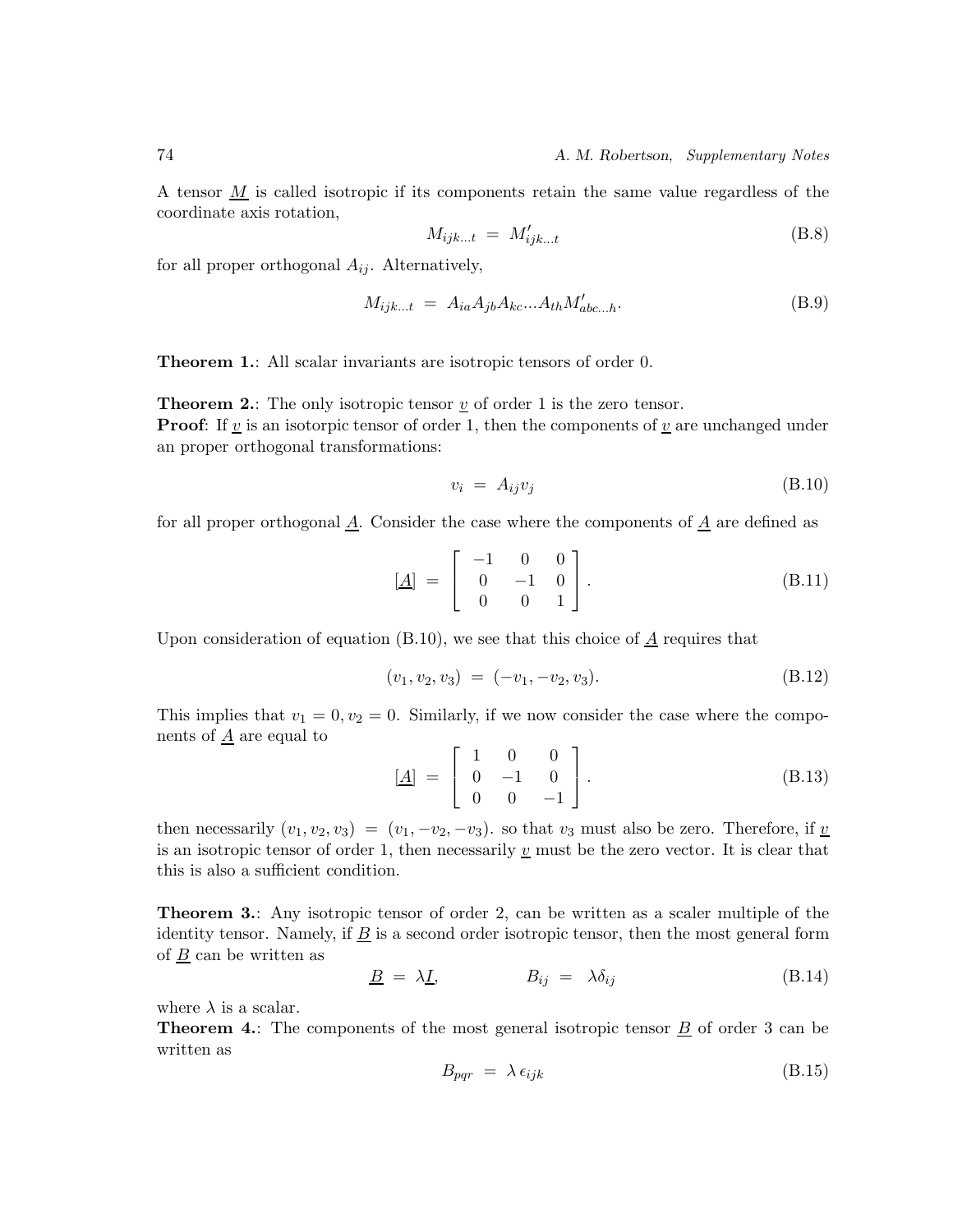A tensor  $M$  is called isotropic if its components retain the same value regardless of the coordinate axis rotation,

$$
M_{ijk...t} = M'_{ijk...t}
$$
\n(B.8)

for all proper orthogonal  $A_{ij}$ . Alternatively,

$$
M_{ijk...t} = A_{ia}A_{jb}A_{kc}...A_{th}M'_{abc...h}.
$$
 (B.9)

**Theorem 1.**: All scalar invariants are isotropic tensors of order 0.

**Theorem 2.:** The only isotropic tensor  $\underline{v}$  of order 1 is the zero tensor. **Proof:** If  $\underline{v}$  is an isotorpic tensor of order 1, then the components of  $\underline{v}$  are unchanged under an proper orthogonal transformations:

$$
v_i = A_{ij} v_j \tag{B.10}
$$

for all proper orthogonal  $\underline{A}$ . Consider the case where the components of  $\underline{A}$  are defined as

$$
\begin{bmatrix} \underline{A} \end{bmatrix} = \begin{bmatrix} -1 & 0 & 0 \\ 0 & -1 & 0 \\ 0 & 0 & 1 \end{bmatrix} . \tag{B.11}
$$

Upon consideration of equation (B.10), we see that this choice of  $\underline{A}$  requires that

$$
(v_1, v_2, v_3) = (-v_1, -v_2, v_3). \tag{B.12}
$$

This implies that  $v_1 = 0, v_2 = 0$ . Similarly, if we now consider the case where the components of  $\underline{A}$  are equal to

$$
[\underline{A}] = \begin{bmatrix} 1 & 0 & 0 \\ 0 & -1 & 0 \\ 0 & 0 & -1 \end{bmatrix}.
$$
 (B.13)

then necessarily  $(v_1, v_2, v_3)=(v_1, -v_2, -v_3)$ . so that  $v_3$  must also be zero. Therefore, if  $\underline{v}$ is an isotropic tensor of order 1, then necessarily  $\underline{v}$  must be the zero vector. It is clear that this is also a sufficient condition.

**Theorem 3.**: Any isotropic tensor of order 2, can be written as a scaler multiple of the identity tensor. Namely, if  $\overline{B}$  is a second order isotropic tensor, then the most general form of B can be written as

$$
\underline{B} = \lambda \underline{I}, \qquad B_{ij} = \lambda \delta_{ij} \qquad (B.14)
$$

where  $\lambda$  is a scalar.

**Theorem 4.:** The components of the most general isotropic tensor  $\underline{B}$  of order 3 can be written as

$$
B_{pqr} = \lambda \epsilon_{ijk} \tag{B.15}
$$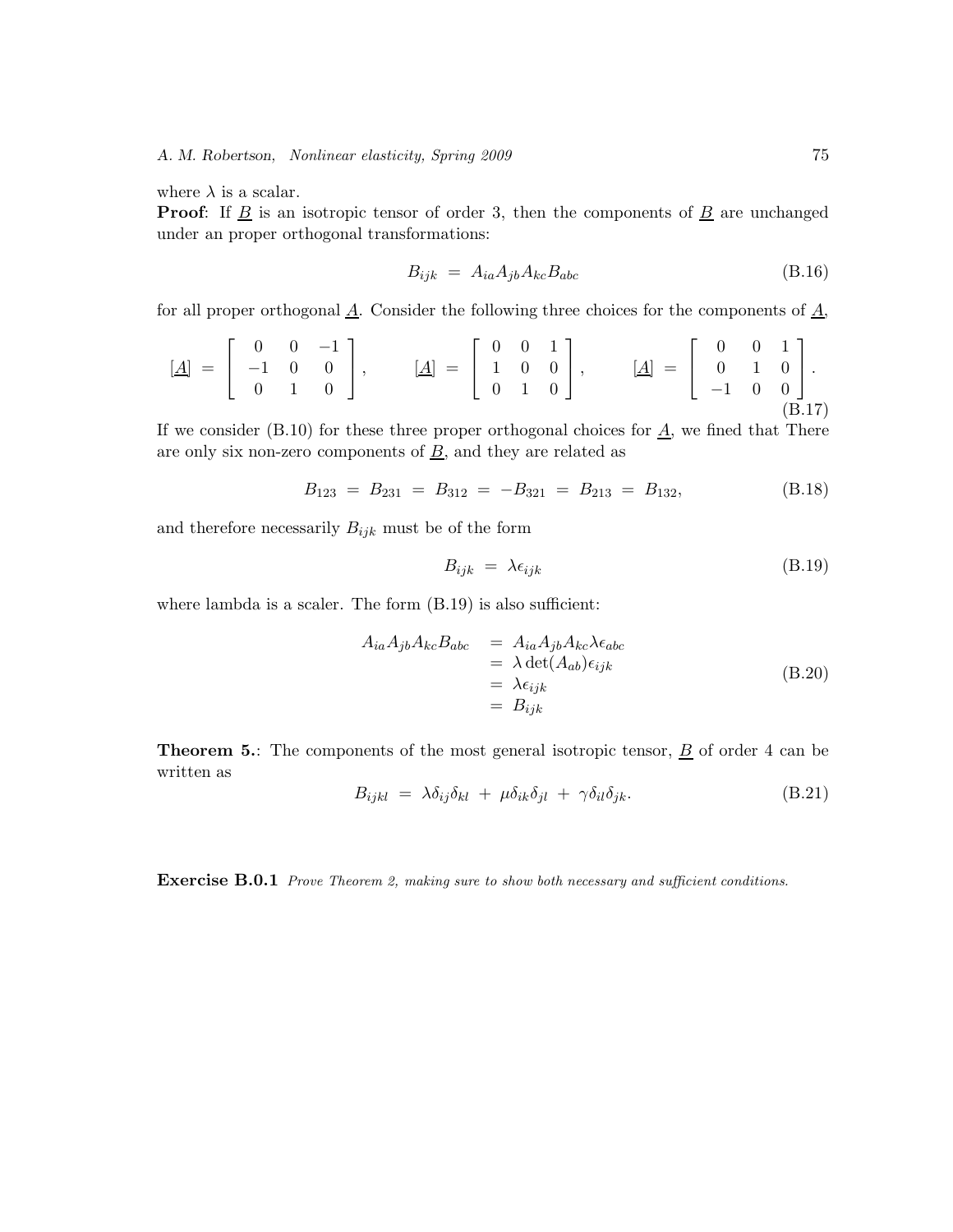where  $\lambda$  is a scalar.

**Proof:** If  $\underline{B}$  is an isotropic tensor of order 3, then the components of  $\underline{B}$  are unchanged under an proper orthogonal transformations:

$$
B_{ijk} = A_{ia} A_{jb} A_{kc} B_{abc} \tag{B.16}
$$

for all proper orthogonal  $\underline{A}$ . Consider the following three choices for the components of  $\underline{A}$ ,

$$
\begin{bmatrix} \underline{A} \end{bmatrix} = \begin{bmatrix} 0 & 0 & -1 \\ -1 & 0 & 0 \\ 0 & 1 & 0 \end{bmatrix}, \qquad \begin{bmatrix} \underline{A} \end{bmatrix} = \begin{bmatrix} 0 & 0 & 1 \\ 1 & 0 & 0 \\ 0 & 1 & 0 \end{bmatrix}, \qquad \begin{bmatrix} \underline{A} \end{bmatrix} = \begin{bmatrix} 0 & 0 & 1 \\ 0 & 1 & 0 \\ -1 & 0 & 0 \end{bmatrix}.
$$
\n(B.17)

If we consider (B.10) for these three proper orthogonal choices for  $\underline{A}$ , we fined that There are only six non-zero components of  $\underline{B}$ , and they are related as

$$
B_{123} = B_{231} = B_{312} = -B_{321} = B_{213} = B_{132}, \tag{B.18}
$$

and therefore necessarily  $B_{ijk}$  must be of the form

$$
B_{ijk} = \lambda \epsilon_{ijk} \tag{B.19}
$$

where lambda is a scaler. The form  $(B.19)$  is also sufficient:

$$
A_{ia}A_{jb}A_{kc}B_{abc} = A_{ia}A_{jb}A_{kc}\lambda\epsilon_{abc}
$$
  
=  $\lambda \det(A_{ab})\epsilon_{ijk}$   
=  $\lambda \epsilon_{ijk}$   
=  $B_{ijk}$  (B.20)

**Theorem 5.**: The components of the most general isotropic tensor,  $\underline{B}$  of order 4 can be written as

$$
B_{ijkl} = \lambda \delta_{ij} \delta_{kl} + \mu \delta_{ik} \delta_{jl} + \gamma \delta_{il} \delta_{jk}.
$$
 (B.21)

**Exercise B.0.1** Prove Theorem 2, making sure to show both necessary and sufficient conditions.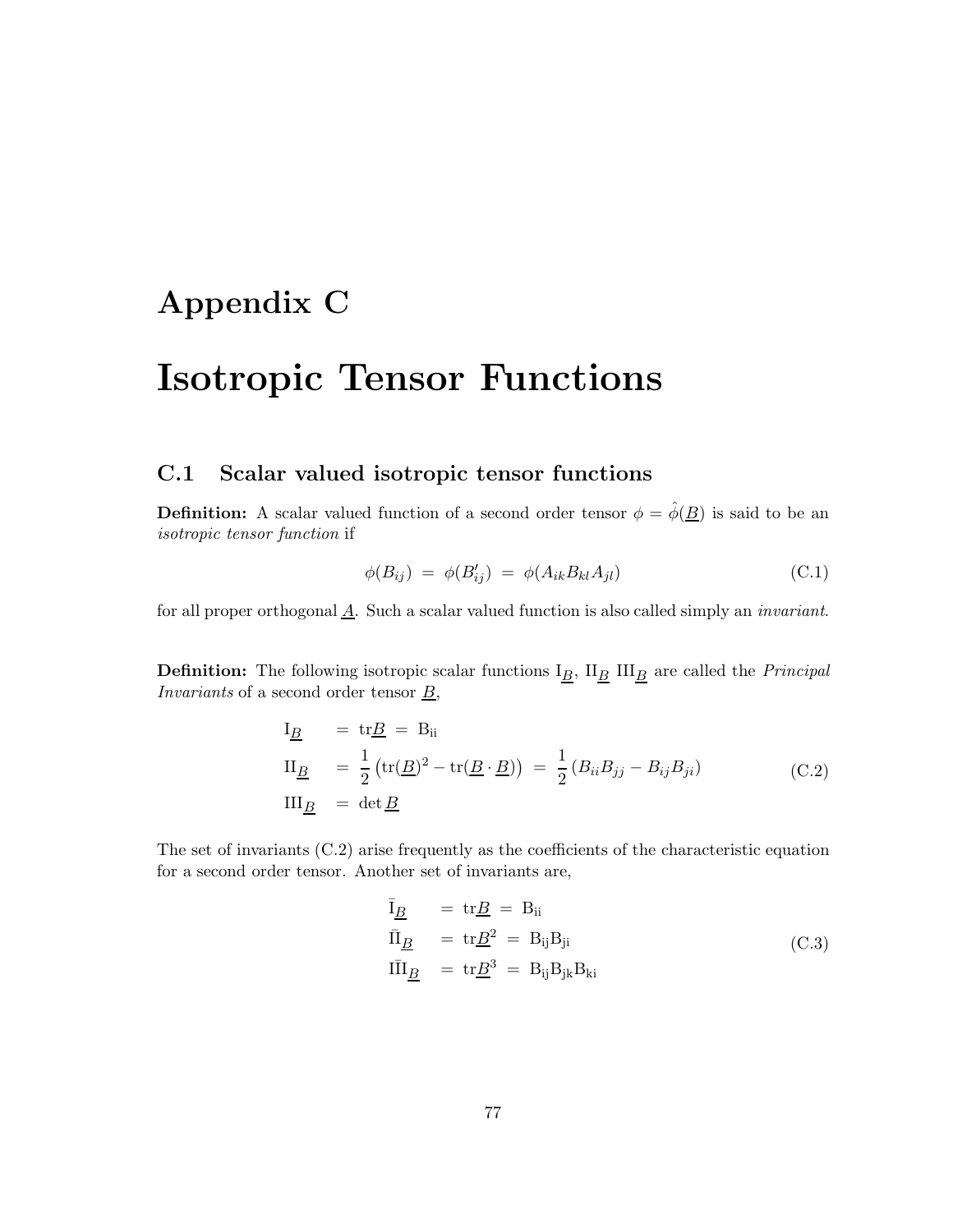## **Appendix C**

## **Isotropic Tensor Functions**

#### **C.1 Scalar valued isotropic tensor functions**

**Definition:** A scalar valued function of a second order tensor  $\phi = \hat{\phi}(\underline{B})$  is said to be an *isotropic tensor function* if

$$
\phi(B_{ij}) = \phi(B'_{ij}) = \phi(A_{ik}B_{kl}A_{jl})
$$
\n(C.1)

for all proper orthogonal A. Such a scalar valued function is also called simply an *invariant*.

**Definition:** The following isotropic scalar functions  $I_{\underline{B}}$ ,  $II_{\underline{B}}$  III<sub>B</sub> are called the *Principal Invariants* of a second order tensor  $\underline{B}$ ,

$$
I_{\underline{B}} = tr\underline{B} = B_{ii}
$$
  
\n
$$
II_{\underline{B}} = \frac{1}{2} (tr(\underline{B})^2 - tr(\underline{B} \cdot \underline{B})) = \frac{1}{2} (B_{ii}B_{jj} - B_{ij}B_{ji})
$$
  
\n
$$
III_{\underline{B}} = det \underline{B}
$$
\n(C.2)

The set of invariants (C.2) arise frequently as the coefficients of the characteristic equation for a second order tensor. Another set of invariants are,

$$
\overline{I}_{\underline{B}} = tr \underline{B} = B_{ii}
$$
\n
$$
\overline{II}_{\underline{B}} = tr \underline{B}^{2} = B_{ij} B_{ji}
$$
\n
$$
I\overline{II}_{\underline{B}} = tr \underline{B}^{3} = B_{ij} B_{jk} B_{ki}
$$
\n(C.3)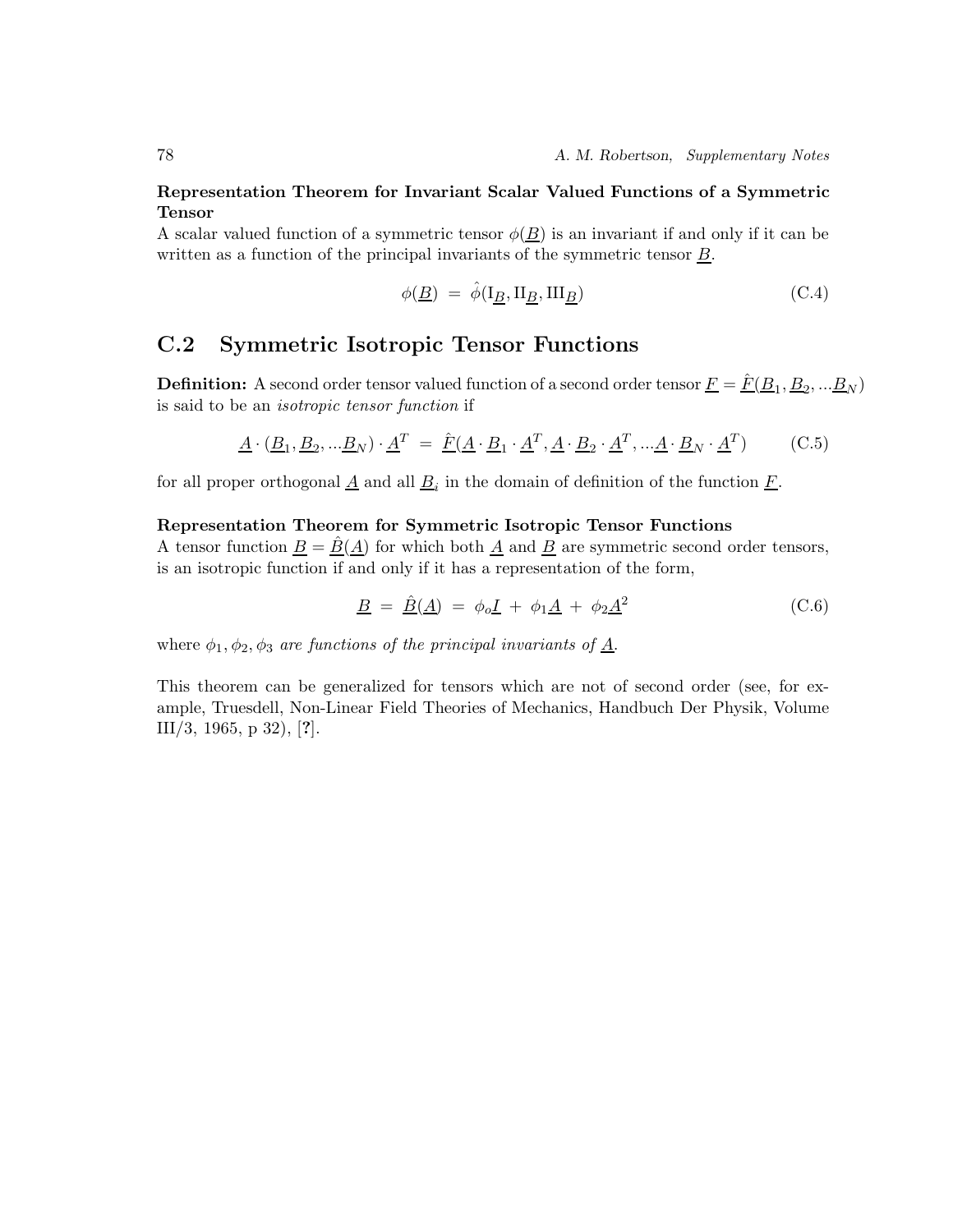#### **Representation Theorem for Invariant Scalar Valued Functions of a Symmetric Tensor**

A scalar valued function of a symmetric tensor  $\phi(B)$  is an invariant if and only if it can be written as a function of the principal invariants of the symmetric tensor  $\underline{B}$ .

$$
\phi(\underline{B}) \ = \ \hat{\phi}(\mathbf{I}_{\underline{B}}, \mathbf{II}_{\underline{B}}, \mathbf{III}_{\underline{B}}) \tag{C.4}
$$

### **C.2 Symmetric Isotropic Tensor Functions**

**Definition:** A second order tensor valued function of a second order tensor  $\underline{F} = \hat{F}(\underline{B}_1, \underline{B}_2, ... \underline{B}_N)$ is said to be an *isotropic tensor function* if

$$
\underline{A} \cdot (\underline{B}_1, \underline{B}_2, \dots \underline{B}_N) \cdot \underline{A}^T = \hat{F}(\underline{A} \cdot \underline{B}_1 \cdot \underline{A}^T, \underline{A} \cdot \underline{B}_2 \cdot \underline{A}^T, \dots \underline{A} \cdot \underline{B}_N \cdot \underline{A}^T)
$$
(C.5)

for all proper orthogonal  $\underline{A}$  and all  $\underline{B}_i$  in the domain of definition of the function  $\underline{F}$ .

#### **Representation Theorem for Symmetric Isotropic Tensor Functions**

A tensor function  $\underline{B} = \underline{B}(\underline{A})$  for which both  $\underline{A}$  and  $\underline{B}$  are symmetric second order tensors, is an isotropic function if and only if it has a representation of the form,

$$
\underline{B} = \underline{\hat{B}}(\underline{A}) = \phi_o \underline{I} + \phi_1 \underline{A} + \phi_2 \underline{A}^2 \tag{C.6}
$$

where  $\phi_1, \phi_2, \phi_3$  *are functions of the principal invariants of*  $\underline{A}$ .

This theorem can be generalized for tensors which are not of second order (see, for example, Truesdell, Non-Linear Field Theories of Mechanics, Handbuch Der Physik, Volume III/3, 1965, p 32), [**?**].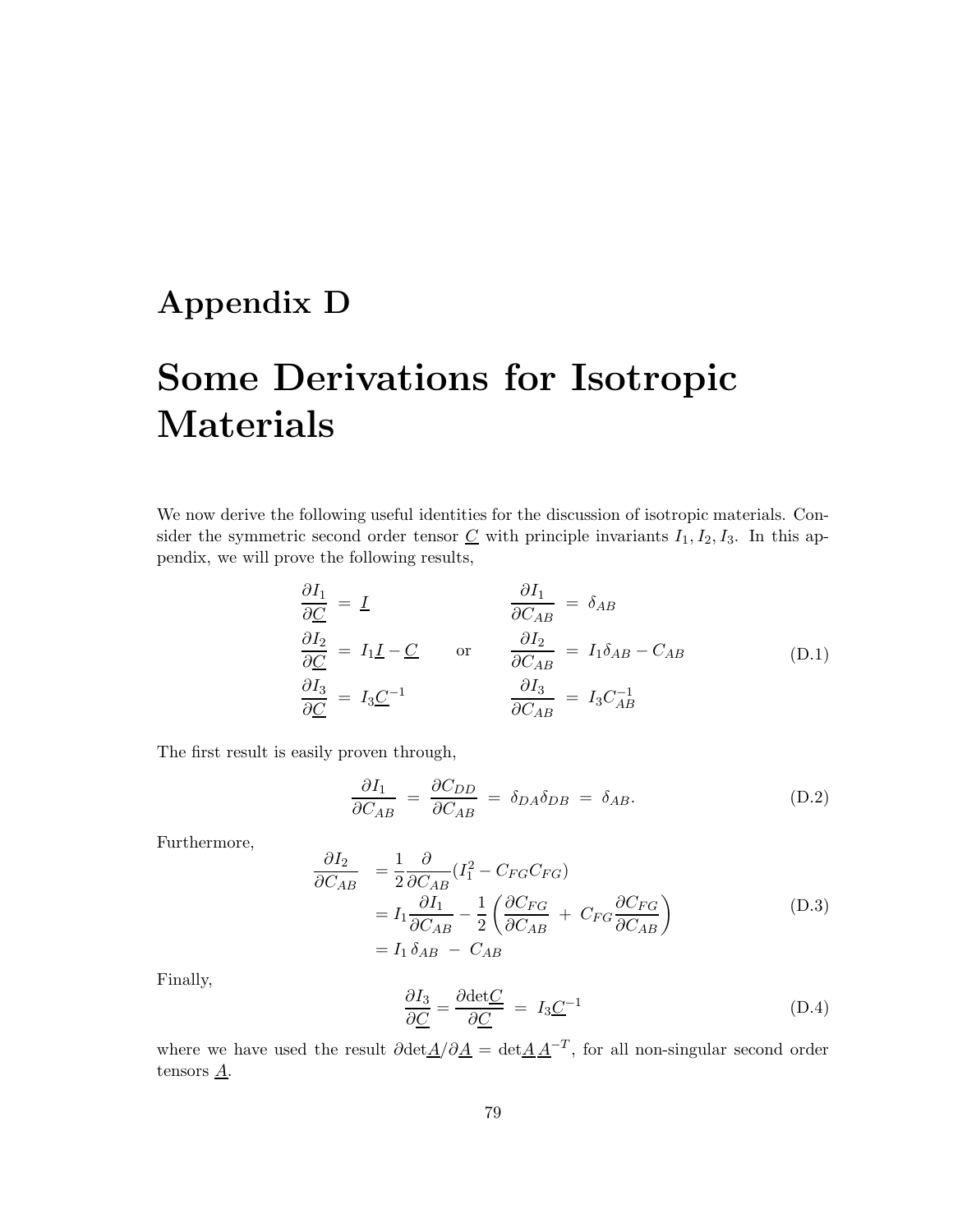## **Appendix D**

# **Some Derivations for Isotropic Materials**

We now derive the following useful identities for the discussion of isotropic materials. Consider the symmetric second order tensor  $C$  with principle invariants  $I_1, I_2, I_3$ . In this appendix, we will prove the following results,

$$
\frac{\partial I_1}{\partial C} = I \qquad \qquad \frac{\partial I_1}{\partial C_{AB}} = \delta_{AB}
$$
\n
$$
\frac{\partial I_2}{\partial C} = I_1 I - C \qquad \text{or} \qquad \frac{\partial I_2}{\partial C_{AB}} = I_1 \delta_{AB} - C_{AB}
$$
\n
$$
\frac{\partial I_3}{\partial C} = I_3 C^{-1} \qquad \qquad \frac{\partial I_3}{\partial C_{AB}} = I_3 C_{AB}^{-1}
$$
\n(D.1)

The first result is easily proven through,

$$
\frac{\partial I_1}{\partial C_{AB}} = \frac{\partial C_{DD}}{\partial C_{AB}} = \delta_{DA}\delta_{DB} = \delta_{AB}.
$$
 (D.2)

Furthermore,

$$
\frac{\partial I_2}{\partial C_{AB}} = \frac{1}{2} \frac{\partial}{\partial C_{AB}} (I_1^2 - C_{FG} C_{FG})
$$
\n
$$
= I_1 \frac{\partial I_1}{\partial C_{AB}} - \frac{1}{2} \left( \frac{\partial C_{FG}}{\partial C_{AB}} + C_{FG} \frac{\partial C_{FG}}{\partial C_{AB}} \right)
$$
\n
$$
= I_1 \delta_{AB} - C_{AB}
$$
\n(D.3)

Finally,

$$
\frac{\partial I_3}{\partial \underline{C}} = \frac{\partial \det \underline{C}}{\partial \underline{C}} = I_3 \underline{C}^{-1}
$$
 (D.4)

where we have used the result  $\partial \det A/\partial A = \det A A^{-T}$ , for all non-singular second order tensors  $\underline{A}$ .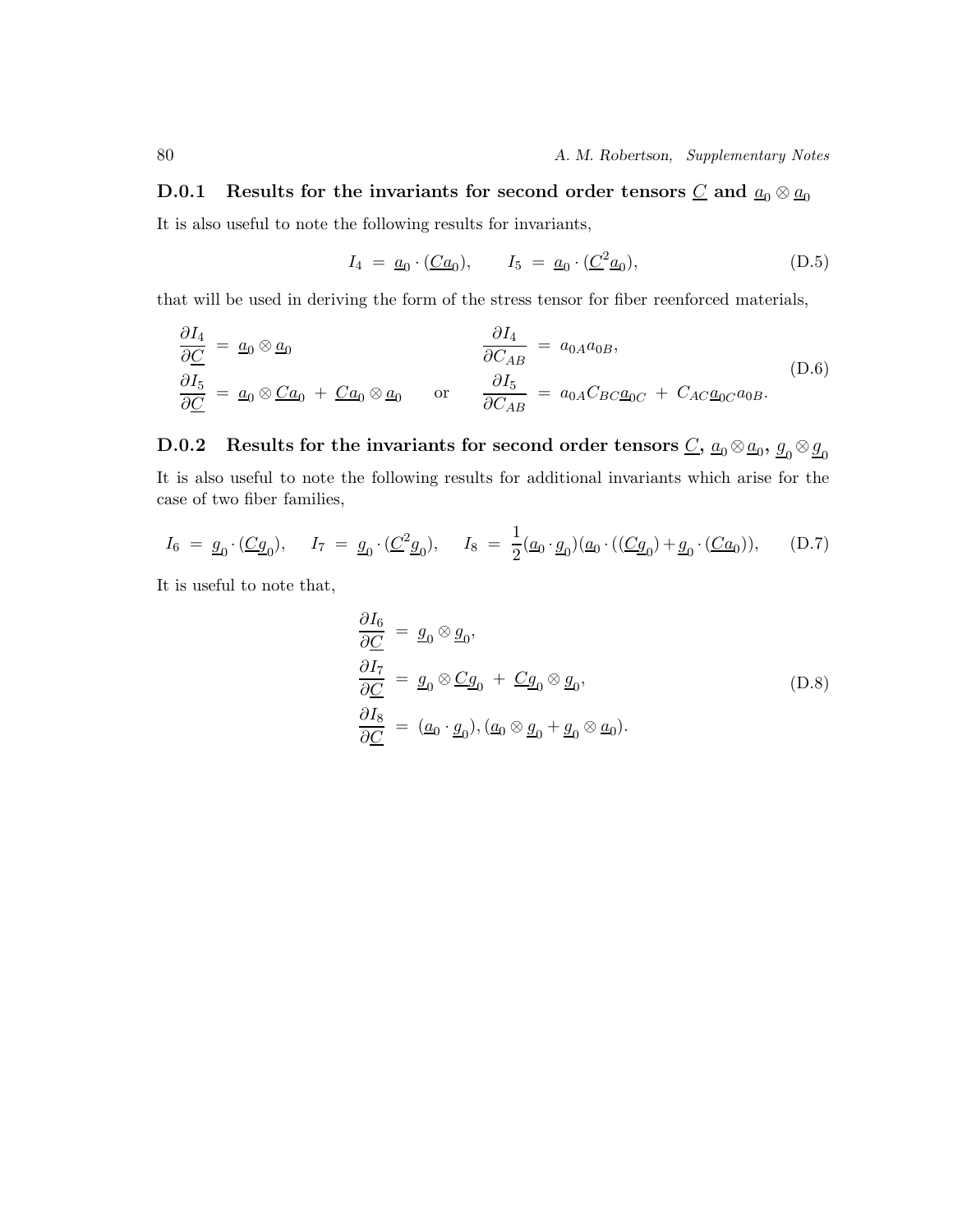### **D.0.1** Results for the invariants for second order tensors  $C$  and  $a_0 \otimes a_0$

It is also useful to note the following results for invariants,

$$
I_4 = \underline{a}_0 \cdot (\underline{Ca}_0), \qquad I_5 = \underline{a}_0 \cdot (\underline{C}^2 \underline{a}_0), \tag{D.5}
$$

that will be used in deriving the form of the stress tensor for fiber reenforced materials,

$$
\frac{\partial I_4}{\partial C} = \underline{a}_0 \otimes \underline{a}_0
$$
\n
$$
\frac{\partial I_4}{\partial C_{AB}} = a_{0A}a_{0B},
$$
\n(D.6)\n
$$
\frac{\partial I_5}{\partial C} = \underline{a}_0 \otimes \underline{C}a_0 + \underline{C}a_0 \otimes \underline{a}_0
$$
\nor\n
$$
\frac{\partial I_5}{\partial C_{AB}} = a_{0A}C_{BC}\underline{a}_{0C} + C_{AC}\underline{a}_{0C}a_{0B}.
$$

**D.0.2** Results for the invariants for second order tensors  $C$ ,  $a_0 \otimes a_0$ ,  $g_0 \otimes g_0$ It is also useful to note the following results for additional invariants which arise for the case of two fiber families,

$$
I_6 = \underline{g}_0 \cdot (\underline{Cg}_0), \quad I_7 = \underline{g}_0 \cdot (\underline{C}^2 \underline{g}_0), \quad I_8 = \frac{1}{2} (\underline{a}_0 \cdot \underline{g}_0) (\underline{a}_0 \cdot ((\underline{Cg}_0) + \underline{g}_0 \cdot (\underline{Ca}_0)), \quad (D.7)
$$

It is useful to note that,

$$
\frac{\partial I_6}{\partial C} = g_0 \otimes g_0,
$$
\n
$$
\frac{\partial I_7}{\partial C} = g_0 \otimes Cg_0 + Cg_0 \otimes g_0,
$$
\n
$$
\frac{\partial I_8}{\partial C} = (a_0 \cdot g_0), (a_0 \otimes g_0 + g_0 \otimes a_0).
$$
\n(D.8)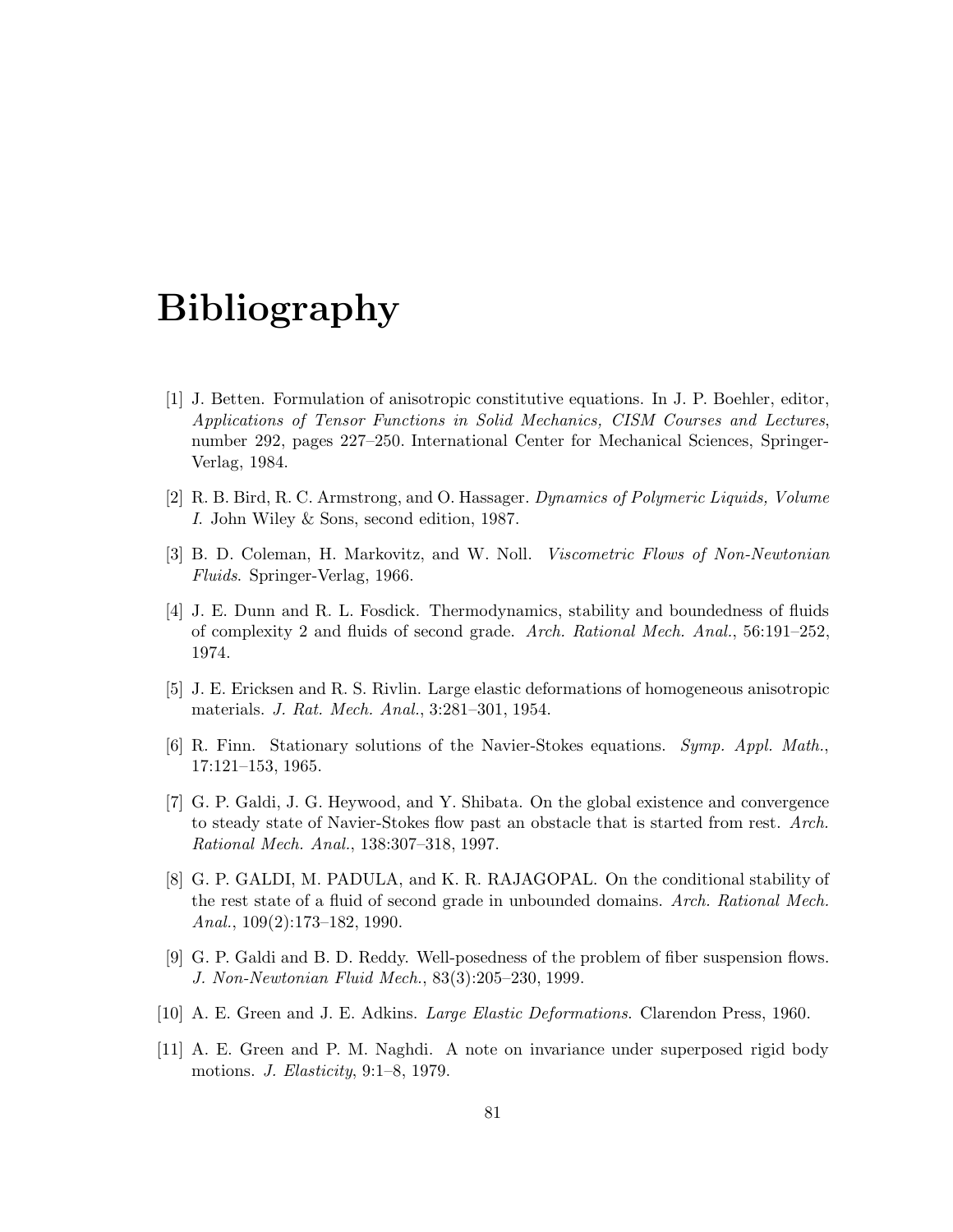# **Bibliography**

- [1] J. Betten. Formulation of anisotropic constitutive equations. In J. P. Boehler, editor, *Applications of Tensor Functions in Solid Mechanics, CISM Courses and Lectures*, number 292, pages 227–250. International Center for Mechanical Sciences, Springer-Verlag, 1984.
- [2] R. B. Bird, R. C. Armstrong, and O. Hassager. *Dynamics of Polymeric Liquids, Volume I*. John Wiley & Sons, second edition, 1987.
- [3] B. D. Coleman, H. Markovitz, and W. Noll. *Viscometric Flows of Non-Newtonian Fluids*. Springer-Verlag, 1966.
- [4] J. E. Dunn and R. L. Fosdick. Thermodynamics, stability and boundedness of fluids of complexity 2 and fluids of second grade. *Arch. Rational Mech. Anal.*, 56:191–252, 1974.
- [5] J. E. Ericksen and R. S. Rivlin. Large elastic deformations of homogeneous anisotropic materials. *J. Rat. Mech. Anal.*, 3:281–301, 1954.
- [6] R. Finn. Stationary solutions of the Navier-Stokes equations. *Symp. Appl. Math.*, 17:121–153, 1965.
- [7] G. P. Galdi, J. G. Heywood, and Y. Shibata. On the global existence and convergence to steady state of Navier-Stokes flow past an obstacle that is started from rest. *Arch. Rational Mech. Anal.*, 138:307–318, 1997.
- [8] G. P. GALDI, M. PADULA, and K. R. RAJAGOPAL. On the conditional stability of the rest state of a fluid of second grade in unbounded domains. *Arch. Rational Mech. Anal.*, 109(2):173–182, 1990.
- [9] G. P. Galdi and B. D. Reddy. Well-posedness of the problem of fiber suspension flows. *J. Non-Newtonian Fluid Mech.*, 83(3):205–230, 1999.
- [10] A. E. Green and J. E. Adkins. *Large Elastic Deformations*. Clarendon Press, 1960.
- [11] A. E. Green and P. M. Naghdi. A note on invariance under superposed rigid body motions. *J. Elasticity*, 9:1–8, 1979.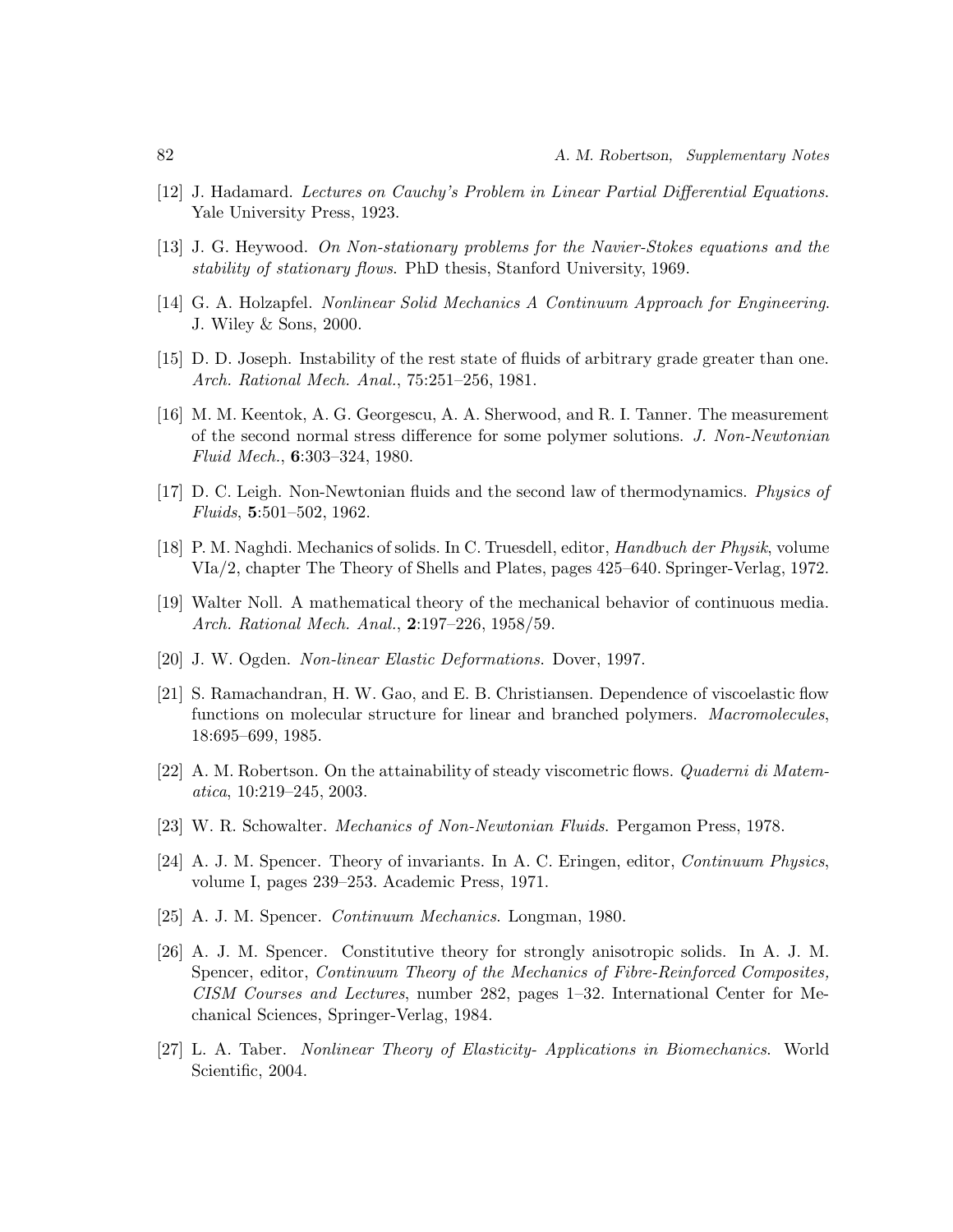- [12] J. Hadamard. *Lectures on Cauchy's Problem in Linear Partial Differential Equations*. Yale University Press, 1923.
- [13] J. G. Heywood. *On Non-stationary problems for the Navier-Stokes equations and the stability of stationary flows*. PhD thesis, Stanford University, 1969.
- [14] G. A. Holzapfel. *Nonlinear Solid Mechanics A Continuum Approach for Engineering*. J. Wiley & Sons, 2000.
- [15] D. D. Joseph. Instability of the rest state of fluids of arbitrary grade greater than one. *Arch. Rational Mech. Anal.*, 75:251–256, 1981.
- [16] M. M. Keentok, A. G. Georgescu, A. A. Sherwood, and R. I. Tanner. The measurement of the second normal stress difference for some polymer solutions. *J. Non-Newtonian Fluid Mech.*, **6**:303–324, 1980.
- [17] D. C. Leigh. Non-Newtonian fluids and the second law of thermodynamics. *Physics of Fluids*, **5**:501–502, 1962.
- [18] P. M. Naghdi. Mechanics of solids. In C. Truesdell, editor, *Handbuch der Physik*, volume VIa/2, chapter The Theory of Shells and Plates, pages 425–640. Springer-Verlag, 1972.
- [19] Walter Noll. A mathematical theory of the mechanical behavior of continuous media. *Arch. Rational Mech. Anal.*, **2**:197–226, 1958/59.
- [20] J. W. Ogden. *Non-linear Elastic Deformations*. Dover, 1997.
- [21] S. Ramachandran, H. W. Gao, and E. B. Christiansen. Dependence of viscoelastic flow functions on molecular structure for linear and branched polymers. *Macromolecules*, 18:695–699, 1985.
- [22] A. M. Robertson. On the attainability of steady viscometric flows. *Quaderni di Matematica*, 10:219–245, 2003.
- [23] W. R. Schowalter. *Mechanics of Non-Newtonian Fluids*. Pergamon Press, 1978.
- [24] A. J. M. Spencer. Theory of invariants. In A. C. Eringen, editor, *Continuum Physics*, volume I, pages 239–253. Academic Press, 1971.
- [25] A. J. M. Spencer. *Continuum Mechanics*. Longman, 1980.
- [26] A. J. M. Spencer. Constitutive theory for strongly anisotropic solids. In A. J. M. Spencer, editor, *Continuum Theory of the Mechanics of Fibre-Reinforced Composites, CISM Courses and Lectures*, number 282, pages 1–32. International Center for Mechanical Sciences, Springer-Verlag, 1984.
- [27] L. A. Taber. *Nonlinear Theory of Elasticity- Applications in Biomechanics*. World Scientific, 2004.